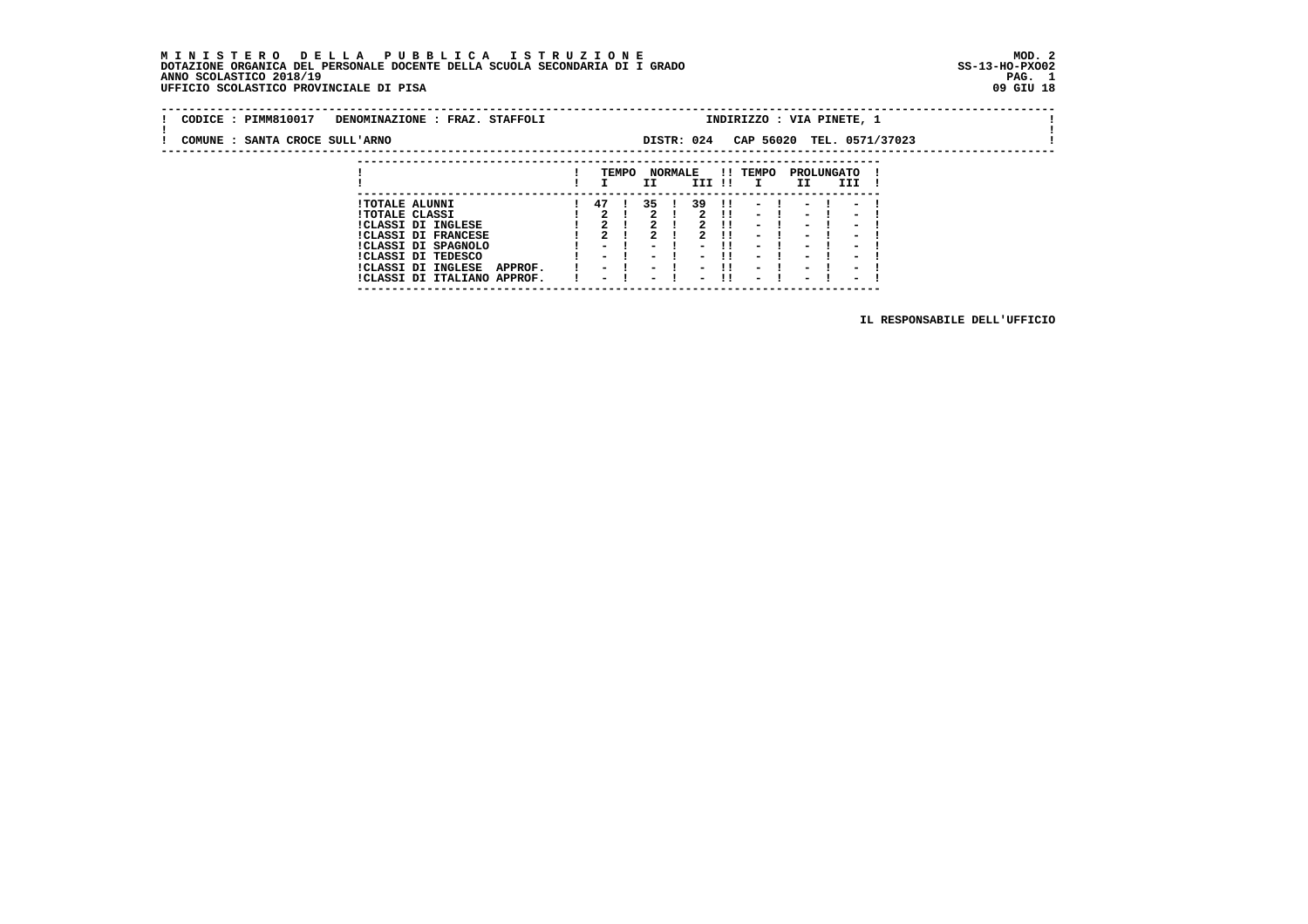MINISTERO DELLA PUBBLICA ISTRUZIONE<br>DOTAZIONE ORGANICA DEL PERSONALE DOCENTE DELLA SCUOLA SECONDARIA DI IGRADO<br>ANNO SCOLASTICO 2018/19<br>UFFICIO SCOLASTICO PROVINCIALE DIPISA

| CODICE: PIMM810017<br>DENOMINAZIONE : FRAZ. STAFFOLI                               |                                            |              |     |      |                |              | INDIRIZZO : VIA PINETE, 1                            |                                                            |     |                                                                                  |                           |  |
|------------------------------------------------------------------------------------|--------------------------------------------|--------------|-----|------|----------------|--------------|------------------------------------------------------|------------------------------------------------------------|-----|----------------------------------------------------------------------------------|---------------------------|--|
| COMUNE : SANTA CROCE SULL'ARNO                                                     |                                            |              |     |      | DISTR: 024     |              |                                                      |                                                            |     |                                                                                  | CAP 56020 TEL. 0571/37023 |  |
|                                                                                    |                                            | TEMPO        | II. |      | <b>NORMALE</b> |              | <b>!! TEMPO</b><br>III !! I                          | PROLUNGATO<br>II.                                          | III |                                                                                  |                           |  |
| <b>!TOTALE ALUNNI</b><br><b>!TOTALE CLASSI</b>                                     | 47 !<br>$\mathbf{2}$                       |              | -35 |      | 39             | - 11         | $\overline{\phantom{0}}$<br>$-1$                     | $\sim$                                                     |     | $\blacksquare$                                                                   |                           |  |
| <b>!CLASSI DI INGLESE</b><br><b>!CLASSI DI FRANCESE</b><br>!CLASSI DI SPAGNOLO     | 2 <sup>1</sup><br>2 <sub>1</sub><br>$\sim$ |              |     |      | $\sim$         | - 11<br>.    | $-1$<br>$\sim$ 100 $\mu$<br>$\overline{\phantom{0}}$ | $\sim$<br>$\overline{\phantom{0}}$<br>$\blacksquare$       |     | $\overline{\phantom{0}}$<br>$\overline{\phantom{0}}$<br>$\overline{\phantom{0}}$ |                           |  |
| ICLASSI DI TEDESCO<br>ICLASSI DI INGLESE<br>APPROF.<br>!CLASSI DI ITALIANO APPROF. |                                            | $-1$<br>$-1$ | - ! | $-1$ | $\sim$         | - 11<br>- 11 | $\sim$<br>$-1$<br>$\overline{\phantom{0}}$           | $\sim$ $-$<br>$\sim$ 100 $\mu$<br>$\overline{\phantom{0}}$ |     | $\blacksquare$<br>$\overline{\phantom{0}}$<br>$\overline{\phantom{0}}$           |                           |  |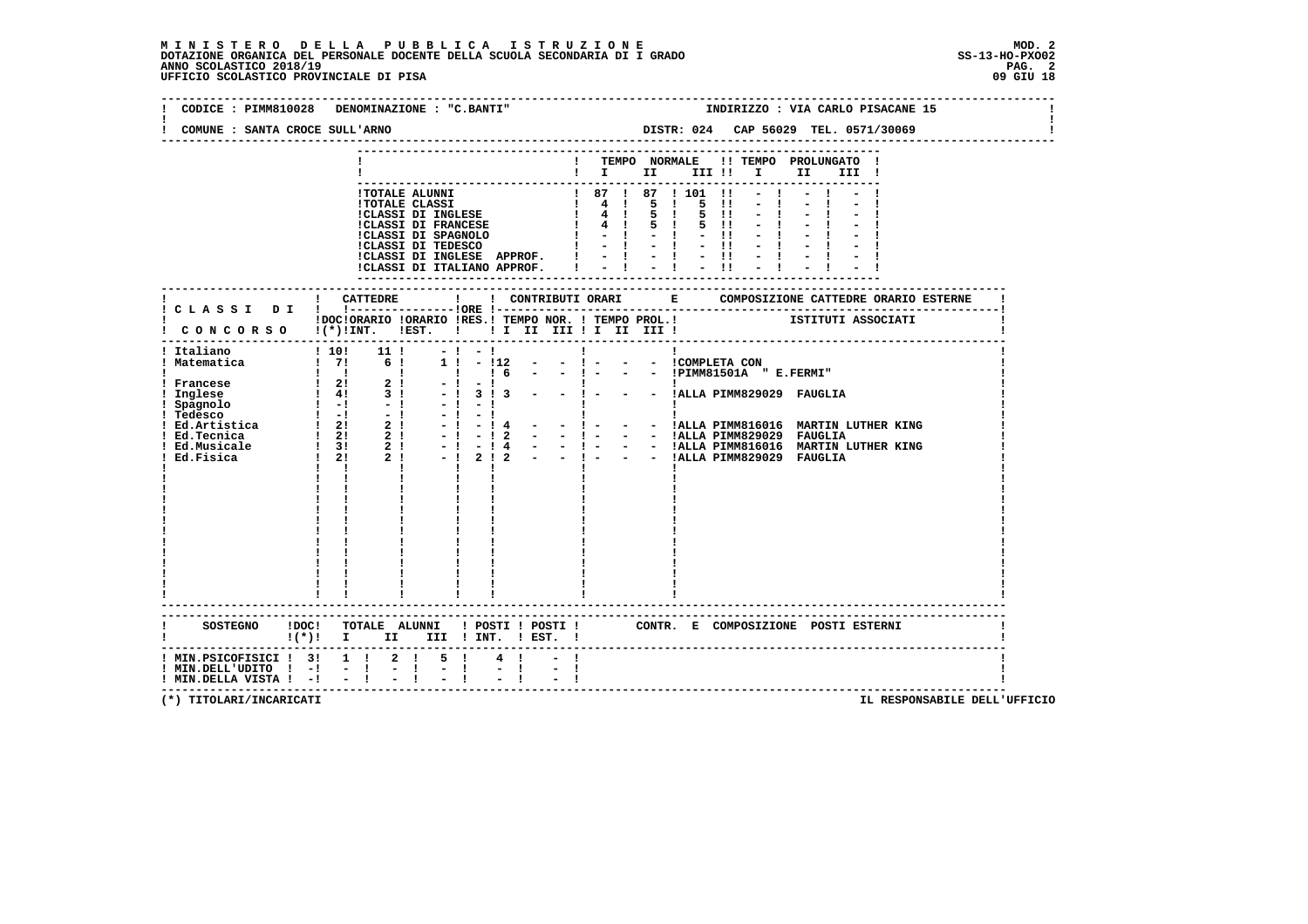# **M I N I S T E R O D E L L A P U B B L I C A I S T R U Z I O N E MOD. 2**DOTAZIONE ORGANICA DEL PERSONALE DOCENTE DELLA SCUOLA SECONDARIA DI I GRADO **SCOLA SS-13-HO-PXOO2**<br>PAG ANNO SCOLASTICO 2018/19<br>UFFICIO SCOLASTICO PROVINCIALE DI PISA

| CODICE : PIMM810028<br>COMUNE : SANTA CROCE SULL'ARNO                | DENOMINAZIONE : "C.BANTI"                                                                                                                                                                                                               | INDIRIZZO : VIA CARLO PISACANE 15<br>DISTR: 024 CAP 56029 TEL. 0571/30069                                                                                                                                                                                                                                                                                                                                                                                                                                                                                                                                                                                 |
|----------------------------------------------------------------------|-----------------------------------------------------------------------------------------------------------------------------------------------------------------------------------------------------------------------------------------|-----------------------------------------------------------------------------------------------------------------------------------------------------------------------------------------------------------------------------------------------------------------------------------------------------------------------------------------------------------------------------------------------------------------------------------------------------------------------------------------------------------------------------------------------------------------------------------------------------------------------------------------------------------|
|                                                                      | :CLASSI DI INGLESE APPROF. !                                                                                                                                                                                                            | ! TEMPO NORMALE !! TEMPO PROLUNGATO !<br>$\blacksquare$<br>1 TOTALE ALUNNI<br>1 TOTALE ALUNNI<br>1 1 87   87   101    -   -   -   -  <br>1 107 ALE CLASSI DI INGLESE<br>1 4   5   5    -   -   -   -  <br>1 101    -   -   -   -   -   -  <br>1 5   5    -   -   -   -   -   -   -  <br>1 102    -   -<br>$-1 - 1 - 1$                                                                                                                                                                                                                                                                                                                                    |
|                                                                      | !CLASSI DI ITALIANO APPROF. !                                                                                                                                                                                                           | $-1 - -11$<br>$-1$                                                                                                                                                                                                                                                                                                                                                                                                                                                                                                                                                                                                                                        |
|                                                                      | CONCORSO !(*)!INT. !EST. !!!I III !I III III !                                                                                                                                                                                          | IDOCIORARIO IORARIO IRES.I TEMPO NOR. I TEMPO PROL.I SITITUTI ASSOCIATI                                                                                                                                                                                                                                                                                                                                                                                                                                                                                                                                                                                   |
|                                                                      | ------------------------------------<br>$-1 - 1$<br>$1! - 12$<br>$\frac{1}{6}$<br>$\mathbf{I}$<br>$-1$<br>- 1<br>$-!3!3$<br>$-1$<br>$-1$<br>$-1$<br>$-1$<br>$-14$<br>$-1$<br>$-1$<br>$-12$<br>$-1$<br>$-1$<br>$\mathbf{I}$ $\mathbf{I}$ | $\mathbf{I}$<br>$\mathbf{I}$<br>$  1 -$<br>- - ICOMPLETA CON<br>$  1 -$<br>- - !PIMM81501A " E.FERMI"<br>$\mathbf{I}$<br>$\mathbf{I}$ and $\mathbf{I}$<br>$\mathbf{I}$<br>$  \vdots$ $  \vdots$ $\vdots$ $\vdots$ $\vdots$ $\vdots$ $\vdots$ $\vdots$ $\vdots$ $\vdots$ $\vdots$ $\vdots$ $\vdots$ $\vdots$ $\vdots$ $\vdots$ $\vdots$ $\vdots$ $\vdots$ $\vdots$ $\vdots$ $\vdots$ $\vdots$ $\vdots$ $\vdots$ $\vdots$ $\vdots$ $\vdots$ $\vdots$ $\vdots$ $\vdots$ $\vdots$ $\vdots$ $\vdots$<br>- - ! - - - !ALLA PIMM829029 FAUGLIA<br>- 1 4 - - 1 - - - IALLA PIMM816016 MARTIN LUTHER KING<br>2 ! 2 - - 1 - - - IALLA PIMM816016 MARTIN LUTHER KING |
|                                                                      |                                                                                                                                                                                                                                         | SOSTEGNO !DOC! TOTALE ALUNNI ! POSTI ! POSTI ! CONTR. E COMPOSIZIONE POSTI ESTERNI                                                                                                                                                                                                                                                                                                                                                                                                                                                                                                                                                                        |
| $!$ MIN.DELL'UDITO $!$ -! - !<br>$!$ MIN.DELLA VISTA $!$ - $!$ - $!$ | $!(*)!$ I II III ! INT. ! EST. !<br>! MIN.PSICOFISICI ! 3! 1 ! 2 ! 5 !<br>$\frac{1}{2}$ and $\frac{1}{2}$ . The $\frac{1}{2}$                                                                                                           |                                                                                                                                                                                                                                                                                                                                                                                                                                                                                                                                                                                                                                                           |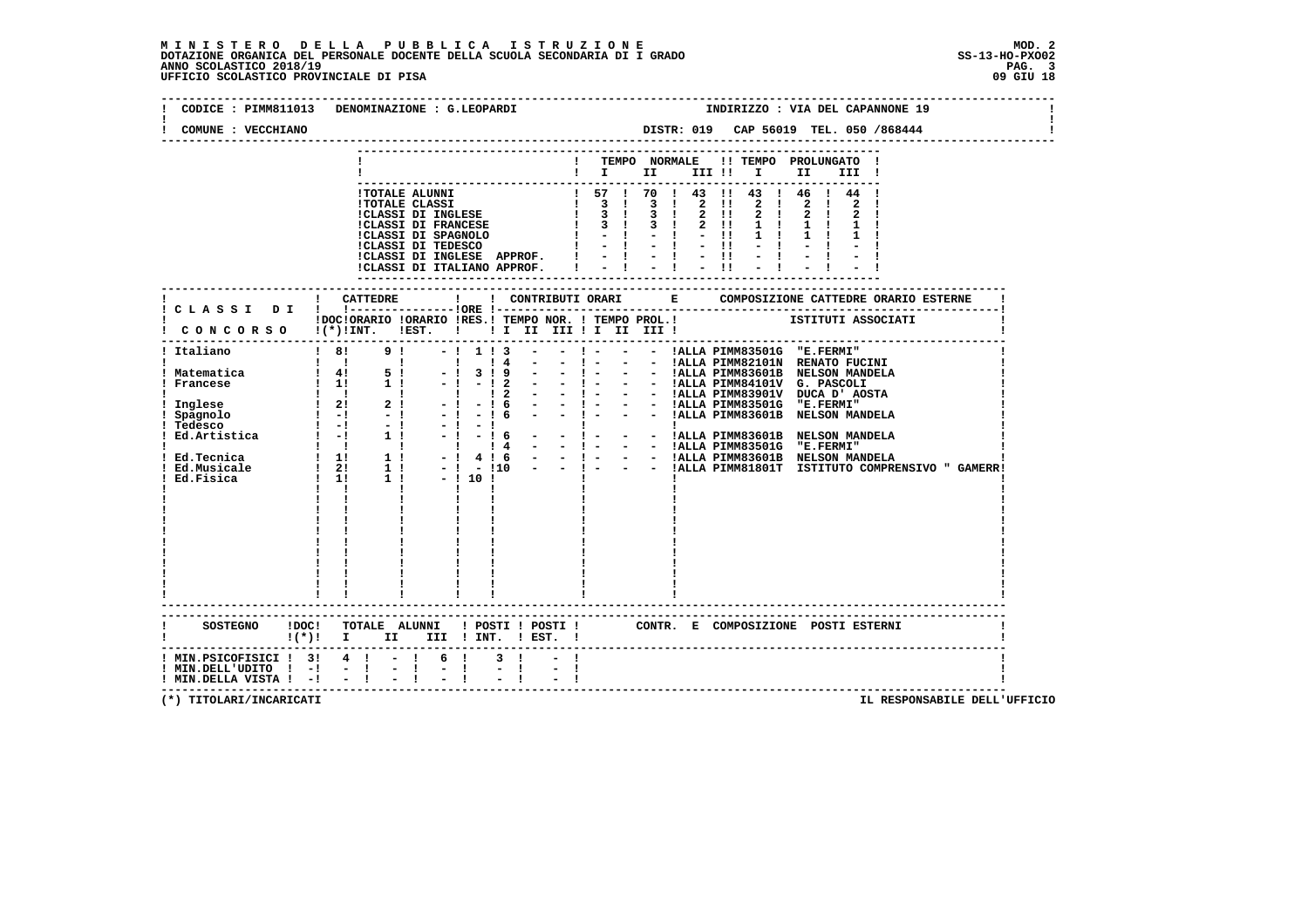# **M I N I S T E R O D E L L A P U B B L I C A I S T R U Z I O N E MOD. 2**DOTAZIONE ORGANICA DEL PERSONALE DOCENTE DELLA SCUOLA SECONDARIA DI I GRADO **SCOLA SS-13-HO-PXOO2**<br>PAG ANNO SCOLASTICO 2018/19<br>UFFICIO SCOLASTICO PROVINCIALE DI PISA

| CODICE : PIMM811013 DENOMINAZIONE : G.LEOPARDI                                                                |                                                                                                                                                                                                                                 |              |  |                                         |  |  |                                                   |      |       | INDIRIZZO : VIA DEL CAPANNONE 19 |
|---------------------------------------------------------------------------------------------------------------|---------------------------------------------------------------------------------------------------------------------------------------------------------------------------------------------------------------------------------|--------------|--|-----------------------------------------|--|--|---------------------------------------------------|------|-------|----------------------------------|
| COMUNE : VECCHIANO                                                                                            |                                                                                                                                                                                                                                 |              |  |                                         |  |  |                                                   |      |       |                                  |
|                                                                                                               |                                                                                                                                                                                                                                 |              |  | $\mathbf{I}$ $\mathbf{I}$ $\mathbf{II}$ |  |  | ! TEMPO NORMALE !! TEMPO PROLUNGATO !<br>III !! I | II – | III ! |                                  |
|                                                                                                               |                                                                                                                                                                                                                                 |              |  |                                         |  |  |                                                   |      |       |                                  |
|                                                                                                               |                                                                                                                                                                                                                                 |              |  |                                         |  |  |                                                   |      |       |                                  |
|                                                                                                               |                                                                                                                                                                                                                                 |              |  |                                         |  |  |                                                   |      |       |                                  |
|                                                                                                               |                                                                                                                                                                                                                                 |              |  |                                         |  |  |                                                   |      |       |                                  |
|                                                                                                               |                                                                                                                                                                                                                                 |              |  |                                         |  |  |                                                   |      |       |                                  |
|                                                                                                               |                                                                                                                                                                                                                                 |              |  |                                         |  |  |                                                   |      |       |                                  |
|                                                                                                               | 1707ALE ALUNNI   57   70   143   143   143   144   1707ALE ALUNNI   57   70   143   143   143   144   1707ALE CLASSI DI INGLESE   3   3   2   1 2   2   2   2   2   1<br>  1CLASSI DI INGLESE   3   3   2   1 2   2   2   2   2 |              |  |                                         |  |  |                                                   |      |       |                                  |
|                                                                                                               | <b>CATTEDRE</b>                                                                                                                                                                                                                 | $\mathbf{I}$ |  |                                         |  |  |                                                   |      |       |                                  |
|                                                                                                               |                                                                                                                                                                                                                                 |              |  |                                         |  |  |                                                   |      |       |                                  |
| CONCORSO !(*)!INT. !EST. !!!I III !I III III !                                                                | IDOCIORARIO IORARIO IRES.I TEMPO NOR. I TEMPO PROL.I SITITUTI ASSOCIATI                                                                                                                                                         |              |  |                                         |  |  |                                                   |      |       |                                  |
|                                                                                                               | ---------------------------------                                                                                                                                                                                               |              |  |                                         |  |  |                                                   |      |       |                                  |
| ! Italiano                                                                                                    | ! 8! 9! -! 1! 3 - - ! - - - IALLA PIMM83501G "E.FERMI"                                                                                                                                                                          |              |  |                                         |  |  |                                                   |      |       |                                  |
|                                                                                                               |                                                                                                                                                                                                                                 |              |  |                                         |  |  |                                                   |      |       |                                  |
|                                                                                                               |                                                                                                                                                                                                                                 |              |  |                                         |  |  |                                                   |      |       |                                  |
|                                                                                                               |                                                                                                                                                                                                                                 |              |  |                                         |  |  |                                                   |      |       |                                  |
|                                                                                                               |                                                                                                                                                                                                                                 |              |  |                                         |  |  |                                                   |      |       |                                  |
|                                                                                                               |                                                                                                                                                                                                                                 |              |  |                                         |  |  |                                                   |      |       |                                  |
|                                                                                                               |                                                                                                                                                                                                                                 |              |  |                                         |  |  |                                                   |      |       |                                  |
|                                                                                                               |                                                                                                                                                                                                                                 |              |  |                                         |  |  |                                                   |      |       |                                  |
|                                                                                                               |                                                                                                                                                                                                                                 |              |  |                                         |  |  |                                                   |      |       |                                  |
|                                                                                                               |                                                                                                                                                                                                                                 |              |  |                                         |  |  |                                                   |      |       |                                  |
|                                                                                                               |                                                                                                                                                                                                                                 |              |  |                                         |  |  |                                                   |      |       |                                  |
|                                                                                                               |                                                                                                                                                                                                                                 |              |  |                                         |  |  |                                                   |      |       |                                  |
|                                                                                                               |                                                                                                                                                                                                                                 |              |  |                                         |  |  |                                                   |      |       |                                  |
|                                                                                                               |                                                                                                                                                                                                                                 |              |  |                                         |  |  |                                                   |      |       |                                  |
|                                                                                                               |                                                                                                                                                                                                                                 |              |  |                                         |  |  |                                                   |      |       |                                  |
|                                                                                                               |                                                                                                                                                                                                                                 |              |  |                                         |  |  |                                                   |      |       |                                  |
|                                                                                                               |                                                                                                                                                                                                                                 |              |  |                                         |  |  |                                                   |      |       |                                  |
|                                                                                                               |                                                                                                                                                                                                                                 |              |  |                                         |  |  |                                                   |      |       |                                  |
|                                                                                                               |                                                                                                                                                                                                                                 |              |  |                                         |  |  |                                                   |      |       |                                  |
|                                                                                                               |                                                                                                                                                                                                                                 |              |  |                                         |  |  |                                                   |      |       |                                  |
|                                                                                                               | SOSTEGNO !DOC! TOTALE ALUNNI ! POSTI ! POSTI ! CONTR. E COMPOSIZIONE POSTI ESTERNI                                                                                                                                              |              |  |                                         |  |  |                                                   |      |       |                                  |
| $!(*)!$ I II III ! INT. ! EST. !                                                                              |                                                                                                                                                                                                                                 |              |  |                                         |  |  |                                                   |      |       |                                  |
| ! MIN.PSICOFISICI ! 3! 4 ! - ! 6 !<br>! MIN.DELL'UDITO ! -! - ! - ! - !<br>! MIN.DELLA VISTA ! -! - ! - ! - ! |                                                                                                                                                                                                                                 |              |  |                                         |  |  |                                                   |      |       |                                  |
|                                                                                                               |                                                                                                                                                                                                                                 |              |  |                                         |  |  |                                                   |      |       |                                  |
| $!$ MIN.DELLA VISTA $!$ - $!$ - $!$                                                                           |                                                                                                                                                                                                                                 |              |  |                                         |  |  |                                                   |      |       |                                  |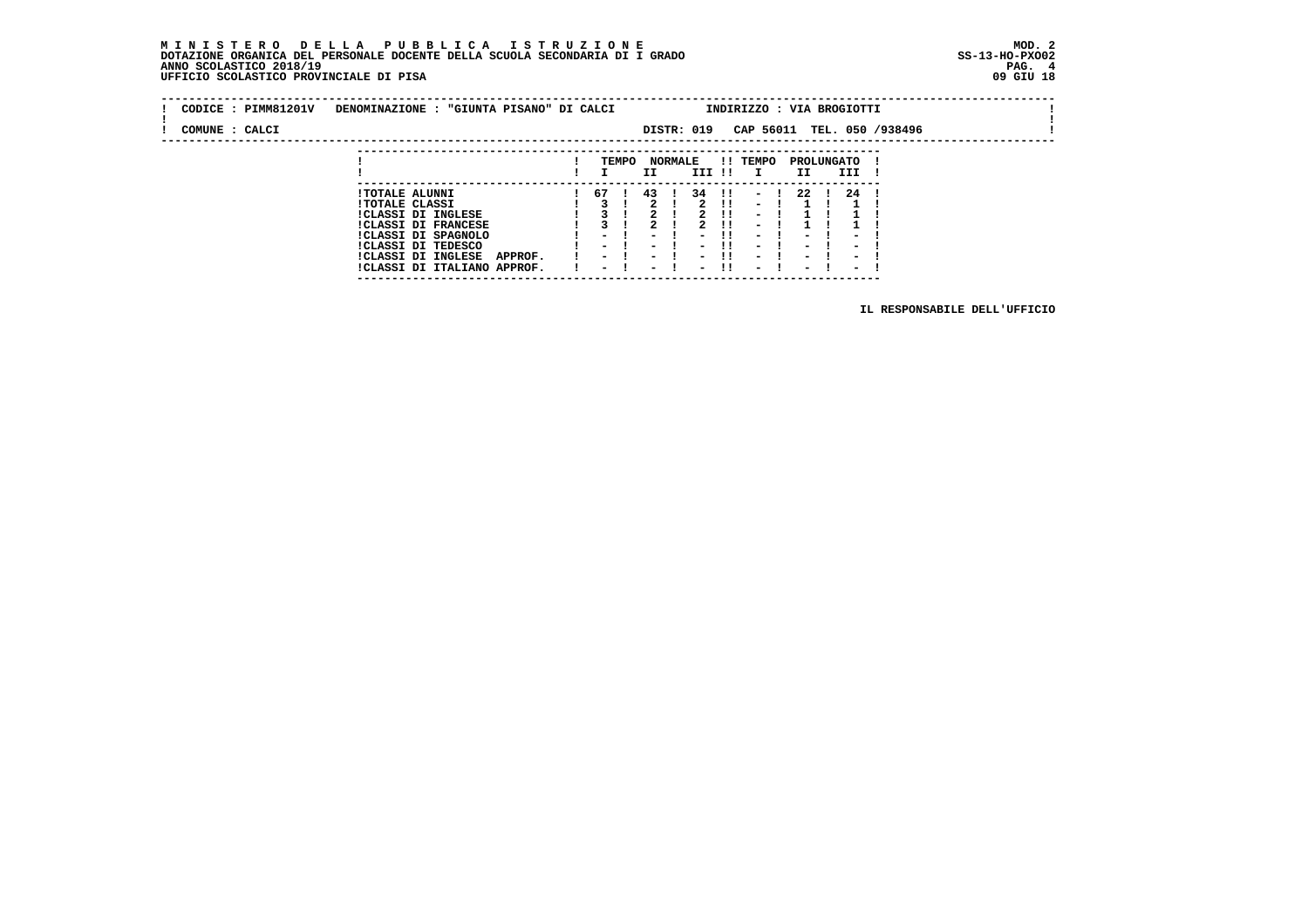#### **M I N I S T E R O D E L L A P U B B L I C A I S T R U Z I O N E MOD. 2 DOTAZIONE ORGANICA DEL PERSONALE DOCENTE DELLA SCUOLA SECONDARIA DI I GRADO ANNO SCOLASTICO 2018/19 PAG. 4 UFFICIO SCOLASTICO PROVINCIALE DI PISA 09 GIU 18**

 **---------------------------------------------------------------------------**

|                | CODICE: PIMM81201V | DENOMINAZIONE : "GIUNTA PISANO" DI CALCI                                                  |                                           |       |                                                                |                |                                                      |                       | INDIRIZZO : VIA BROGIOTTI                                      |                                                                                  |                                                                |                            |  |
|----------------|--------------------|-------------------------------------------------------------------------------------------|-------------------------------------------|-------|----------------------------------------------------------------|----------------|------------------------------------------------------|-----------------------|----------------------------------------------------------------|----------------------------------------------------------------------------------|----------------------------------------------------------------|----------------------------|--|
| COMUNE : CALCI |                    |                                                                                           |                                           |       |                                                                | DISTR: 019     |                                                      |                       |                                                                |                                                                                  |                                                                | CAP 56011 TEL. 050 /938496 |  |
|                |                    |                                                                                           |                                           | TEMPO | II                                                             | <b>NORMALE</b> | III !!                                               |                       | !! TEMPO<br>$\mathbf{I}$                                       | PROLUNGATO<br>II                                                                 | III                                                            |                            |  |
|                |                    | <b>!TOTALE ALUNNI</b><br><b>!TOTALE CLASSI</b>                                            | 67 !                                      |       | 43                                                             |                | 34                                                   | $\blacksquare$<br>-11 | $-1$<br>$\sim$                                                 | 22                                                                               | 24 !                                                           |                            |  |
|                |                    | !CLASSI DI INGLESE<br><b>!CLASSI DI FRANCESE</b><br>!CLASSI DI SPAGNOLO                   | $\overline{\phantom{0}}$                  |       |                                                                |                | $\blacksquare$                                       | - 11<br>-11           | $\sim$<br>$\sim$<br>$\overline{\phantom{0}}$                   | -                                                                                |                                                                |                            |  |
|                |                    | ICLASSI DI TEDESCO<br><b>!CLASSI DI INGLESE</b><br>APPROF.<br>!CLASSI DI ITALIANO APPROF. | $\sim$ $\sim$<br>$\overline{\phantom{0}}$ |       | $\sim$<br>$\overline{\phantom{0}}$<br>$\overline{\phantom{0}}$ |                | $\overline{\phantom{0}}$<br>$\overline{\phantom{0}}$ | -11<br>-11<br>-11     | $\overline{\phantom{0}}$<br>$\overline{\phantom{0}}$<br>$\sim$ | $\overline{\phantom{0}}$<br>$\overline{\phantom{0}}$<br>$\overline{\phantom{a}}$ | $\sim$<br>$\overline{\phantom{0}}$<br>$\overline{\phantom{0}}$ |                            |  |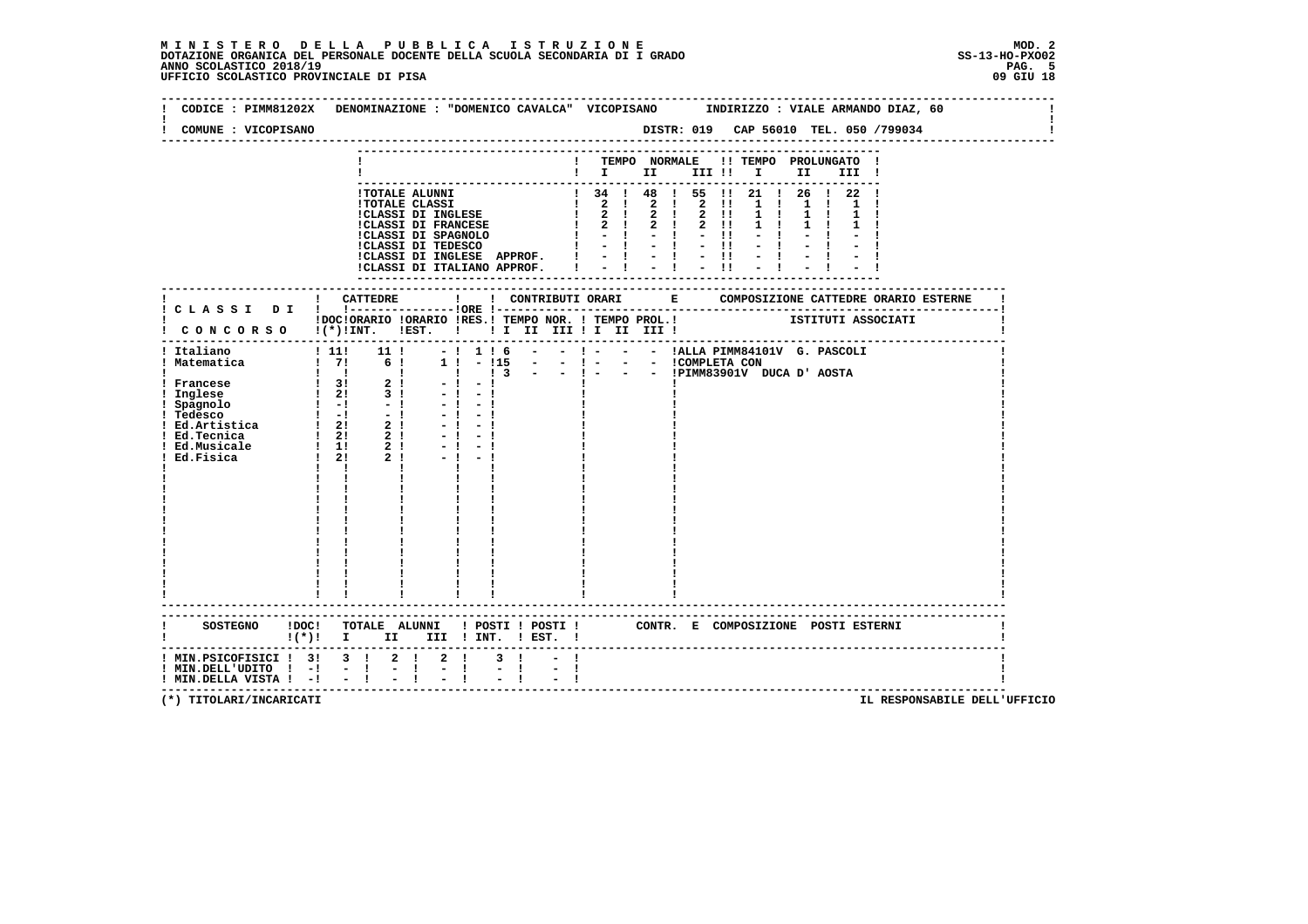# **M I N I S T E R O D E L L A P U B B L I C A I S T R U Z I O N E MOD. 2**DOTAZIONE ORGANICA DEL PERSONALE DOCENTE DELLA SCUOLA SECONDARIA DI I GRADO<br>ANNO SCOLASTICO 2018/19<br>19 QIU 18 PERSONASTICO PROVINCIALE DI PISA

| CODICE : PIMM81202X<br>COMUNE : VICOPISANO | DENOMINAZIONE : "DOMENICO CAVALCA" VICOPISANO INDIRIZZO : VIALE ARMANDO DIAZ, 60                                                                                                                                                                                                                                                                                                                                                                                             |
|--------------------------------------------|------------------------------------------------------------------------------------------------------------------------------------------------------------------------------------------------------------------------------------------------------------------------------------------------------------------------------------------------------------------------------------------------------------------------------------------------------------------------------|
|                                            |                                                                                                                                                                                                                                                                                                                                                                                                                                                                              |
|                                            | ! TEMPO NORMALE !! TEMPO PROLUNGATO !<br>$\begin{tabular}{cccccccccc} & \textbf{1} & \textbf{1} & \textbf{1} & \textbf{1} & \textbf{1} & \textbf{1} & \textbf{1} & \textbf{1} & \textbf{1} & \textbf{1} & \textbf{1} & \textbf{1} & \textbf{1} & \textbf{1} & \textbf{1} & \textbf{1} & \textbf{1} & \textbf{1} & \textbf{1} & \textbf{1} & \textbf{1} & \textbf{1} & \textbf{1} & \textbf{1} & \textbf{1} & \textbf{1} & \textbf{1} & \textbf{1} & \textbf{1} & \textbf{1}$ |
|                                            | ----------------------------                                                                                                                                                                                                                                                                                                                                                                                                                                                 |
|                                            |                                                                                                                                                                                                                                                                                                                                                                                                                                                                              |
|                                            | IDOCIORARIO IORARIO IRES.I TEMPO NOR. I TEMPO PROL.I TETITUTI ASSOCIATI<br>! CONCORSO !(*)!INT. !EST. ! ! I II III II III III !                                                                                                                                                                                                                                                                                                                                              |
| ! Italiano                                 | ! 11! 11 ! - ! 1 ! 6 - - ! - - - !ALLA PIMM84101V G. PASCOLI<br>$-1$<br>$-1$<br>$-1$<br>$\mathbf{I}$ $\mathbf{I}$<br>$\mathbf{I}$                                                                                                                                                                                                                                                                                                                                            |
|                                            | $!(*)!$ I II III ! INT. ! EST. !                                                                                                                                                                                                                                                                                                                                                                                                                                             |
| $!$ MIN.DELLA VISTA $!$ - $!$ - $!$        | ! MIN. PSICOFISICI ! 3! 3 ! 2 ! 2 !<br>$3 \quad 1$<br>! MIN.DELL'UDITO ! -! - ! - ! - !<br>! MIN.DELLA VISTA ! -! - ! - ! - !<br>$-1$                                                                                                                                                                                                                                                                                                                                        |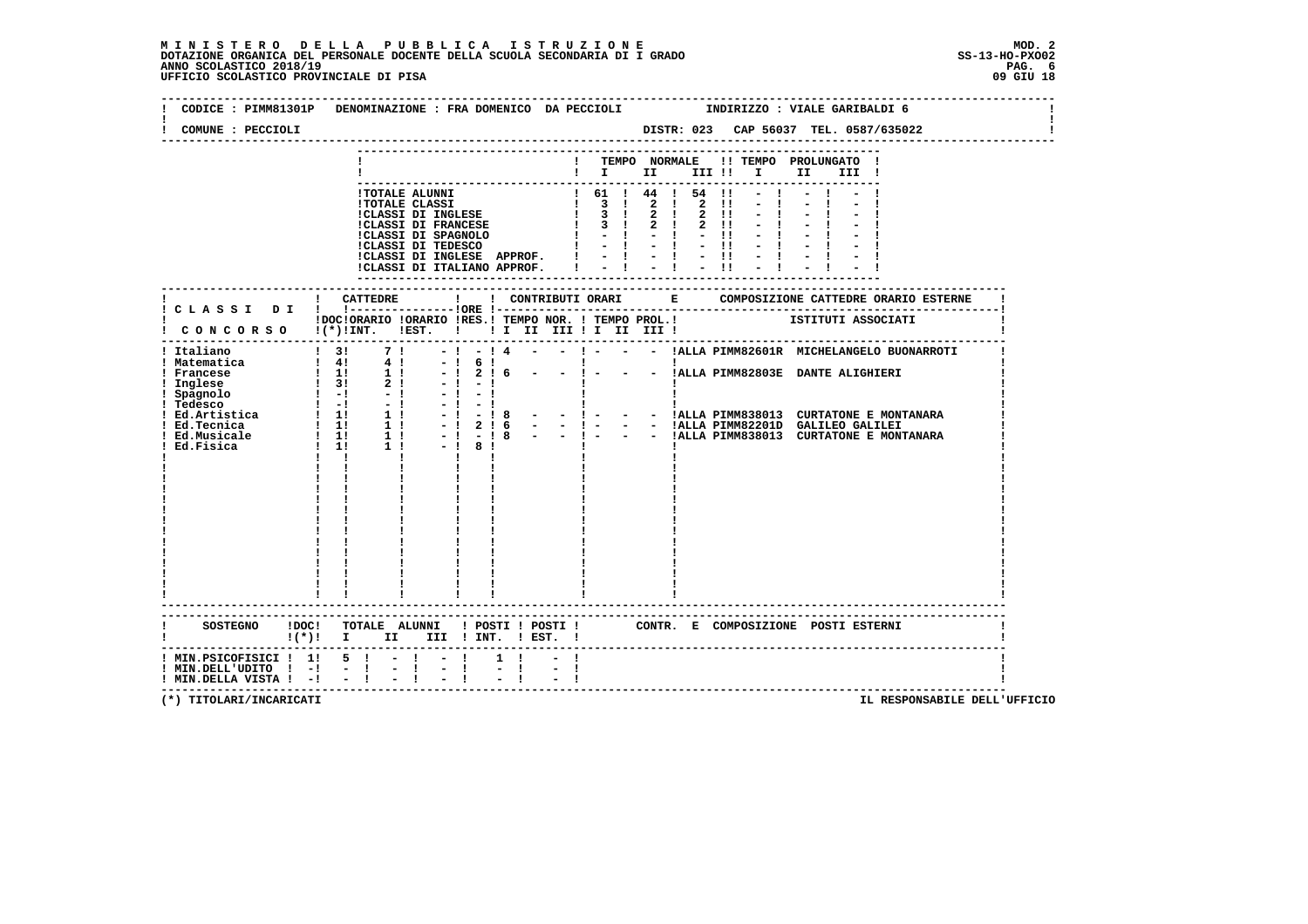# **M I N I S T E R O D E L L A P U B B L I C A I S T R U Z I O N E MOD. 2**DOTAZIONE ORGANICA DEL PERSONALE DOCENTE DELLA SCUOLA SECONDARIA DI I GRADO **SCOLA SS-13-HO-PXOO2**<br>PAG. 6 ANNO SCOLASTICO 2018/19<br>19 GIU 18 UFFICIO SCOLASTICO PROVINCIALE DI PISA

|                                                                                                                                |                                                                                    |             |                                                                                  |  |  |  |       | CODICE: PIMM81301P DENOMINAZIONE: FRA DOMENICO DA PECCIOLI TINDIRIZZO: VIALE GARIBALDI 6 |  |
|--------------------------------------------------------------------------------------------------------------------------------|------------------------------------------------------------------------------------|-------------|----------------------------------------------------------------------------------|--|--|--|-------|------------------------------------------------------------------------------------------|--|
| COMUNE : PECCIOLI                                                                                                              |                                                                                    |             |                                                                                  |  |  |  |       | DISTR: 023 CAP 56037 TEL. 0587/635022<br>---------------------------------               |  |
|                                                                                                                                |                                                                                    |             | ! TEMPO NORMALE !! TEMPO PROLUNGATO !<br>$\mathbf{I}$ is the set of $\mathbf{I}$ |  |  |  | III ! |                                                                                          |  |
|                                                                                                                                |                                                                                    |             |                                                                                  |  |  |  |       |                                                                                          |  |
|                                                                                                                                |                                                                                    |             |                                                                                  |  |  |  |       |                                                                                          |  |
|                                                                                                                                |                                                                                    |             |                                                                                  |  |  |  |       |                                                                                          |  |
|                                                                                                                                |                                                                                    |             |                                                                                  |  |  |  |       |                                                                                          |  |
|                                                                                                                                |                                                                                    |             |                                                                                  |  |  |  |       |                                                                                          |  |
|                                                                                                                                |                                                                                    |             |                                                                                  |  |  |  |       |                                                                                          |  |
| IDOCIORARIO IORARIO IRES.I TEMPO NOR. I TEMPO PROL.I ISTITUTI ASSOCIATI I CONCORSO I(*)IINT. IEST. I II II III II III III IIII |                                                                                    |             |                                                                                  |  |  |  |       |                                                                                          |  |
|                                                                                                                                |                                                                                    |             |                                                                                  |  |  |  |       |                                                                                          |  |
|                                                                                                                                |                                                                                    |             |                                                                                  |  |  |  |       |                                                                                          |  |
|                                                                                                                                |                                                                                    |             |                                                                                  |  |  |  |       |                                                                                          |  |
|                                                                                                                                |                                                                                    |             |                                                                                  |  |  |  |       |                                                                                          |  |
|                                                                                                                                |                                                                                    |             |                                                                                  |  |  |  |       |                                                                                          |  |
|                                                                                                                                |                                                                                    |             |                                                                                  |  |  |  |       |                                                                                          |  |
|                                                                                                                                |                                                                                    |             |                                                                                  |  |  |  |       |                                                                                          |  |
|                                                                                                                                |                                                                                    |             |                                                                                  |  |  |  |       |                                                                                          |  |
|                                                                                                                                |                                                                                    |             |                                                                                  |  |  |  |       |                                                                                          |  |
|                                                                                                                                |                                                                                    |             |                                                                                  |  |  |  |       |                                                                                          |  |
|                                                                                                                                |                                                                                    |             |                                                                                  |  |  |  |       |                                                                                          |  |
|                                                                                                                                |                                                                                    |             |                                                                                  |  |  |  |       |                                                                                          |  |
| $!(*)!$ I II III INT. $!$ EST. $!$                                                                                             | SOSTEGNO !DOC! TOTALE ALUNNI ! POSTI ! POSTI ! CONTR. E COMPOSIZIONE POSTI ESTERNI |             |                                                                                  |  |  |  |       |                                                                                          |  |
| 1 MIN.PSICOFISICI   1  5   -   -  <br>  MIN.DELL'UDITO   -<br>  -   -   -   -   -  <br>$!$ MIN.DELLA VISTA $!$ - $!$ - $!$     |                                                                                    | $1 \quad 1$ |                                                                                  |  |  |  |       |                                                                                          |  |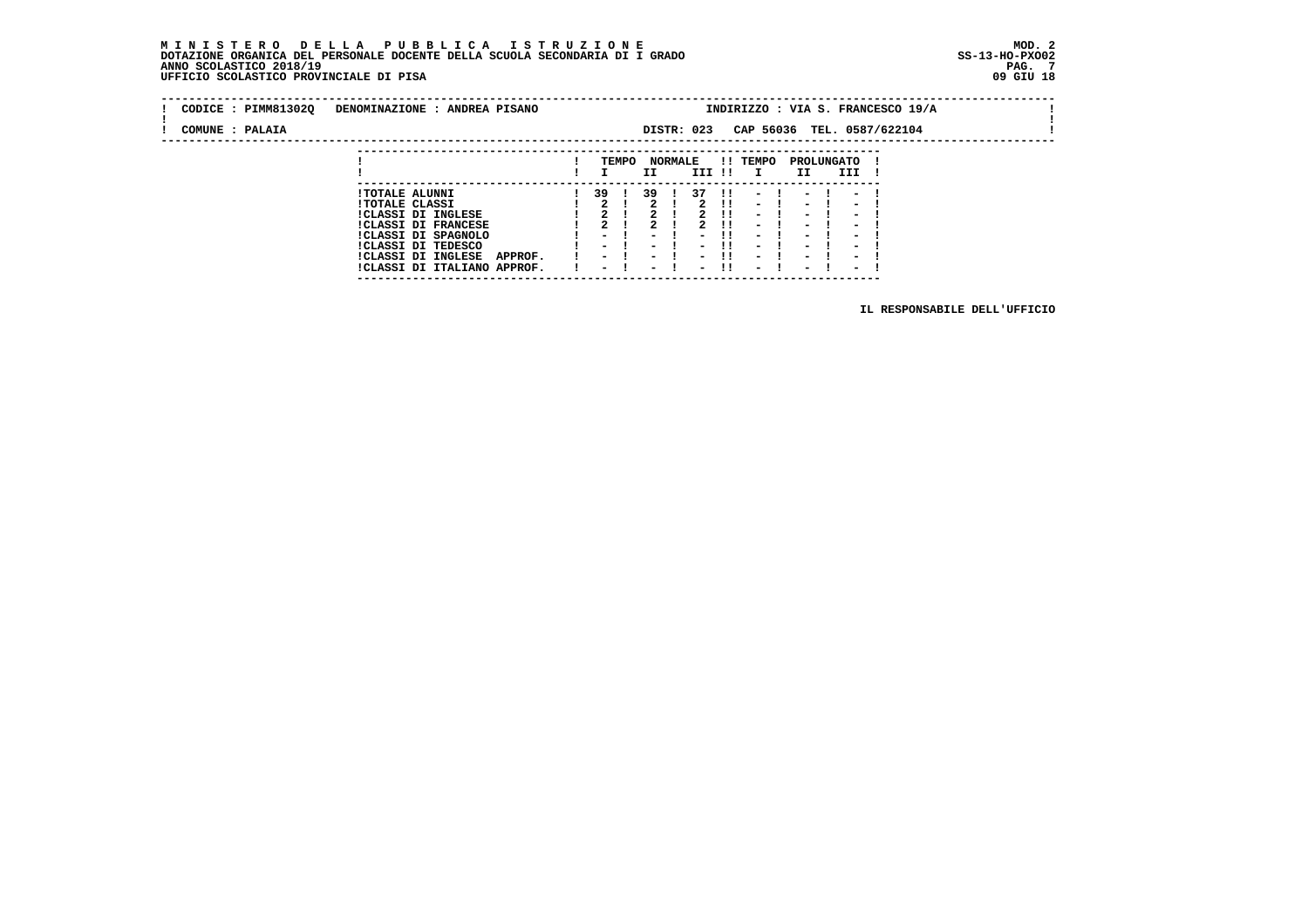#### **M I N I S T E R O D E L L A P U B B L I C A I S T R U Z I O N E MOD. 2 DOTAZIONE ORGANICA DEL PERSONALE DOCENTE DELLA SCUOLA SECONDARIA DI I GRADO ANNO SCOLASTICO 2018/19 UFFICIO SCOLASTICO PROVINCIALE DI PISA 09 GIU 18**

 **---------------------------------------------------------------------------**

| CODICE : PIMM813020 | DENOMINAZIONE : ANDREA PISANO                                                                                    |                                                                                            |       |                                                                                  |                |                                                                                  |                        |                                                                                                      |                                                                                                              |                                                                                                              | INDIRIZZO : VIA S. FRANCESCO 19/A |  |
|---------------------|------------------------------------------------------------------------------------------------------------------|--------------------------------------------------------------------------------------------|-------|----------------------------------------------------------------------------------|----------------|----------------------------------------------------------------------------------|------------------------|------------------------------------------------------------------------------------------------------|--------------------------------------------------------------------------------------------------------------|--------------------------------------------------------------------------------------------------------------|-----------------------------------|--|
| COMUNE : PALAIA     |                                                                                                                  |                                                                                            |       |                                                                                  |                | DISTR: 023                                                                       |                        |                                                                                                      |                                                                                                              |                                                                                                              | CAP 56036 TEL. 0587/622104        |  |
|                     |                                                                                                                  |                                                                                            | TEMPO | II.                                                                              | <b>NORMALE</b> | III !!                                                                           |                        | !! TEMPO<br>$\mathbf{I}$                                                                             | II.                                                                                                          | PROLUNGATO<br>III                                                                                            |                                   |  |
|                     | <b>!TOTALE ALUNNI</b><br><b>!TOTALE CLASSI</b><br><b>!CLASSI DI INGLESE</b><br><b>!CLASSI DI FRANCESE</b>        | 39<br>$\overline{2}$                                                                       |       | 39<br>2<br>$\mathbf{r}$                                                          |                | 37<br>2                                                                          | -11<br>-11<br>.<br>-11 | $\overline{\phantom{0}}$<br>$\sim$ 100 $\mu$<br>$\overline{\phantom{0}}$<br>$\overline{\phantom{0}}$ | $\sim$<br>-<br>$\overline{\phantom{0}}$                                                                      | $\sim$<br>$\sim$<br>$\overline{\phantom{0}}$<br>$\overline{\phantom{0}}$                                     |                                   |  |
|                     | !CLASSI DI SPAGNOLO<br>ICLASSI DI TEDESCO<br><b>!CLASSI DI INGLESE</b><br>APPROF.<br>!CLASSI DI ITALIANO APPROF. | $\overline{\phantom{0}}$<br>$\overline{\phantom{0}}$<br>$\sim$<br>$\overline{\phantom{0}}$ |       | $\overline{\phantom{0}}$<br>$\overline{\phantom{0}}$<br>$\overline{\phantom{0}}$ |                | $\overline{\phantom{0}}$<br>$\overline{\phantom{0}}$<br>$\overline{\phantom{0}}$ | . .<br><br>-11<br>-11  | $\overline{\phantom{0}}$<br>$\overline{\phantom{0}}$<br>$\overline{\phantom{0}}$<br>$\sim$           | $\overline{\phantom{0}}$<br>$\overline{\phantom{0}}$<br>$\overline{\phantom{0}}$<br>$\overline{\phantom{0}}$ | $\overline{\phantom{0}}$<br>$\overline{\phantom{0}}$<br>$\overline{\phantom{0}}$<br>$\overline{\phantom{0}}$ |                                   |  |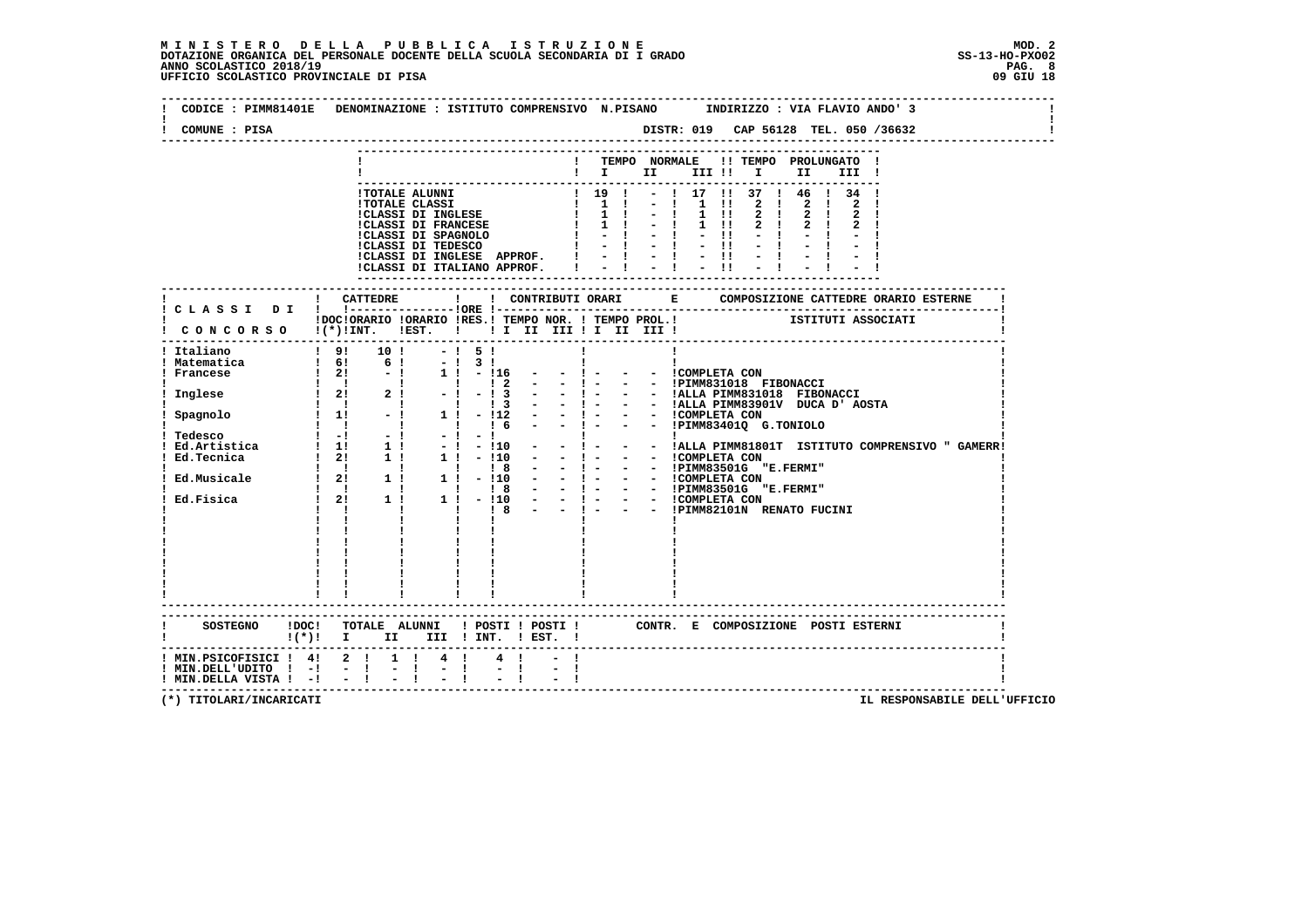| COMUNE : PISA                                                                                                                                                                                                                                                                                                             |                                                                                                                                                                                  |                                                          |                                           |               |                                                                                                  |                                                                                                                                                   |  |  |                                                                         |             |       | DISTR: 019 CAP 56128 TEL. 050 /36632<br>--------------------------------- |  |
|---------------------------------------------------------------------------------------------------------------------------------------------------------------------------------------------------------------------------------------------------------------------------------------------------------------------------|----------------------------------------------------------------------------------------------------------------------------------------------------------------------------------|----------------------------------------------------------|-------------------------------------------|---------------|--------------------------------------------------------------------------------------------------|---------------------------------------------------------------------------------------------------------------------------------------------------|--|--|-------------------------------------------------------------------------|-------------|-------|---------------------------------------------------------------------------|--|
|                                                                                                                                                                                                                                                                                                                           |                                                                                                                                                                                  |                                                          |                                           |               |                                                                                                  | ! TEMPO NORMALE !! TEMPO PROLUNGATO !<br>$\blacksquare$ $\blacksquare$ $\blacksquare$ $\blacksquare$ $\blacksquare$ $\blacksquare$ $\blacksquare$ |  |  |                                                                         | II <b>I</b> | III ! |                                                                           |  |
|                                                                                                                                                                                                                                                                                                                           |                                                                                                                                                                                  |                                                          |                                           |               |                                                                                                  |                                                                                                                                                   |  |  |                                                                         |             |       |                                                                           |  |
|                                                                                                                                                                                                                                                                                                                           |                                                                                                                                                                                  |                                                          |                                           |               |                                                                                                  |                                                                                                                                                   |  |  |                                                                         |             |       |                                                                           |  |
|                                                                                                                                                                                                                                                                                                                           | ------------------------------------                                                                                                                                             |                                                          |                                           |               |                                                                                                  |                                                                                                                                                   |  |  |                                                                         |             |       |                                                                           |  |
| Italiano<br>Spagnolo 1 1!<br>1 Tedesco<br>! Ed.Artistica $\begin{array}{cccccccc} 1 & -1 & -1 & -1 & -1 & -1 & 1 \\ 1 & -1 & -1 & -1 & -1 & 10 \\ 1 & -1 & -1 & -1 & 10 & 1 \\ 1 & -1 & -1 & -1 & 10 & 1 \\ 1 & -1 & -1 & -1 & 10 & 1 \\ 1 & -1 & -1 & -1 & -1 & 1 \\ 1 & -1 & -1 & -1 & -1 & 1 \end{array}$<br>Ed.Fisica | $19!$ 10!<br>$\frac{1}{1}$ $\frac{1}{11}$<br>$\mathbf{I}$ $\mathbf{I}$<br>$\mathbf{I}$<br>$\begin{array}{cccc} 1 & 1 & 1 \\ 1 & 21 & 1 \end{array}$<br>$\mathbf{I}$ $\mathbf{I}$ | $\sim$ 1<br>$\mathbf{I}$<br>$-1$<br>$1! \t1! \t-!10 \t-$ | $-1$ 5 $1$<br>$-1$ 3!<br>$\frac{1}{1}$ 18 | $\frac{1}{2}$ | $1! - 116 - - 1 -$<br>- - ! - - - IPIMM831018 FIBONACCI<br>$1! - 110 - - - 1 -$<br>$1 \t18 - -1$ |                                                                                                                                                   |  |  | - - ICOMPLETA CON<br>- - ICOMPLETA CON<br>- - !PIMM82101N RENATO FUCINI |             |       |                                                                           |  |
| SOSTEGNO !DOC! TOTALE ALUNNI ! POSTI ! POSTI ! CONTR. E COMPOSIZIONE POSTI ESTERNI<br>$!(*)!$ I II III ! INT. ! EST. !                                                                                                                                                                                                    |                                                                                                                                                                                  |                                                          |                                           |               |                                                                                                  |                                                                                                                                                   |  |  |                                                                         |             |       |                                                                           |  |
| ! MIN.PSICOFISICI ! 4! 2 !<br>! MIN.DELL'UDITO ! -!<br>! MIN. DELLA VISTA ! -! - !                                                                                                                                                                                                                                        | $-1$                                                                                                                                                                             | $1 \quad 1 \quad 4 \quad 1$<br>$-1$                      |                                           | $4 \quad 1$   |                                                                                                  |                                                                                                                                                   |  |  |                                                                         |             |       |                                                                           |  |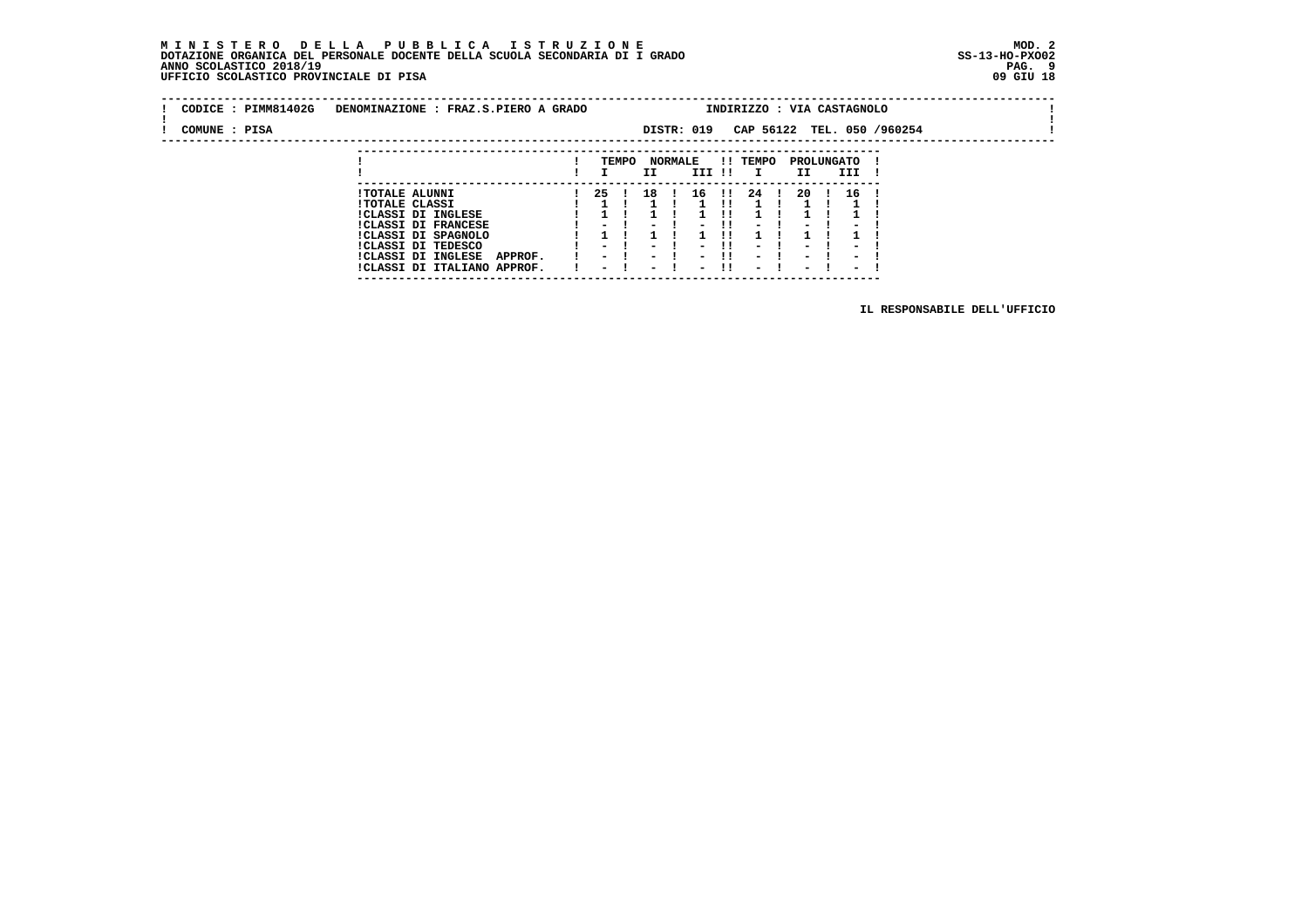#### **M I N I S T E R O D E L L A P U B B L I C A I S T R U Z I O N E MOD. 2 DOTAZIONE ORGANICA DEL PERSONALE DOCENTE DELLA SCUOLA SECONDARIA DI I GRADO ANNO SCOLASTICO 2018/19 UFFICIO SCOLASTICO PROVINCIALE DI PISA 09 GIU 18**

 **---------------------------------------------------------------------------**

| CODICE : PIMM81402G | DENOMINAZIONE : FRAZ.S.PIERO A GRADO                                                                           |               |       |        |                |                          |        | INDIRIZZO : VIA CASTAGNOLO                                                       |                                                                                  |                                                      |                            |  |
|---------------------|----------------------------------------------------------------------------------------------------------------|---------------|-------|--------|----------------|--------------------------|--------|----------------------------------------------------------------------------------|----------------------------------------------------------------------------------|------------------------------------------------------|----------------------------|--|
| COMUNE : PISA       |                                                                                                                |               |       |        |                | DISTR: 019               |        |                                                                                  |                                                                                  |                                                      | CAP 56122 TEL. 050 /960254 |  |
|                     |                                                                                                                |               | TEMPO | II     | <b>NORMALE</b> | III !!                   |        | <b>!! TEMPO</b><br>$\mathbf{I}$                                                  | PROLUNGATO<br>II                                                                 | III                                                  |                            |  |
|                     | <b>!TOTALE ALUNNI</b><br><b>!TOTALE CLASSI</b><br>!CLASSI DI INGLESE                                           | 25 !          |       | 18     |                | 16                       | - 11 - | -24                                                                              | 20                                                                               | 16                                                   |                            |  |
|                     | <b>!CLASSI DI FRANCESE</b><br>!CLASSI DI SPAGNOLO<br>CLASSI DI TEDESCO<br><b>!CLASSI DI INGLESE</b><br>APPROF. | - 1<br>$\sim$ |       | $\sim$ |                |                          | - 11   | $\overline{\phantom{0}}$<br>$\overline{\phantom{0}}$<br>$\overline{\phantom{0}}$ | $\overline{\phantom{0}}$<br>$\overline{\phantom{0}}$<br>$\overline{\phantom{0}}$ | $\overline{\phantom{0}}$<br>$\overline{\phantom{0}}$ |                            |  |
|                     | !CLASSI DI ITALIANO APPROF.                                                                                    |               |       |        |                | $\overline{\phantom{0}}$ |        | $\overline{\phantom{a}}$                                                         | $\sim$                                                                           | $\overline{\phantom{0}}$                             |                            |  |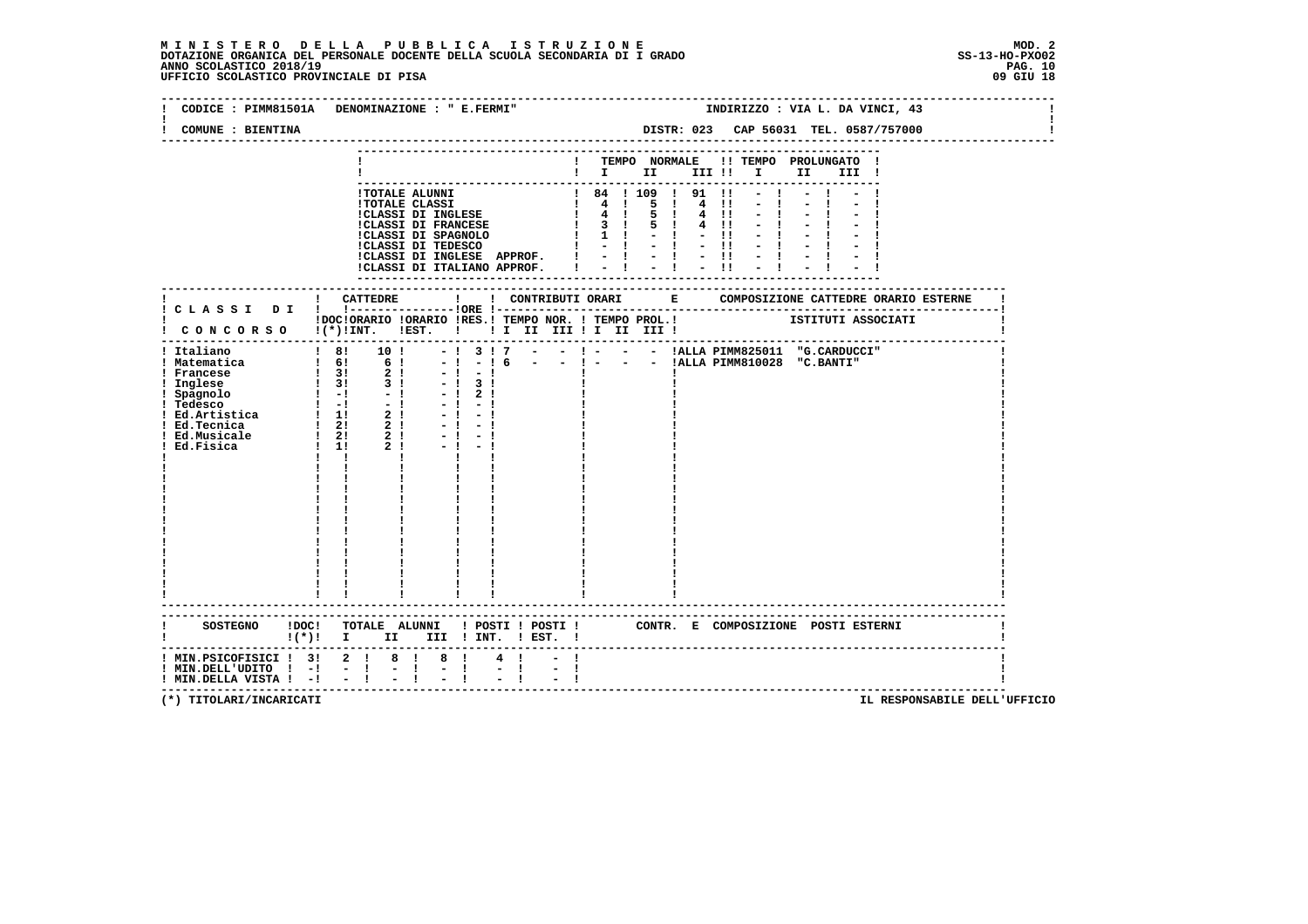# **M I N I S T E R O D E L L A P U B B L I C A I S T R U Z I O N E MOD. 2**DOTAZIONE ORGANICA DEL PERSONALE DOCENTE DELLA SCUOLA SECONDARIA DI I GRADO **SCOLA SS-13-HO-PXOO2**<br>PAG ANNO SCOLASTICO 2018/19<br>UFFICIO SCOLASTICO PROVINCIALE DI PISA

| COMUNE : BIENTINA                               | CODICE : PIMM81501A DENOMINAZIONE : " E.FERMI"                                                                                                                                                                                           |                                                                                                                |                          |  |                                                                                                                                                       |      | INDIRIZZO : VIA L. DA VINCI, 43<br>DISTR: 023 CAP 56031 TEL. 0587/757000 |  |
|-------------------------------------------------|------------------------------------------------------------------------------------------------------------------------------------------------------------------------------------------------------------------------------------------|----------------------------------------------------------------------------------------------------------------|--------------------------|--|-------------------------------------------------------------------------------------------------------------------------------------------------------|------|--------------------------------------------------------------------------|--|
|                                                 |                                                                                                                                                                                                                                          |                                                                                                                |                          |  |                                                                                                                                                       |      |                                                                          |  |
|                                                 |                                                                                                                                                                                                                                          |                                                                                                                |                          |  | $\blacksquare$ $\blacksquare$ $\blacksquare$ $\blacksquare$ $\blacksquare$ $\blacksquare$ $\blacksquare$ $\blacksquare$ $\blacksquare$ $\blacksquare$ |      | ! TEMPO NORMALE !! TEMPO PROLUNGATO !<br>III !                           |  |
|                                                 | ! TOTALE ALUNNI<br>! TOTALE ALUNNI   84   109   91   !<br>!CLASSI DI INGLESE   4   5   4   !<br>!CLASSI DI FRANCESE   3   5   4   !<br>!CLASSI DI FRANCESE   3   5   4   !<br>!CLASSI DI FRANCESE   3   5   4   !<br>!CLASSI DI FRANCESE |                                                                                                                | ------------------------ |  | $-1$                                                                                                                                                  | $-1$ |                                                                          |  |
|                                                 | !CLASSI DI INGLESE APPROF. $! - ! - ! - !$<br>!CLASSI DI ITALIANO APPROF. $! - ! - ! - !!$                                                                                                                                               |                                                                                                                |                          |  |                                                                                                                                                       |      |                                                                          |  |
|                                                 | !DOC!ORARIO !ORARIO !RES.! TEMPO NOR. ! TEMPO PROL.!                                                                                                                                                                                     |                                                                                                                |                          |  |                                                                                                                                                       |      | ISTITUTI ASSOCIATI                                                       |  |
|                                                 | ! CONCORSO !(*)!INT. !EST. !!! II III !I III III !                                                                                                                                                                                       |                                                                                                                |                          |  |                                                                                                                                                       |      |                                                                          |  |
|                                                 | $-1$<br>$-1$<br>$-1$                                                                                                                                                                                                                     | - ! 3 ! 7 - - ! - - - !ALLA PIMM825011 "G.CARDUCCI"<br>$-1 - 16$<br>$-1 - 1$<br>$-1$ 3 1<br>$-!2!$<br>$-1 - 1$ | $  1 -$                  |  | - - !ALLA PIMM810028 "C.BANTI"                                                                                                                        |      |                                                                          |  |
|                                                 |                                                                                                                                                                                                                                          |                                                                                                                |                          |  |                                                                                                                                                       |      | CONTR. E COMPOSIZIONE POSTI_ESTERNI                                      |  |
|                                                 | $!(*)!$ I II III ! INT. ! EST. !                                                                                                                                                                                                         |                                                                                                                |                          |  |                                                                                                                                                       |      |                                                                          |  |
| ! MIN.DELL'UDITO ! -!<br>! MIN.DELLA VISTA ! -! | ! MIN.PSICOFISICI ! 3! 2 ! 8 ! 8 !<br>$-1$<br>$-1$                                                                                                                                                                                       | $4 \quad 1$<br>$\frac{1}{2}$ $\frac{1}{2}$                                                                     |                          |  |                                                                                                                                                       |      |                                                                          |  |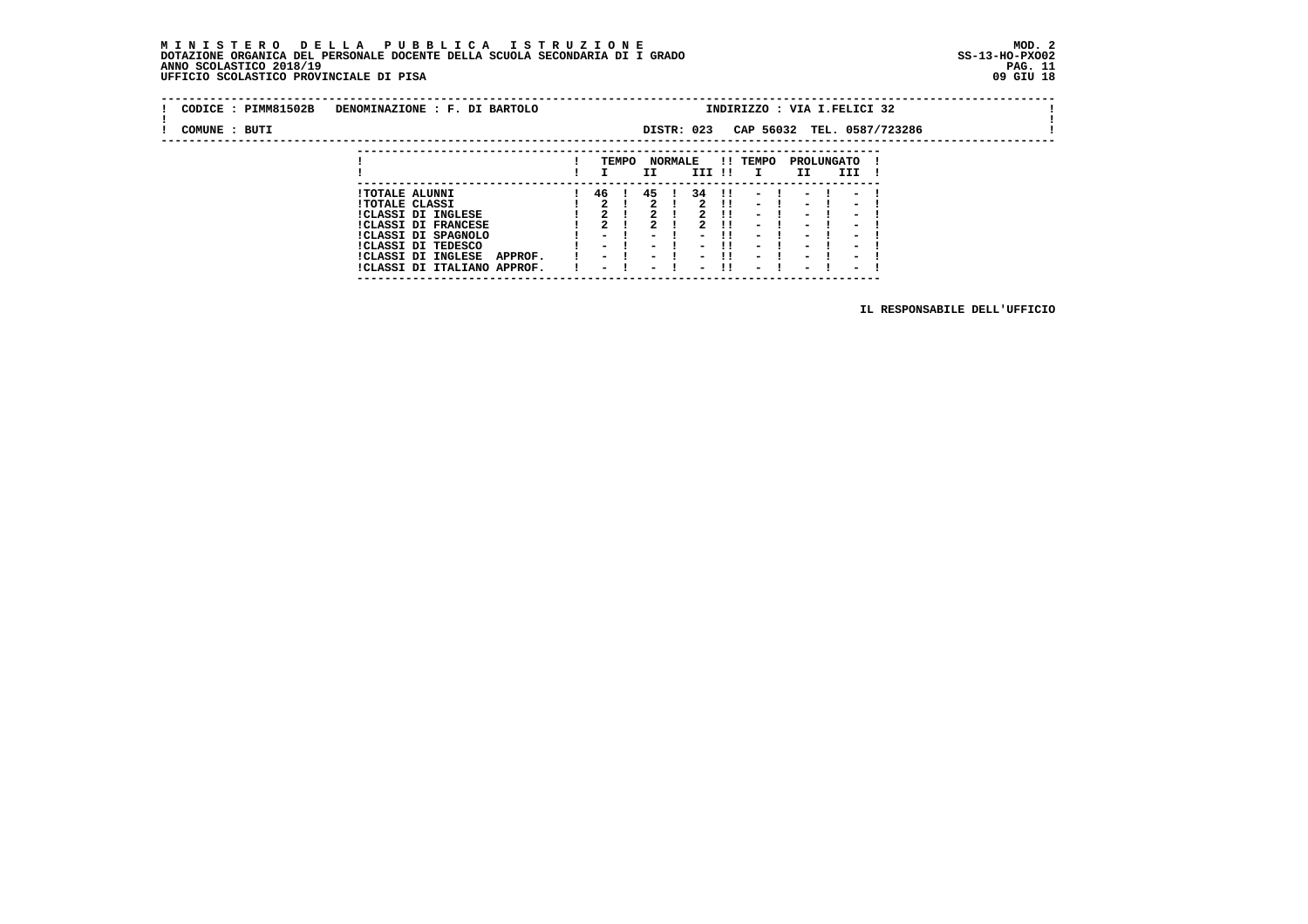#### **M I N I S T E R O D E L L A P U B B L I C A I S T R U Z I O N E MOD. 2 DOTAZIONE ORGANICA DEL PERSONALE DOCENTE DELLA SCUOLA SECONDARIA DI I GRADO ANNO SCOLASTICO 2018/19** UFFICIO SCOLASTICO PROVINCIALE DI PISA

| CODICE : PIMM81502B | DENOMINAZIONE : F. DI BARTOLO                         |      |       |      |                          |              |                          | INDIRIZZO : VIA I.FELICI 32 |                          |                            |  |
|---------------------|-------------------------------------------------------|------|-------|------|--------------------------|--------------|--------------------------|-----------------------------|--------------------------|----------------------------|--|
| COMUNE : BUTI       |                                                       |      |       |      | DISTR: 023               |              |                          |                             |                          | CAP 56032 TEL. 0587/723286 |  |
|                     |                                                       |      |       |      |                          |              |                          |                             |                          |                            |  |
|                     |                                                       |      | TEMPO | II   | <b>NORMALE</b><br>III !! |              | !! TEMPO<br>$\mathbf{I}$ | PROLUNGATO<br>II            | III                      |                            |  |
|                     | <b>!TOTALE ALUNNI</b>                                 | 46 ! |       | 45 ! | 34                       | $\mathbf{H}$ | $\sim$                   | $\sim$                      | $\overline{\phantom{0}}$ |                            |  |
|                     | <b>!TOTALE CLASSI</b>                                 | 2 !  |       | 2    |                          | 2 11         | $-1$                     | $\sim$                      | $\blacksquare$           |                            |  |
|                     | <b>!CLASSI DI INGLESE</b>                             | 2 !  |       |      |                          |              | $\sim$                   | $\blacksquare$              | $\blacksquare$           |                            |  |
|                     | <b>!CLASSI DI FRANCESE</b><br>1.973.997.777.983.9977. |      |       |      |                          | . .          | $\overline{\phantom{0}}$ | $\overline{\phantom{0}}$    | $\overline{\phantom{0}}$ |                            |  |

 **!CLASSI DI FRANCESE ! 2 ! 2 ! 2 !! - ! - ! - ! !CLASSI DI SPAGNOLO ! - ! - ! - !! - ! - ! - ! !CLASSI DI TEDESCO ! - ! - ! - !! - ! - ! - ! !CLASSI DI INGLESE APPROF. ! - ! - ! - !! - ! - ! - ! !CLASSI DI ITALIANO APPROF. ! - ! - ! - !! - ! - ! - ! ---------------------------------------------------------------------------**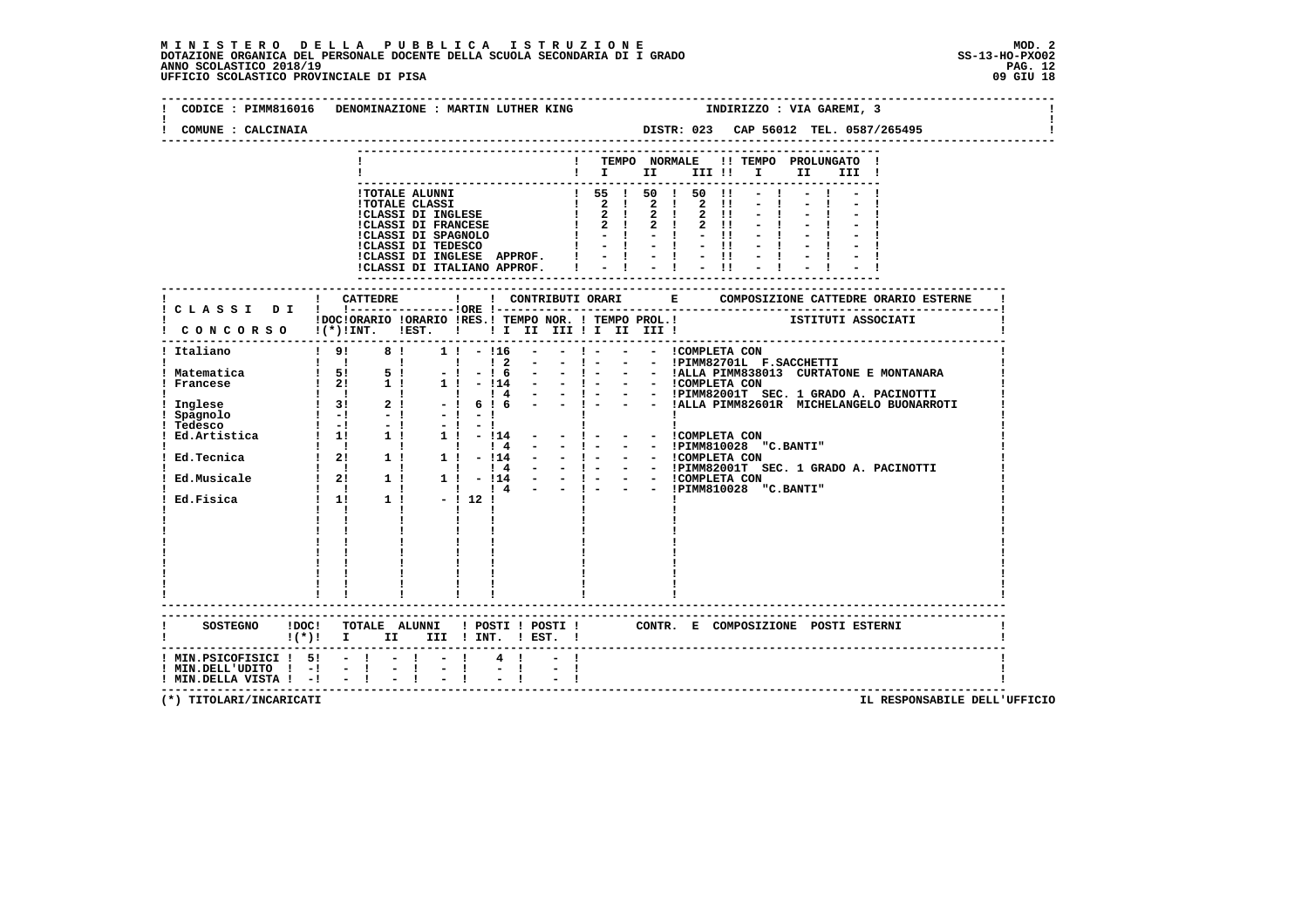# **M I N I S T E R O D E L L A P U B B L I C A I S T R U Z I O N E MOD. 2**DOTAZIONE ORGANICA DEL PERSONALE DOCENTE DELLA SCUOLA SECONDARIA DI I GRADO **SCOLA SS-13-HO-PXOO2**<br>PAG ANNO SCOLASTICO 2018/19<br>UFFICIO SCOLASTICO PROVINCIALE DI PISA

| CODICE : PIMM816016 DENOMINAZIONE : MARTIN LUTHER KING                                                                 |                                           |               |      |             |  |  |  | INDIRIZZO : VIA GAREMI, 3             |      |       |  |  |
|------------------------------------------------------------------------------------------------------------------------|-------------------------------------------|---------------|------|-------------|--|--|--|---------------------------------------|------|-------|--|--|
| COMUNE : CALCINAIA                                                                                                     |                                           |               |      |             |  |  |  |                                       |      |       |  |  |
|                                                                                                                        |                                           |               |      |             |  |  |  | ! TEMPO NORMALE !! TEMPO PROLUNGATO ! | II a | III ! |  |  |
|                                                                                                                        |                                           |               |      |             |  |  |  |                                       |      |       |  |  |
|                                                                                                                        |                                           |               |      |             |  |  |  |                                       |      |       |  |  |
|                                                                                                                        |                                           |               |      |             |  |  |  |                                       |      |       |  |  |
|                                                                                                                        |                                           |               |      |             |  |  |  |                                       |      |       |  |  |
| ! Italiano                                                                                                             | 1 9! 8! 1! - !16 - - ! - - - COMPLETA CON |               |      |             |  |  |  |                                       |      |       |  |  |
|                                                                                                                        |                                           |               |      |             |  |  |  |                                       |      |       |  |  |
|                                                                                                                        |                                           |               |      |             |  |  |  |                                       |      |       |  |  |
|                                                                                                                        |                                           |               |      |             |  |  |  |                                       |      |       |  |  |
|                                                                                                                        |                                           |               |      |             |  |  |  |                                       |      |       |  |  |
|                                                                                                                        | $\mathbf{I}$                              |               |      |             |  |  |  |                                       |      |       |  |  |
|                                                                                                                        |                                           |               |      |             |  |  |  |                                       |      |       |  |  |
|                                                                                                                        |                                           |               |      |             |  |  |  |                                       |      |       |  |  |
|                                                                                                                        |                                           |               |      |             |  |  |  |                                       |      |       |  |  |
| SOSTEGNO !DOC! TOTALE ALUNNI ! POSTI ! POSTI ! CONTR. E COMPOSIZIONE POSTI ESTERNI<br>$!(*)!$ I II III ! INT. ! EST. ! |                                           |               |      |             |  |  |  |                                       |      |       |  |  |
| $!$ MIN.PSICOFISICI $!$ 5! - ! - !<br>! MIN.DELL'UDITO ! -!<br>! MIN.DELLA VISTA ! -! - !                              | $-1$                                      | $\frac{1}{2}$ | $-1$ | $4 \quad 1$ |  |  |  |                                       |      |       |  |  |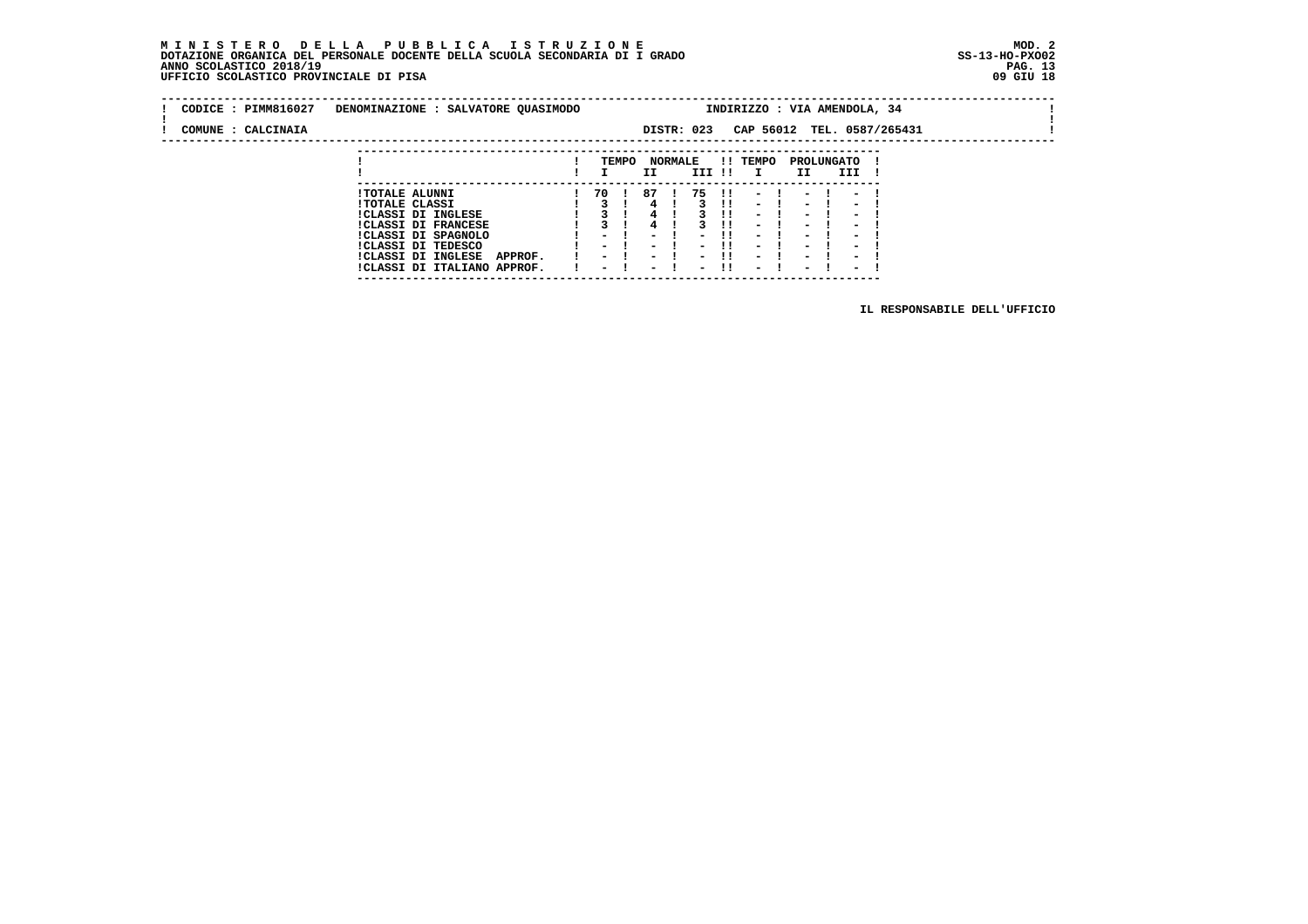#### **M I N I S T E R O D E L L A P U B B L I C A I S T R U Z I O N E MOD. 2 DOTAZIONE ORGANICA DEL PERSONALE DOCENTE DELLA SCUOLA SECONDARIA DI I GRADO ANNO SCOLASTICO 2018/19 UFFICIO SCOLASTICO PROVINCIALE DI PISA 09 GIU 18**

 **---------------------------------------------------------------------------**

| CODICE: PIMM816027 |                       | DENOMINAZIONE : SALVATORE QUASIMODO               |         |                    |       |                          |                |                |            |                                                      | INDIRIZZO : VIA AMENDOLA, 34                         |                   |                                  |                  |  |  |
|--------------------|-----------------------|---------------------------------------------------|---------|--------------------|-------|--------------------------|----------------|----------------|------------|------------------------------------------------------|------------------------------------------------------|-------------------|----------------------------------|------------------|--|--|
| COMUNE : CALCINAIA |                       |                                                   |         |                    |       | DISTR: 023               |                |                |            | CAP 56012                                            |                                                      |                   |                                  | TEL. 0587/265431 |  |  |
|                    |                       |                                                   |         |                    |       |                          |                |                |            |                                                      |                                                      |                   |                                  |                  |  |  |
|                    |                       |                                                   |         |                    | TEMPO | II.                      | <b>NORMALE</b> | III !!         |            | !! TEMPO<br>$\mathbf{I}$                             | II.                                                  | PROLUNGATO<br>III |                                  |                  |  |  |
|                    |                       | <b>!TOTALE ALUNNI</b>                             |         | 70 I               |       | 87                       |                | 75             | - 11       | $\overline{\phantom{a}}$                             |                                                      |                   |                                  |                  |  |  |
|                    | <b>!TOTALE CLASSI</b> | <b>!CLASSI DI INGLESE</b>                         |         |                    |       |                          |                | $\blacksquare$ |            | $\sim$<br>$\overline{\phantom{0}}$                   | $\overline{\phantom{a}}$<br>$\overline{\phantom{0}}$ |                   | $\overline{\phantom{a}}$<br>$\,$ |                  |  |  |
|                    |                       | <b>!CLASSI DI FRANCESE</b><br>!CLASSI DI SPAGNOLO |         | Ξ.                 |       | -                        |                | Ξ.             | -11<br>. . | $\overline{\phantom{0}}$<br>$\overline{\phantom{a}}$ | $\blacksquare$<br>$\overline{\phantom{a}}$           |                   | $\,$<br>$\overline{\phantom{a}}$ |                  |  |  |
|                    |                       | ICLASSI DI TEDESCO                                |         | $\sim$ $\sim$      |       | $\overline{\phantom{0}}$ |                | $\sim$         | -11        | $\overline{\phantom{0}}$                             | $\overline{\phantom{0}}$                             |                   | $\overline{\phantom{0}}$         |                  |  |  |
|                    |                       | !CLASSI DI INGLESE<br>!CLASSI DI ITALIANO APPROF. | APPROF. | $\sim$ $\sim$<br>- |       | $\sim$<br>$\sim$         |                | $\sim$<br>-    | -11        | $\overline{\phantom{0}}$<br>$\blacksquare$           | $\overline{\phantom{0}}$<br>$\overline{\phantom{a}}$ |                   | $\,$<br>-                        |                  |  |  |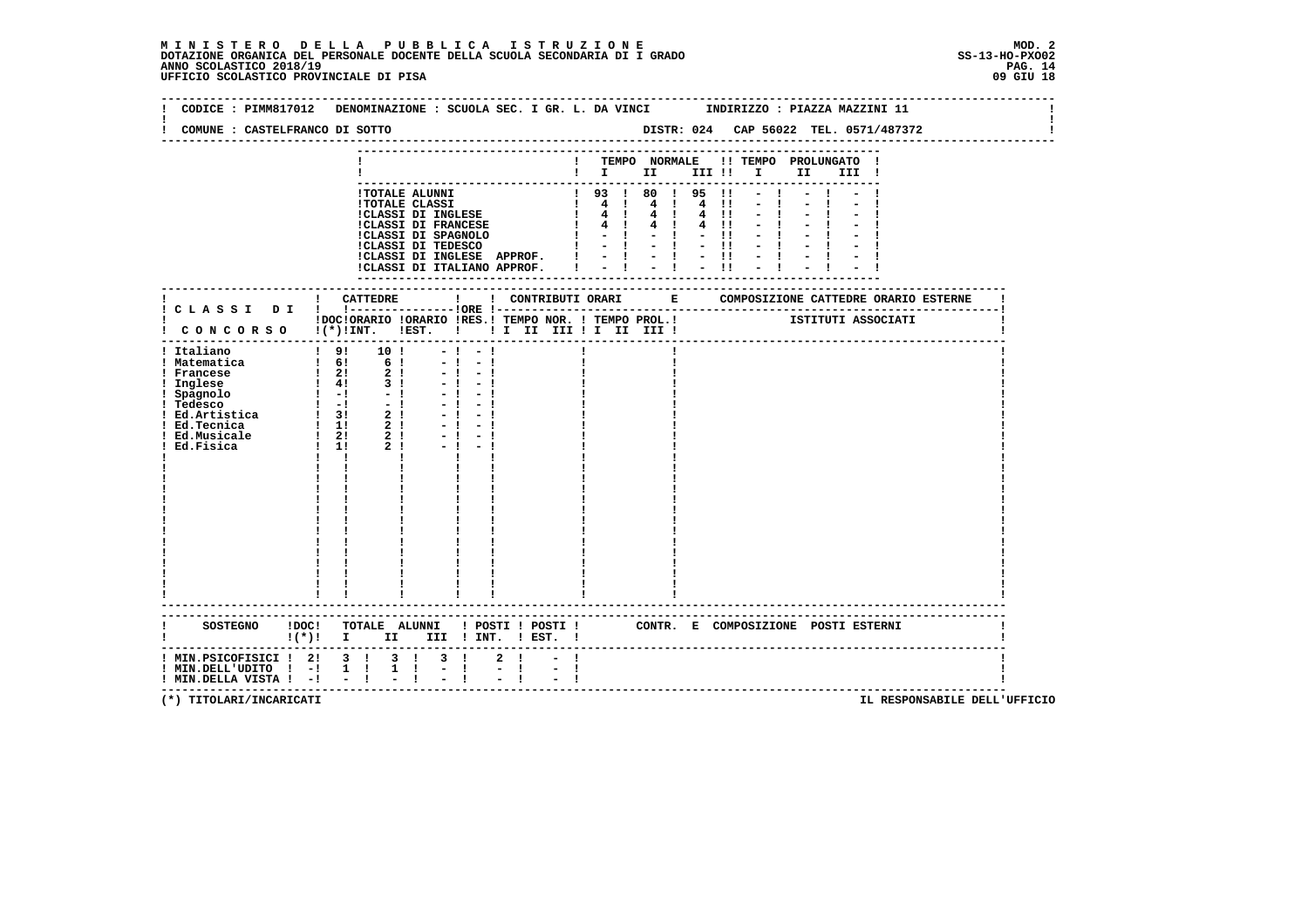# **M I N I S T E R O D E L L A P U B B L I C A I S T R U Z I O N E MOD. 2**DOTAZIONE ORGANICA DEL PERSONALE DOCENTE DELLA SCUOLA SECONDARIA DI I GRADO **SCOLA SS-13-HO-PXOO2**<br>PAG ANNO SCOLASTICO 2018/19<br>19 UFFICIO SCOLASTICO PROVINCIALE DI PISA

|                                | CODICE : PIMM817012 DENOMINAZIONE : SCUOLA SEC. I GR. L. DA VINCI                                                           |                                                 |                                                                                                          |       | INDIRIZZO : PIAZZA MAZZINI 11         |          |  |
|--------------------------------|-----------------------------------------------------------------------------------------------------------------------------|-------------------------------------------------|----------------------------------------------------------------------------------------------------------|-------|---------------------------------------|----------|--|
| COMUNE : CASTELFRANCO DI SOTTO |                                                                                                                             |                                                 |                                                                                                          |       |                                       |          |  |
|                                |                                                                                                                             |                                                 |                                                                                                          |       | ! TEMPO NORMALE !! TEMPO PROLUNGATO ! |          |  |
|                                |                                                                                                                             |                                                 | $\blacksquare$ $\blacksquare$ $\blacksquare$ $\blacksquare$ $\blacksquare$ $\blacksquare$ $\blacksquare$ |       |                                       | II III ! |  |
|                                |                                                                                                                             |                                                 |                                                                                                          |       |                                       |          |  |
|                                | !TOTALE ALUNNI<br><b>!TOTALE CLASSI</b>                                                                                     |                                                 | ! 93 ! 80 ! 95 !!                                                                                        |       |                                       |          |  |
|                                |                                                                                                                             |                                                 | $\begin{array}{cccccccc} 1 & 4 & 1 & 4 & 1 & 4 & 1 \\ 1 & 4 & 1 & 4 & 1 & 4 & 1 \end{array}$             |       |                                       |          |  |
|                                | <b>ICLASSI DI INGLESE<br/>ICLASSI DI FRANCESE</b>                                                                           |                                                 | $1 \quad 4 \quad 1 \quad 4 \quad 1$                                                                      | 4 !!  |                                       |          |  |
|                                |                                                                                                                             |                                                 |                                                                                                          | $-11$ |                                       |          |  |
|                                |                                                                                                                             |                                                 | $1 - 1 - 1 - 11$                                                                                         |       |                                       |          |  |
|                                | ICLASSI DI INGLESE APPROF.<br>ICLASSI DI INGLESE APPROF.<br>I - I - I - II<br>ICLASSI DI ITALIANO APPROF.<br>I - I - I - II |                                                 |                                                                                                          |       |                                       |          |  |
|                                |                                                                                                                             |                                                 |                                                                                                          |       |                                       |          |  |
|                                |                                                                                                                             |                                                 |                                                                                                          |       |                                       |          |  |
|                                |                                                                                                                             |                                                 |                                                                                                          |       |                                       |          |  |
|                                |                                                                                                                             |                                                 |                                                                                                          |       |                                       |          |  |
|                                | ! CONCORSO !(*)!INT. !EST. !!! II III II III III I                                                                          |                                                 |                                                                                                          |       |                                       |          |  |
|                                | $-1 - 1$                                                                                                                    |                                                 |                                                                                                          |       |                                       |          |  |
|                                | $-1 - 1$                                                                                                                    |                                                 |                                                                                                          |       |                                       |          |  |
|                                | $-1 - 1$                                                                                                                    |                                                 |                                                                                                          |       |                                       |          |  |
|                                | $-1$                                                                                                                        |                                                 |                                                                                                          |       |                                       |          |  |
|                                | $-1$<br>$-1$                                                                                                                |                                                 |                                                                                                          |       |                                       |          |  |
|                                | $-1$                                                                                                                        |                                                 |                                                                                                          |       |                                       |          |  |
|                                |                                                                                                                             |                                                 |                                                                                                          |       |                                       |          |  |
|                                | $-1$                                                                                                                        |                                                 |                                                                                                          |       |                                       |          |  |
|                                | $\mathbf{I}$                                                                                                                |                                                 |                                                                                                          |       |                                       |          |  |
|                                |                                                                                                                             |                                                 |                                                                                                          |       |                                       |          |  |
|                                |                                                                                                                             |                                                 |                                                                                                          |       |                                       |          |  |
|                                |                                                                                                                             |                                                 |                                                                                                          |       |                                       |          |  |
|                                |                                                                                                                             |                                                 |                                                                                                          |       |                                       |          |  |
|                                |                                                                                                                             |                                                 |                                                                                                          |       |                                       |          |  |
|                                |                                                                                                                             |                                                 |                                                                                                          |       |                                       |          |  |
|                                |                                                                                                                             |                                                 |                                                                                                          |       |                                       |          |  |
|                                |                                                                                                                             |                                                 |                                                                                                          |       |                                       |          |  |
|                                |                                                                                                                             |                                                 |                                                                                                          |       |                                       |          |  |
|                                |                                                                                                                             |                                                 |                                                                                                          |       |                                       |          |  |
|                                |                                                                                                                             |                                                 |                                                                                                          |       |                                       |          |  |
|                                |                                                                                                                             |                                                 |                                                                                                          |       |                                       |          |  |
|                                | SOSTEGNO !DOC! TOTALE ALUNNI ! POSTI ! POSTI ! CONTR. E COMPOSIZIONE POSTI ESTERNI                                          |                                                 |                                                                                                          |       |                                       |          |  |
|                                | $\frac{1(*)!}{1}$ I II III ! INT. ! EST. !                                                                                  |                                                 |                                                                                                          |       |                                       |          |  |
|                                | ! MIN.PSICOFISICI ! 2! 3 ! 3 ! 3 !                                                                                          | $2 \quad 1$                                     |                                                                                                          |       |                                       |          |  |
| ! MIN.DELL'UDITO ! -!          | $1 \quad 1$<br>$1 \quad 1$<br>$\mathbb{Z} \times \mathbb{R}$                                                                | $\begin{bmatrix} 1 \\ -1 \end{bmatrix}$<br>$-1$ |                                                                                                          |       |                                       |          |  |
| ! MIN.DELLA VISTA ! -!         | $-1$                                                                                                                        |                                                 |                                                                                                          |       |                                       |          |  |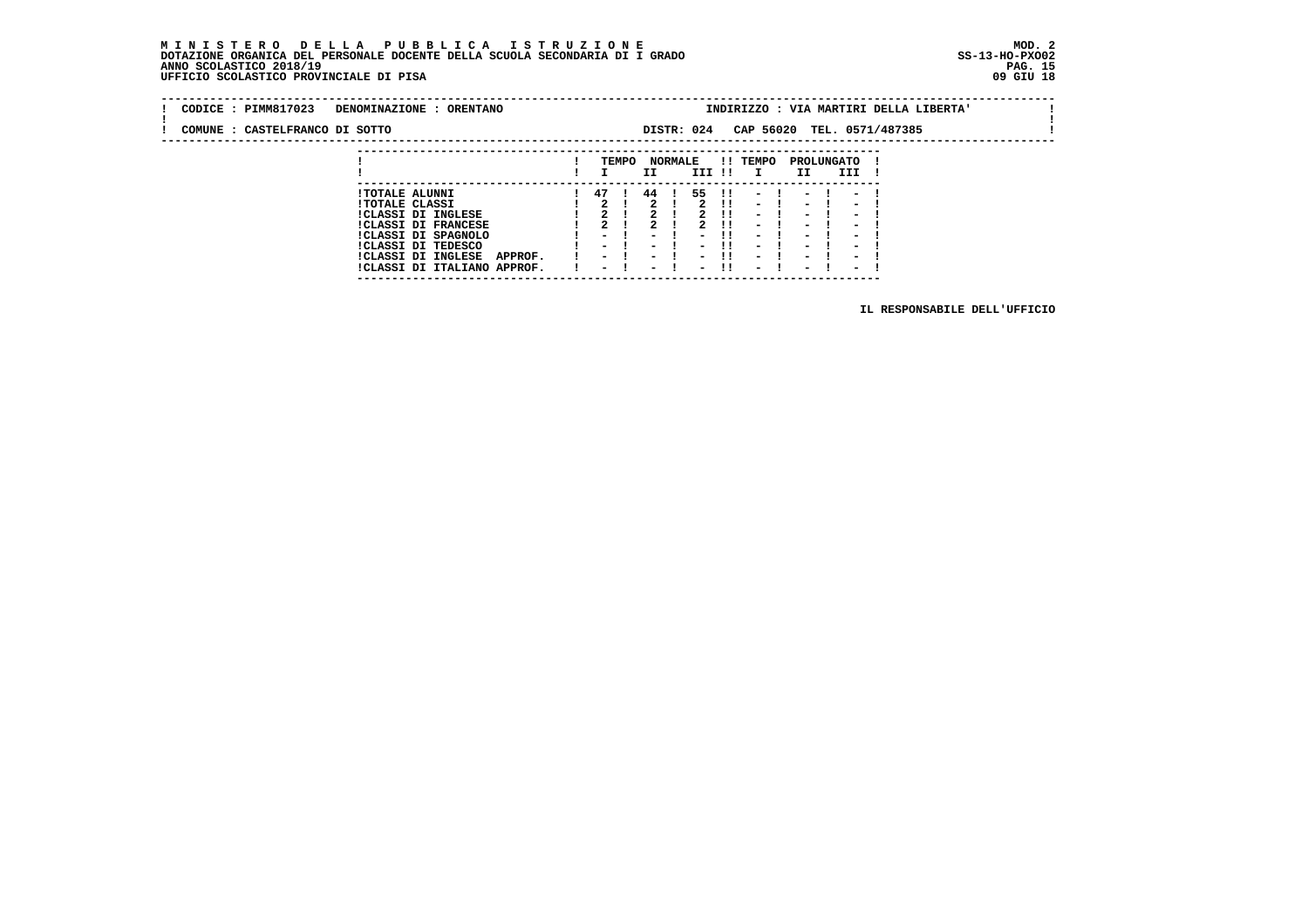#### **M I N I S T E R O D E L L A P U B B L I C A I S T R U Z I O N E MOD. 2DOTAZIONE ORGANICA DEL PERSONALE DOCENTE DELLA SCUOLA SECONDARIA DI I GRADO ANNO SCOLASTICO 2018/19** UFFICIO SCOLASTICO PROVINCIALE DI PISA

| CODICE: PIMM817023             | DENOMINAZIONE : ORENTANO                                                                                  |                   |       |    |                |               |     |                                                  |    |                              |                                                                                |                            | INDIRIZZO : VIA MARTIRI DELLA LIBERTA' |  |
|--------------------------------|-----------------------------------------------------------------------------------------------------------|-------------------|-------|----|----------------|---------------|-----|--------------------------------------------------|----|------------------------------|--------------------------------------------------------------------------------|----------------------------|----------------------------------------|--|
| COMUNE : CASTELFRANCO DI SOTTO |                                                                                                           |                   |       |    |                | DISTR: 024    |     |                                                  |    |                              |                                                                                | CAP 56020 TEL. 0571/487385 |                                        |  |
|                                |                                                                                                           |                   | TEMPO | ΙI | <b>NORMALE</b> | III !!        |     | !! TEMPO<br>$\mathbf{I}$                         | II | PROLUNGATO                   | III                                                                            |                            |                                        |  |
|                                | <b>!TOTALE ALUNNI</b><br><b>!TOTALE CLASSI</b><br><b>!CLASSI DI INGLESE</b><br><b>!CLASSI DI FRANCESE</b> | 47 !<br>$2 \cdot$ |       | 44 | $\mathbf{I}$   | 55 11<br>2 !! | -11 | $-1$<br>$-1$<br>$-1$<br>$\overline{\phantom{0}}$ |    | $-1$<br>$-1$<br>$-1$<br>$ -$ | <b>Contract Contract State</b><br><b>Contract Contract</b><br>$\sim$<br>$\sim$ |                            |                                        |  |

 **---------------------------------------------------------------------------**

 **!CLASSI DI FRANCESE ! 2 ! 2 ! 2 !! - ! - ! - ! !CLASSI DI SPAGNOLO ! - ! - ! - !! - ! - ! - ! !CLASSI DI TEDESCO ! - ! - ! - !! - ! - ! - ! !CLASSI DI INGLESE APPROF. ! - ! - ! - !! - ! - ! - ! !CLASSI DI ITALIANO APPROF. ! - ! - ! - !! - ! - ! - !**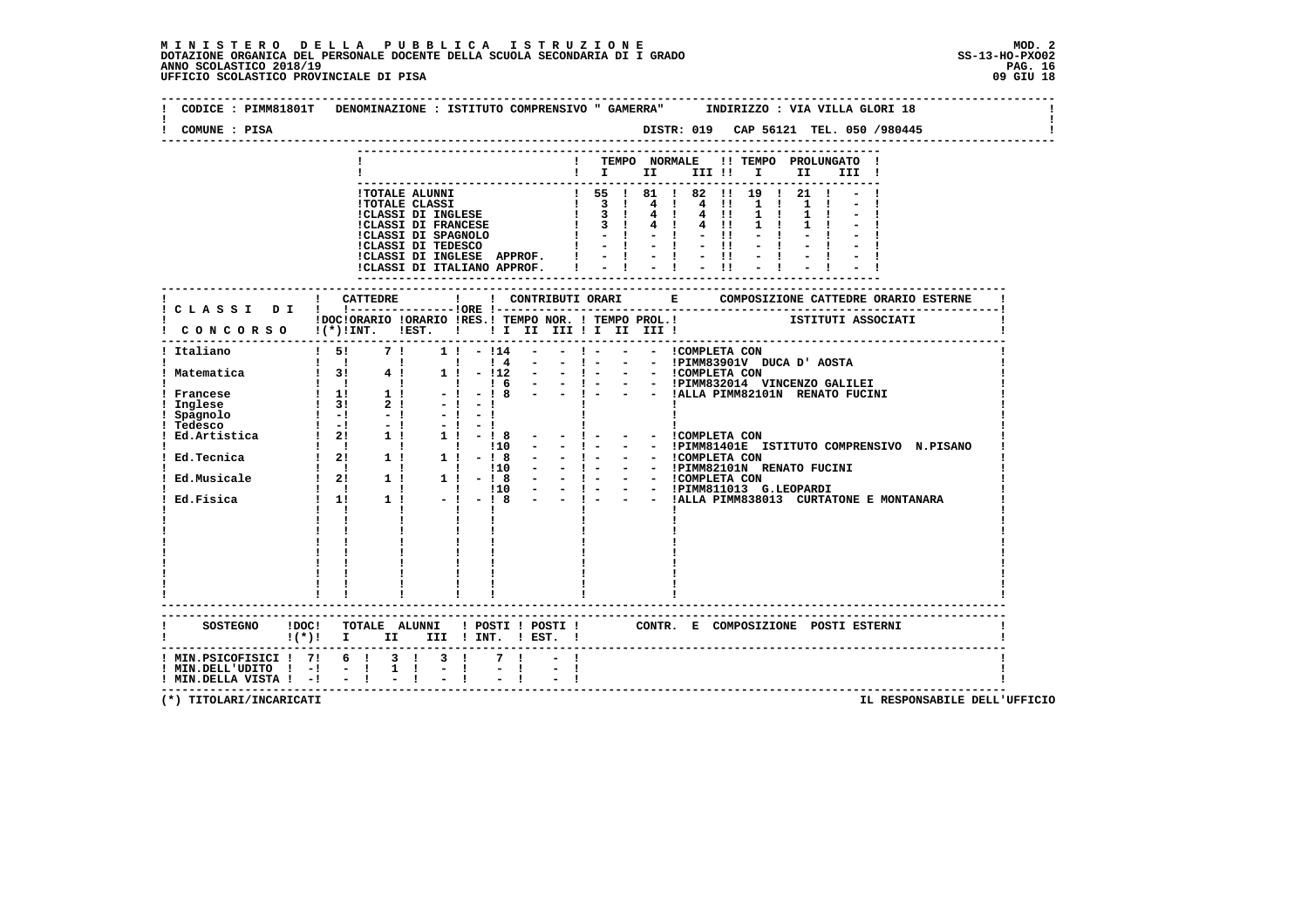| ! TEMPO NORMALE !! TEMPO PROLUNGATO !<br>II a<br>III !<br>! DOCIORARIO IORARIO IRES.I TEMPO NOR. ! TEMPO PROL.! ISTITUTI ASSOCIATI<br>! CONCORSO !(*)!INT. !EST. ! ! I II III ! II III !!<br>1   -   12 - -   - - -   COMPLETA CON<br>1   16 - -   - - -   PIMM832014 VINCENZO GALILEI<br>-   -   8 - -   - - -   ALLA PIMM82101N RENATO FUCINI<br><b>Ingless<br/>Spagnolo<br/>Compagnolo</b><br>! Tedesco<br>SOSTEGNO !DOC! TOTALE ALUNNI ! POSTI ! POSTI ! CONTR. E COMPOSIZIONE POSTI ESTERNI<br>$!(*)!$ I II III ! INT. ! EST. !<br>! MIN.PSICOFISICI ! 7! 6 ! 3 ! 3 !<br>! MIN.DELL'UDITO ! -! | COMUNE : PISA |      |                             |  |  |  |  |  |  |  |  |
|-----------------------------------------------------------------------------------------------------------------------------------------------------------------------------------------------------------------------------------------------------------------------------------------------------------------------------------------------------------------------------------------------------------------------------------------------------------------------------------------------------------------------------------------------------------------------------------------------------|---------------|------|-----------------------------|--|--|--|--|--|--|--|--|
|                                                                                                                                                                                                                                                                                                                                                                                                                                                                                                                                                                                                     |               |      |                             |  |  |  |  |  |  |  |  |
|                                                                                                                                                                                                                                                                                                                                                                                                                                                                                                                                                                                                     |               |      |                             |  |  |  |  |  |  |  |  |
|                                                                                                                                                                                                                                                                                                                                                                                                                                                                                                                                                                                                     |               |      |                             |  |  |  |  |  |  |  |  |
|                                                                                                                                                                                                                                                                                                                                                                                                                                                                                                                                                                                                     |               |      |                             |  |  |  |  |  |  |  |  |
|                                                                                                                                                                                                                                                                                                                                                                                                                                                                                                                                                                                                     |               |      |                             |  |  |  |  |  |  |  |  |
|                                                                                                                                                                                                                                                                                                                                                                                                                                                                                                                                                                                                     |               |      |                             |  |  |  |  |  |  |  |  |
|                                                                                                                                                                                                                                                                                                                                                                                                                                                                                                                                                                                                     |               |      |                             |  |  |  |  |  |  |  |  |
|                                                                                                                                                                                                                                                                                                                                                                                                                                                                                                                                                                                                     |               |      |                             |  |  |  |  |  |  |  |  |
|                                                                                                                                                                                                                                                                                                                                                                                                                                                                                                                                                                                                     |               |      |                             |  |  |  |  |  |  |  |  |
|                                                                                                                                                                                                                                                                                                                                                                                                                                                                                                                                                                                                     |               |      |                             |  |  |  |  |  |  |  |  |
|                                                                                                                                                                                                                                                                                                                                                                                                                                                                                                                                                                                                     |               |      |                             |  |  |  |  |  |  |  |  |
|                                                                                                                                                                                                                                                                                                                                                                                                                                                                                                                                                                                                     |               |      |                             |  |  |  |  |  |  |  |  |
|                                                                                                                                                                                                                                                                                                                                                                                                                                                                                                                                                                                                     |               |      |                             |  |  |  |  |  |  |  |  |
|                                                                                                                                                                                                                                                                                                                                                                                                                                                                                                                                                                                                     |               |      |                             |  |  |  |  |  |  |  |  |
|                                                                                                                                                                                                                                                                                                                                                                                                                                                                                                                                                                                                     |               |      |                             |  |  |  |  |  |  |  |  |
|                                                                                                                                                                                                                                                                                                                                                                                                                                                                                                                                                                                                     |               |      |                             |  |  |  |  |  |  |  |  |
|                                                                                                                                                                                                                                                                                                                                                                                                                                                                                                                                                                                                     |               |      |                             |  |  |  |  |  |  |  |  |
|                                                                                                                                                                                                                                                                                                                                                                                                                                                                                                                                                                                                     |               |      |                             |  |  |  |  |  |  |  |  |
|                                                                                                                                                                                                                                                                                                                                                                                                                                                                                                                                                                                                     |               |      |                             |  |  |  |  |  |  |  |  |
|                                                                                                                                                                                                                                                                                                                                                                                                                                                                                                                                                                                                     |               |      |                             |  |  |  |  |  |  |  |  |
|                                                                                                                                                                                                                                                                                                                                                                                                                                                                                                                                                                                                     |               |      |                             |  |  |  |  |  |  |  |  |
|                                                                                                                                                                                                                                                                                                                                                                                                                                                                                                                                                                                                     |               |      |                             |  |  |  |  |  |  |  |  |
|                                                                                                                                                                                                                                                                                                                                                                                                                                                                                                                                                                                                     |               |      |                             |  |  |  |  |  |  |  |  |
|                                                                                                                                                                                                                                                                                                                                                                                                                                                                                                                                                                                                     |               |      |                             |  |  |  |  |  |  |  |  |
|                                                                                                                                                                                                                                                                                                                                                                                                                                                                                                                                                                                                     |               |      |                             |  |  |  |  |  |  |  |  |
|                                                                                                                                                                                                                                                                                                                                                                                                                                                                                                                                                                                                     |               |      |                             |  |  |  |  |  |  |  |  |
|                                                                                                                                                                                                                                                                                                                                                                                                                                                                                                                                                                                                     |               |      |                             |  |  |  |  |  |  |  |  |
|                                                                                                                                                                                                                                                                                                                                                                                                                                                                                                                                                                                                     |               |      |                             |  |  |  |  |  |  |  |  |
|                                                                                                                                                                                                                                                                                                                                                                                                                                                                                                                                                                                                     |               |      |                             |  |  |  |  |  |  |  |  |
|                                                                                                                                                                                                                                                                                                                                                                                                                                                                                                                                                                                                     |               |      |                             |  |  |  |  |  |  |  |  |
|                                                                                                                                                                                                                                                                                                                                                                                                                                                                                                                                                                                                     |               |      |                             |  |  |  |  |  |  |  |  |
|                                                                                                                                                                                                                                                                                                                                                                                                                                                                                                                                                                                                     |               |      |                             |  |  |  |  |  |  |  |  |
|                                                                                                                                                                                                                                                                                                                                                                                                                                                                                                                                                                                                     |               |      |                             |  |  |  |  |  |  |  |  |
|                                                                                                                                                                                                                                                                                                                                                                                                                                                                                                                                                                                                     |               |      |                             |  |  |  |  |  |  |  |  |
|                                                                                                                                                                                                                                                                                                                                                                                                                                                                                                                                                                                                     |               |      |                             |  |  |  |  |  |  |  |  |
|                                                                                                                                                                                                                                                                                                                                                                                                                                                                                                                                                                                                     |               |      |                             |  |  |  |  |  |  |  |  |
|                                                                                                                                                                                                                                                                                                                                                                                                                                                                                                                                                                                                     |               |      |                             |  |  |  |  |  |  |  |  |
|                                                                                                                                                                                                                                                                                                                                                                                                                                                                                                                                                                                                     |               |      |                             |  |  |  |  |  |  |  |  |
| ! MIN.DELLA VISTA ! -! - !                                                                                                                                                                                                                                                                                                                                                                                                                                                                                                                                                                          |               | $-1$ | $\frac{1}{2}$ $\frac{1}{1}$ |  |  |  |  |  |  |  |  |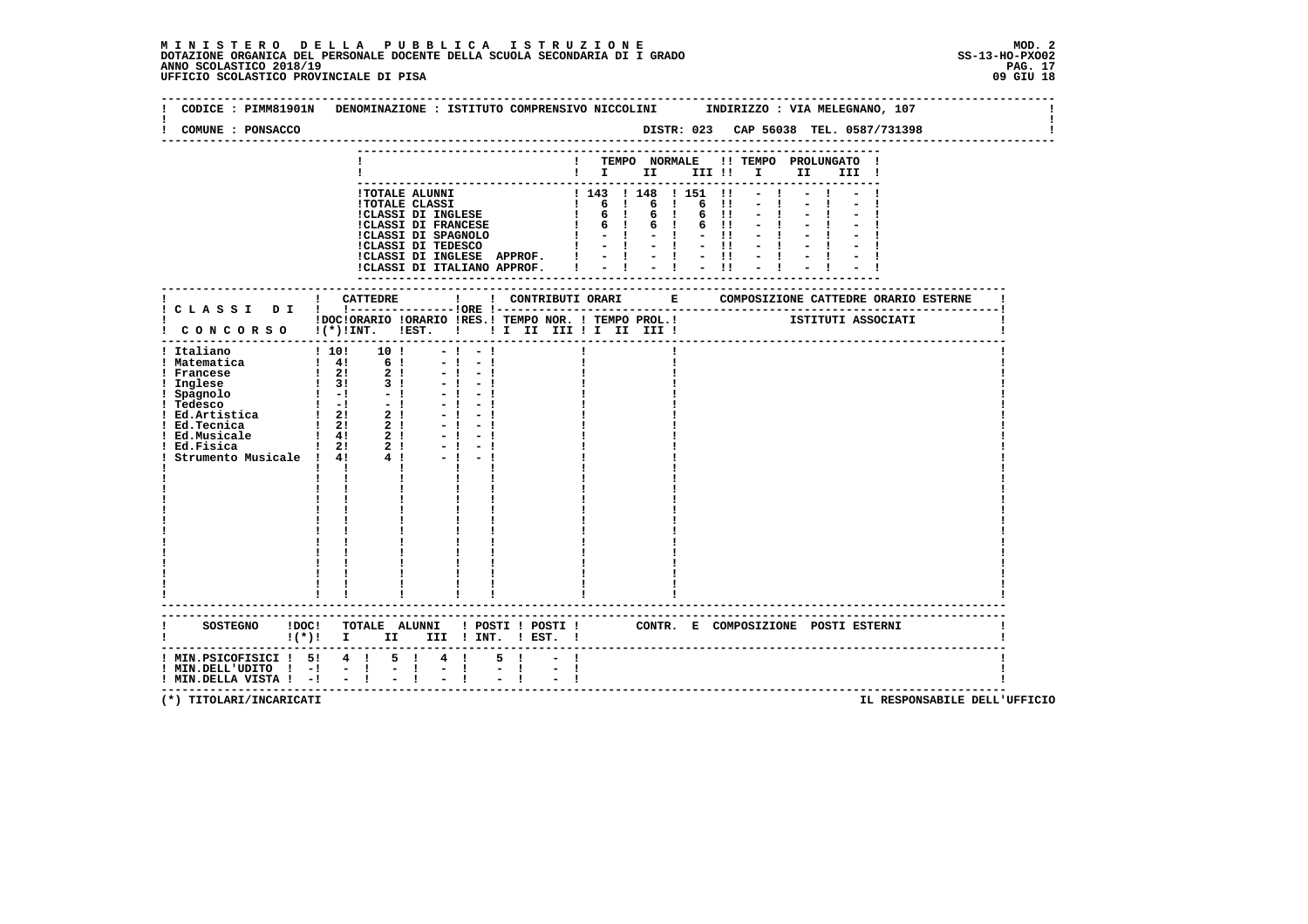| COMUNE : PONSACCO                                                                                                                                                                                                                                                                                 |                                                                                                                                                                      | CODICE: PIMM81901N DENOMINAZIONE: ISTITUTO COMPRENSIVO NICCOLINI INDIRIZZO: VIA MELEGNANO, 107                                                                                                                                                 |
|---------------------------------------------------------------------------------------------------------------------------------------------------------------------------------------------------------------------------------------------------------------------------------------------------|----------------------------------------------------------------------------------------------------------------------------------------------------------------------|------------------------------------------------------------------------------------------------------------------------------------------------------------------------------------------------------------------------------------------------|
|                                                                                                                                                                                                                                                                                                   |                                                                                                                                                                      | ! TEMPO NORMALE !! TEMPO PROLUNGATO !<br>$\mathbf{I}$ is the set of $\mathbf{I}$<br>III II II<br>III !                                                                                                                                         |
|                                                                                                                                                                                                                                                                                                   |                                                                                                                                                                      | - COLAR CLASS (1997)<br>1 TOTALE ALUNNI (1997)<br>1 TOTALE CLASS (1997)<br>1 TOTALE CLASS (1997)<br>1 CLASS DI TRANCESE (1998)<br>1 6 1 6 1 6 1 - 1 - 1 - 1 - 1<br>1 CLASSI DI FRANCESE (1998)<br>1 - 1 - 1 - 1 - 1 - 1 - 1 - 1 - 1 - 1<br>1 - |
|                                                                                                                                                                                                                                                                                                   | ! CATTEDRE<br>! C L A S S I D I ! !----------------!ORE !---                                                                                                         | IDOCIORARIO IORARIO IRES.I TEMPO NOR. I TEMPO PROL.I TETITUTI ASSOCIATI<br>CONCORSO I(*)INT. IEST. I II II III II II III I                                                                                                                     |
| ! Italiano<br>  Italiano   10  10 <br>  Italiano   10  10  10 <br>  Implese   2  2  2 <br>  Implese   2  2  2 <br>  Spagnolo   1  1  1  1 <br>  Ed.Artistica   2  2  2 <br>  Ed.Artistica   2  2  2 <br>  Ed.Musicale   2  2  2 <br>  Ed.Musicale   2  2  2  1  12 <br>Strumento Musicale ! 4! 4! | $\frac{1}{10!}$ 10 $\frac{1}{10!}$ - $\frac{1}{10!}$<br>$-1$<br>$-1$<br>$-1 - 1$<br>$-1$<br>$-1$<br>- 1<br>$-1$<br>$-1$<br>$-1$<br>$-1$<br>$\mathbf{I}$ $\mathbf{I}$ |                                                                                                                                                                                                                                                |
|                                                                                                                                                                                                                                                                                                   |                                                                                                                                                                      |                                                                                                                                                                                                                                                |
|                                                                                                                                                                                                                                                                                                   | $!(*)!$ I II III ! INT. ! EST. !                                                                                                                                     |                                                                                                                                                                                                                                                |
| $!$ MIN.DELL'UDITO $!$ -! - !<br>$!$ MIN.DELLA VISTA $!$ - $!$ - $!$                                                                                                                                                                                                                              | ! MIN.PSICOFISICI ! 5! 4 ! 5 ! 4 !<br>5 <sub>1</sub><br>$\frac{1}{2}$ $\frac{1}{2}$<br>$\frac{1}{2}$<br>$\frac{1}{2}$                                                |                                                                                                                                                                                                                                                |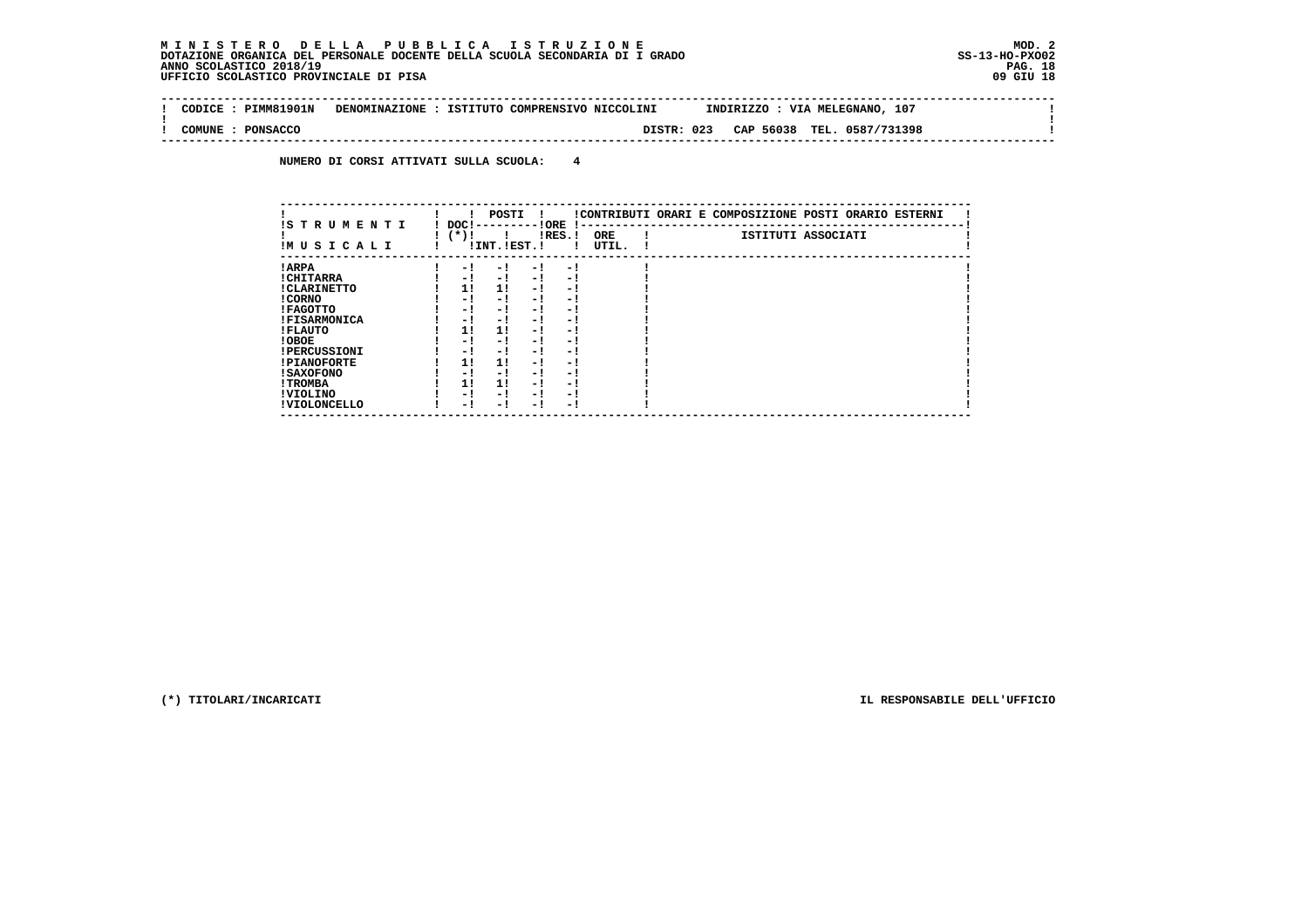#### **M I N I S T E R O D E L L A P U B B L I C A I S T R U Z I O N E MOD. 2 DOTAZIONE ORGANICA DEL PERSONALE DOCENTE DELLA SCUOLA SECONDARIA DI I GRADO ANNO SCOLASTICO 2018/19** UFFICIO SCOLASTICO PROVINCIALE DI PISA

 $\mathbf{I}$ 

 $\mathbf{I}$ 

 $\mathbf{I}$ 

| CODICE | : PIMM81901N | DENOMINAZIONE : ISTITUTO COMPRENSIVO NICCOLINI | INDIRIZZO : VIA MELEGNANO, 107 |  |
|--------|--------------|------------------------------------------------|--------------------------------|--|
| COMUNE | PONSACCO     | DISTR: 023                                     | CAP 56038 TEL. 0587/731398     |  |

 **NUMERO DI CORSI ATTIVATI SULLA SCUOLA: 4**

|                                 |                | POSTI          |                          |                    |                     | !CONTRIBUTI ORARI E COMPOSIZIONE POSTI ORARIO ESTERNI |  |  |
|---------------------------------|----------------|----------------|--------------------------|--------------------|---------------------|-------------------------------------------------------|--|--|
| IS T R U M E N T I<br>IMUSICALI | DOC!<br>$(*)!$ | ! INT. !EST. ! |                          | ! ORE<br>$lRES.$ ! | <b>ORE</b><br>UTIL. | ISTITUTI ASSOCIATI                                    |  |  |
| ! ARPA                          | $-1$           | - 1            | - 1                      | $-1$               |                     |                                                       |  |  |
| ! CHITARRA                      | - !            | - !            | $-1$                     | - 1                |                     |                                                       |  |  |
| ! CLARINETTO                    | 11             | 11             | - 1                      | - 1                |                     |                                                       |  |  |
| ! CORNO                         | - !            | - !            | - 1                      | - 1                |                     |                                                       |  |  |
| ! FAGOTTO                       | - 1            | - !            | - 1                      | - 1                |                     |                                                       |  |  |
| <b>!FISARMONICA</b>             | - 1            | - 1            | - 1                      | $-1$               |                     |                                                       |  |  |
| ! FLAUTO                        | 11             | 11             | - 1                      | - 1                |                     |                                                       |  |  |
| ! OBOE                          | - 1            | - !            | - 1                      | - 1                |                     |                                                       |  |  |
| <b>!PERCUSSIONI</b>             | - 1            | - 1            | - 1                      | - 1                |                     |                                                       |  |  |
| <b>!PIANOFORTE</b>              | 11             | 11             | - 1                      | - 1                |                     |                                                       |  |  |
| ! SAXOFONO                      | - !            | - 1            | - 1                      | - 1                |                     |                                                       |  |  |
| ! TROMBA                        | 11             | 11             | - 1                      | - 1                |                     |                                                       |  |  |
| ! VIOLINO                       | - 1            | - !            | - 1                      | - 1                |                     |                                                       |  |  |
| ! VIOLONCELLO                   | - 1            | - 1            | $\overline{\phantom{0}}$ | - 1                |                     |                                                       |  |  |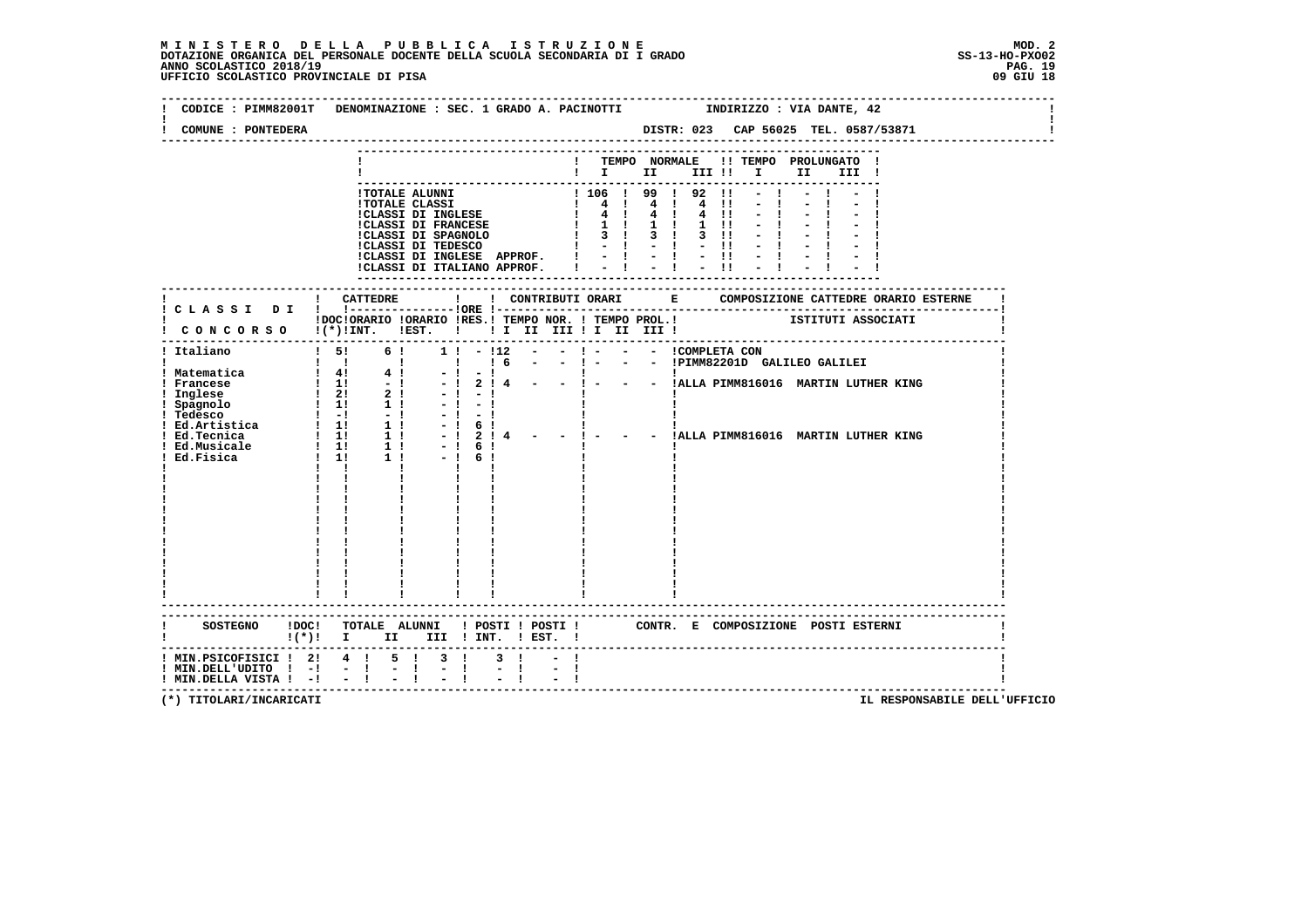# **M I N I S T E R O D E L L A P U B B L I C A I S T R U Z I O N E MOD. 2**DOTAZIONE ORGANICA DEL PERSONALE DOCENTE DELLA SCUOLA SECONDARIA DI I GRADO **SCOLA SS-13-HO-PXOO2**<br>PAG ANNO SCOLASTICO 2018/19<br>UFFICIO SCOLASTICO PROVINCIALE DI PISA

| COMUNE : PONTEDERA                                                                                                              | CODICE: PIMM82001T DENOMINAZIONE: SEC. 1 GRADO A. PACINOTTI TIMDIRIZZO: VIA DANTE, 42                                  |                                                                  |                                                                                                                                                       |              |                                       |       |  |
|---------------------------------------------------------------------------------------------------------------------------------|------------------------------------------------------------------------------------------------------------------------|------------------------------------------------------------------|-------------------------------------------------------------------------------------------------------------------------------------------------------|--------------|---------------------------------------|-------|--|
|                                                                                                                                 |                                                                                                                        |                                                                  | $\blacksquare$ $\blacksquare$ $\blacksquare$ $\blacksquare$ $\blacksquare$ $\blacksquare$ $\blacksquare$ $\blacksquare$ $\blacksquare$ $\blacksquare$ | ------------ | ! TEMPO NORMALE !! TEMPO PROLUNGATO ! | III ! |  |
|                                                                                                                                 |                                                                                                                        |                                                                  |                                                                                                                                                       |              |                                       |       |  |
|                                                                                                                                 |                                                                                                                        |                                                                  |                                                                                                                                                       |              |                                       |       |  |
| IDOCIORARIO IORARIO IRES.I TEMPO NOR. I TEMPO PROL.I ISTITUTI ASSOCIATI I CONCORSO I(*)IINT. IEST. I II II III II III III IIIII |                                                                                                                        |                                                                  |                                                                                                                                                       |              |                                       |       |  |
|                                                                                                                                 |                                                                                                                        |                                                                  |                                                                                                                                                       |              |                                       |       |  |
|                                                                                                                                 |                                                                                                                        |                                                                  |                                                                                                                                                       |              |                                       |       |  |
|                                                                                                                                 | SOSTEGNO IDOC! TOTALE ALUNNI ! POSTI ! POSTI ! CONTR. E COMPOSIZIONE POSTI ESTERNI<br>$!(*)!$ I II III ! INT. ! EST. ! |                                                                  |                                                                                                                                                       |              |                                       |       |  |
| ! MIN.PSICOFISICI ! 2! 4 ! 5 ! 3 ! 3 !<br>$!$ MIN.DELL'UDITO $!$ -! - !<br>! MIN.DELLA VISTA ! -! - !                           | $= 1 -$                                                                                                                | $\frac{1}{2}$ $\frac{1}{1}$<br>$\mathbb{Z} \setminus \mathbb{R}$ |                                                                                                                                                       |              |                                       |       |  |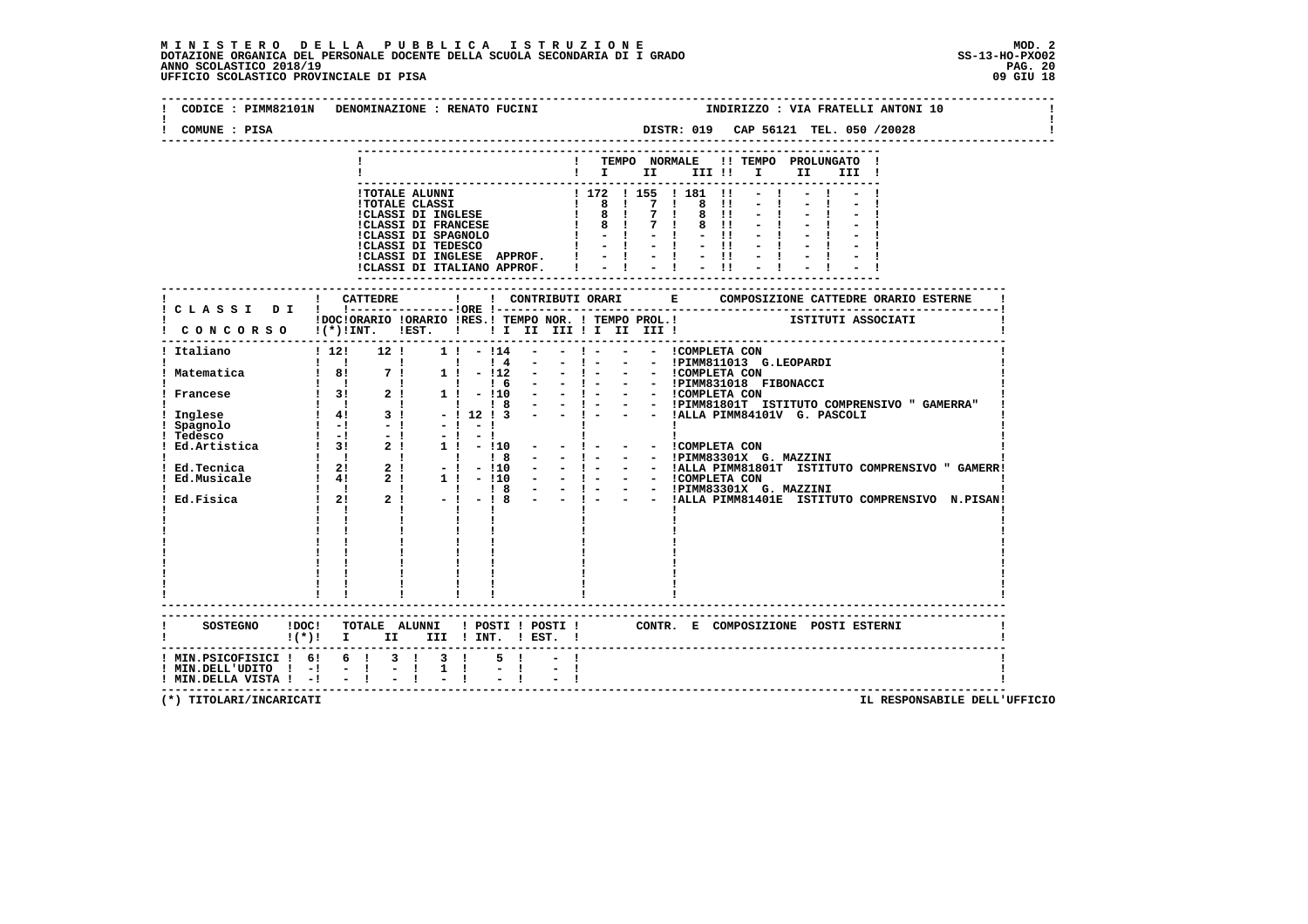# **M I N I S T E R O D E L L A P U B B L I C A I S T R U Z I O N E MOD. 2**DOTAZIONE ORGANICA DEL PERSONALE DOCENTE DELLA SCUOLA SECONDARIA DI I GRADO **SCOLA SS-13-HO-PXOO2**<br>PAG ANNO SCOLASTICO 2018/19<br>19 GIU 18 PERSONASTICO PROVINCIALE DI PISA

| CODICE : PIMM82101N DENOMINAZIONE : RENATO FUCINI                        |              |                                        |                                                                                               |                                   |               |                          |              |                                                                              |                                    |              |                                    |                                         | INDIRIZZO : VIA FRATELLI ANTONI 10                                                |
|--------------------------------------------------------------------------|--------------|----------------------------------------|-----------------------------------------------------------------------------------------------|-----------------------------------|---------------|--------------------------|--------------|------------------------------------------------------------------------------|------------------------------------|--------------|------------------------------------|-----------------------------------------|-----------------------------------------------------------------------------------|
| COMUNE : PISA                                                            |              |                                        |                                                                                               |                                   |               |                          |              |                                                                              |                                    |              |                                    | DISTR: 019 CAP 56121 TEL. 050 /20028    |                                                                                   |
|                                                                          |              |                                        |                                                                                               |                                   |               |                          |              |                                                                              |                                    |              |                                    | ! TEMPO NORMALE !! TEMPO PROLUNGATO !   |                                                                                   |
|                                                                          |              |                                        |                                                                                               |                                   |               |                          |              |                                                                              |                                    |              |                                    | !!! II II!!!! II II!!                   |                                                                                   |
|                                                                          |              |                                        |                                                                                               |                                   |               |                          |              |                                                                              | ! 172 ! 155 ! 181 !!               |              |                                    |                                         |                                                                                   |
|                                                                          |              |                                        | !TOTALE ALUNNI<br><b>!TOTALE CLASSI</b>                                                       |                                   |               |                          |              |                                                                              |                                    | 8 11         |                                    |                                         |                                                                                   |
|                                                                          |              |                                        | <b>!CLASSI DI INGLESE</b>                                                                     |                                   |               |                          |              | $\begin{array}{cccccccc} 1 & 8 & 1 & 7 & 1 \\ 1 & 8 & 1 & 7 & 1 \end{array}$ |                                    | 8 11         |                                    |                                         |                                                                                   |
|                                                                          |              |                                        | :CLASSI DI INGLESE<br>!CLASSI DI FRANCESE                                                     |                                   |               |                          |              | $1 \t 8 \t 7 \t 1$                                                           |                                    | $8 \quad 11$ |                                    |                                         |                                                                                   |
|                                                                          |              |                                        |                                                                                               |                                   |               |                          |              |                                                                              |                                    | - 11         |                                    |                                         |                                                                                   |
|                                                                          |              |                                        | !CLASSI DI INGLESE APPROF.                                                                    |                                   |               |                          |              |                                                                              | $-1 - 1 - 1$                       | $-11$        |                                    |                                         |                                                                                   |
|                                                                          |              |                                        | !CLASSI DI ITALIANO APPROF.                                                                   |                                   |               |                          |              |                                                                              |                                    | $-11$        |                                    |                                         |                                                                                   |
|                                                                          |              |                                        |                                                                                               |                                   |               |                          |              |                                                                              |                                    |              |                                    |                                         |                                                                                   |
|                                                                          |              |                                        |                                                                                               |                                   |               |                          |              |                                                                              |                                    |              |                                    |                                         |                                                                                   |
|                                                                          |              |                                        |                                                                                               |                                   |               |                          |              |                                                                              |                                    |              |                                    |                                         |                                                                                   |
|                                                                          |              |                                        | IDOCIORARIO IORARIO IRES.I TEMPO NOR. I TEMPO PROL.I SITITUTI ASSOCIATI                       |                                   |               |                          |              |                                                                              |                                    |              |                                    |                                         |                                                                                   |
| CONCORSO !(*)!INT. !EST. ! ! I II III ! II III !                         |              |                                        |                                                                                               |                                   |               |                          |              |                                                                              |                                    |              |                                    |                                         |                                                                                   |
| ! Italiano                                                               |              |                                        | $1\ 12!$ 12 $1\ 1$ - 114                                                                      |                                   |               |                          |              |                                                                              | $-!$ $   \ldots$ $\ldots$ $\ldots$ |              |                                    |                                         |                                                                                   |
|                                                                          |              | $\mathbf{1}$ $\mathbf{1}$ $\mathbf{1}$ |                                                                                               | $\mathbf{I}$                      | $\frac{1}{4}$ | $\sim 100$               |              |                                                                              |                                    |              |                                    |                                         |                                                                                   |
| ! Matematica                                                             |              |                                        | 7 1                                                                                           | $1! - 112$                        |               | $\sim 100$               | $-1 - 1$     |                                                                              | - - ICOMPLETA CON                  |              |                                    |                                         |                                                                                   |
|                                                                          |              |                                        |                                                                                               | <b>Contract Contract Contract</b> | 16            | $\sim 100$ m $^{-1}$     |              |                                                                              |                                    |              | - ! - - - IPIMM831018 FIBONACCI    |                                         |                                                                                   |
|                                                                          |              |                                        |                                                                                               | $1! - 110 -$                      |               |                          |              |                                                                              |                                    |              |                                    |                                         | - ! - - - !PIMM81801T ISTITUTO COMPRENSIVO " GAMERRA"                             |
|                                                                          |              |                                        |                                                                                               |                                   |               |                          |              |                                                                              |                                    |              |                                    | - - ! - - - !ALLA PIMM84101V G. PASCOLI |                                                                                   |
|                                                                          |              |                                        |                                                                                               |                                   |               |                          | $\sim 100$   |                                                                              |                                    |              |                                    |                                         |                                                                                   |
|                                                                          |              |                                        |                                                                                               |                                   |               |                          | $\mathbf{I}$ |                                                                              |                                    |              |                                    |                                         |                                                                                   |
|                                                                          |              |                                        |                                                                                               | $1! - 110 -$                      |               |                          |              |                                                                              |                                    |              |                                    |                                         |                                                                                   |
| Ed.Tecnica          <br> Ed.Tecnica   2  2  - <br> Ed.Musicale   4  2  1 |              |                                        |                                                                                               |                                   | $\frac{1}{8}$ |                          |              |                                                                              |                                    |              | - ! - - - !PIMM83301X G. MAZZINI   |                                         |                                                                                   |
|                                                                          |              |                                        |                                                                                               | $-!$ $-!10$                       |               | <b>Contract Contract</b> |              |                                                                              |                                    |              |                                    |                                         | - !- - - IALLA PIMM81801T ISTITUTO COMPRENSIVO "GAMERRI<br>- !- - - ICOMPLETA CON |
|                                                                          |              |                                        |                                                                                               | $1! - 10$                         |               | $\sim 100$ m $^{-1}$     |              |                                                                              |                                    |              | - - ! - - - IPIMM83301X G. MAZZINI |                                         |                                                                                   |
| Ed.Fisica                                                                |              |                                        | $\begin{array}{cccccccc}\n1 & 1 & 1 & 1 & 1 & 8 \\ 1 & 21 & 2 & 1 & -1 & -1 & 8\n\end{array}$ |                                   |               |                          |              |                                                                              |                                    |              |                                    |                                         | - - !ALLA PIMM81401E ISTITUTO COMPRENSIVO N.PISAN!                                |
|                                                                          | $\mathbf{I}$ |                                        |                                                                                               |                                   |               |                          |              |                                                                              |                                    |              |                                    |                                         |                                                                                   |
|                                                                          |              |                                        |                                                                                               |                                   |               |                          |              |                                                                              |                                    |              |                                    |                                         |                                                                                   |
|                                                                          |              |                                        |                                                                                               |                                   |               |                          |              |                                                                              |                                    |              |                                    |                                         |                                                                                   |
|                                                                          |              |                                        |                                                                                               |                                   |               |                          |              |                                                                              |                                    |              |                                    |                                         |                                                                                   |
|                                                                          |              |                                        |                                                                                               |                                   |               |                          |              |                                                                              |                                    |              |                                    |                                         |                                                                                   |
|                                                                          |              |                                        |                                                                                               |                                   |               |                          |              |                                                                              |                                    |              |                                    |                                         |                                                                                   |
|                                                                          |              |                                        |                                                                                               |                                   |               |                          |              |                                                                              |                                    |              |                                    |                                         |                                                                                   |
|                                                                          |              |                                        |                                                                                               |                                   |               |                          |              |                                                                              |                                    |              |                                    |                                         |                                                                                   |
|                                                                          |              |                                        |                                                                                               |                                   |               |                          |              |                                                                              |                                    |              |                                    |                                         |                                                                                   |
| SOSTEGNO ! DOC!                                                          |              |                                        | TOTALE ALUNNI ! POSTI ! POSTI ! CONTR. E COMPOSIZIONE POSTI ESTERNI                           |                                   |               |                          |              |                                                                              |                                    |              |                                    |                                         |                                                                                   |
| $(*)$ : $\Box$                                                           |              |                                        | II III ! INT. ! EST. !                                                                        |                                   |               |                          |              |                                                                              |                                    |              |                                    |                                         |                                                                                   |
| ! MIN.PSICOFISICI ! 6! 6 !                                               |              |                                        | 3! 3!                                                                                         |                                   |               |                          |              |                                                                              |                                    |              |                                    |                                         |                                                                                   |
| ! MIN.DELL'UDITO ! -!                                                    |              | $-1$                                   |                                                                                               | $1 \quad 1$                       |               |                          |              |                                                                              |                                    |              |                                    |                                         |                                                                                   |
| ! MIN.DELLA VISTA ! -!                                                   |              |                                        |                                                                                               |                                   |               |                          |              |                                                                              |                                    |              |                                    |                                         |                                                                                   |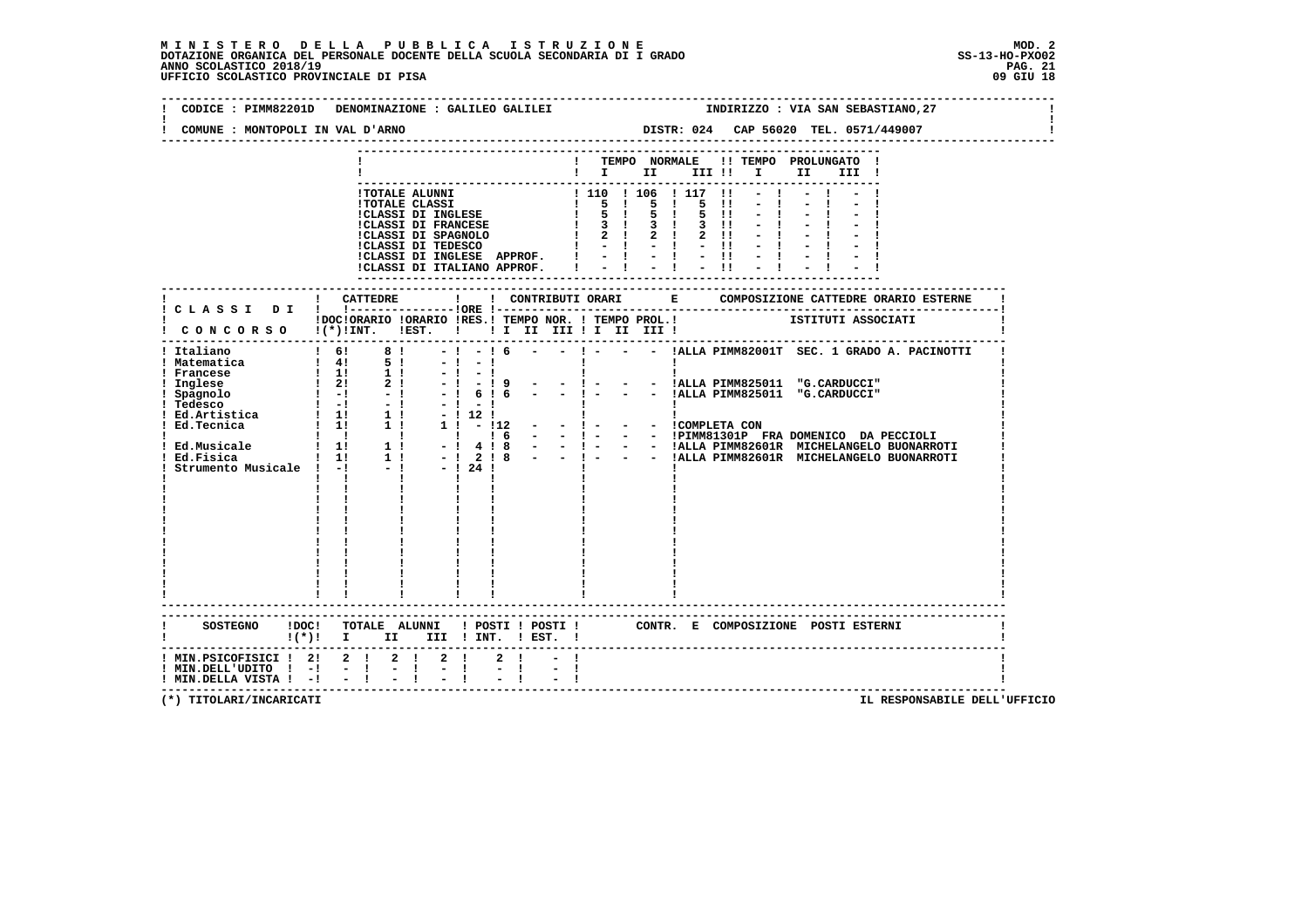# **M I N I S T E R O D E L L A P U B B L I C A I S T R U Z I O N E MOD. 2**DOTAZIONE ORGANICA DEL PERSONALE DOCENTE DELLA SCUOLA SECONDARIA DI I GRADO<br>ANNO SCOLASTICO 2018/19<br>19 UFFICIO SCOLASTICO PROVINCIALE DI PISA

| COMUNE : MONTOPOLI IN VAL D'ARNO                                                                                                                                                                                                                                                                                          | CODICE : PIMM82201D DENOMINAZIONE : GALILEO GALILEI |                                                               | INDIRIZZO : VIA SAN SEBASTIANO, 27                                                                                                                                                                                                                                                                                                                                                                                                                                                     |
|---------------------------------------------------------------------------------------------------------------------------------------------------------------------------------------------------------------------------------------------------------------------------------------------------------------------------|-----------------------------------------------------|---------------------------------------------------------------|----------------------------------------------------------------------------------------------------------------------------------------------------------------------------------------------------------------------------------------------------------------------------------------------------------------------------------------------------------------------------------------------------------------------------------------------------------------------------------------|
|                                                                                                                                                                                                                                                                                                                           |                                                     |                                                               | ! TEMPO NORMALE !! TEMPO PROLUNGATO !<br>$\blacksquare$ $\blacksquare$ $\blacksquare$ $\blacksquare$ $\blacksquare$ $\blacksquare$ $\blacksquare$ $\blacksquare$ $\blacksquare$<br>III !                                                                                                                                                                                                                                                                                               |
|                                                                                                                                                                                                                                                                                                                           |                                                     | ICLASSI DI INGLESE APPROF. I<br>!CLASSI DI ITALIANO APPROF. ! | $-1$ and $-1$<br>14 14 14<br>$-1$                                                                                                                                                                                                                                                                                                                                                                                                                                                      |
|                                                                                                                                                                                                                                                                                                                           |                                                     |                                                               |                                                                                                                                                                                                                                                                                                                                                                                                                                                                                        |
| I CONCORSO I(*) INT. IEST. ! ! I II III II III III !                                                                                                                                                                                                                                                                      |                                                     |                                                               | iDOCIORARIO IORARIO IRES.I TEMPO NOR. I TEMPO PROL. I STITUTI ASSOCIATI                                                                                                                                                                                                                                                                                                                                                                                                                |
| ! Italiano<br>! Matematica<br>! Francese<br>Implese $12121 - 1 - 1$<br>Implese $12121 - 1 - 1$<br>Implese $12121 - 1 - 1$<br>Implese $1 - 1 - 1 - 1$<br>Implese $1 - 1 - 1 - 1$<br>Index $1 - 1 - 1 - 1$<br>In $11 - 11$<br>In $11 - 112$<br>In $11 - 11$<br>In $11 - 112$<br>In $11 - 12$<br>In $11 - 14$<br>In $16$<br> |                                                     | $-16$<br>$-1$<br>$-1 - 1$<br>$-1 - 1$<br>$-1 - 19$            | $-$ - $!$ - - - !ALLA PIMM82001T SEC. 1 GRADO A. PACINOTTI<br>$\mathbf{I}$<br>- - ! - - - !ALLA PIMM825011 "G.CARDUCCI"<br>- - ! - - - !ALLA PIMM825011 "G.CARDUCCI"<br>- - !ALLA PIMM825011 "G.CARDUCCI"<br>$\mathbf{I}$<br><b>Contract Contract Street</b><br>$\mathbf{I}$<br>- - ! - - - !COMPLETA CON<br>- - ! - - - !PIMM81301P FRA DOMENICO DA PECCIOLI<br>18 - - 1 - - - IALLA PIMM82601R MICHELANGELO BUONARROTI<br>2 ! 8 - - 1 - - - IALLA PIMM82601R MICHELANGELO BUONARROTI |
|                                                                                                                                                                                                                                                                                                                           | SOSTEGNO !DOC! TOTALE ALUNNI ! POSTI ! POSTI !      |                                                               | CONTR. E COMPOSIZIONE POSTI-ESTERNI                                                                                                                                                                                                                                                                                                                                                                                                                                                    |
| ! MIN.PSICOFISICI ! 2! 2 !                                                                                                                                                                                                                                                                                                | 2 ! 2 !                                             | $2 \quad 1$                                                   |                                                                                                                                                                                                                                                                                                                                                                                                                                                                                        |
| ! MIN.DELL'UDITO ! -!<br>$!$ MIN.DELLA VISTA $!$ - $!$ - $!$                                                                                                                                                                                                                                                              | $-1$<br>$-1$                                        | $-1$                                                          | ------------------------------------                                                                                                                                                                                                                                                                                                                                                                                                                                                   |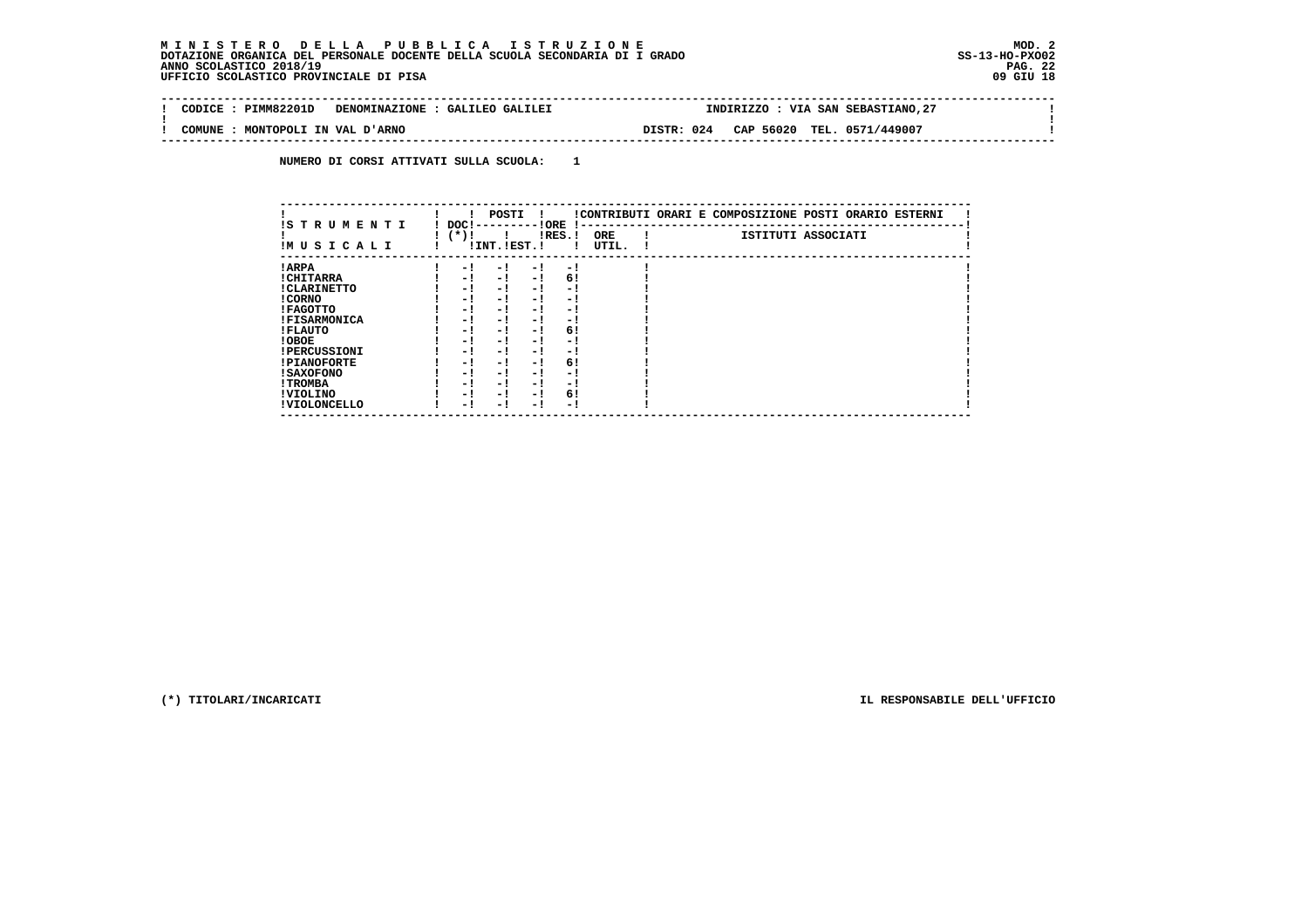# **M I N I S T E R O D E L L A P U B B L I C A I S T R U Z I O N E MOD. 2**DOTAZIONE ORGANICA DEL PERSONALE DOCENTE DELLA SCUOLA SECONDARIA DI I GRADO **SCOLA SS-13-HO-PXOO2**<br>PAGO SCOLASTICO 2018/19<br>UFFICIO SCOLASTICO PROVINCIALE DI PISA

 $\mathbf{I}$ 

 $\blacksquare$ 

 $\mathbf{I}$ 

|  |        | CODICE: PIMM82201D | DENOMINAZIONE : GALILEO GALILEI |  |            |  |  | INDIRIZZO : VIA SAN SEBASTIANO, 27 |  |
|--|--------|--------------------|---------------------------------|--|------------|--|--|------------------------------------|--|
|  | COMUNE |                    | : MONTOPOLI IN VAL D'ARNO       |  | DISTR: 024 |  |  | CAP 56020 TEL. 0571/449007         |  |
|  |        |                    |                                 |  |            |  |  |                                    |  |

 **NUMERO DI CORSI ATTIVATI SULLA SCUOLA: 1**

| IS T R U M E N T I  | DOC!   | POSTI         | ! ORE |           | !            |  | !CONTRIBUTI ORARI E COMPOSIZIONE POSTI ORARIO ESTERNI |
|---------------------|--------|---------------|-------|-----------|--------------|--|-------------------------------------------------------|
| IM U S I C A L I    | $(*)!$ | !INT. !EST. ! |       | $lRES.$ ! | ORE<br>UTIL. |  | ISTITUTI ASSOCIATI                                    |
| ! ARPA              | $-1$   | - 1           | $-1$  | $-1$      |              |  |                                                       |
| ! CHITARRA          | - !    | - !           | $-1$  | 6!        |              |  |                                                       |
| ! CLARINETTO        | - 1    | - !           | $-1$  | - 1       |              |  |                                                       |
| ! CORNO             | - !    | - !           | - 1   | - 1       |              |  |                                                       |
| ! FAGOTTO           | - 1    | - 1           | - 1   | - 1       |              |  |                                                       |
| <b>!FISARMONICA</b> | - 1    | - !           | - 1   | - 1       |              |  |                                                       |
| ! FLAUTO            | - 1    | - 1           | - !   | 6!        |              |  |                                                       |
| ! OBOE              | - 1    | - !           | - 1   | - 1       |              |  |                                                       |
| <b>!PERCUSSIONI</b> | - 1    | - !           | - 1   | - 1       |              |  |                                                       |
| <b>!PIANOFORTE</b>  | - !    | - !           | - 1   | 6!        |              |  |                                                       |
| ! SAXOFONO          | - 1    | - !           | - 1   | - 1       |              |  |                                                       |
| ! TROMBA            | - 1    | - 1           | - 1   | - 1       |              |  |                                                       |
| ! VIOLINO           | - 1    | - !           | $-1$  | 6!        |              |  |                                                       |
| ! VIOLONCELLO       | - 1    | - 1           | - 1   | - 1       |              |  |                                                       |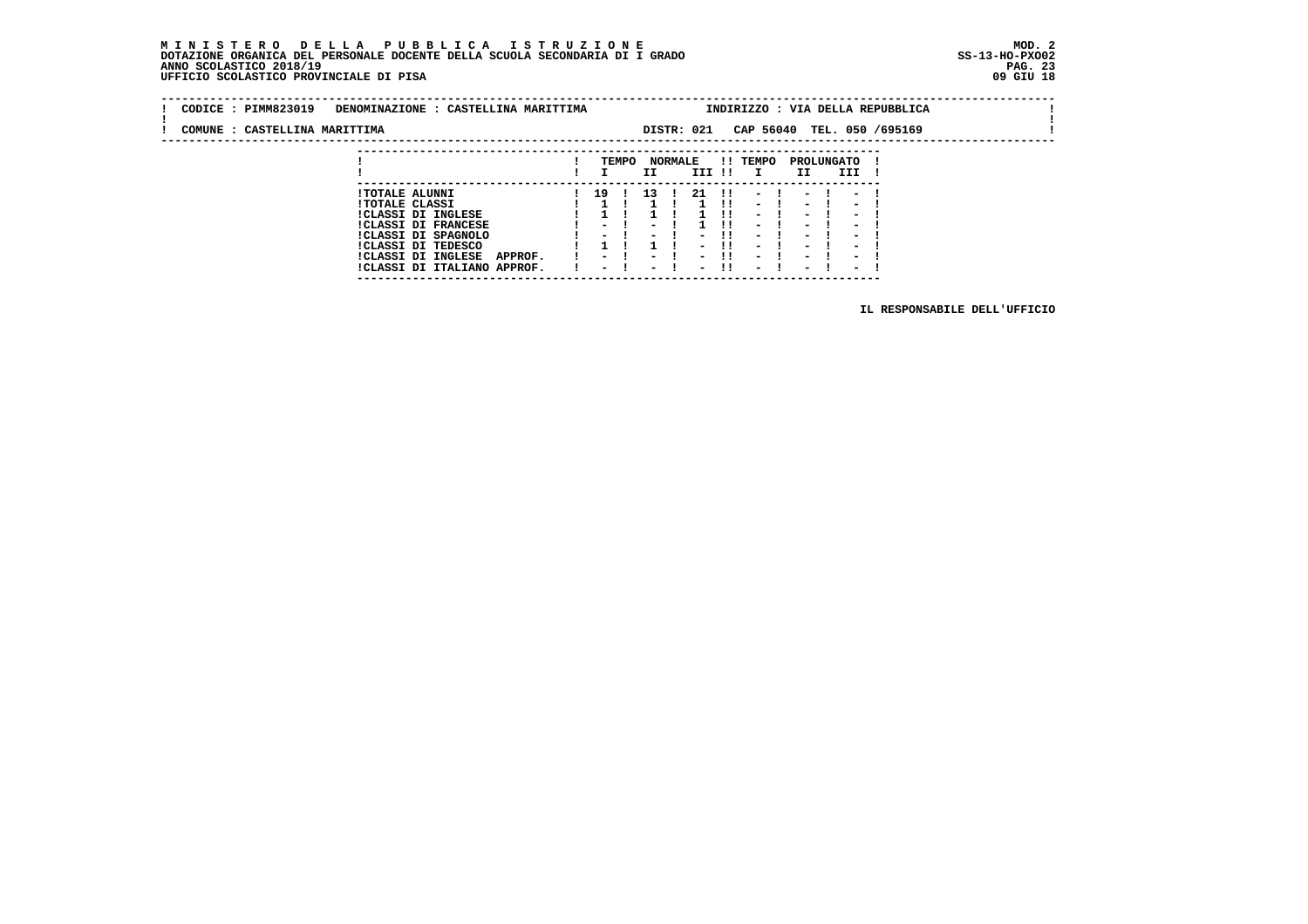#### **M I N I S T E R O D E L L A P U B B L I C A I S T R U Z I O N E MOD. 2DOTAZIONE ORGANICA DEL PERSONALE DOCENTE DELLA SCUOLA SECONDARIA DI I GRADO ANNO SCOLASTICO 2018/19** UFFICIO SCOLASTICO PROVINCIALE DI PISA

 **---------------------------------------------------------------------------**

| CODICE: PIMM823019            | DENOMINAZIONE : CASTELLINA MARITTIMA           |       |                      |                     |                                                                                                                                                 |                  |        | INDIRIZZO : VIA DELLA REPUBBLICA |  |
|-------------------------------|------------------------------------------------|-------|----------------------|---------------------|-------------------------------------------------------------------------------------------------------------------------------------------------|------------------|--------|----------------------------------|--|
| COMUNE : CASTELLINA MARITTIMA |                                                |       |                      | DISTR: 021          |                                                                                                                                                 |                  |        | CAP 56040 TEL. 050 /695169       |  |
|                               |                                                |       |                      |                     |                                                                                                                                                 |                  |        |                                  |  |
|                               |                                                | TEMPO | <b>NORMALE</b><br>ΙI | III !!              | !! TEMPO<br>$\mathbf{I}$                                                                                                                        | PROLUNGATO<br>II | III    |                                  |  |
|                               | <b>!TOTALE ALUNNI</b><br><b>!TOTALE CLASSI</b> | 19!   | 13                   | -21<br>$1 \quad 11$ | $\frac{1}{2}$ . $\frac{1}{2}$ . $\frac{1}{2}$ . $\frac{1}{2}$ . $\frac{1}{2}$ . $\frac{1}{2}$ . $\frac{1}{2}$ . $\frac{1}{2}$<br>$-1$ $-1$ $-1$ |                  |        |                                  |  |
|                               | <b>!CLASSI DI INGLESE</b>                      |       |                      |                     | $\sim$ $\sim$ $\sim$ $\sim$                                                                                                                     | $-1$             | $\sim$ |                                  |  |

 **!CLASSI DI INGLESE ! 1 ! 1 ! 1 !! - ! - ! - ! !CLASSI DI FRANCESE ! - ! - ! 1 !! - ! - ! - ! !CLASSI DI SPAGNOLO ! - ! - ! - !! - ! - ! - ! !CLASSI DI TEDESCO ! 1 ! 1 ! - !! - ! - ! - ! !CLASSI DI INGLESE APPROF. ! - ! - ! - !! - ! - ! - ! !CLASSI DI ITALIANO APPROF. ! - ! - ! - !! - ! - ! - !**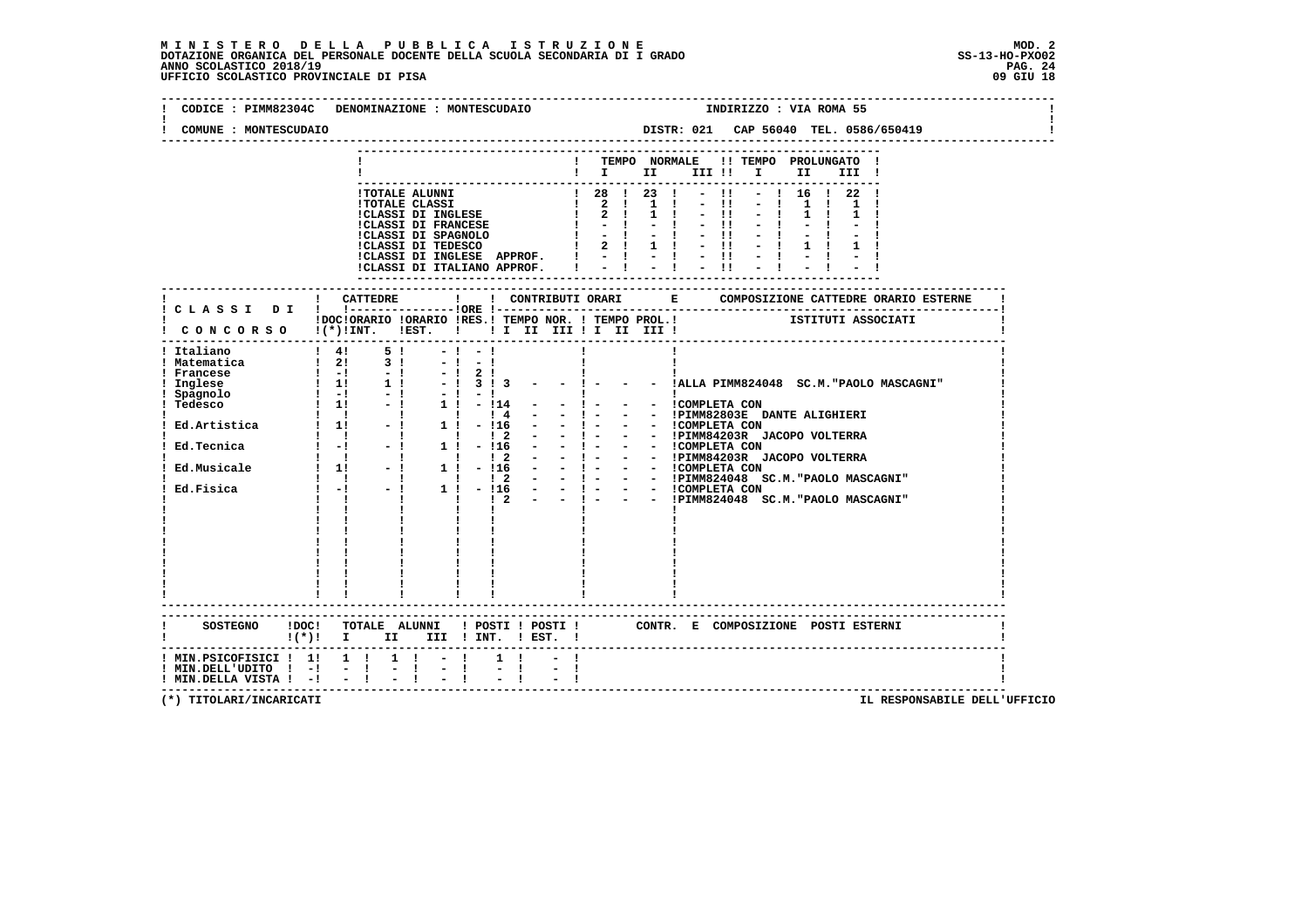## **M I N I S T E R O D E L L A P U B B L I C A I S T R U Z I O N E MOD. 2**DOTAZIONE ORGANICA DEL PERSONALE DOCENTE DELLA SCUOLA SECONDARIA DI I GRADO **SCOLA SS-13-HO-PXOO2**<br>PAG ANNO SCOLASTICO 2018/19<br>19 GIU 18 PERSONASTICO PROVINCIALE DI PISA

|                                                                                    | CODICE : PIMM82304C DENOMINAZIONE : MONTESCUDAIO                                                                                                                                                                |                     | INDIRIZZO : VIA ROMA 55                                                                                                                                                                                                |
|------------------------------------------------------------------------------------|-----------------------------------------------------------------------------------------------------------------------------------------------------------------------------------------------------------------|---------------------|------------------------------------------------------------------------------------------------------------------------------------------------------------------------------------------------------------------------|
| COMUNE : MONTESCUDAIO                                                              |                                                                                                                                                                                                                 |                     |                                                                                                                                                                                                                        |
|                                                                                    |                                                                                                                                                                                                                 |                     | ! TEMPO NORMALE !! TEMPO PROLUNGATO !<br>$\blacksquare$ $\blacksquare$ $\blacksquare$ $\blacksquare$ $\blacksquare$ $\blacksquare$ $\blacksquare$ $\blacksquare$ $\blacksquare$ $\blacksquare$ $\blacksquare$<br>III ! |
|                                                                                    |                                                                                                                                                                                                                 |                     |                                                                                                                                                                                                                        |
|                                                                                    | ! CATTEDRE<br>! CLASSI DI ! !----------------!ORE !--                                                                                                                                                           | $\mathbf{I}$        |                                                                                                                                                                                                                        |
|                                                                                    |                                                                                                                                                                                                                 |                     | IDOCIORARIO IORARIO IRES.I TEMPO NOR. I TEMPO PROL.I ISTITUTI ASSOCIATI<br>I CONCORSO I(*)INT. IEST. I II II III II III III I                                                                                          |
| ! Italiano                                                                         | $1 \t4! \t5! \t-1 \t-1$<br>1 Italiano<br>1 Matematica 1 21 3 1 - 1 - 1<br>1 Francese 1 - 1 - 1 - 1 2 1<br>1 Inglese 1 11 1 1 - 1 3 1 3<br>1 Spagnolo 1 - 1 - 1 - 1 - 1 1 - 114<br>1 Tedesco 1 1 - 1 - 1 1 - 114 |                     | - - !ALLA PIMM824048 SC.M. "PAOLO MASCAGNI"<br>$-1 -$                                                                                                                                                                  |
|                                                                                    | $\mathbf{I}(\star)\mathbf{I}$ II III INT. IEST. I                                                                                                                                                               |                     | SOSTEGNO ! DOC! TOTALE ALUNNI ! POSTI ! POSTI ! CONTR. E COMPOSIZIONE POSTI ESTERNI                                                                                                                                    |
| ! MIN.PSICOFISICI ! 1! 1 !<br>! MIN.DELL'UDITO ! -!<br>! MIN. DELLA VISTA ! -! - ! | $1 \quad 1$<br>$-1$                                                                                                                                                                                             | $-1$<br>$1 \quad 1$ |                                                                                                                                                                                                                        |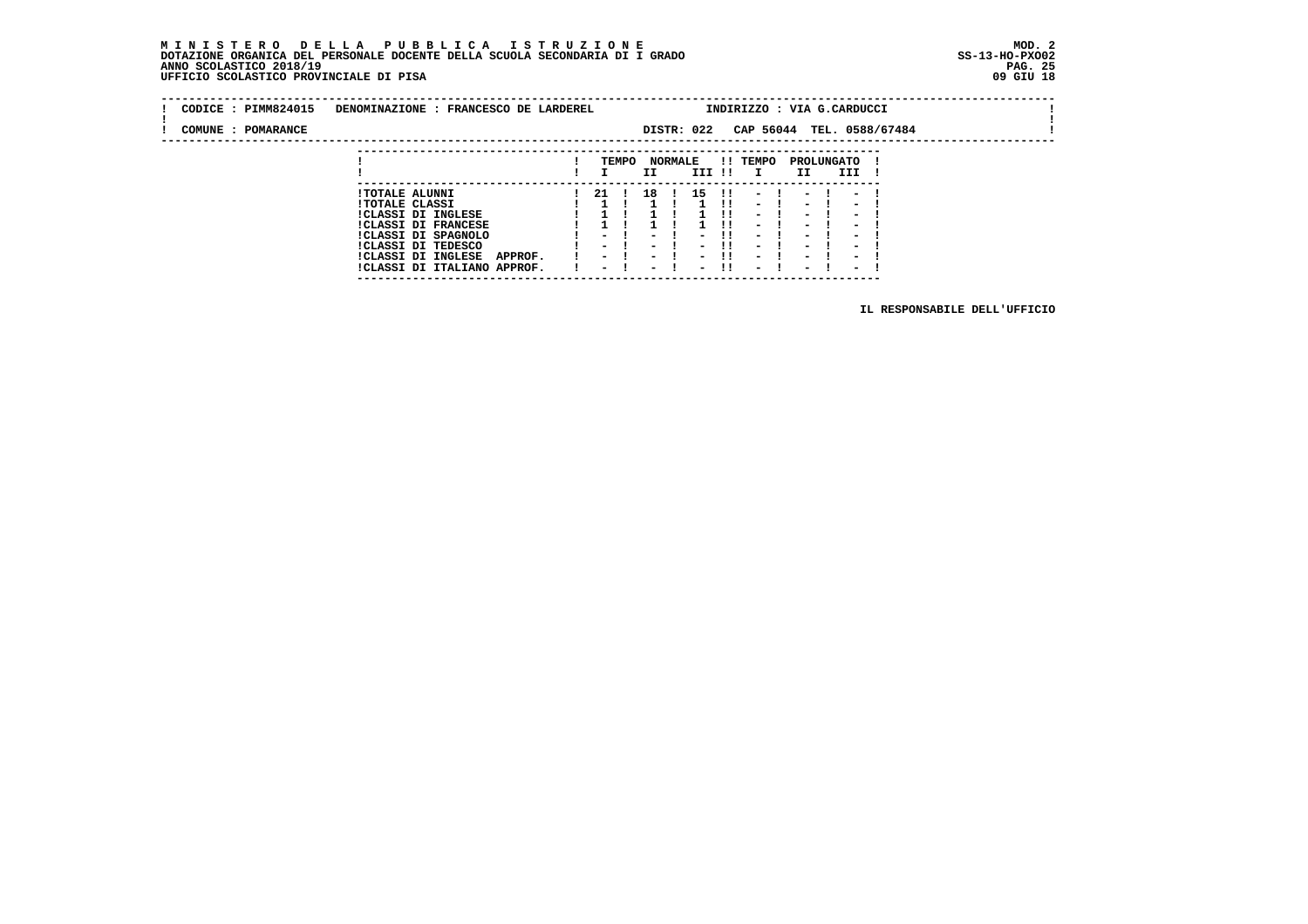#### **M I N I S T E R O D E L L A P U B B L I C A I S T R U Z I O N E MOD. 2 DOTAZIONE ORGANICA DEL PERSONALE DOCENTE DELLA SCUOLA SECONDARIA DI I GRADO ANNO SCOLASTICO 2018/19 UFFICIO SCOLASTICO PROVINCIALE DI PISA 09 GIU 18**

 **---------------------------------------------------------------------------**

|  | CODICE : PIMM824015 | DENOMINAZIONE : FRANCESCO DE LARDEREL |                          |       |                          |                |                          |     |                          |                          | INDIRIZZO : VIA G.CARDUCCI |  |  |  |
|--|---------------------|---------------------------------------|--------------------------|-------|--------------------------|----------------|--------------------------|-----|--------------------------|--------------------------|----------------------------|--|--|--|
|  | COMUNE : POMARANCE  |                                       |                          |       |                          |                | DISTR: 022               |     |                          |                          | CAP 56044 TEL. 0588/67484  |  |  |  |
|  |                     |                                       |                          | TEMPO |                          | <b>NORMALE</b> |                          |     | !! TEMPO                 |                          | PROLUNGATO                 |  |  |  |
|  |                     |                                       |                          |       | II.                      |                | III !!                   |     | $\mathbf{I}$             | II                       | III                        |  |  |  |
|  |                     | <b>!TOTALE ALUNNI</b>                 | 21                       |       | 18                       |                | 15                       | -11 |                          |                          |                            |  |  |  |
|  |                     | <b>!TOTALE CLASSI</b>                 |                          |       |                          |                |                          |     | $\overline{\phantom{0}}$ | $\overline{\phantom{0}}$ | $\overline{\phantom{0}}$   |  |  |  |
|  |                     | ICLASSI DI INGLESE                    |                          |       |                          |                |                          |     | $\overline{\phantom{0}}$ | $\overline{\phantom{0}}$ | $\overline{\phantom{0}}$   |  |  |  |
|  |                     | <b>!CLASSI DI FRANCESE</b>            |                          |       |                          |                |                          |     | $\overline{\phantom{0}}$ | $\overline{\phantom{0}}$ | $\overline{\phantom{0}}$   |  |  |  |
|  |                     | !CLASSI DI SPAGNOLO                   | $\overline{\phantom{0}}$ |       | $\,$                     |                | $\overline{\phantom{0}}$ |     | $\overline{\phantom{0}}$ | -                        | -                          |  |  |  |
|  |                     | ICLASSI DI TEDESCO                    | $\sim$                   |       | $\overline{\phantom{0}}$ |                | $\overline{\phantom{0}}$ |     | $\overline{\phantom{0}}$ | $\overline{\phantom{0}}$ | $\overline{\phantom{0}}$   |  |  |  |
|  |                     | !CLASSI DI INGLESE<br>APPROF.         |                          |       |                          |                |                          | . . | $\overline{\phantom{0}}$ | $\overline{\phantom{0}}$ | $\overline{\phantom{0}}$   |  |  |  |
|  |                     | !CLASSI DI ITALIANO APPROF.           | $\overline{\phantom{0}}$ |       | $\overline{\phantom{0}}$ |                | $\overline{\phantom{0}}$ | -11 | $\overline{\phantom{0}}$ | $\overline{\phantom{0}}$ | $\overline{\phantom{0}}$   |  |  |  |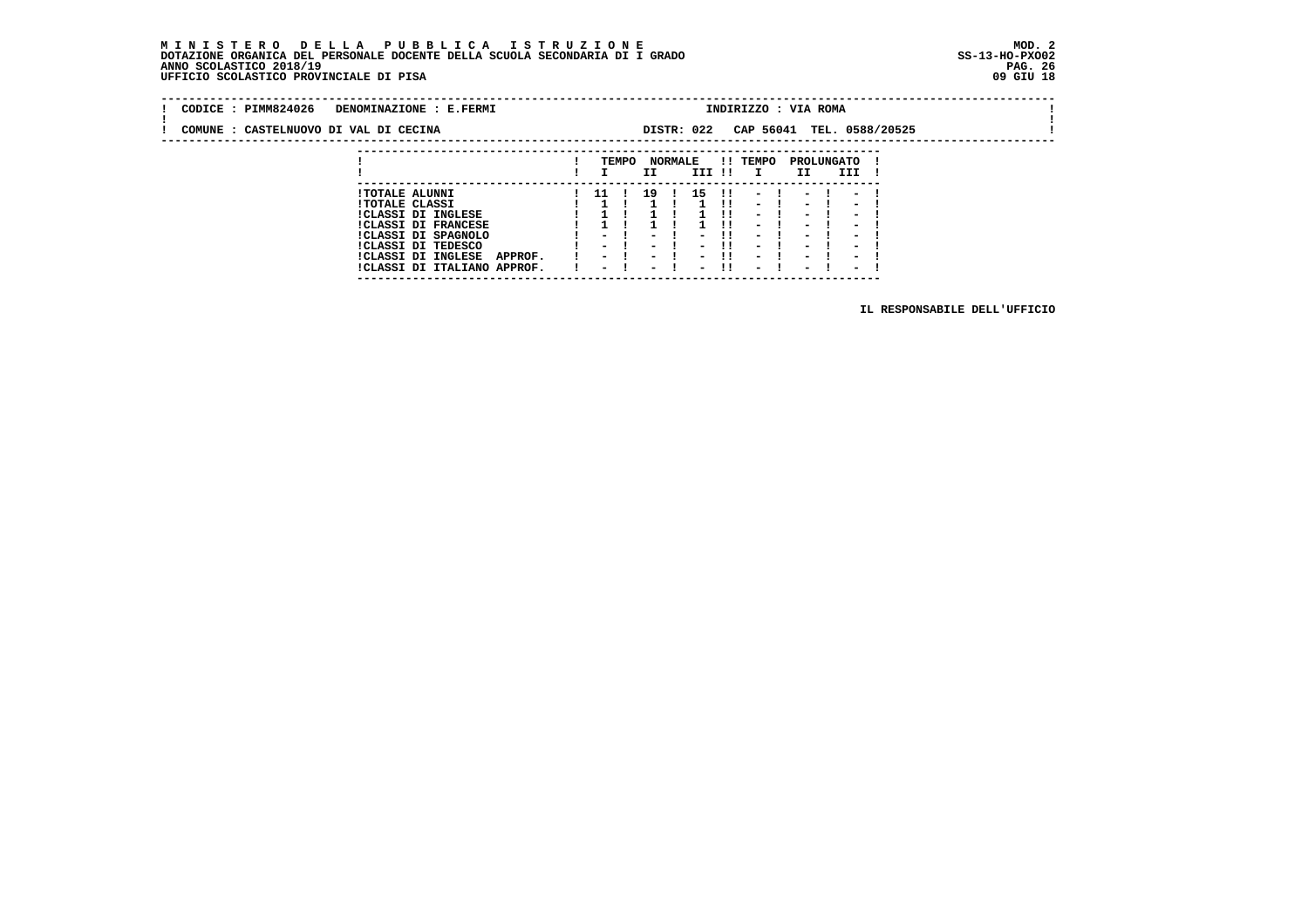#### **M I N I S T E R O D E L L A P U B B L I C A I S T R U Z I O N E MOD. 2DOTAZIONE ORGANICA DEL PERSONALE DOCENTE DELLA SCUOLA SECONDARIA DI I GRADO ANNO SCOLASTICO 2018/19** UFFICIO SCOLASTICO PROVINCIALE DI PISA

| CODICE: PIMM824026<br>DENOMINAZIONE : E.FERMI                               | INDIRIZZO : VIA ROMA                                                                                                         |  |
|-----------------------------------------------------------------------------|------------------------------------------------------------------------------------------------------------------------------|--|
| COMUNE : CASTELNUOVO DI VAL DI CECINA                                       | CAP 56041 TEL. 0588/20525<br>DISTR: 022                                                                                      |  |
|                                                                             | <b>NORMALE</b><br>PROLUNGATO<br>!! TEMPO<br>TEMPO<br>III !!<br>III<br>ΙI<br>$\mathbf{I}$<br>II                               |  |
| <b>!TOTALE ALUNNI</b><br><b>!TOTALE CLASSI</b><br><b>!CLASSI DI INGLESE</b> | 15<br>19<br>11<br>$-1$<br>$\mathbf{H}$<br>$-1$ $-$<br>$-1$<br>$-1$<br>$\sim$<br>$\sim$<br>$\sim$<br>$\overline{\phantom{0}}$ |  |

 **---------------------------------------------------------------------------**

 **!CLASSI DI INGLESE ! 1 ! 1 ! 1 !! - ! - ! - ! !CLASSI DI FRANCESE ! 1 ! 1 ! 1 !! - ! - ! - ! !CLASSI DI SPAGNOLO ! - ! - ! - !! - ! - ! - ! !CLASSI DI TEDESCO ! - ! - ! - !! - ! - ! - ! !CLASSI DI INGLESE APPROF. ! - ! - ! - !! - ! - ! - ! !CLASSI DI ITALIANO APPROF. ! - ! - ! - !! - ! - ! - !**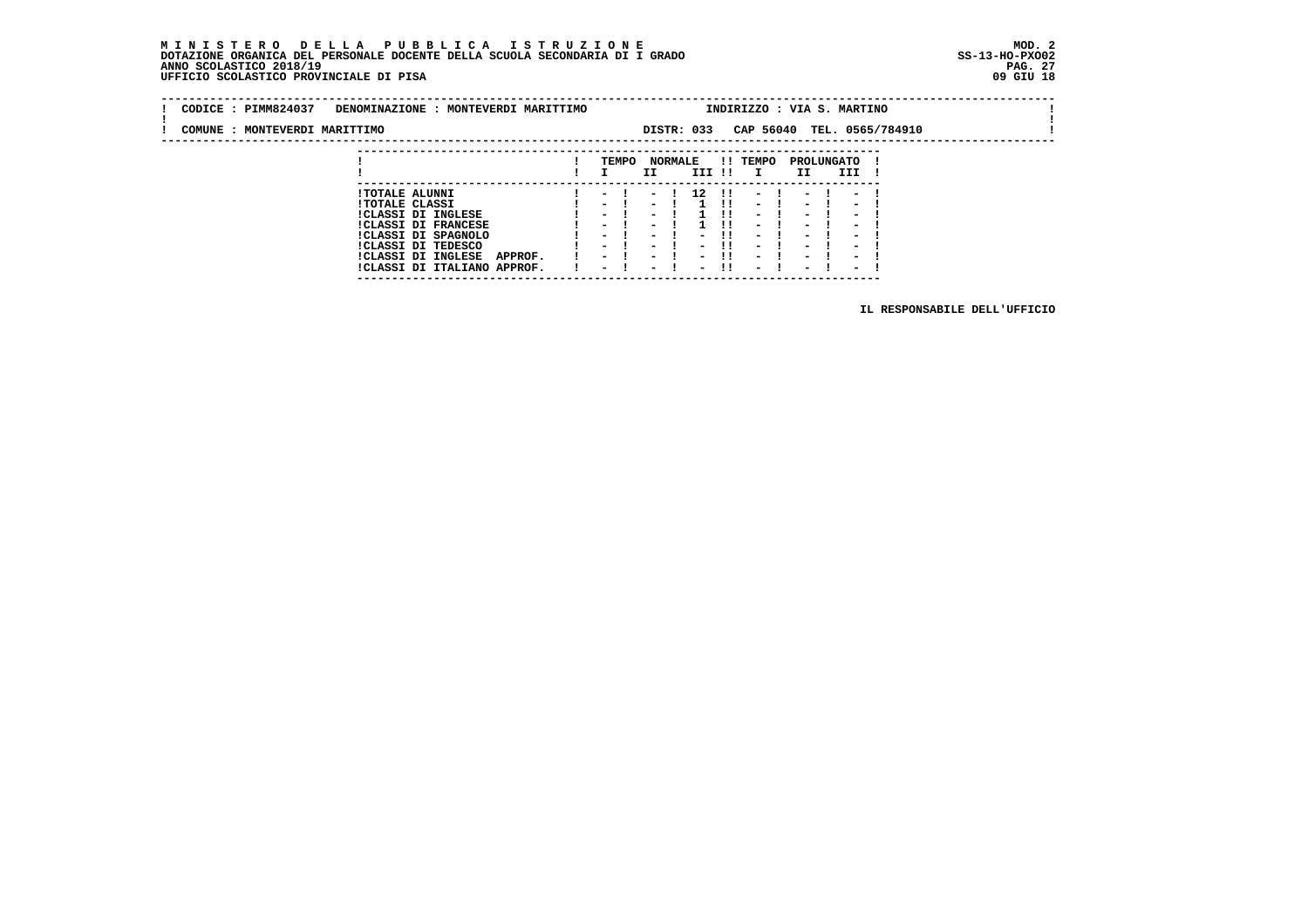#### **M I N I S T E R O D E L L A P U B B L I C A I S T R U Z I O N E MOD. 2DOTAZIONE ORGANICA DEL PERSONALE DOCENTE DELLA SCUOLA SECONDARIA DI I GRADO ANNO SCOLASTICO 2018/19** UFFICIO SCOLASTICO PROVINCIALE DI PISA

 **---------------------------------------------------------------------------**

 $\mathbf{I}$ 

 $\mathbf{I}$ 

÷i

|  | CODICE: PIMM824037            |                       | DENOMINAZIONE : MONTEVERDI MARITTIMO |               |       |      |      |            |                       | INDIRIZZO : VIA S. MARTINO |      |                          |      |        |  |  |  |
|--|-------------------------------|-----------------------|--------------------------------------|---------------|-------|------|------|------------|-----------------------|----------------------------|------|--------------------------|------|--------|--|--|--|
|  | COMUNE : MONTEVERDI MARITTIMO |                       |                                      |               |       |      |      | DISTR: 033 |                       | CAP 56040 TEL. 0565/784910 |      |                          |      |        |  |  |  |
|  |                               |                       |                                      |               |       |      |      |            |                       |                            |      |                          |      |        |  |  |  |
|  |                               |                       |                                      |               | TEMPO |      |      |            |                       | NORMALE !! TEMPO           |      | PROLUNGATO               |      |        |  |  |  |
|  |                               |                       |                                      |               |       | II   |      |            | III !!                |                            |      | II D                     |      | III    |  |  |  |
|  |                               | <b>!TOTALE ALUNNI</b> |                                      |               | $-1$  |      |      | $-1$ 12 11 |                       |                            | $-1$ |                          | $-1$ | $\sim$ |  |  |  |
|  |                               | <b>!TOTALE CLASSI</b> |                                      | $-1$          |       |      | $-1$ |            | 1 11                  |                            |      | $-1$ $-1$ $-$            |      |        |  |  |  |
|  |                               |                       | ICLASST DT INCLESE                   | $\sim$ $\sim$ |       | $ -$ |      |            | $1 \cdot \cdot \cdot$ | $\sim$                     |      | $\overline{\phantom{0}}$ |      | $\sim$ |  |  |  |

| CLASSI DI INGLESE | - | - | 1 || - | - | - |<br>| CLASSI DI FRANCESE | - | - | - | 1 || - | - | - |<br>| CLASSI DI SPAGNOLO | - | - | - || - | - | - |<br>| CLASSI DI TEDESCO | - | - | - || - | - | - |<br>| CLASSI DI INGLESE APPROF.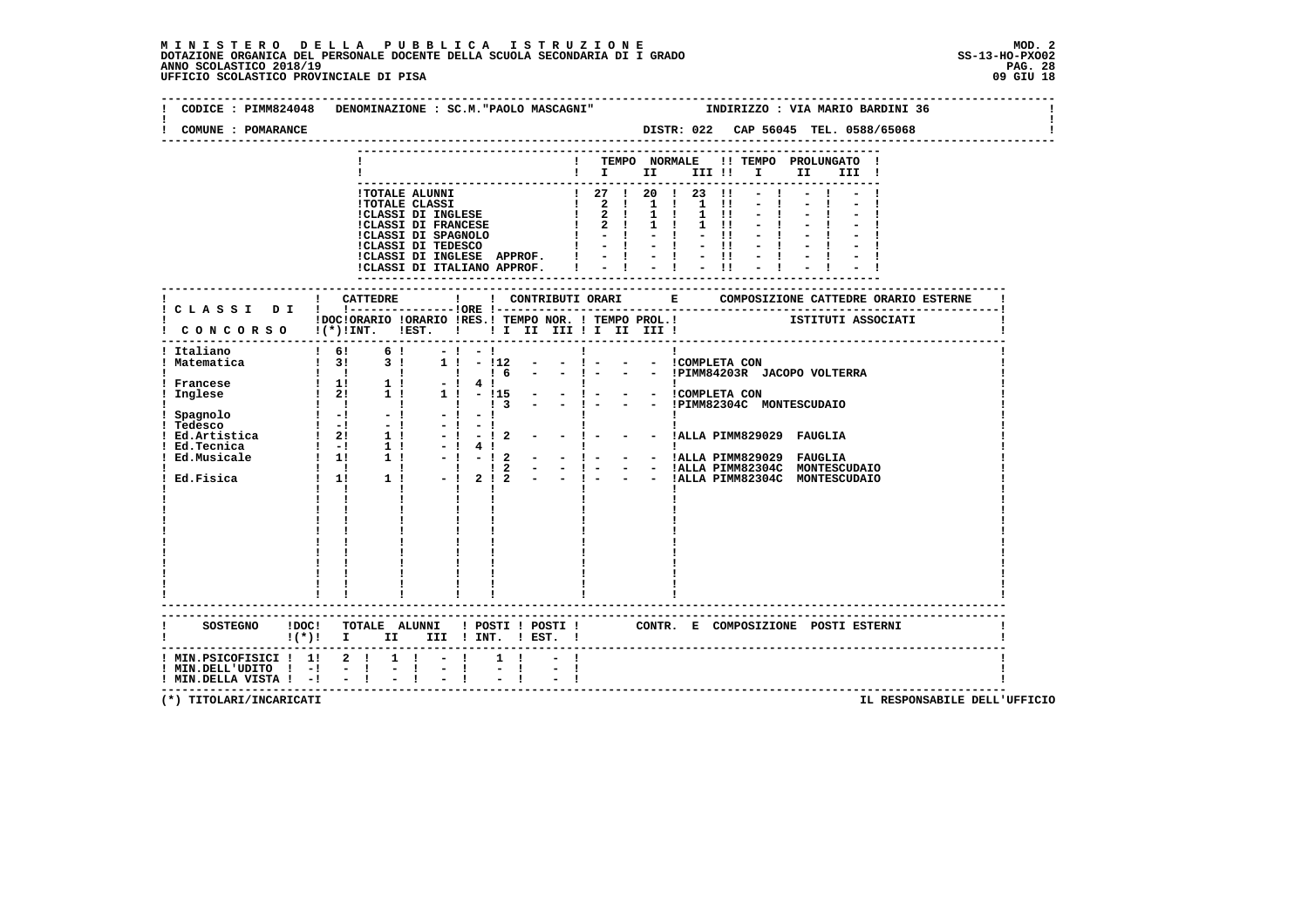# **M I N I S T E R O D E L L A P U B B L I C A I S T R U Z I O N E MOD. 2**DOTAZIONE ORGANICA DEL PERSONALE DOCENTE DELLA SCUOLA SECONDARIA DI I GRADO **SCOLA SS-13-HO-PXOO2**<br>PAG ANNO SCOLASTICO 2018/19<br>19 GIU 18 PERSONASTICO PROVINCIALE DI PISA

| COMUNE : POMARANCE                                                                                                                                                                                                                                                                                                                        | DISTR: 022 CAP 56045 TEL. 0588/65068                                                                                                                                                                                                                                                                                                                                                                                                                                                                                                                                                                                                                                                                                                                                                                                                                    |
|-------------------------------------------------------------------------------------------------------------------------------------------------------------------------------------------------------------------------------------------------------------------------------------------------------------------------------------------|---------------------------------------------------------------------------------------------------------------------------------------------------------------------------------------------------------------------------------------------------------------------------------------------------------------------------------------------------------------------------------------------------------------------------------------------------------------------------------------------------------------------------------------------------------------------------------------------------------------------------------------------------------------------------------------------------------------------------------------------------------------------------------------------------------------------------------------------------------|
|                                                                                                                                                                                                                                                                                                                                           | ! TEMPO NORMALE !! TEMPO PROLUNGATO !<br>$\blacksquare$                                                                                                                                                                                                                                                                                                                                                                                                                                                                                                                                                                                                                                                                                                                                                                                                 |
|                                                                                                                                                                                                                                                                                                                                           | ICLASSI DI INGLESE APPROF.<br>!CLASSI DI ITALIANO APPROF. !                                                                                                                                                                                                                                                                                                                                                                                                                                                                                                                                                                                                                                                                                                                                                                                             |
|                                                                                                                                                                                                                                                                                                                                           | ------------------                                                                                                                                                                                                                                                                                                                                                                                                                                                                                                                                                                                                                                                                                                                                                                                                                                      |
|                                                                                                                                                                                                                                                                                                                                           | DOCIORARIO IORARIO IRES.I TEMPO NOR. I TEMPO PROL.I SITITUTI ASSOCIATI<br>! CONCORSO !(*)!INT. !EST. ! ! I II III II III III !                                                                                                                                                                                                                                                                                                                                                                                                                                                                                                                                                                                                                                                                                                                          |
| ! Inglese $\begin{array}{cccc} 1 & 1 & 1 & 1 & 1 \\ 1 & 1 & 1 & 1 & 1 \\ 1 & 1 & 1 & 1 & 1 \\ 1 & 1 & 1 & 1 & 1 \\ 1 & 1 & 1 & 1 & 1 \\ 1 & 1 & 1 & 1 & 1 \\ 1 & 1 & 1 & 1 & 1 \\ 1 & 1 & 1 & 1 & 1 \\ 1 & 1 & 1 & 1 & 1 \\ 1 & 1 & 1 & 1 & 1 \\ 1 & 1 & 1 & 1 & 1 \\ 1 & 1 & 1 & 1 & 1 \\ 1 & 1 & 1 & 1 & 1 \\ 1 & 1 & 1 &$<br>Ed.Fisica | $\mathbf{I}$<br>$\mathbf{I}$<br>$  1 -$<br>- - ICOMPLETA CON<br>$16 - -1$<br>- - !PIMM84203R JACOPO VOLTERRA<br>$ \frac{!}{!}$ $ \frac{!}{!}$ $\frac{!}{!}$ $\text{COMPLETA CON}$<br>$\sim$ $\sim$ $\sim$ $\sim$ $\sim$<br>- - !PIMM82304C MONTESCUDAIO<br>$\frac{1}{3}$<br>$\blacksquare$<br>$\alpha = \frac{1}{4}$ .<br>$-1$<br>$-1$<br><b>Tarattaneous</b><br>$-1$<br>$-1$<br>$-1$ $-$<br>- - !ALLA PIMM829029 FAUGLIA<br>$-12$<br>- 1<br>$\begin{array}{ccccccc}\n & 1 & & & & & \\  & 1 & - & & - & & 1 \end{array}$ ALLA PIMM829029 FAUGLIA<br>$-1$<br>4!<br>$-12$<br>$-1$<br>- - !ALLA PIMM82304C MONTESCUDAIO<br>$  1 -$<br>$\begin{array}{cccccccccc} & 1 & & 1 & & & 1 & & & 1 \\ & & 1 & & 1 & & & 1 & & & -1 \\ \end{array}$<br>$\frac{1}{2}$<br>$-1$ 2 $\overline{2}$ $ -1$ $-$<br>- - !ALLA PIMM82304C MONTESCUDAIO<br>$\mathbf{I}$<br>Ι. |
|                                                                                                                                                                                                                                                                                                                                           | SOSTEGNO !DOC! TOTALE ALUNNI ! POSTI ! POSTI ! CONTR. E COMPOSIZIONE POSTI ESTERNI<br>$!(*)!$ I II III ! INT. ! EST. !                                                                                                                                                                                                                                                                                                                                                                                                                                                                                                                                                                                                                                                                                                                                  |
| ! MIN.PSICOFISICI ! 1! 2 !<br>$!$ MIN.DELL'UDITO $!$ -! - !<br>$!$ MIN.DELLA VISTA $!$ - $!$ - $!$                                                                                                                                                                                                                                        | $1 \quad 1 \quad - \quad 1$<br>$1 \quad 1$<br>$\pm$ - $\pm$ 1 $\pm$                                                                                                                                                                                                                                                                                                                                                                                                                                                                                                                                                                                                                                                                                                                                                                                     |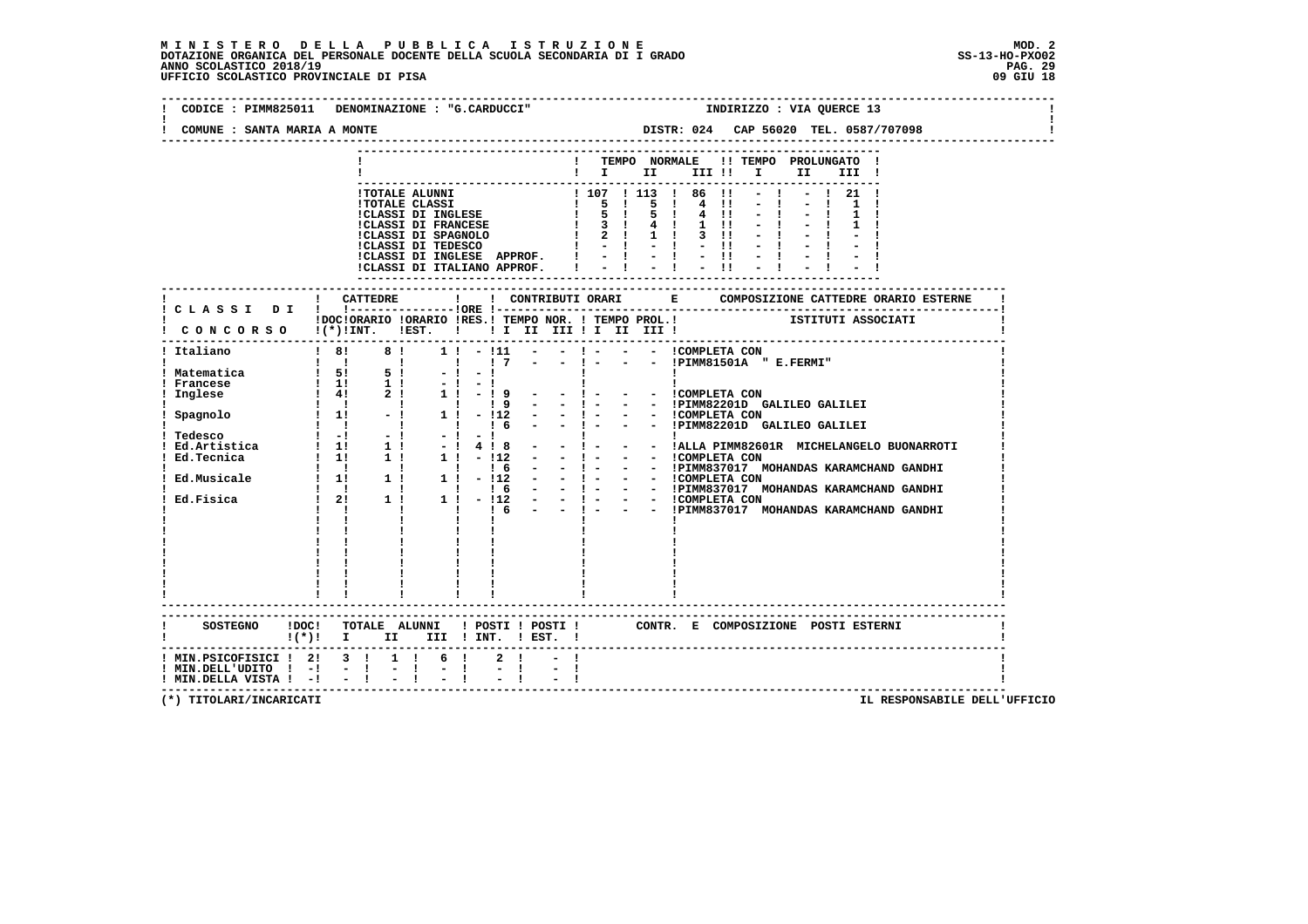# **M I N I S T E R O D E L L A P U B B L I C A I S T R U Z I O N E MOD. 2**DOTAZIONE ORGANICA DEL PERSONALE DOCENTE DELLA SCUOLA SECONDARIA DI I GRADO **SCOLA SS-13-HO-PXOO2**<br>PAG ANNO SCOLASTICO 2018/19<br>19 GIU 18 PERSONASTICO PROVINCIALE DI PISA

|                                                                                                                | CODICE : PIMM825011 DENOMINAZIONE : "G.CARDUCCI"<br>COMUNE : SANTA MARIA A MONTE |                                                                                                                                   |                                                                                      |             |                          |  |              | INDIRIZZO : VIA QUERCE 13 |  |                                                                                                                                                                      |  |  |  |           |       |                                                                                                                                                                    |  |
|----------------------------------------------------------------------------------------------------------------|----------------------------------------------------------------------------------|-----------------------------------------------------------------------------------------------------------------------------------|--------------------------------------------------------------------------------------|-------------|--------------------------|--|--------------|---------------------------|--|----------------------------------------------------------------------------------------------------------------------------------------------------------------------|--|--|--|-----------|-------|--------------------------------------------------------------------------------------------------------------------------------------------------------------------|--|
|                                                                                                                |                                                                                  |                                                                                                                                   |                                                                                      |             |                          |  |              |                           |  |                                                                                                                                                                      |  |  |  |           |       |                                                                                                                                                                    |  |
|                                                                                                                |                                                                                  |                                                                                                                                   |                                                                                      |             |                          |  |              |                           |  | ! TEMPO NORMALE !! TEMPO PROLUNGATO !                                                                                                                                |  |  |  |           |       |                                                                                                                                                                    |  |
|                                                                                                                |                                                                                  |                                                                                                                                   |                                                                                      |             |                          |  |              |                           |  | $\blacksquare$ $\blacksquare$ $\blacksquare$ $\blacksquare$ $\blacksquare$ $\blacksquare$ $\blacksquare$ $\blacksquare$ $\blacksquare$ $\blacksquare$ $\blacksquare$ |  |  |  |           | III ! |                                                                                                                                                                    |  |
|                                                                                                                |                                                                                  |                                                                                                                                   |                                                                                      |             |                          |  |              |                           |  |                                                                                                                                                                      |  |  |  | $-1$ 21 1 |       |                                                                                                                                                                    |  |
|                                                                                                                |                                                                                  |                                                                                                                                   |                                                                                      |             |                          |  |              |                           |  |                                                                                                                                                                      |  |  |  |           |       |                                                                                                                                                                    |  |
|                                                                                                                |                                                                                  |                                                                                                                                   |                                                                                      |             |                          |  |              |                           |  |                                                                                                                                                                      |  |  |  |           |       |                                                                                                                                                                    |  |
|                                                                                                                |                                                                                  |                                                                                                                                   |                                                                                      |             |                          |  |              |                           |  |                                                                                                                                                                      |  |  |  |           |       |                                                                                                                                                                    |  |
|                                                                                                                |                                                                                  |                                                                                                                                   |                                                                                      |             |                          |  |              |                           |  |                                                                                                                                                                      |  |  |  |           |       |                                                                                                                                                                    |  |
|                                                                                                                |                                                                                  |                                                                                                                                   |                                                                                      |             |                          |  |              |                           |  |                                                                                                                                                                      |  |  |  |           |       |                                                                                                                                                                    |  |
|                                                                                                                |                                                                                  | ICLASSI DI INGLESE APPROF. $  \cdot   \cdot   \cdot   \cdot  $<br>ICLASSI DI ITALIANO APPROF. $  \cdot   \cdot   \cdot   \cdot  $ |                                                                                      |             |                          |  |              |                           |  |                                                                                                                                                                      |  |  |  |           |       |                                                                                                                                                                    |  |
|                                                                                                                |                                                                                  |                                                                                                                                   |                                                                                      |             |                          |  |              |                           |  |                                                                                                                                                                      |  |  |  |           |       |                                                                                                                                                                    |  |
|                                                                                                                |                                                                                  |                                                                                                                                   |                                                                                      |             |                          |  |              |                           |  |                                                                                                                                                                      |  |  |  |           |       |                                                                                                                                                                    |  |
|                                                                                                                |                                                                                  |                                                                                                                                   |                                                                                      |             |                          |  |              |                           |  |                                                                                                                                                                      |  |  |  |           |       |                                                                                                                                                                    |  |
|                                                                                                                |                                                                                  |                                                                                                                                   |                                                                                      |             |                          |  |              |                           |  |                                                                                                                                                                      |  |  |  |           |       |                                                                                                                                                                    |  |
| I DOCIORARIO IORARIO IRES.I TEMPO NOR. I TEMPO PROL.I ISTITUTI ASSOCIATI (*)IINT. IEST. I II II III II III III |                                                                                  |                                                                                                                                   |                                                                                      |             |                          |  |              |                           |  |                                                                                                                                                                      |  |  |  |           |       |                                                                                                                                                                    |  |
|                                                                                                                |                                                                                  |                                                                                                                                   |                                                                                      |             |                          |  |              |                           |  |                                                                                                                                                                      |  |  |  |           |       |                                                                                                                                                                    |  |
| ! Italiano                                                                                                     |                                                                                  | $18! 8! 1! - 111 -$                                                                                                               |                                                                                      |             |                          |  | $-1 - 1$     |                           |  | - - !PIMM81501A " E.FERMI"                                                                                                                                           |  |  |  |           |       |                                                                                                                                                                    |  |
| ! Matematica                                                                                                   |                                                                                  |                                                                                                                                   |                                                                                      |             |                          |  |              |                           |  |                                                                                                                                                                      |  |  |  |           |       |                                                                                                                                                                    |  |
|                                                                                                                |                                                                                  |                                                                                                                                   |                                                                                      |             |                          |  | $\mathbf{I}$ |                           |  |                                                                                                                                                                      |  |  |  |           |       |                                                                                                                                                                    |  |
|                                                                                                                |                                                                                  |                                                                                                                                   | $1! - 19 -$                                                                          |             |                          |  |              |                           |  |                                                                                                                                                                      |  |  |  |           |       |                                                                                                                                                                    |  |
|                                                                                                                |                                                                                  |                                                                                                                                   | - 195                                                                                |             |                          |  | $-1 - 1$     |                           |  | - - !PIMM82201D GALILEO GALILEI                                                                                                                                      |  |  |  |           |       |                                                                                                                                                                    |  |
|                                                                                                                |                                                                                  |                                                                                                                                   | 1 1 - 112 - - 1 - - - ICOMPLETA CON<br>1 1 6 - - 1 - - - IPIMM82201D GALILEO GALILEI |             |                          |  |              |                           |  |                                                                                                                                                                      |  |  |  |           |       |                                                                                                                                                                    |  |
|                                                                                                                | $\mathbf{I}$ $\mathbf{I}$                                                        | $\mathbf{I}$                                                                                                                      | $\frac{1}{1}$ $\frac{1}{6}$ $\frac{1}{1}$                                            |             |                          |  |              |                           |  |                                                                                                                                                                      |  |  |  |           |       |                                                                                                                                                                    |  |
|                                                                                                                |                                                                                  |                                                                                                                                   |                                                                                      |             |                          |  |              |                           |  |                                                                                                                                                                      |  |  |  |           |       |                                                                                                                                                                    |  |
|                                                                                                                |                                                                                  |                                                                                                                                   |                                                                                      |             |                          |  |              |                           |  |                                                                                                                                                                      |  |  |  |           |       |                                                                                                                                                                    |  |
|                                                                                                                |                                                                                  |                                                                                                                                   |                                                                                      |             |                          |  |              |                           |  |                                                                                                                                                                      |  |  |  |           |       | - -   - - - - -----------<br>- -   - - - !ALLA PIMM82601R MICHELANGELO BUONARROTI<br>- -   - - - !COMPLETA CON<br>- -   - - - !COMPLETA MOUANDAS KARAMCHAND GANDHI |  |
|                                                                                                                |                                                                                  |                                                                                                                                   |                                                                                      |             |                          |  |              |                           |  |                                                                                                                                                                      |  |  |  |           |       | - ! - - - IPIMM837017 MOHANDAS KARAMCHAND GANDHI<br>- ! - - - ICOMPLETA CON<br>- ! - - - IPIMM837017 MOHANDAS KARAMCHAND GANDHI                                    |  |
|                                                                                                                |                                                                                  |                                                                                                                                   |                                                                                      |             | <b>Contract Contract</b> |  |              |                           |  |                                                                                                                                                                      |  |  |  |           |       |                                                                                                                                                                    |  |
| Ed.Fisica                                                                                                      | $\frac{1}{1}$ $\frac{1}{21}$                                                     | $\begin{array}{cccc} & 1 & & 1 & 1 & 6 \\ 1 & 1 & & 1 & -112 \end{array}$                                                         | $1! - 112$                                                                           |             | <b>Contract Contract</b> |  | $-1 -$       |                           |  | - - ICOMPLETA CON                                                                                                                                                    |  |  |  |           |       |                                                                                                                                                                    |  |
|                                                                                                                | <b>Contract Contract Contract</b>                                                |                                                                                                                                   | $\frac{1}{1}$ 16                                                                     |             | <b>Contract Contract</b> |  | $-1$ $-$     |                           |  |                                                                                                                                                                      |  |  |  |           |       | - - !PIMM837017 MOHANDAS KARAMCHAND GANDHI                                                                                                                         |  |
|                                                                                                                |                                                                                  |                                                                                                                                   |                                                                                      |             |                          |  |              |                           |  |                                                                                                                                                                      |  |  |  |           |       |                                                                                                                                                                    |  |
|                                                                                                                |                                                                                  |                                                                                                                                   |                                                                                      |             |                          |  |              |                           |  |                                                                                                                                                                      |  |  |  |           |       |                                                                                                                                                                    |  |
|                                                                                                                |                                                                                  |                                                                                                                                   |                                                                                      |             |                          |  |              |                           |  |                                                                                                                                                                      |  |  |  |           |       |                                                                                                                                                                    |  |
|                                                                                                                |                                                                                  |                                                                                                                                   |                                                                                      |             |                          |  |              |                           |  |                                                                                                                                                                      |  |  |  |           |       |                                                                                                                                                                    |  |
|                                                                                                                |                                                                                  |                                                                                                                                   |                                                                                      |             |                          |  |              |                           |  |                                                                                                                                                                      |  |  |  |           |       |                                                                                                                                                                    |  |
|                                                                                                                |                                                                                  |                                                                                                                                   |                                                                                      |             |                          |  |              |                           |  |                                                                                                                                                                      |  |  |  |           |       |                                                                                                                                                                    |  |
|                                                                                                                | $\mathbf{I}$                                                                     |                                                                                                                                   |                                                                                      |             |                          |  |              |                           |  |                                                                                                                                                                      |  |  |  |           |       |                                                                                                                                                                    |  |
|                                                                                                                |                                                                                  |                                                                                                                                   |                                                                                      |             |                          |  |              |                           |  |                                                                                                                                                                      |  |  |  |           |       |                                                                                                                                                                    |  |
| SOSTEGNO ! DOC! TOTALE ALUNNI ! POSTI ! POSTI ! CONTR. E COMPOSIZIONE POSTI ESTERNI                            |                                                                                  |                                                                                                                                   |                                                                                      |             |                          |  |              |                           |  |                                                                                                                                                                      |  |  |  |           |       |                                                                                                                                                                    |  |
| $!(*)!$ I II III ! INT. ! EST. !                                                                               |                                                                                  |                                                                                                                                   |                                                                                      |             |                          |  |              |                           |  |                                                                                                                                                                      |  |  |  |           |       |                                                                                                                                                                    |  |
| ! MIN.PSICOFISICI ! 2! 3 !                                                                                     |                                                                                  |                                                                                                                                   | 1 ! 6 !                                                                              | $2 \quad 1$ |                          |  |              |                           |  |                                                                                                                                                                      |  |  |  |           |       |                                                                                                                                                                    |  |
| ! MIN.DELL'UDITO ! -!                                                                                          | $-1$                                                                             | $-1$                                                                                                                              |                                                                                      |             |                          |  |              |                           |  |                                                                                                                                                                      |  |  |  |           |       |                                                                                                                                                                    |  |
| ! MIN.DELLA VISTA ! -! - !                                                                                     |                                                                                  |                                                                                                                                   |                                                                                      |             |                          |  |              |                           |  |                                                                                                                                                                      |  |  |  |           |       |                                                                                                                                                                    |  |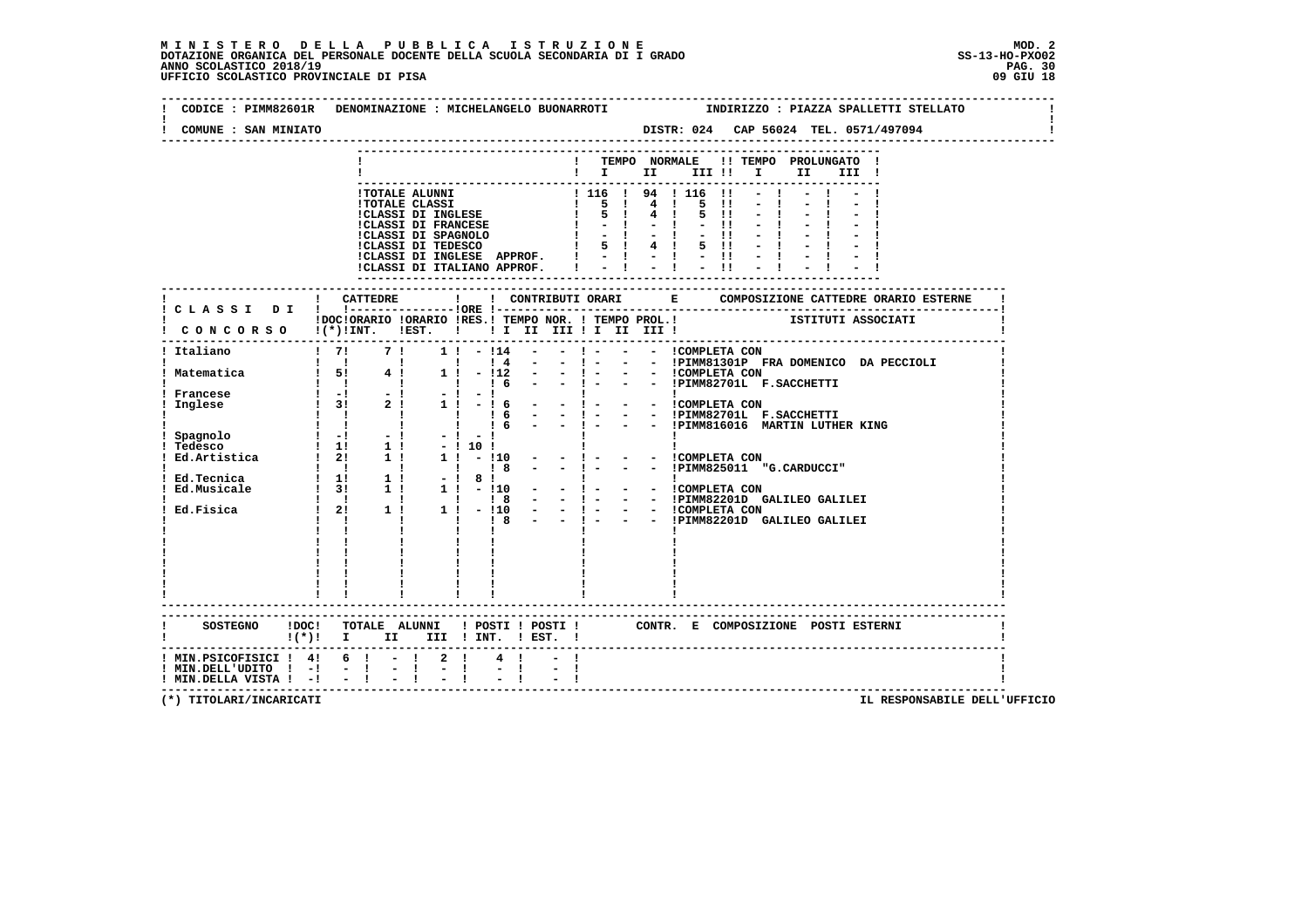## **M I N I S T E R O D E L L A P U B B L I C A I S T R U Z I O N E MOD. 2**DOTAZIONE ORGANICA DEL PERSONALE DOCENTE DELLA SCUOLA SECONDARIA DI I GRADO **SCOLA SS-13-HO-PXOO2**<br>PAG. 2018/19 PAG. 30<br>19 GIU 18 OFFICIO SCOLASTICO PROVINCIALE DI PISA

| CODICE : PIMM82601R                                                                                                                                                                    |                   |                | DENOMINAZIONE : MICHELANGELO BUONARROTI                                 |                                                           |                 |                                      |                                                             |                                         |                                                                                                                                                                                                                                                                                                                     |                |                                                                                   |          |  | INDIRIZZO : PIAZZA SPALLETTI STELLATO |  |
|----------------------------------------------------------------------------------------------------------------------------------------------------------------------------------------|-------------------|----------------|-------------------------------------------------------------------------|-----------------------------------------------------------|-----------------|--------------------------------------|-------------------------------------------------------------|-----------------------------------------|---------------------------------------------------------------------------------------------------------------------------------------------------------------------------------------------------------------------------------------------------------------------------------------------------------------------|----------------|-----------------------------------------------------------------------------------|----------|--|---------------------------------------|--|
| COMUNE : SAN MINIATO                                                                                                                                                                   |                   |                |                                                                         |                                                           |                 |                                      |                                                             |                                         |                                                                                                                                                                                                                                                                                                                     |                | DISTR: 024 CAP 56024 TEL. 0571/497094                                             |          |  |                                       |  |
|                                                                                                                                                                                        |                   |                |                                                                         |                                                           |                 |                                      |                                                             |                                         |                                                                                                                                                                                                                                                                                                                     |                | ! TEMPO NORMALE !! TEMPO PROLUNGATO !                                             |          |  |                                       |  |
|                                                                                                                                                                                        |                   |                |                                                                         |                                                           |                 |                                      |                                                             | $\mathbf{I}$ is the set of $\mathbf{I}$ |                                                                                                                                                                                                                                                                                                                     |                |                                                                                   | II III ! |  |                                       |  |
|                                                                                                                                                                                        |                   |                |                                                                         |                                                           |                 |                                      |                                                             |                                         |                                                                                                                                                                                                                                                                                                                     |                |                                                                                   |          |  |                                       |  |
|                                                                                                                                                                                        |                   |                | <b>!TOTALE ALUNNI</b><br><b>!TOTALE CLASSI</b>                          |                                                           |                 |                                      |                                                             |                                         | 1 116 1 94 1 116 11<br>4 ! 5                                                                                                                                                                                                                                                                                        | $\blacksquare$ |                                                                                   |          |  |                                       |  |
|                                                                                                                                                                                        |                   |                | :TOTALE CLASSI<br>!CLASSI DI INGLESE<br>!CLASSI DI FRANCESE             |                                                           |                 |                                      | $\begin{array}{ccc} & 1 & 5 & 1 \\ & 1 & 5 & 1 \end{array}$ |                                         |                                                                                                                                                                                                                                                                                                                     | 5 11           |                                                                                   |          |  |                                       |  |
|                                                                                                                                                                                        |                   |                |                                                                         |                                                           |                 |                                      | $1 - -1$                                                    | $-1$                                    |                                                                                                                                                                                                                                                                                                                     | $-11$          |                                                                                   |          |  |                                       |  |
|                                                                                                                                                                                        |                   |                |                                                                         |                                                           |                 |                                      |                                                             |                                         | 5 1 4 1 5 11                                                                                                                                                                                                                                                                                                        | - 11           |                                                                                   |          |  |                                       |  |
|                                                                                                                                                                                        |                   |                | !CLASSI DI INGLESE APPROF. !                                            |                                                           |                 |                                      |                                                             |                                         | $-1 - 1 - 1$                                                                                                                                                                                                                                                                                                        |                |                                                                                   |          |  |                                       |  |
|                                                                                                                                                                                        |                   |                | !CLASSI DI ITALIANO APPROF.                                             |                                                           |                 |                                      |                                                             |                                         |                                                                                                                                                                                                                                                                                                                     |                |                                                                                   |          |  |                                       |  |
|                                                                                                                                                                                        |                   |                |                                                                         |                                                           |                 |                                      |                                                             |                                         |                                                                                                                                                                                                                                                                                                                     |                |                                                                                   |          |  |                                       |  |
|                                                                                                                                                                                        |                   |                |                                                                         |                                                           |                 |                                      |                                                             |                                         |                                                                                                                                                                                                                                                                                                                     |                |                                                                                   |          |  |                                       |  |
| I CONCORSO I(*)INT. IEST. !! I II III II III III I                                                                                                                                     |                   |                | !DOC!ORARIO !ORARIO !RES.! TEMPO NOR. ! TEMPO PROL.! [STITUTI ASSOCIATI |                                                           |                 |                                      |                                                             |                                         |                                                                                                                                                                                                                                                                                                                     |                |                                                                                   |          |  |                                       |  |
| ! Italiano                                                                                                                                                                             | $1 \t71 \t71$     |                |                                                                         | $1! - 114$<br><b>Contract District</b>                    |                 | $14 -$                               |                                                             |                                         |                                                                                                                                                                                                                                                                                                                     |                | - ! - - - !PIMM81301P FRA DOMENICO DA PECCIOLI                                    |          |  |                                       |  |
|                                                                                                                                                                                        |                   |                | $4 \, 1$                                                                | $1 \quad 1 \quad - \quad 112$<br><b>Contract District</b> | 16              | $\Delta \sim 10^{-11}$<br>$\sim$ $-$ |                                                             |                                         |                                                                                                                                                                                                                                                                                                                     |                | - ! - - - !PIMM82701L F.SACCHETTI                                                 |          |  |                                       |  |
|                                                                                                                                                                                        |                   |                |                                                                         | $-1 - 1$                                                  |                 |                                      | $\sim 1$ .                                                  | <b>The Committee</b>                    |                                                                                                                                                                                                                                                                                                                     |                |                                                                                   |          |  |                                       |  |
|                                                                                                                                                                                        |                   |                | $2! 1! - 16$<br>$\sim$ 1.                                               | $\frac{1}{6}$                                             |                 |                                      |                                                             |                                         |                                                                                                                                                                                                                                                                                                                     |                |                                                                                   |          |  |                                       |  |
|                                                                                                                                                                                        |                   |                |                                                                         | $\frac{1}{1}$ 16                                          |                 |                                      |                                                             |                                         |                                                                                                                                                                                                                                                                                                                     |                | - - ! - - - !PIMM82701L F.SACCHETTI<br>- - ! - - - !PIMM816016 MARTIN LUTHER KING |          |  |                                       |  |
|                                                                                                                                                                                        |                   |                |                                                                         | $-1 - 1$                                                  |                 | and the control of the con-          |                                                             |                                         |                                                                                                                                                                                                                                                                                                                     |                |                                                                                   |          |  |                                       |  |
|                                                                                                                                                                                        |                   |                |                                                                         | - 101                                                     |                 | $1! - 110 - -$                       |                                                             |                                         | $\frac{1}{2}$ $\frac{1}{2}$ $\frac{1}{2}$ $\frac{1}{2}$ $\frac{1}{2}$ $\frac{1}{2}$ $\frac{1}{2}$ $\frac{1}{2}$ $\frac{1}{2}$ $\frac{1}{2}$ $\frac{1}{2}$ $\frac{1}{2}$ $\frac{1}{2}$ $\frac{1}{2}$ $\frac{1}{2}$ $\frac{1}{2}$ $\frac{1}{2}$ $\frac{1}{2}$ $\frac{1}{2}$ $\frac{1}{2}$ $\frac{1}{2}$ $\frac{1}{2}$ |                |                                                                                   |          |  |                                       |  |
|                                                                                                                                                                                        |                   |                | $\blacksquare$                                                          |                                                           | $\overline{1}8$ |                                      | $-1 - 1$                                                    |                                         |                                                                                                                                                                                                                                                                                                                     |                | - - !PIMM825011 "G.CARDUCCI"                                                      |          |  |                                       |  |
|                                                                                                                                                                                        |                   |                | $1! - 18!$                                                              |                                                           |                 |                                      |                                                             |                                         |                                                                                                                                                                                                                                                                                                                     |                |                                                                                   |          |  |                                       |  |
|                                                                                                                                                                                        |                   |                |                                                                         |                                                           |                 |                                      |                                                             |                                         |                                                                                                                                                                                                                                                                                                                     |                |                                                                                   |          |  |                                       |  |
| Ed. Husicale<br>Ed. Musicale<br>Ed. Fisica<br>$\begin{array}{cccccccc}\n & 1 & 1 & 1 & 1 & -110 \\  & & 1 & 1 & 1 & 18 \\  & & 1 & 1 & 1 & -110 \\  & & 1 & 1 & 1 & -110\n\end{array}$ |                   |                |                                                                         |                                                           |                 |                                      |                                                             |                                         | $- \cdot \cdot - - \cdot$ : COMPLETA CON                                                                                                                                                                                                                                                                            |                |                                                                                   |          |  |                                       |  |
|                                                                                                                                                                                        | $1 \quad 1 \quad$ |                | $\frac{1}{1}$ $\frac{1}{1}$ $\frac{1}{1}$ 8 -                           |                                                           |                 |                                      |                                                             |                                         |                                                                                                                                                                                                                                                                                                                     |                | - ! - - - !PIMM82201D GALILEO GALILEI                                             |          |  |                                       |  |
|                                                                                                                                                                                        |                   |                |                                                                         |                                                           |                 |                                      |                                                             |                                         |                                                                                                                                                                                                                                                                                                                     |                |                                                                                   |          |  |                                       |  |
|                                                                                                                                                                                        |                   |                |                                                                         |                                                           |                 |                                      |                                                             |                                         |                                                                                                                                                                                                                                                                                                                     |                |                                                                                   |          |  |                                       |  |
|                                                                                                                                                                                        |                   |                |                                                                         |                                                           |                 |                                      |                                                             |                                         |                                                                                                                                                                                                                                                                                                                     |                |                                                                                   |          |  |                                       |  |
|                                                                                                                                                                                        |                   |                |                                                                         |                                                           |                 |                                      |                                                             |                                         |                                                                                                                                                                                                                                                                                                                     |                |                                                                                   |          |  |                                       |  |
|                                                                                                                                                                                        |                   |                |                                                                         |                                                           |                 |                                      |                                                             |                                         |                                                                                                                                                                                                                                                                                                                     |                |                                                                                   |          |  |                                       |  |
|                                                                                                                                                                                        |                   |                |                                                                         |                                                           |                 |                                      |                                                             |                                         |                                                                                                                                                                                                                                                                                                                     |                |                                                                                   |          |  |                                       |  |
| SOSTEGNO !DOC! TOTALE ALUNNI ! POSTI ! POSTI ! CONTR. E COMPOSIZIONE POSTI ESTERNI<br>$\mathbf{I}(\star)$ i I                                                                          |                   |                | II III ! INT. ! EST. !                                                  |                                                           |                 |                                      |                                                             |                                         |                                                                                                                                                                                                                                                                                                                     |                |                                                                                   |          |  |                                       |  |
| ! MIN.PSICOFISICI ! 4! 6 !                                                                                                                                                             |                   |                | $-1$<br>$2 \quad 1$                                                     |                                                           |                 |                                      |                                                             |                                         |                                                                                                                                                                                                                                                                                                                     |                |                                                                                   |          |  |                                       |  |
| ! MIN.DELL'UDITO ! -!<br>! MIN.DELLA VISTA ! -!                                                                                                                                        | $-1$              | $\mathbb{Z}^+$ | $\mathbf{I}$<br>E.                                                      | $\mathbf{I}$                                              |                 |                                      |                                                             |                                         |                                                                                                                                                                                                                                                                                                                     |                |                                                                                   |          |  |                                       |  |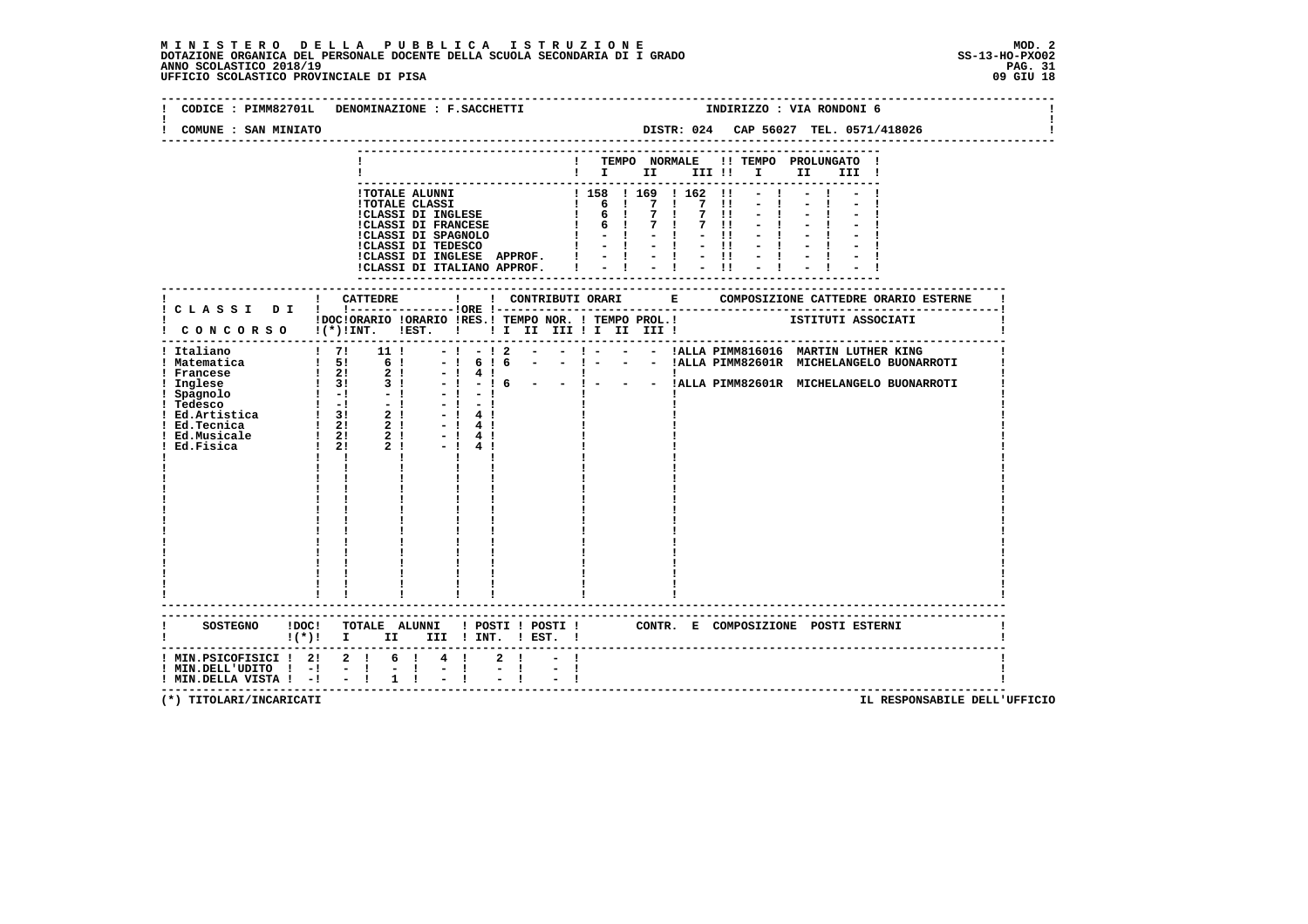## **M I N I S T E R O D E L L A P U B B L I C A I S T R U Z I O N E MOD. 2**DOTAZIONE ORGANICA DEL PERSONALE DOCENTE DELLA SCUOLA SECONDARIA DI I GRADO **SCOLA SS-13-HO-PXOO2**<br>PAG ANNO SCOLASTICO 2018/19<br>19 GIU 18 PERSONASTICO PROVINCIALE DI PISA

|                                                                                            | CODICE : PIMM82701L DENOMINAZIONE : F.SACCHETTI                                          |                                                                                                                                                                                                                                                       |      |                  |              | INDIRIZZO : VIA RONDONI 6                               |                                                                                                                             |
|--------------------------------------------------------------------------------------------|------------------------------------------------------------------------------------------|-------------------------------------------------------------------------------------------------------------------------------------------------------------------------------------------------------------------------------------------------------|------|------------------|--------------|---------------------------------------------------------|-----------------------------------------------------------------------------------------------------------------------------|
| COMUNE : SAN MINIATO                                                                       |                                                                                          |                                                                                                                                                                                                                                                       |      |                  |              | DISTR: 024 CAP 56027 TEL. 0571/418026                   |                                                                                                                             |
|                                                                                            |                                                                                          |                                                                                                                                                                                                                                                       |      | ---------------- |              | ! TEMPO NORMALE !! TEMPO PROLUNGATO !<br>$\blacksquare$ |                                                                                                                             |
|                                                                                            |                                                                                          | 1 TOTALE ALUNNI<br>1 TOTALE CLASSI<br>1 158 1169 1162 11 - 1<br>1 162 11 - 1<br>1 6 1 7 1 7 11 - 1<br>1 6 1 7 1 7 11 - 1<br>1 CLASSI DI FRANCESE<br>1 6 1 7 1 7 11 - 1<br>1 - 1 - 1 - 1 - 1 - 1<br>1 - 1 - 1 - 1 - 1 - 1<br>1 - 1 - 1 - 1 - 1 - 1<br> |      |                  | $-1$<br>$-1$ | $-1$ $-1$                                               |                                                                                                                             |
|                                                                                            | : :----------<br>!DOC!ORARIO !ORARIO !RES.! TEMPO NOR. ! TEMPO PROL.! [STITUTI ASSOCIATI |                                                                                                                                                                                                                                                       |      |                  |              |                                                         |                                                                                                                             |
|                                                                                            | ! CONCORSO !(*)!INT. !EST. !!! II III !I III III!                                        |                                                                                                                                                                                                                                                       |      |                  |              |                                                         |                                                                                                                             |
|                                                                                            | $\mathbf{I}$                                                                             | - ! 4 !<br>- ! - ! 6 - - ! - - - !ALLA PIMM82601R MICHELANGELO BUONARROTI<br>$-1 - 1$<br>$-1 - 1$<br>$-1$ 4 1<br>$-1$ 4 1<br>$-1$ 4 1<br>$-1$ 4 1                                                                                                     |      |                  |              |                                                         | - ! - ! 2 - - ! - - - !ALLA PIMM816016 MARTIN LUTHER KING<br>- ! 6 ! 6 - - ! - - - !ALLA PIMM82601R MICHELANGELO BUONARROTI |
| $\mathbf{I}(\star)$ : T                                                                    |                                                                                          | II III ! INT. ! EST. !                                                                                                                                                                                                                                |      |                  |              |                                                         |                                                                                                                             |
| ! MIN.PSICOFISICI ! 2! 2 !<br>! MIN.DELL'UDITO ! -!<br>$!$ MIN.DELLA VISTA $!$ - $!$ - $!$ | 6 ! 4 !<br>$-1$<br>$\mathbf{I}$<br>$\sim$ $-$<br>$1 \quad 1$                             | $2 \quad 1$<br>$\frac{1}{2}$ $\frac{1}{1}$<br>$\mathbb{Z} \setminus \frac{1}{4}$                                                                                                                                                                      | $-1$ |                  |              |                                                         |                                                                                                                             |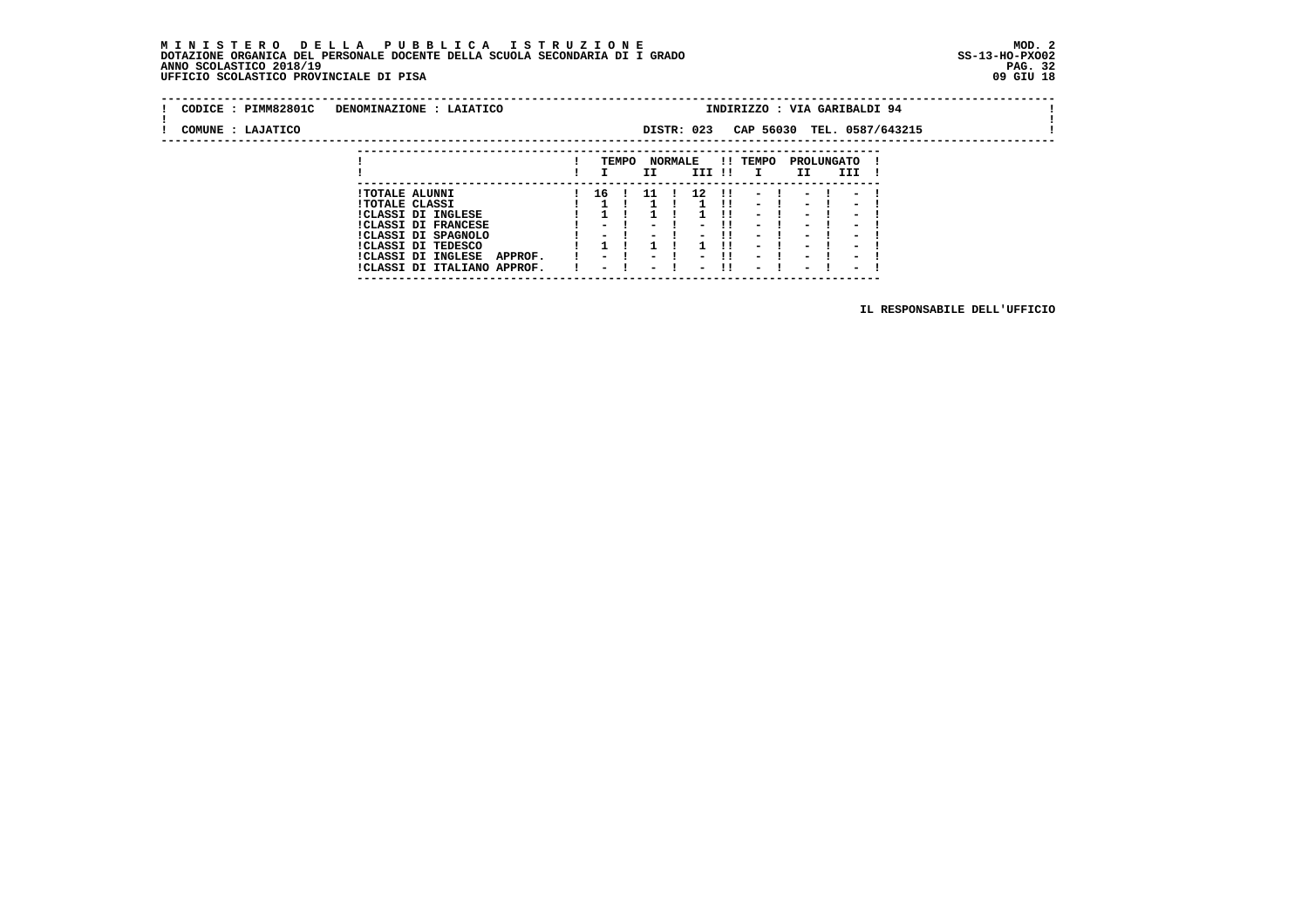#### **M I N I S T E R O D E L L A P U B B L I C A I S T R U Z I O N E MOD. 2 DOTAZIONE ORGANICA DEL PERSONALE DOCENTE DELLA SCUOLA SECONDARIA DI I GRADO ANNO SCOLASTICO 2018/19** UFFICIO SCOLASTICO PROVINCIALE DI PISA

 **---------------------------------------------------------------------------**

| CODICE : PIMM82801C | DENOMINAZIONE : LAIATICO                    |                          |       |                          |                |                          |     |                                                      |                                                      | INDIRIZZO : VIA GARIBALDI 94                         |  |
|---------------------|---------------------------------------------|--------------------------|-------|--------------------------|----------------|--------------------------|-----|------------------------------------------------------|------------------------------------------------------|------------------------------------------------------|--|
| COMUNE : LAJATICO   |                                             |                          |       |                          |                | DISTR: 023               |     |                                                      |                                                      | CAP 56030 TEL. 0587/643215                           |  |
|                     |                                             |                          |       |                          |                |                          |     |                                                      |                                                      |                                                      |  |
|                     |                                             |                          | TEMPO | II.                      | <b>NORMALE</b> | III !!                   |     | !! TEMPO<br>$\mathbf{I}$                             | II.                                                  | PROLUNGATO<br>III                                    |  |
|                     | <b>!TOTALE ALUNNI</b>                       | 16                       |       | 11                       |                | 12                       | -11 | $\overline{\phantom{0}}$                             | -                                                    | - 1                                                  |  |
|                     | <b>!TOTALE CLASSI</b><br>!CLASSI DI INGLESE |                          |       |                          |                |                          |     | $\overline{\phantom{0}}$<br>$\overline{\phantom{0}}$ | $\overline{\phantom{0}}$<br>$\overline{\phantom{0}}$ | $\overline{\phantom{0}}$<br>$\overline{\phantom{0}}$ |  |
|                     | <b>!CLASSI DI FRANCESE</b>                  | $\overline{\phantom{0}}$ |       |                          |                | $\overline{\phantom{0}}$ |     | $\overline{\phantom{0}}$                             | $\overline{\phantom{0}}$                             | $\overline{\phantom{0}}$                             |  |
|                     | !CLASSI DI SPAGNOLO<br>CLASSI DI TEDESCO    | $\overline{\phantom{0}}$ |       | $\overline{\phantom{0}}$ |                | $\overline{\phantom{0}}$ | -11 | $\overline{\phantom{0}}$<br>$\overline{\phantom{0}}$ | $\overline{\phantom{0}}$<br>$\overline{\phantom{0}}$ | $\overline{\phantom{0}}$<br>$\overline{\phantom{0}}$ |  |
|                     | !CLASSI DI INGLESE<br>APPROF.               | $ -$                     |       |                          |                |                          | -11 | $\overline{\phantom{0}}$                             | $\overline{\phantom{0}}$                             | $\overline{\phantom{0}}$                             |  |
|                     | !CLASSI DI ITALIANO APPROF.                 | $\overline{\phantom{0}}$ |       | $\overline{\phantom{a}}$ |                | $\overline{\phantom{0}}$ | -11 | $\overline{\phantom{0}}$                             | $\overline{\phantom{0}}$                             | $\overline{\phantom{0}}$                             |  |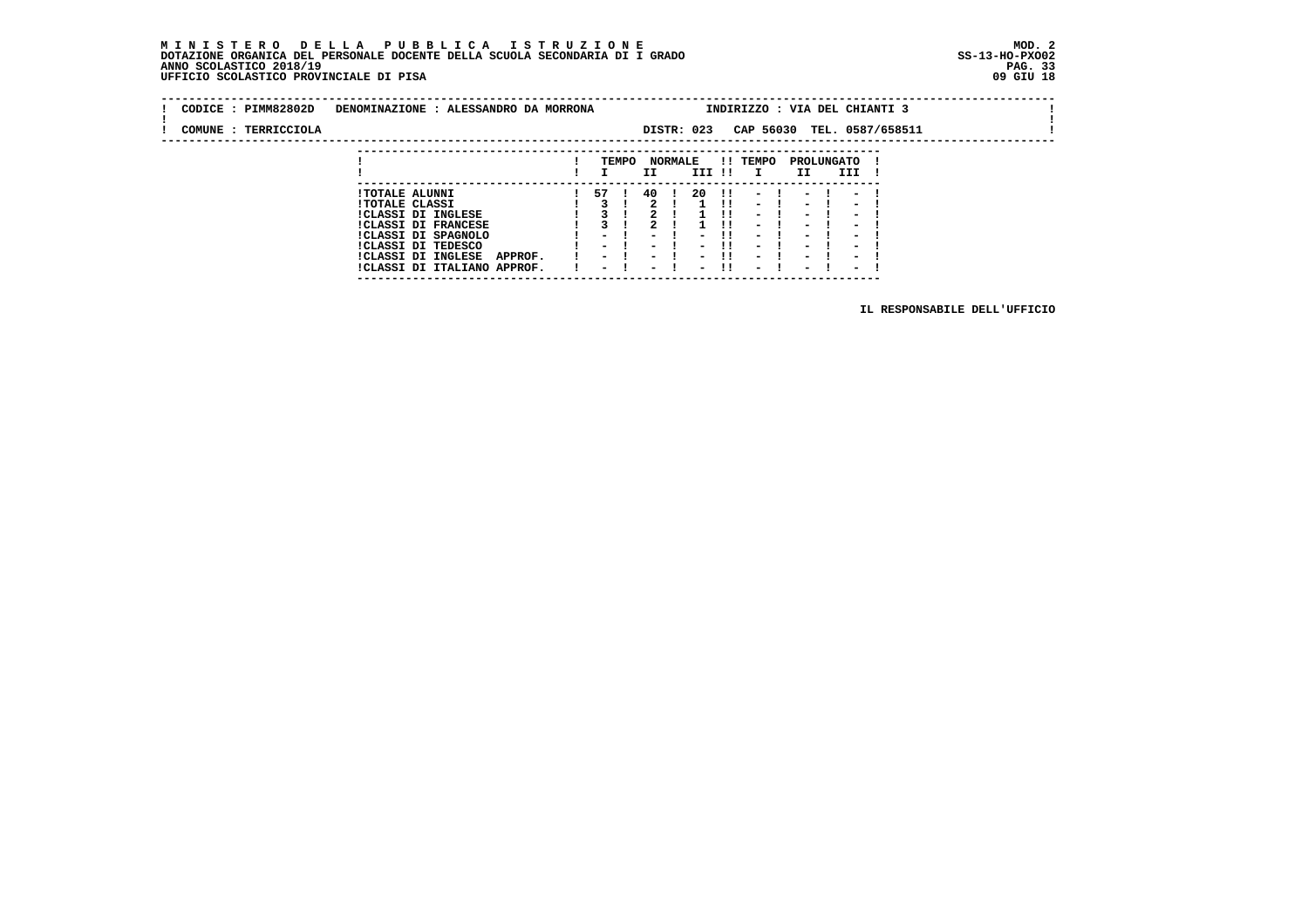#### **M I N I S T E R O D E L L A P U B B L I C A I S T R U Z I O N E MOD. 2 DOTAZIONE ORGANICA DEL PERSONALE DOCENTE DELLA SCUOLA SECONDARIA DI I GRADO ANNO SCOLASTICO 2018/19** UFFICIO SCOLASTICO PROVINCIALE DI PISA

 **---------------------------------------------------------------------------**

| CODICE: PIMM82802D   | DENOMINAZIONE : ALESSANDRO DA MORRONA |       | INDIRIZZO : VIA DEL CHIANTI 3                                 |  |
|----------------------|---------------------------------------|-------|---------------------------------------------------------------|--|
| COMUNE : TERRICCIOLA |                                       |       | CAP 56030 TEL. 0587/658511<br>DISTR: 023                      |  |
|                      |                                       |       |                                                               |  |
|                      |                                       | TEMPO | !! TEMPO<br><b>NORMALE</b><br>PROLUNGATO                      |  |
|                      |                                       |       | III !!<br>III<br>ΙI<br>$\mathbf{I}$<br>II                     |  |
|                      | <b>!TOTALE ALUNNI</b>                 | 57.   | -20<br>$\mathbf{H}$<br>$-1$ $-1$ $-1$<br>- 40<br>$\mathbf{I}$ |  |
|                      | <b>!TOTALE CLASSI</b>                 |       | $-1$<br>$\blacksquare$<br>$-1$<br>$\sim$                      |  |
|                      | <b>!CLASSI DI INGLESE</b>             |       | $\sim$<br>$-1$<br>$\overline{\phantom{0}}$                    |  |
|                      | ICLACCT BI FOAMCFCF                   |       | .<br>$-1$<br>-- -<br>$\overline{\phantom{0}}$                 |  |

 **!CLASSI DI FRANCESE ! 3 ! 2 ! 1 !! - ! - ! - ! !CLASSI DI SPAGNOLO ! - ! - ! - !! - ! - ! - ! !CLASSI DI TEDESCO ! - ! - ! - !! - ! - ! - ! !CLASSI DI INGLESE APPROF. ! - ! - ! - !! - ! - ! - ! !CLASSI DI ITALIANO APPROF. ! - ! - ! - !! - ! - ! - !**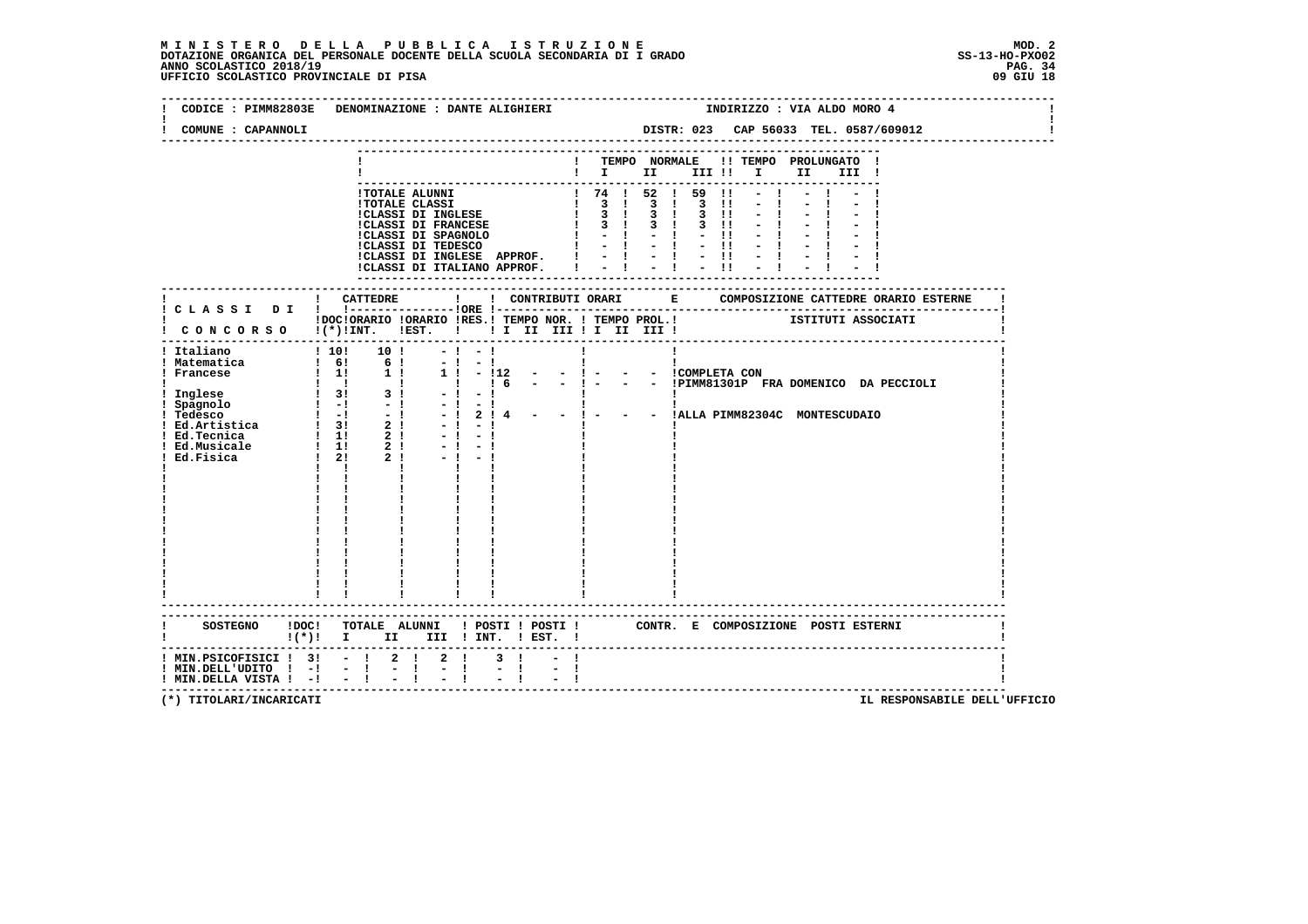# **M I N I S T E R O D E L L A P U B B L I C A I S T R U Z I O N E MOD. 2**DOTAZIONE ORGANICA DEL PERSONALE DOCENTE DELLA SCUOLA SECONDARIA DI I GRADO **SCOLA SS-13-HO-PXOO2**<br>PAG ANNO SCOLASTICO 2018/19<br>19 GIU 18 PERSONASTICO PROVINCIALE DI PISA

| CODICE : PIMM82803E DENOMINAZIONE : DANTE ALIGHIERI                                                                                                                                                                                                          |                                                                                   |              |                                                                                                     |                                                                                                                                                                                                                                      |    |                                                                                                                                                       | INDIRIZZO : VIA ALDO MORO 4           |                                                                          |
|--------------------------------------------------------------------------------------------------------------------------------------------------------------------------------------------------------------------------------------------------------------|-----------------------------------------------------------------------------------|--------------|-----------------------------------------------------------------------------------------------------|--------------------------------------------------------------------------------------------------------------------------------------------------------------------------------------------------------------------------------------|----|-------------------------------------------------------------------------------------------------------------------------------------------------------|---------------------------------------|--------------------------------------------------------------------------|
| COMUNE : CAPANNOLI                                                                                                                                                                                                                                           |                                                                                   |              |                                                                                                     |                                                                                                                                                                                                                                      |    |                                                                                                                                                       |                                       |                                                                          |
|                                                                                                                                                                                                                                                              |                                                                                   |              |                                                                                                     |                                                                                                                                                                                                                                      |    | $\blacksquare$ $\blacksquare$ $\blacksquare$ $\blacksquare$ $\blacksquare$ $\blacksquare$ $\blacksquare$ $\blacksquare$ $\blacksquare$ $\blacksquare$ | ! TEMPO NORMALE !! TEMPO PROLUNGATO ! | III !                                                                    |
|                                                                                                                                                                                                                                                              |                                                                                   |              |                                                                                                     |                                                                                                                                                                                                                                      |    |                                                                                                                                                       |                                       |                                                                          |
|                                                                                                                                                                                                                                                              | ! CATTEDRE                                                                        | $\mathbf{I}$ |                                                                                                     |                                                                                                                                                                                                                                      |    |                                                                                                                                                       |                                       |                                                                          |
| ! C L A S S I D I ! !----------------- !ORE !--<br>IDOCIORARIO IORARIO IRES.I TEMPO NOR. I TEMPO PROL.I ISTITUTI ASSOCIATI I CONCORSO I(*)IINT. IEST. I II II III II III III IIIII                                                                           |                                                                                   |              |                                                                                                     |                                                                                                                                                                                                                                      |    |                                                                                                                                                       |                                       |                                                                          |
| ! Italiano<br>! Italiano   10   10   -   -  <br>  Matematica   6   -   -  <br>  Frances   11   1   1   -   12<br>  Inglese       1   -   16<br>  Spagnolo   -   -   -   -   -   1<br>  Tedesco   -   -   -   -   -   2   4<br>  Ed.Artistica   3   2   -   - | $\frac{1}{10!}$ 10 $\frac{1}{10!}$ - $\frac{1}{10!}$<br>$\mathbf{1}$ $\mathbf{1}$ |              | $1! - 112 - - - 1 -$<br>医基因 医心包 法法律<br>- !      <br>2 ! 4 - - ! - - -  ALLA PIMM82304C MONTESCUDAIO | <b>The Contract of the Contract of the Contract of the Contract of the Contract of the Contract of the Contract of the Contract of the Contract of the Contract of the Contract of the Contract of The Contract of The Contract </b> | Π. |                                                                                                                                                       |                                       | $  1   -$ ICOMPLETA CON<br>$  1  -$ IPIMM81301P FRA DOMENICO DA PECCIOLI |
| $((*)!$ I II III ! INT. ! EST. !                                                                                                                                                                                                                             |                                                                                   |              |                                                                                                     |                                                                                                                                                                                                                                      |    |                                                                                                                                                       |                                       |                                                                          |
| ! MIN.PSICOFISICI ! 3! - ! 2 ! 2 !<br>$!$ MIN.DELL'UDITO $!$ - $!$ - $!$<br>! MIN.DELLA VISTA ! -! - !                                                                                                                                                       | $-1$                                                                              | $-1$         | $3 \quad 1$                                                                                         |                                                                                                                                                                                                                                      |    |                                                                                                                                                       |                                       | --------------------------------------                                   |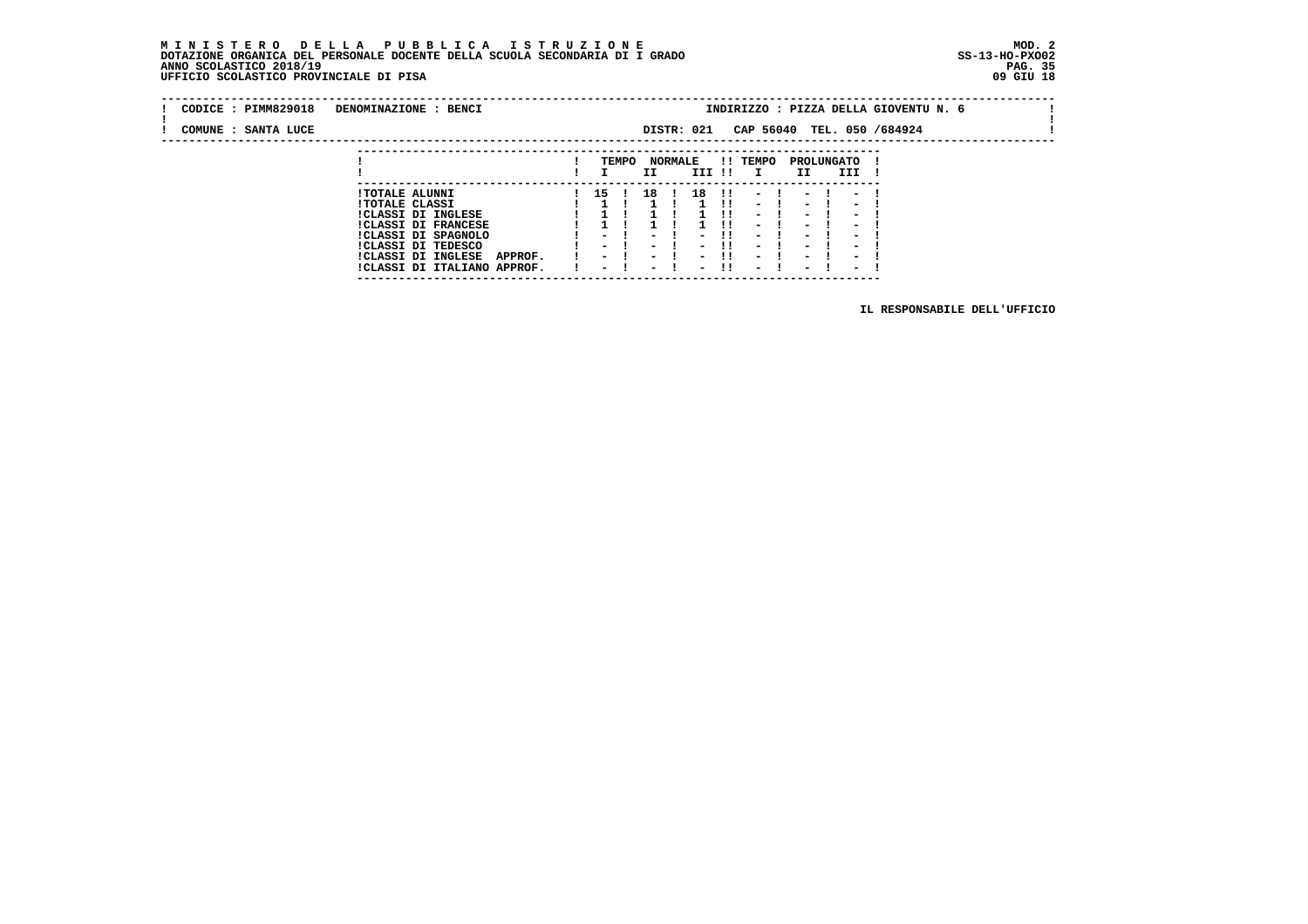#### **M I N I S T E R O D E L L A P U B B L I C A I S T R U Z I O N E MOD. 2 DOTAZIONE ORGANICA DEL PERSONALE DOCENTE DELLA SCUOLA SECONDARIA DI I GRADO ANNO SCOLASTICO 2018/19** UFFICIO SCOLASTICO PROVINCIALE DI PISA

 **---------------------------------------------------------------------------**

| CODICE: PIMM829018     | DENOMINAZIONE : BENCI        | INDIRIZZO : PIZZA DELLA GIOVENTU N. 6                                            |
|------------------------|------------------------------|----------------------------------------------------------------------------------|
| SANTA LUCE<br>COMUNE : |                              | CAP 56040 TEL. 050 /684924<br>DISTR: 021                                         |
|                        |                              |                                                                                  |
|                        |                              | <b>NORMALE</b><br>!! TEMPO<br>PROLUNGATO<br>TEMPO                                |
|                        |                              | III !!<br>II<br>III<br>II<br>$\mathbf{I}$                                        |
|                        | <b>!TOTALE ALUNNI</b>        | 18!!!!<br>18 !<br>15 !<br>$-1$<br><b>Contract Contract Contract</b>              |
|                        | <b>!TOTALE CLASSI</b>        | 1 !!<br>$-1$<br>$-1$<br>$\overline{\phantom{0}}$                                 |
|                        | !CLASSI DI INGLESE           | $\overline{\phantom{0}}$<br>$\overline{\phantom{0}}$<br>$\overline{\phantom{a}}$ |
|                        | $1/17.097$ DT $R$ DAM $P$ PP |                                                                                  |

 **!CLASSI DI FRANCESE ! 1 ! 1 ! 1 !! - ! - ! - ! !CLASSI DI SPAGNOLO ! - ! - ! - !! - ! - ! - ! !CLASSI DI TEDESCO ! - ! - ! - !! - ! - ! - ! !CLASSI DI INGLESE APPROF. ! - ! - ! - !! - ! - ! - ! !CLASSI DI ITALIANO APPROF. ! - ! - ! - !! - ! - ! - !**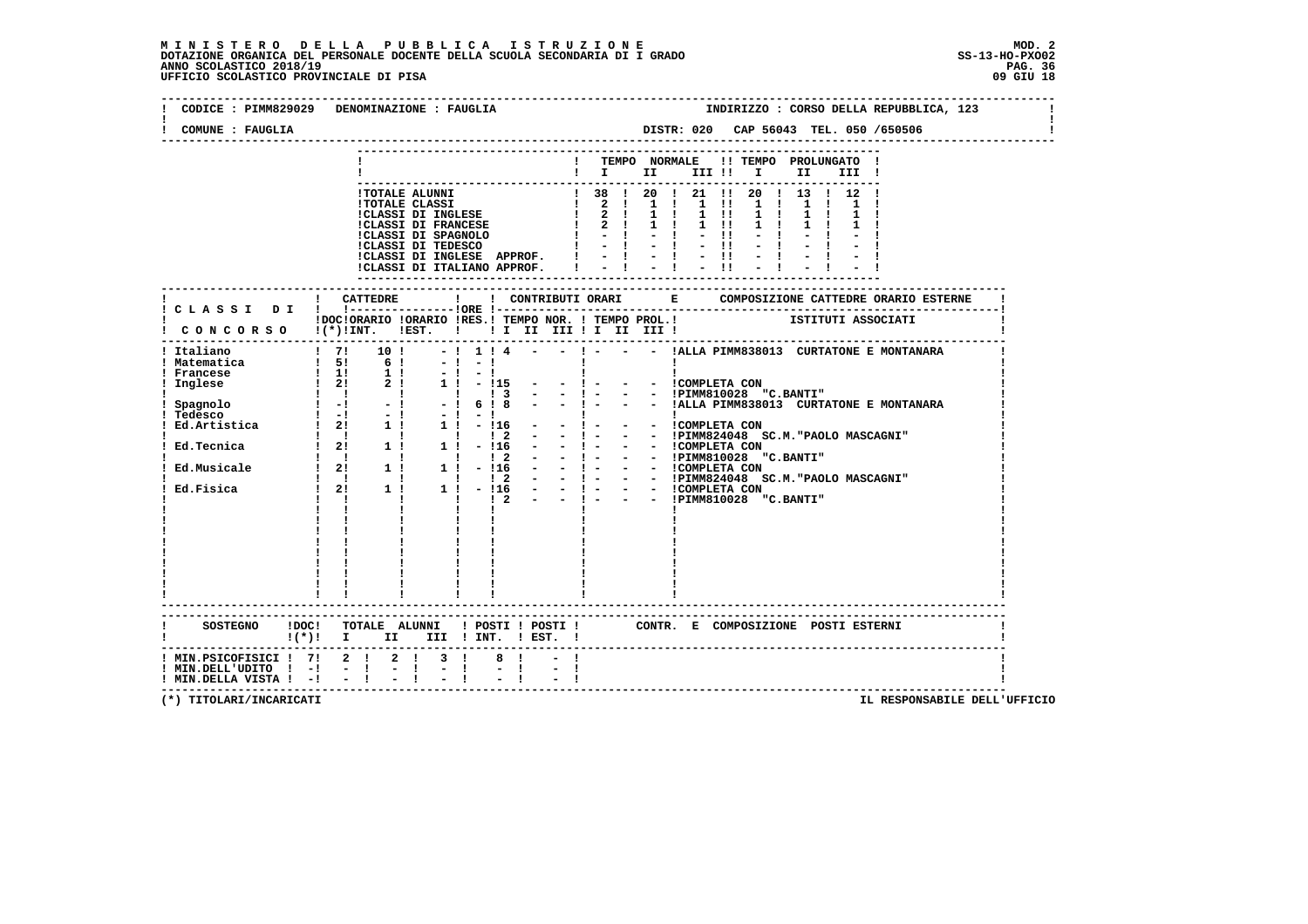| CODICE : PIMM829029 DENOMINAZIONE : FAUGLIA                                                                                                                                                                                                                                                                                                      |                                                |                                                                                                                                                                                                                               |               |                |                                              |          |                                                                                                                                                               |  |                   |                         |                                        |       | INDIRIZZO : CORSO DELLA REPUBBLICA, 123              |  |
|--------------------------------------------------------------------------------------------------------------------------------------------------------------------------------------------------------------------------------------------------------------------------------------------------------------------------------------------------|------------------------------------------------|-------------------------------------------------------------------------------------------------------------------------------------------------------------------------------------------------------------------------------|---------------|----------------|----------------------------------------------|----------|---------------------------------------------------------------------------------------------------------------------------------------------------------------|--|-------------------|-------------------------|----------------------------------------|-------|------------------------------------------------------|--|
| COMUNE : FAUGLIA                                                                                                                                                                                                                                                                                                                                 |                                                |                                                                                                                                                                                                                               |               |                |                                              |          |                                                                                                                                                               |  |                   |                         |                                        |       | DISTR: 020 CAP 56043 TEL. 050 /650506                |  |
|                                                                                                                                                                                                                                                                                                                                                  |                                                |                                                                                                                                                                                                                               |               |                |                                              |          |                                                                                                                                                               |  |                   |                         | ! TEMPO NORMALE !! TEMPO PROLUNGATO !  |       |                                                      |  |
|                                                                                                                                                                                                                                                                                                                                                  |                                                |                                                                                                                                                                                                                               |               |                |                                              |          | $\blacksquare$ $\blacksquare$ $\blacksquare$ $\blacksquare$ $\blacksquare$ $\blacksquare$ $\blacksquare$ $\blacksquare$ $\blacksquare$ $\blacksquare$         |  |                   |                         |                                        | III ! |                                                      |  |
|                                                                                                                                                                                                                                                                                                                                                  |                                                |                                                                                                                                                                                                                               |               |                |                                              |          |                                                                                                                                                               |  |                   |                         |                                        |       |                                                      |  |
|                                                                                                                                                                                                                                                                                                                                                  |                                                | <b>!TOTALE ALUNNI</b><br><b>!TOTALE CLASSI</b>                                                                                                                                                                                |               |                |                                              |          | $\begin{array}{cccccccc} 1 & 38 & 1 & 20 & 1 & 21 & 11 \\ 1 & 2 & 1 & 1 & 1 & 1 & 11 \\ 1 & 2 & 1 & 1 & 1 & 1 & 11 \\ 1 & 2 & 1 & 1 & 1 & 1 & 11 \end{array}$ |  |                   | $1 \quad 1$             | 1 38 1 20 1 21 11 20 1 13 1 12 1       |       |                                                      |  |
|                                                                                                                                                                                                                                                                                                                                                  |                                                | <b>!CLASSI DI INGLESE</b>                                                                                                                                                                                                     |               |                |                                              |          |                                                                                                                                                               |  |                   | $1 \quad 1$             |                                        |       |                                                      |  |
|                                                                                                                                                                                                                                                                                                                                                  |                                                | <b>!CLASSI DI FRANCESE</b>                                                                                                                                                                                                    |               |                |                                              |          |                                                                                                                                                               |  |                   | $1 \quad 1$             |                                        |       |                                                      |  |
|                                                                                                                                                                                                                                                                                                                                                  |                                                |                                                                                                                                                                                                                               |               |                |                                              |          |                                                                                                                                                               |  | $-11$<br>$-11$    |                         |                                        |       |                                                      |  |
|                                                                                                                                                                                                                                                                                                                                                  |                                                | !CLASSI DI INGLESE APPROF. !                                                                                                                                                                                                  |               |                |                                              |          |                                                                                                                                                               |  | $-1 - 1 - 1$      | $-1$                    |                                        |       |                                                      |  |
|                                                                                                                                                                                                                                                                                                                                                  |                                                | !CLASSI DI ITALIANO APPROF.                                                                                                                                                                                                   |               |                |                                              |          |                                                                                                                                                               |  | $-11$             |                         |                                        |       |                                                      |  |
|                                                                                                                                                                                                                                                                                                                                                  |                                                |                                                                                                                                                                                                                               |               |                |                                              |          |                                                                                                                                                               |  |                   |                         |                                        |       |                                                      |  |
|                                                                                                                                                                                                                                                                                                                                                  |                                                |                                                                                                                                                                                                                               |               |                |                                              |          |                                                                                                                                                               |  |                   |                         |                                        |       |                                                      |  |
| ! CONCORSO !(*)!INT. !EST. !!! II III !I III III !                                                                                                                                                                                                                                                                                               |                                                | IDOCIORARIO IORARIO IRES.I TEMPO NOR. I TEMPO PROL. I TETITUTI ASSOCIATI                                                                                                                                                      |               |                |                                              |          |                                                                                                                                                               |  |                   |                         |                                        |       |                                                      |  |
| --------------------------------<br>! Italiano                                                                                                                                                                                                                                                                                                   |                                                |                                                                                                                                                                                                                               | $-1$          | 1!4            |                                              |          |                                                                                                                                                               |  |                   |                         |                                        |       | $-$ - ! - - - IALLA PIMM838013 CURTATONE E MONTANARA |  |
| ! Matematica                                                                                                                                                                                                                                                                                                                                     |                                                |                                                                                                                                                                                                                               | $-1$<br>$-1$  |                |                                              |          |                                                                                                                                                               |  |                   |                         |                                        |       |                                                      |  |
| ! Francese                                                                                                                                                                                                                                                                                                                                       |                                                |                                                                                                                                                                                                                               | $-1 - 1$      |                |                                              |          |                                                                                                                                                               |  |                   |                         |                                        |       |                                                      |  |
| ! Inglese                                                                                                                                                                                                                                                                                                                                        |                                                | $\mathbf{I}$                                                                                                                                                                                                                  | $1! - 115 -$  |                | $\begin{array}{ccc} & 1 & 3 & - \end{array}$ |          | $-1$ $-$<br>- ! - - - !PIMM810028 "C.BANTI"                                                                                                                   |  | - - ICOMPLETA CON |                         |                                        |       |                                                      |  |
| ! Spagnolo<br>! Tedesco                                                                                                                                                                                                                                                                                                                          |                                                | $\begin{array}{cccccc} 1 & 1 & 1 & 1 & 1 & 1 \\ & 1 & 71 & 10 & 1 & & \\ & & 51 & 6 & 1 & & \\ & 1 & 11 & 1 & 1 & & \\ & & 21 & 2 & 1 & & \\ & & 1 & 1 & & & \\ & & & 1 & & & \\ & & & 1 & & & \\ & & & & & & \\ \end{array}$ | $-! 6! 8 -$   |                |                                              |          | $-1$ $-$                                                                                                                                                      |  |                   |                         |                                        |       | - - !ALLA PIMM838013 CURTATONE E MONTANARA           |  |
| ! Tedesco                                                                                                                                                                                                                                                                                                                                        |                                                |                                                                                                                                                                                                                               |               |                |                                              |          |                                                                                                                                                               |  |                   |                         |                                        |       |                                                      |  |
| 9<br>Ed.Artistica<br>Ed.Artistica<br>Ed.Tecnica<br>2<br>Ed.Tecnica<br>2<br>2<br>2<br>1<br>2<br>1<br>1<br>1<br>1<br>1<br>1<br>2<br>1<br>1<br>1<br>1<br>1<br>1<br>1<br>1<br>2<br>1<br>1<br>1<br>1<br>1<br>2<br>2<br>1<br>1<br>1<br>1<br>2<br>2<br>2<br>1<br>2<br>2<br>1<br>2<br>2<br>2<br>2<br>2<br>2<br>1<br>2<br>2<br>2<br>2<br>2<br>1<br>2<br>2 |                                                |                                                                                                                                                                                                                               |               |                |                                              |          |                                                                                                                                                               |  |                   |                         |                                        |       |                                                      |  |
|                                                                                                                                                                                                                                                                                                                                                  |                                                |                                                                                                                                                                                                                               |               |                |                                              |          | - 1 - - - ICOMPLETA CON<br>- 1 - - - IPIMM810028 "C.BANTI"                                                                                                    |  |                   |                         |                                        |       |                                                      |  |
|                                                                                                                                                                                                                                                                                                                                                  |                                                |                                                                                                                                                                                                                               |               |                |                                              |          |                                                                                                                                                               |  |                   |                         |                                        |       |                                                      |  |
|                                                                                                                                                                                                                                                                                                                                                  |                                                |                                                                                                                                                                                                                               |               |                |                                              | $-1$ $-$ | $-1 - 1$                                                                                                                                                      |  | - - COMPLETA CON  |                         | - - !PIMM824048 SC.M. "PAOLO MASCAGNI" |       |                                                      |  |
|                                                                                                                                                                                                                                                                                                                                                  |                                                |                                                                                                                                                                                                                               |               |                |                                              |          | $-1 - 1$                                                                                                                                                      |  | - - COMPLETA CON  |                         |                                        |       |                                                      |  |
|                                                                                                                                                                                                                                                                                                                                                  | $\mathbf{I}$ and $\mathbf{I}$ and $\mathbf{I}$ | $\mathbf{I}$                                                                                                                                                                                                                  | $\frac{1}{2}$ |                |                                              |          |                                                                                                                                                               |  |                   | - !PIMM810028 "C.BANTI" |                                        |       |                                                      |  |
|                                                                                                                                                                                                                                                                                                                                                  |                                                |                                                                                                                                                                                                                               |               |                |                                              |          |                                                                                                                                                               |  |                   |                         |                                        |       |                                                      |  |
|                                                                                                                                                                                                                                                                                                                                                  |                                                |                                                                                                                                                                                                                               |               |                |                                              |          |                                                                                                                                                               |  |                   |                         |                                        |       |                                                      |  |
|                                                                                                                                                                                                                                                                                                                                                  |                                                |                                                                                                                                                                                                                               |               |                |                                              |          |                                                                                                                                                               |  |                   |                         |                                        |       |                                                      |  |
|                                                                                                                                                                                                                                                                                                                                                  |                                                |                                                                                                                                                                                                                               |               |                |                                              |          |                                                                                                                                                               |  |                   |                         |                                        |       |                                                      |  |
|                                                                                                                                                                                                                                                                                                                                                  |                                                |                                                                                                                                                                                                                               |               |                |                                              |          |                                                                                                                                                               |  |                   |                         |                                        |       |                                                      |  |
|                                                                                                                                                                                                                                                                                                                                                  |                                                |                                                                                                                                                                                                                               |               |                |                                              |          |                                                                                                                                                               |  |                   |                         |                                        |       |                                                      |  |
|                                                                                                                                                                                                                                                                                                                                                  |                                                |                                                                                                                                                                                                                               |               |                |                                              |          |                                                                                                                                                               |  |                   |                         |                                        |       |                                                      |  |
| SOSTEGNO !DOC! TOTALE ALUNNI ! POSTI ! POSTI ! CONTR. E COMPOSIZIONE POSTI ESTERNI                                                                                                                                                                                                                                                               |                                                |                                                                                                                                                                                                                               |               |                |                                              |          |                                                                                                                                                               |  |                   |                         |                                        |       |                                                      |  |
|                                                                                                                                                                                                                                                                                                                                                  |                                                |                                                                                                                                                                                                                               |               |                |                                              |          |                                                                                                                                                               |  |                   |                         |                                        |       |                                                      |  |
| ! MIN.PSICOFISICI ! 7! 2 !                                                                                                                                                                                                                                                                                                                       |                                                | $2 \quad 1$                                                                                                                                                                                                                   | $3 \quad 1$   | 8 <sub>1</sub> |                                              |          |                                                                                                                                                               |  |                   |                         |                                        |       |                                                      |  |
| ! MIN.DELL'UDITO ! -!                                                                                                                                                                                                                                                                                                                            | $-1$                                           | $\mathbf{I}$                                                                                                                                                                                                                  |               |                |                                              |          |                                                                                                                                                               |  |                   |                         |                                        |       |                                                      |  |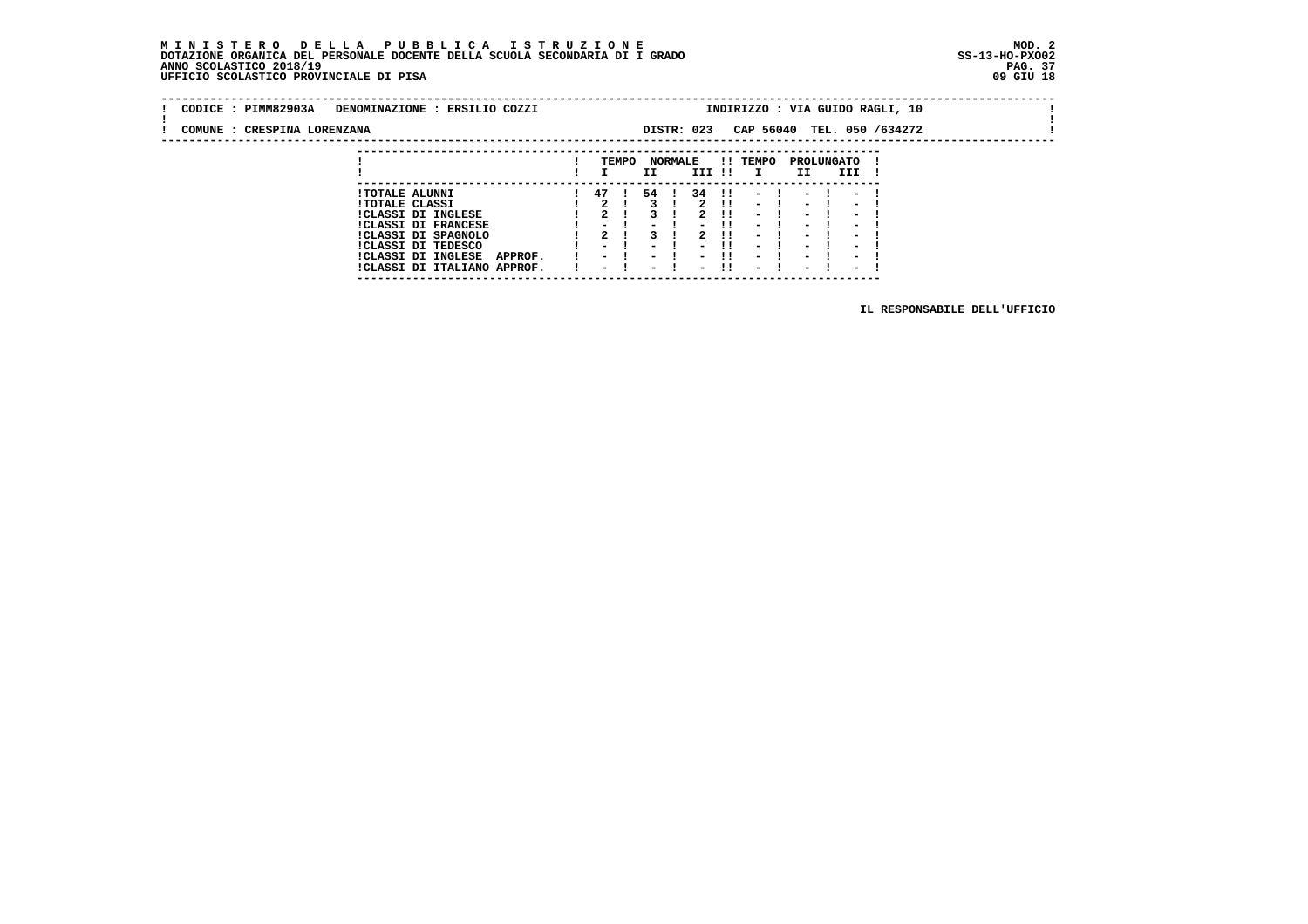#### **M I N I S T E R O D E L L A P U B B L I C A I S T R U Z I O N E MOD. 2 DOTAZIONE ORGANICA DEL PERSONALE DOCENTE DELLA SCUOLA SECONDARIA DI I GRADO ANNO SCOLASTICO 2018/19** UFFICIO SCOLASTICO PROVINCIALE DI PISA

 **---------------------------------------------------------------------------**

| CODICE : PIMM82903A<br>DENOMINAZIONE : ERSILIO COZZI                                                      | INDIRIZZO : VIA GUIDO RAGLI, 10                                                                                                                                                                                                                 |  |
|-----------------------------------------------------------------------------------------------------------|-------------------------------------------------------------------------------------------------------------------------------------------------------------------------------------------------------------------------------------------------|--|
| COMUNE : CRESPINA LORENZANA                                                                               | CAP 56040 TEL. 050 /634272<br>DISTR: 023                                                                                                                                                                                                        |  |
|                                                                                                           | !! TEMPO<br><b>NORMALE</b><br>PROLUNGATO<br>TEMPO<br>III !!<br>II<br>III<br>$\mathbf{I}$<br>II                                                                                                                                                  |  |
| <b>!TOTALE ALUNNI</b><br><b>!TOTALE CLASSI</b><br><b>!CLASSI DI INGLESE</b><br><b>!CLASSI DI FRANCESE</b> | 34 !! - ! - ! -<br>54 !<br>47 !<br>$\frac{1}{2}$<br>2 !!<br>$-1$ $-1$<br>3 I<br>$\overline{\phantom{0}}$<br>2!<br>$\sim$<br>2 !!<br>$\sim$<br>$\overline{\phantom{0}}$<br>$-11$<br>$\sim$<br>$\sim$<br>$-1$<br>$-1$<br>$\overline{\phantom{0}}$ |  |

 **!CLASSI DI FRANCESE ! - ! - ! - !! - ! - ! - ! !CLASSI DI SPAGNOLO ! 2 ! 3 ! 2 !! - ! - ! - ! !CLASSI DI TEDESCO ! - ! - ! - !! - ! - ! - ! !CLASSI DI INGLESE APPROF. ! - ! - ! - !! - ! - ! - ! !CLASSI DI ITALIANO APPROF. ! - ! - ! - !! - ! - ! - !**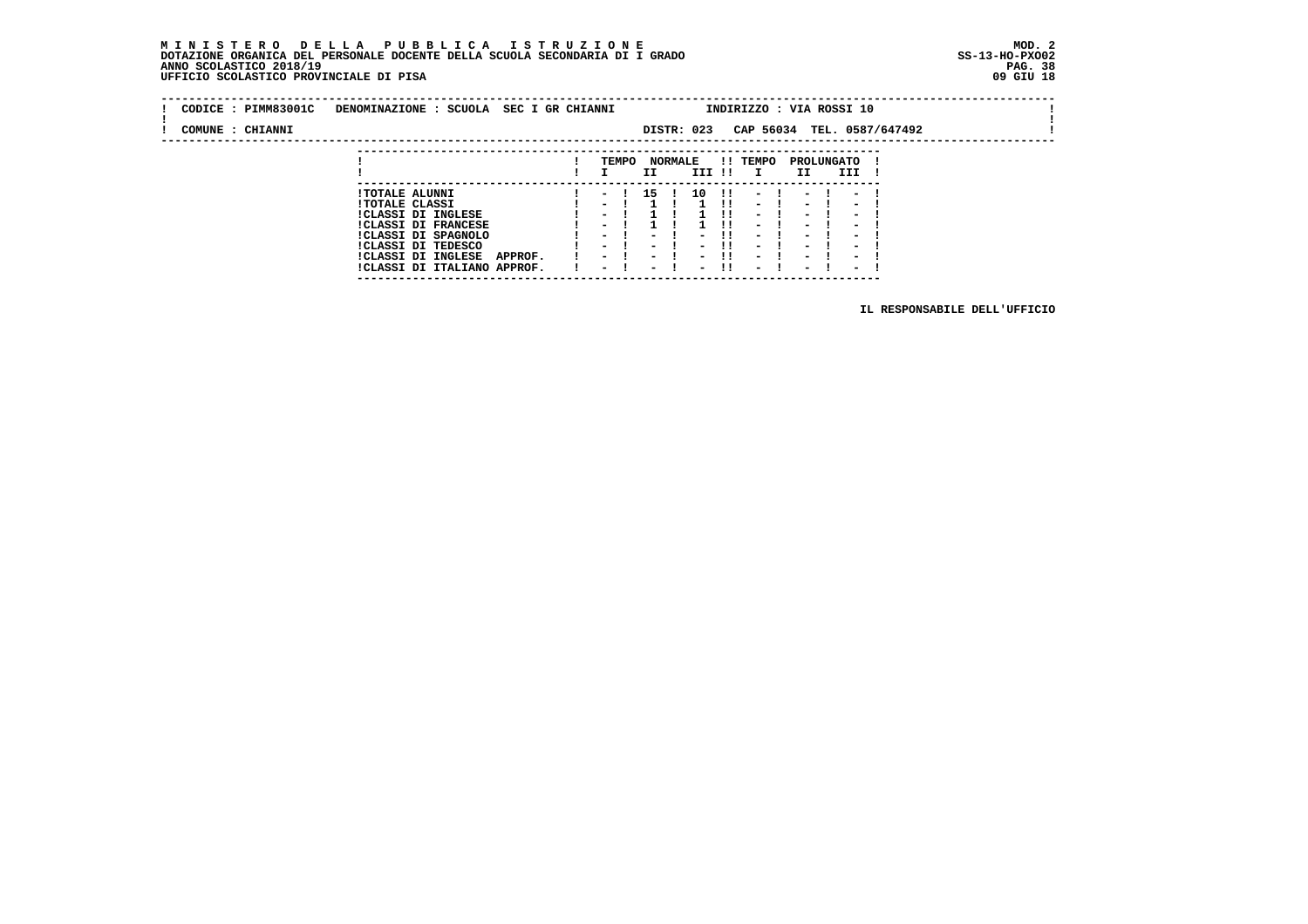#### **M I N I S T E R O D E L L A P U B B L I C A I S T R U Z I O N E MOD. 2 DOTAZIONE ORGANICA DEL PERSONALE DOCENTE DELLA SCUOLA SECONDARIA DI I GRADO ANNO SCOLASTICO 2018/19 UFFICIO SCOLASTICO PROVINCIALE DI PISA 09 GIU 18**

 **---------------------------------------------------------------------------**

|  | CODICE: PIMM83001C | DENOMINAZIONE : SCUOLA SEC I GR CHIANNI |         |                          |    |                          |                          |                        |                          | INDIRIZZO : VIA ROSSI 10 |                          |                  |  |
|--|--------------------|-----------------------------------------|---------|--------------------------|----|--------------------------|--------------------------|------------------------|--------------------------|--------------------------|--------------------------|------------------|--|
|  | COMUNE : CHIANNI   |                                         |         |                          |    |                          | DISTR: 023               |                        | CAP 56034                |                          |                          | TEL. 0587/647492 |  |
|  |                    |                                         |         |                          |    |                          |                          |                        |                          |                          |                          |                  |  |
|  |                    |                                         |         | TEMPO                    |    | <b>NORMALE</b>           |                          |                        | !! TEMPO                 |                          | PROLUNGATO               |                  |  |
|  |                    |                                         |         |                          | II |                          | III !!                   |                        | $\mathbf{I}$             | II.                      | III                      |                  |  |
|  |                    | <b>!TOTALE ALUNNI</b>                   |         |                          |    | 15 !                     | 10                       | $\mathbf{1}\mathbf{1}$ | $\overline{\phantom{a}}$ |                          |                          |                  |  |
|  |                    | <b>!TOTALE CLASSI</b>                   |         | $\sim$                   |    |                          |                          |                        | $\sim$                   | $\sim$                   | $\overline{\phantom{a}}$ |                  |  |
|  |                    | !CLASSI DI INGLESE                      |         | $\sim$                   |    |                          |                          |                        | $\blacksquare$           | $\overline{\phantom{a}}$ | $\overline{\phantom{a}}$ |                  |  |
|  |                    | <b>!CLASSI DI FRANCESE</b>              |         | $ -$                     |    |                          |                          |                        | $\blacksquare$           | $\overline{\phantom{0}}$ | $\overline{\phantom{0}}$ |                  |  |
|  |                    | !CLASSI DI SPAGNOLO                     |         | $\sim$                   |    | $\sim$                   | $\overline{\phantom{0}}$ |                        | $\overline{\phantom{a}}$ | $\overline{\phantom{a}}$ | $\overline{\phantom{a}}$ |                  |  |
|  |                    | ICLASSI DI TEDESCO                      |         | $ -$                     |    | $\sim$                   | $\overline{\phantom{0}}$ |                        | $\overline{\phantom{a}}$ | $\overline{\phantom{a}}$ | $\overline{\phantom{a}}$ |                  |  |
|  |                    | !CLASSI DI INGLESE                      | APPROF. | $\sim$                   |    | $\sim$ $\sim$            |                          |                        | $\overline{\phantom{a}}$ | $\overline{\phantom{0}}$ | $\overline{\phantom{0}}$ |                  |  |
|  |                    | !CLASSI DI ITALIANO APPROF.             |         | $\overline{\phantom{0}}$ |    | $\overline{\phantom{0}}$ | $\overline{\phantom{0}}$ |                        | $\overline{\phantom{0}}$ | $\overline{\phantom{0}}$ | $\overline{\phantom{0}}$ |                  |  |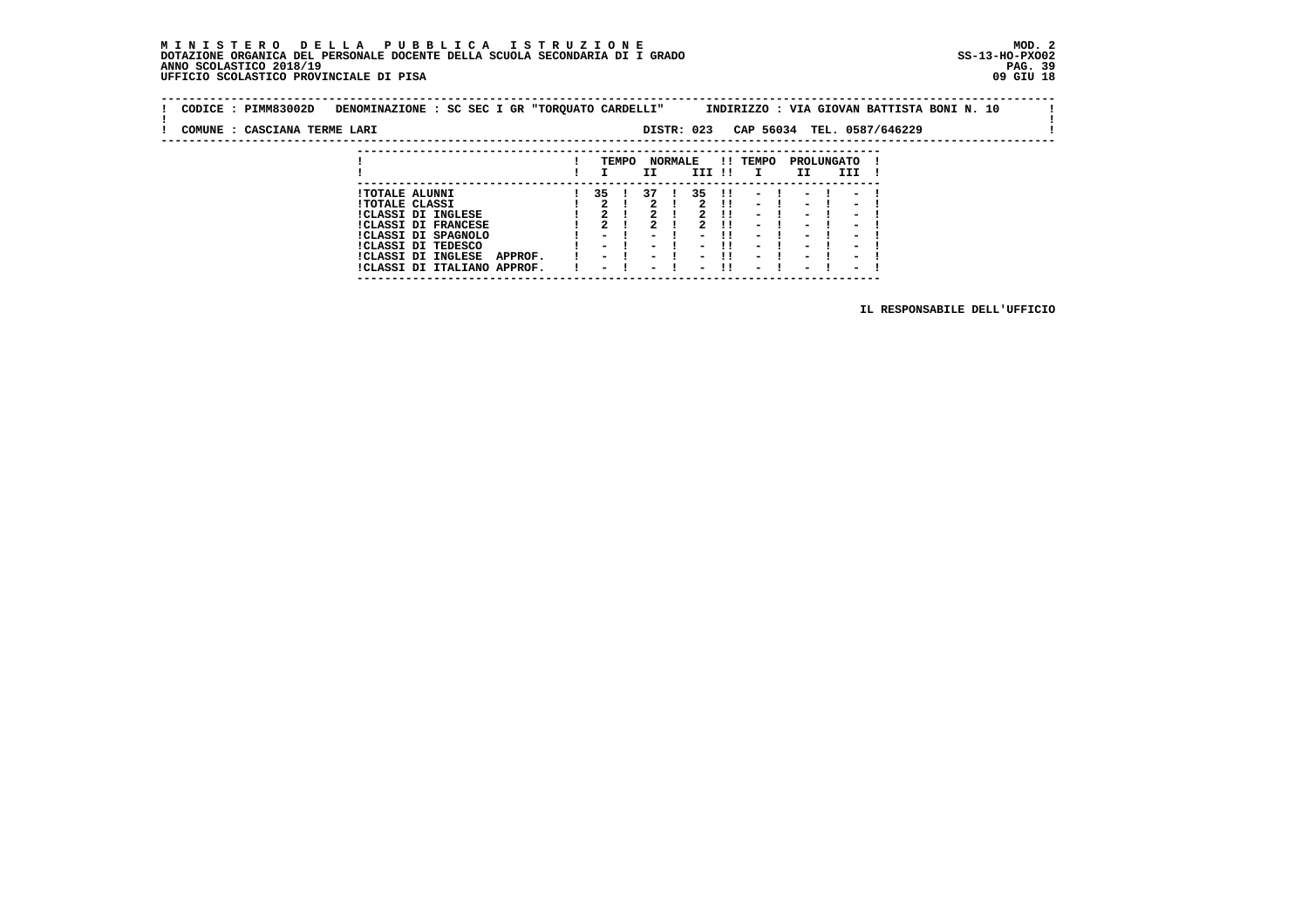#### **M I N I S T E R O D E L L A P U B B L I C A I S T R U Z I O N E MOD. 2 DOTAZIONE ORGANICA DEL PERSONALE DOCENTE DELLA SCUOLA SECONDARIA DI I GRADO ANNO SCOLASTICO 2018/19 PAG. 39**UFFICIO SCOLASTICO PROVINCIALE DI PISA

 **-------------------------------------------------------------------------------------------------------------------------------- ! CODICE : PIMM83002D DENOMINAZIONE : SC SEC I GR "TORQUATO CARDELLI" INDIRIZZO : VIA GIOVAN BATTISTA BONI N. 10 !** $\blacksquare$  **! !** $\mathbf{I}$  **! COMUNE : CASCIANA TERME LARI DISTR: 023 CAP 56034 TEL. 0587/646229 ! -------------------------------------------------------------------------------------------------------------------------------- --------------------------------------------------------------------------- ! ! TEMPO NORMALE !! TEMPO PROLUNGATO ! ! ! I II III !! I II III ! --------------------------------------------------------------------------- !TOTALE ALUNNI ! 35 ! 37 ! 35 !! - ! - ! - !**

 **---------------------------------------------------------------------------**

| <b>!TOTALE CLASSI</b> |                               |  |     |  | 1 2 1 2 1 2 1 1 - 1 - 1 - 1                         |  |  |  |
|-----------------------|-------------------------------|--|-----|--|-----------------------------------------------------|--|--|--|
|                       | <b>!CLASSI DI INGLESE</b>     |  |     |  | $2 \text{ } 11 \text{ } -1 \text{ } -1 \text{ } -1$ |  |  |  |
|                       | <b>!CLASSI DI FRANCESE</b>    |  | 2 1 |  | 2 !! - ! - ! - !                                    |  |  |  |
|                       | !CLASSI DI SPAGNOLO           |  |     |  | $1 - 1 - 1 - 11 - 1 - 1 - 1$                        |  |  |  |
|                       | <b>!CLASSI DI TEDESCO</b>     |  |     |  | $1 - 1 - 1 - 11 - 1 - 1 - 1$                        |  |  |  |
|                       | !CLASSI DI INGLESE<br>APPROF. |  |     |  | 1 - 1 - 1 - 11 - 1 - 1 - 1                          |  |  |  |
|                       | !CLASSI DI ITALIANO<br>APPROF |  |     |  | 1 - 1 - 1 - 11 - 1 - 1 - 1                          |  |  |  |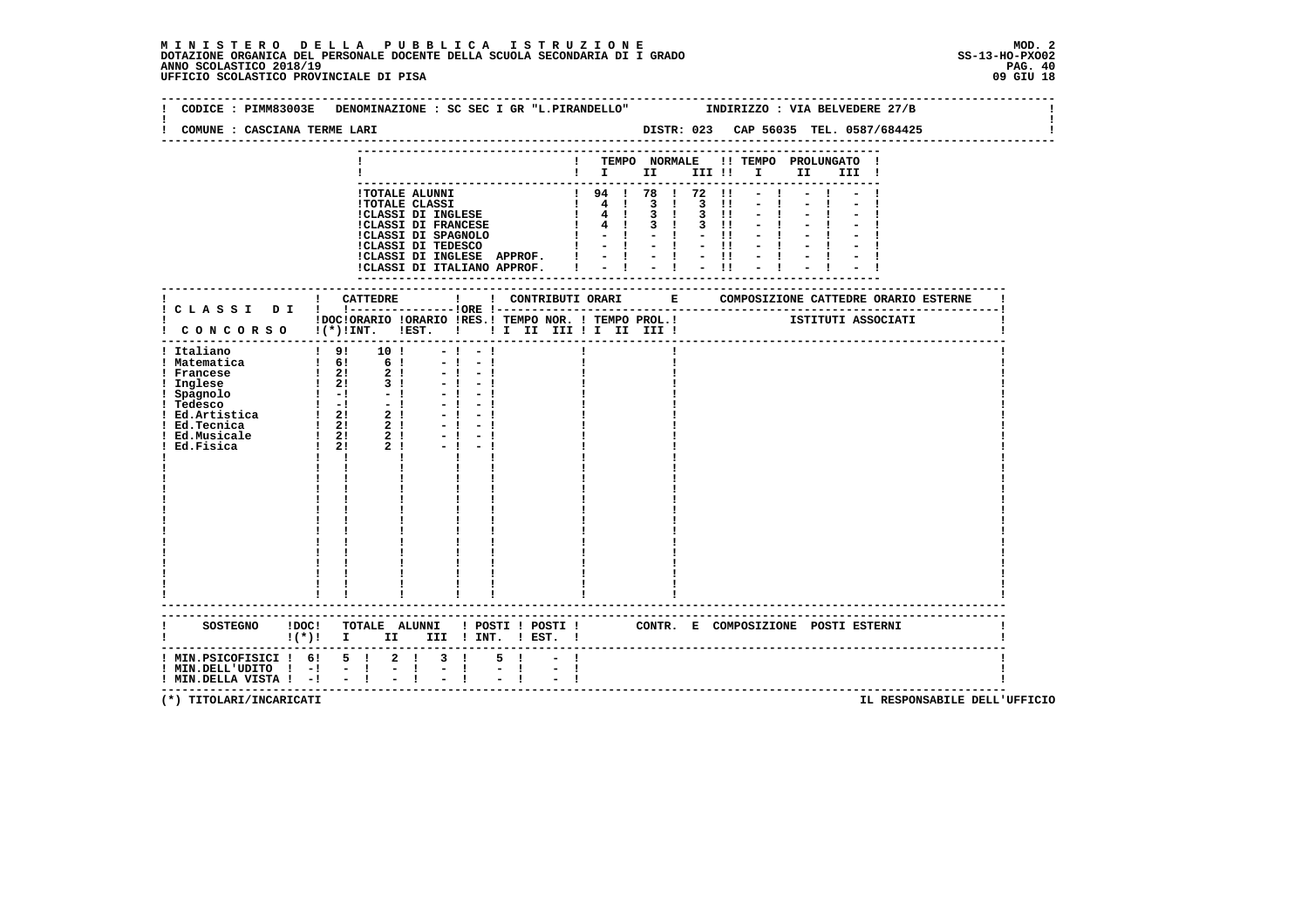| COMUNE : CASCIANA TERME LARI                                                                                                                                                                                                                                                                                                         | CODICE : PIMM83003E DENOMINAZIONE : SC SEC I GR "L.PIRANDELLO"                                                                                                                                                                                                                                                                                          |                                                     |                                                                                                                                                                                                |  | INDIRIZZO : VIA BELVEDERE 27/B |               |       |  |  |
|--------------------------------------------------------------------------------------------------------------------------------------------------------------------------------------------------------------------------------------------------------------------------------------------------------------------------------------|---------------------------------------------------------------------------------------------------------------------------------------------------------------------------------------------------------------------------------------------------------------------------------------------------------------------------------------------------------|-----------------------------------------------------|------------------------------------------------------------------------------------------------------------------------------------------------------------------------------------------------|--|--------------------------------|---------------|-------|--|--|
|                                                                                                                                                                                                                                                                                                                                      |                                                                                                                                                                                                                                                                                                                                                         |                                                     |                                                                                                                                                                                                |  |                                |               |       |  |  |
|                                                                                                                                                                                                                                                                                                                                      |                                                                                                                                                                                                                                                                                                                                                         |                                                     | ! TEMPO NORMALE !! TEMPO PROLUNGATO !<br>$\blacksquare$ $\blacksquare$ $\blacksquare$ $\blacksquare$ $\blacksquare$ $\blacksquare$ $\blacksquare$ $\blacksquare$ $\blacksquare$ $\blacksquare$ |  |                                |               | III ! |  |  |
|                                                                                                                                                                                                                                                                                                                                      | 1 TOTALE ALUNNI<br>1 TOTALE ALUNNI<br>1 TOTALE CLASSI<br>1 TOTALE CLASSI<br>1 TOTALE CLASSI<br>1 2 11 - 1<br>1 3 1 3 11 - 1<br>1 4 1 3 1 3 11 - 1<br>1 4 1 3 1 3 11 - 1<br>1 4 1 3 1 3 11 - 1<br>1 4 1 3 1 3 11 - 1<br>1 - 1<br>1 - 1<br>1 - 1 - 1 - 1 -<br>ICLASSI DI INGLESE APPROF. $1 - 1 - 1 - 11$<br>ICLASSI DI ITALIANO APPROF. $1 - 1 - 1 - 11$ |                                                     | ------------------------                                                                                                                                                                       |  |                                | $-1$ and $-1$ |       |  |  |
|                                                                                                                                                                                                                                                                                                                                      |                                                                                                                                                                                                                                                                                                                                                         |                                                     |                                                                                                                                                                                                |  |                                |               |       |  |  |
|                                                                                                                                                                                                                                                                                                                                      | ! CONCORSO !(*)!INT. !EST. ! ! I II III ! I III III !                                                                                                                                                                                                                                                                                                   |                                                     |                                                                                                                                                                                                |  |                                |               |       |  |  |
| ! Italiano<br>! Italiano<br>! Matematica $\begin{array}{r} 1 & 61 & 101 \\ 1 & 61 & 61 \\ 1 & 1 & 21 & 2 \\ 1 & 1 & 3 & 1 \\ 1 & 1 & 1 & 1 \\ 1 & 1 & 1 & 1 \\ 1 & 1 & 1 & 1 \\ 1 & 1 & 1 & 1 \\ 1 & 1 & 1 & 1 \\ 1 & 1 & 1 & 1 \\ 1 & 1 & 1 & 1 \\ 1 & 1 & 1 & 1 \\ 1 & 1 & 1 & 1 \\ 1 & 1 & 1 & 1 \\ 1 & 1 & 1 & 1 \\ 1 & 1 & 1 &$ | $19!$ 10 ! - ! - !<br>$-1$<br>$-1$<br>$-1$<br>$-1$                                                                                                                                                                                                                                                                                                      | $-1 - 1$<br>$-1 - 1$<br>$-1 - 1$                    |                                                                                                                                                                                                |  |                                |               |       |  |  |
| $(*)!$ I                                                                                                                                                                                                                                                                                                                             | SOSTEGNO !DOC! TOTALE ALUNNI ! POSTI ! POSTI ! CONTR. E COMPOSIZIONE POSTI ESTERNI<br>II III ! INT. ! EST. !                                                                                                                                                                                                                                            |                                                     |                                                                                                                                                                                                |  |                                |               |       |  |  |
| ! MIN.DELL'UDITO ! -!<br>! MIN.DELLA VISTA ! -!                                                                                                                                                                                                                                                                                      | $1$ MIN.PSICOFISICI $1 \quad 61 \quad 5 \quad 1 \quad 2 \quad 1 \quad 3 \quad 1$<br>$\mathbb{Z} \times \mathbb{R}$<br>$-1$<br>$-1$                                                                                                                                                                                                                      | 5 !<br>$\frac{1}{2}$ $\frac{1}{1}$<br>$\frac{1}{2}$ |                                                                                                                                                                                                |  |                                |               |       |  |  |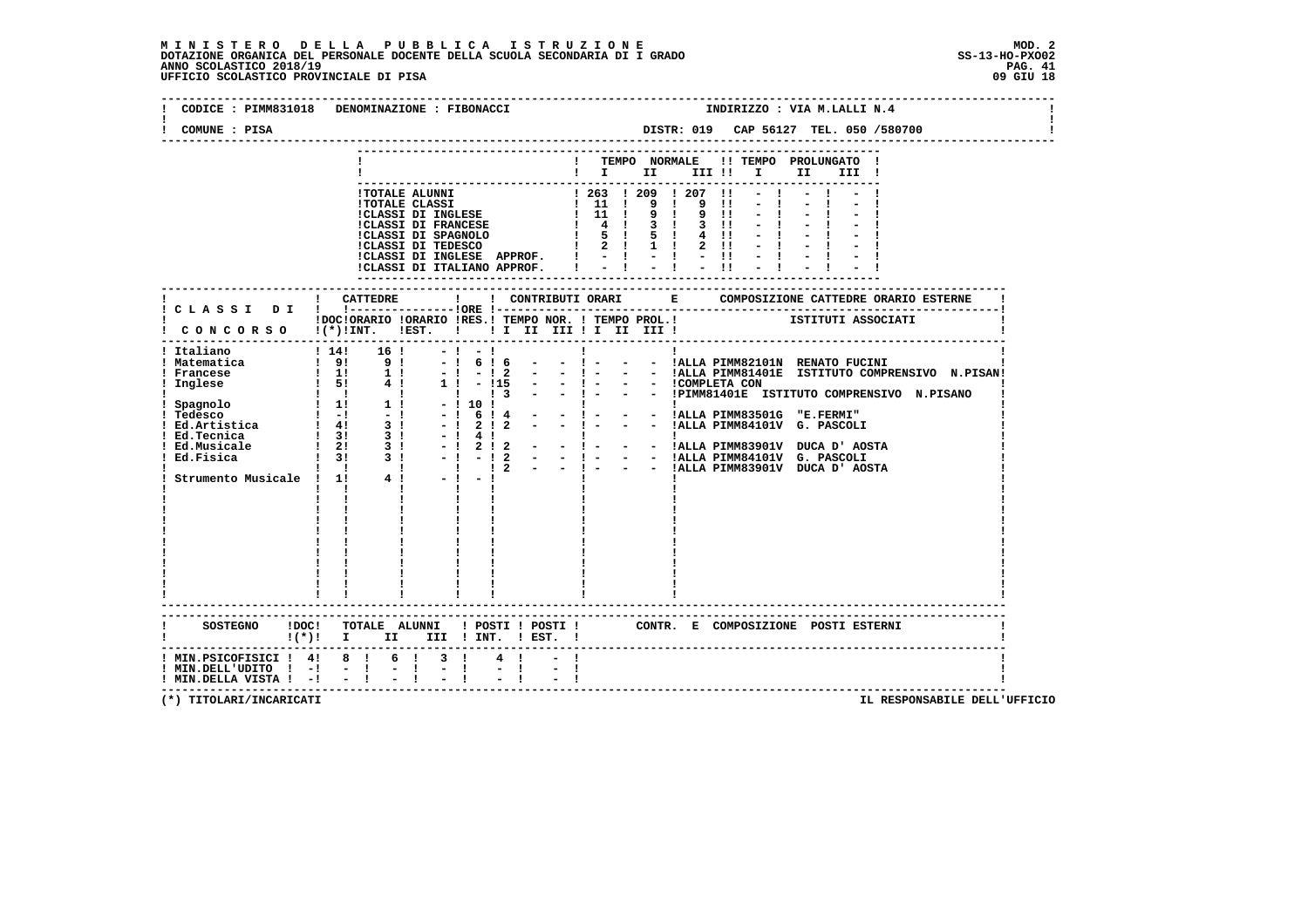|                                                              | CODICE : PIMM831018 DENOMINAZIONE : FIBONACCI                                                                                                                                                             | INDIRIZZO : VIA M.LALLI N.4                                                                                                                                                                                                    |
|--------------------------------------------------------------|-----------------------------------------------------------------------------------------------------------------------------------------------------------------------------------------------------------|--------------------------------------------------------------------------------------------------------------------------------------------------------------------------------------------------------------------------------|
| COMUNE : PISA                                                |                                                                                                                                                                                                           | DISTR: 019 CAP 56127 TEL. 050 /580700                                                                                                                                                                                          |
|                                                              |                                                                                                                                                                                                           | ! TEMPO NORMALE !! TEMPO PROLUNGATO !<br>$\blacksquare$ $\blacksquare$ $\blacksquare$ $\blacksquare$ $\blacksquare$ $\blacksquare$ $\blacksquare$ $\blacksquare$ $\blacksquare$<br>III !                                       |
|                                                              |                                                                                                                                                                                                           |                                                                                                                                                                                                                                |
|                                                              |                                                                                                                                                                                                           | :<br>!DOC!ORARIO !ORARIO !RES.! TEMPO NOR. ! TEMPO PROL.! ISTITUTI ASSOCIATI                                                                                                                                                   |
| ! Italiano                                                   | $\frac{1}{2}$ CONCORSO $\frac{1}{2}$ (*) $\frac{1}{2}$ INT. $\frac{1}{2}$ IEST. $\frac{1}{2}$ I I III III III IIII IIII<br>------------------------------------<br>$14!$ 16 !<br>$-1 - 1$<br>$\mathbf{I}$ | ! Italiano = 1 (14) 1 (14) - 1 (14) - 1 (14) - 1 (14) - 1 (14) - 1 (14) - 1 (14) - 1 (14) - 1 (14) - 1 (14) - 1 (14) - 1 (14) - 1 (14) - 1 (14) - 1 (14) - 1 (14) - 1 (14) - 1 (14) - 1 (14) - 1 (14) - 1 (14) - 1 (14) - 1 (1 |
|                                                              | $!(*)!$ I II III ! INT. ! EST. !                                                                                                                                                                          | SOSTEGNO !DOC! TOTALE ALUNNI ! POSTI ! POSTI ! CONTR. E COMPOSIZIONE POSTI ESTERNI                                                                                                                                             |
| ! MIN.DELL'UDITO ! -!<br>$!$ MIN.DELLA VISTA $!$ - $!$ - $!$ | ! MIN.PSICOFISICI ! 4! 8 ! 6 ! 3 !<br>$\sim$ $-1$<br>$\frac{1}{2}$ and $\frac{1}{2}$ . The $\frac{1}{2}$                                                                                                  |                                                                                                                                                                                                                                |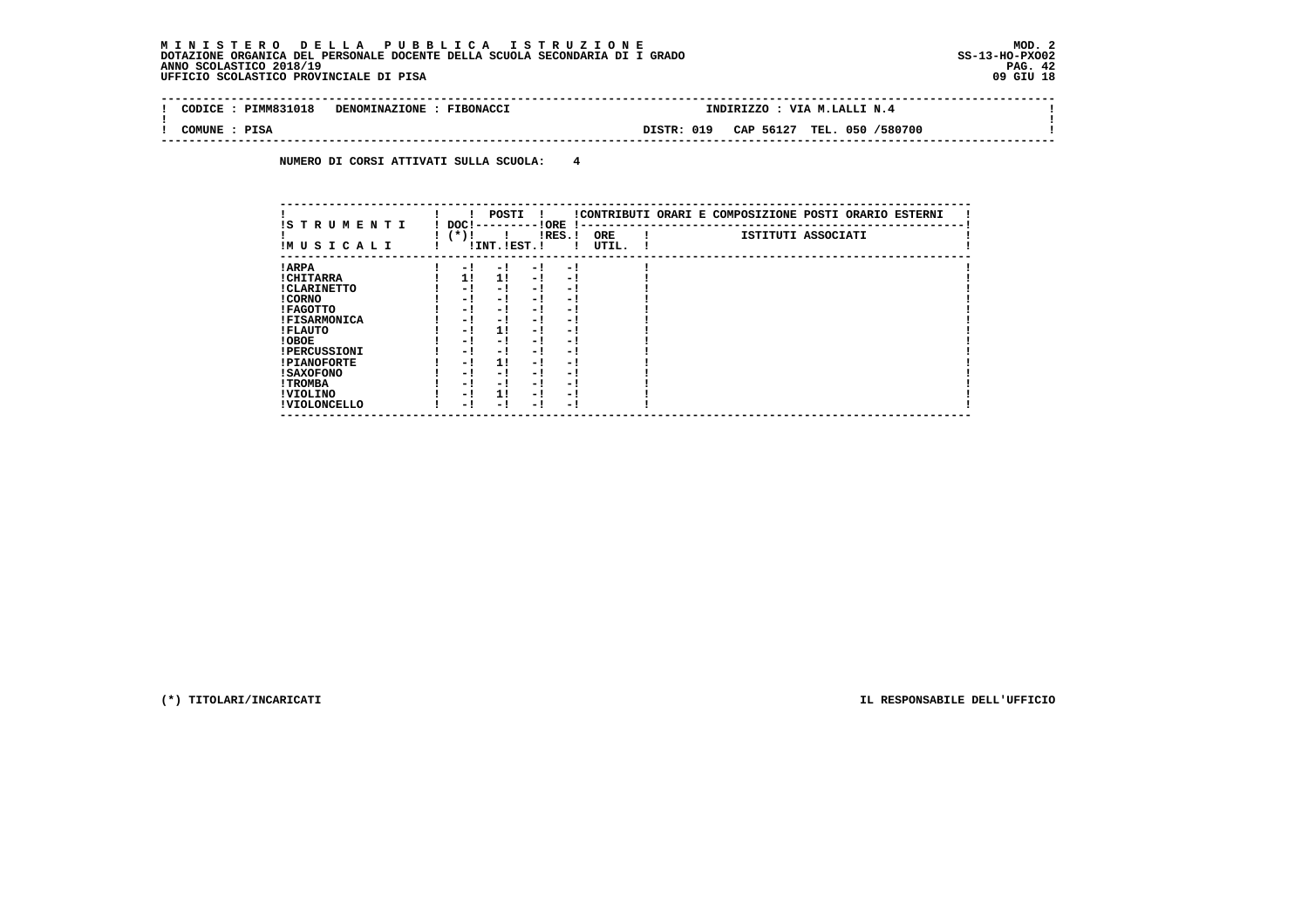| PTMM831018<br>CODICE<br>DENOMINAZIONE : FIBONACCI<br>INDIRIZZO | VIA M.LALLI N.4            |
|----------------------------------------------------------------|----------------------------|
|                                                                |                            |
| DISTR: 019<br>COMUNE<br>PISA                                   | CAP 56127 TEL. 050 /580700 |

 **NUMERO DI CORSI ATTIVATI SULLA SCUOLA: 4**

| IS T R U M E N T I  | POSTI<br>!CONTRIBUTI ORARI E COMPOSIZIONE POSTI ORARIO ESTERNI<br>! ORE<br>DOC!    |
|---------------------|------------------------------------------------------------------------------------|
| IMUSICALI           | ISTITUTI ASSOCIATI<br>$(*)!$<br>$lRES.$ !<br><b>ORE</b><br>! INT. !EST. !<br>UTIL. |
| ! ARPA              | - 1<br>$-1$<br>$-1$<br>- 1                                                         |
| ! CHITARRA          | 11<br>11<br>$-1$<br>- 1                                                            |
| ! CLARINETTO        | - !<br>- 1<br>- 1<br>- 1                                                           |
| ! CORNO             | - !<br>- !<br>- 1<br>- 1                                                           |
| ! FAGOTTO           | - !<br>- 1<br>- 1<br>- 1                                                           |
| <b>!FISARMONICA</b> | - 1<br>- 1<br>$-1$<br>- 1                                                          |
| ! FLAUTO            | 11<br>- 1<br>- 1<br>- 1                                                            |
| ! OBOE              | - !<br>- 1<br>- 1<br>- !                                                           |
| <b>!PERCUSSIONI</b> | - 1<br>- 1<br>- 1<br>- 1                                                           |
| <b>!PIANOFORTE</b>  | 11<br>- 1<br>- 1<br>- 1                                                            |
| ! SAXOFONO          | - 1<br>- 1<br>- 1<br>- 1                                                           |
| ! TROMBA            | - !<br>- 1<br>- 1<br>- 1                                                           |
| ! VIOLINO           | 11<br>- 1<br>- 1<br>- 1                                                            |
| ! VIOLONCELLO       | - 1<br>- 1<br>- 1<br>- 1                                                           |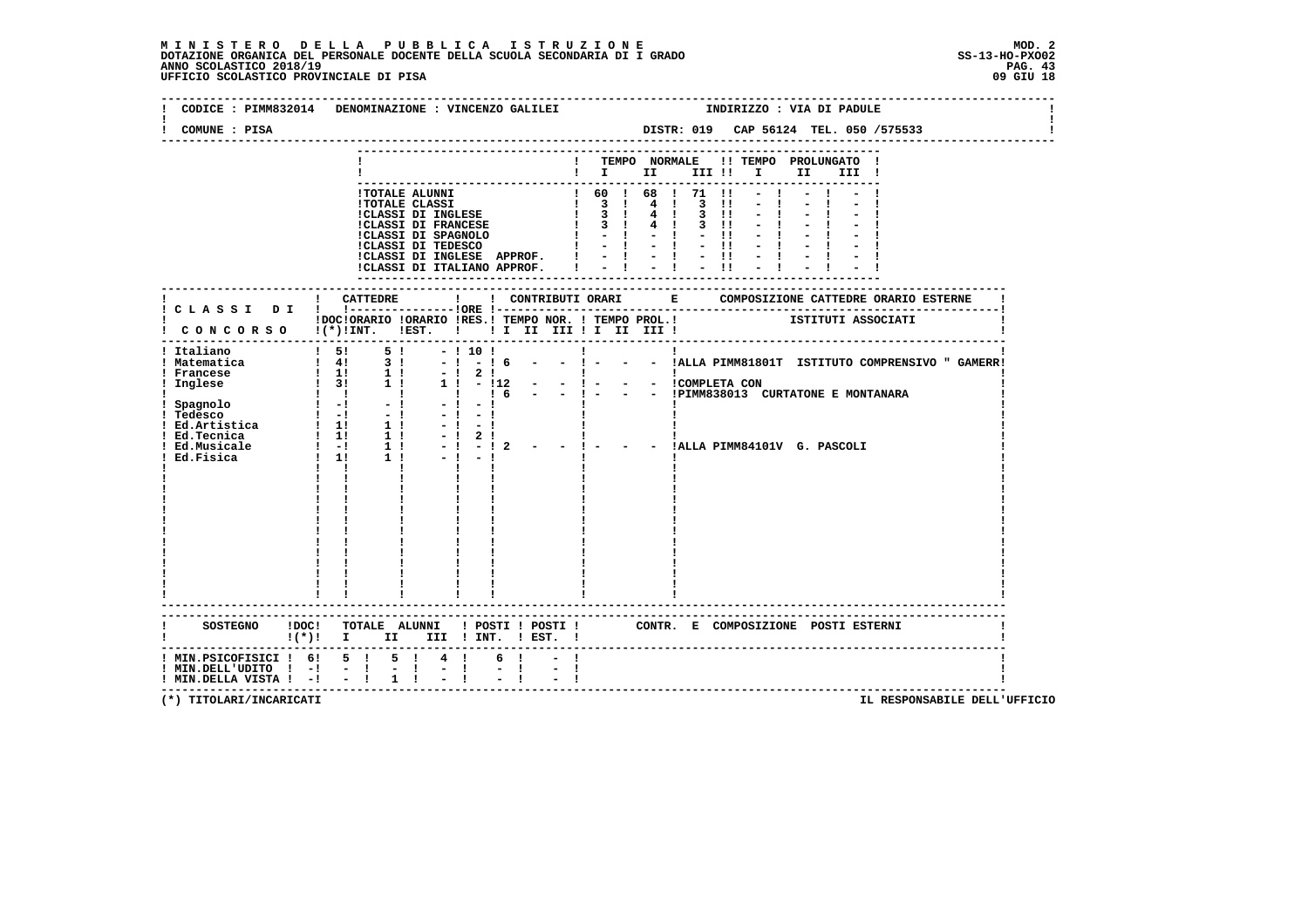# **M I N I S T E R O D E L L A P U B B L I C A I S T R U Z I O N E MOD. 2**DOTAZIONE ORGANICA DEL PERSONALE DOCENTE DELLA SCUOLA SECONDARIA DI I GRADO **SCOLA SS-13-HO-PXOO2**<br>PAG. 43 ANNO SCOLASTICO 2018/19<br>19 GIU 18 UFFICIO SCOLASTICO PROVINCIALE DI PISA

|                                                                           | CODICE : PIMM832014 DENOMINAZIONE : VINCENZO GALILEI                                                                           | INDIRIZZO : VIA DI PADULE                                                                                 |
|---------------------------------------------------------------------------|--------------------------------------------------------------------------------------------------------------------------------|-----------------------------------------------------------------------------------------------------------|
| COMUNE : PISA                                                             |                                                                                                                                |                                                                                                           |
|                                                                           |                                                                                                                                | ! TEMPO NORMALE !! TEMPO PROLUNGATO !<br>$\mathbf{I}$ is the set of $\mathbf{I}$<br>III II I I I<br>III ! |
|                                                                           |                                                                                                                                |                                                                                                           |
|                                                                           | ! CATTEDRE<br>$\mathbf{I}$<br>! CLASSI DI ! !-------------------- !ORE !--<br>CONCORSO !(*)!INT. !EST. ! ! I II III I III III! |                                                                                                           |
|                                                                           | -------------------------------------                                                                                          | - - ! - - - !ALLA PIMM81801T ISTITUTO COMPRENSIVO " GAMERR!                                               |
|                                                                           |                                                                                                                                |                                                                                                           |
|                                                                           | $!(*)!$ I II III ! INT. ! EST. !                                                                                               | SOSTEGNO !DOC! TOTALE ALUNNI ! POSTI ! POSTI ! CONTR. E COMPOSIZIONE POSTI ESTERNI                        |
| $!$ MIN.DELL'UDITO $!$ - $!$ - $!$<br>$!$ MIN.DELLA VISTA $!$ - $!$ - $!$ | ! MIN. PSICOFISICI ! 6! 5 ! 5 ! 4 !<br>$6 \quad 1$<br>$\frac{1}{2}$ = 1.0 $\pm$<br>$\sim$ 1.0 $\pm$<br>$1 \quad 1$             | ---------------------------------                                                                         |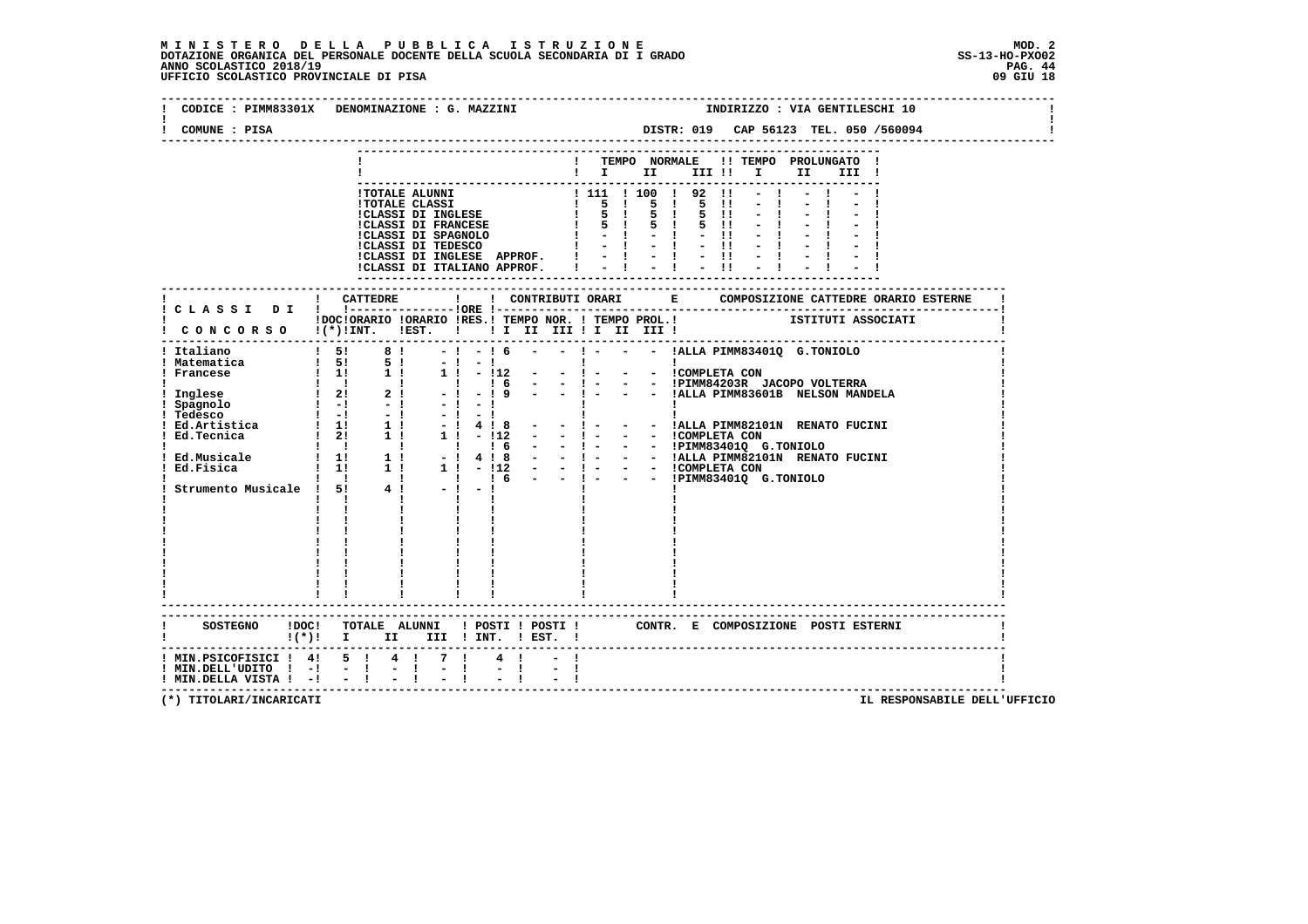|                                      | CODICE: PIMM83301X DENOMINAZIONE: G. MAZZINI<br>INDIRIZZO : VIA GENTILESCHI 10                                                 |
|--------------------------------------|--------------------------------------------------------------------------------------------------------------------------------|
| COMUNE : PISA                        |                                                                                                                                |
|                                      | ! TEMPO NORMALE !! TEMPO PROLUNGATO !                                                                                          |
|                                      | $\mathbf{I}$ is the set of $\mathbf{I}$<br>III !! I<br>II D<br>III !                                                           |
|                                      |                                                                                                                                |
|                                      |                                                                                                                                |
|                                      |                                                                                                                                |
|                                      |                                                                                                                                |
|                                      |                                                                                                                                |
|                                      |                                                                                                                                |
|                                      |                                                                                                                                |
|                                      |                                                                                                                                |
|                                      |                                                                                                                                |
|                                      | IDOCIORARIO IORARIO IRES.I TEMPO NOR. I TEMPO PROL.I ISTITUTI ASSOCIATI<br>I CONCORSO I(*)IINT. IEST. I II II III II III III I |
|                                      |                                                                                                                                |
|                                      |                                                                                                                                |
|                                      |                                                                                                                                |
|                                      |                                                                                                                                |
|                                      |                                                                                                                                |
|                                      |                                                                                                                                |
|                                      |                                                                                                                                |
|                                      |                                                                                                                                |
|                                      |                                                                                                                                |
|                                      |                                                                                                                                |
|                                      |                                                                                                                                |
|                                      |                                                                                                                                |
|                                      |                                                                                                                                |
|                                      |                                                                                                                                |
|                                      |                                                                                                                                |
|                                      |                                                                                                                                |
|                                      |                                                                                                                                |
|                                      |                                                                                                                                |
|                                      |                                                                                                                                |
|                                      |                                                                                                                                |
|                                      |                                                                                                                                |
|                                      |                                                                                                                                |
|                                      | SOSTEGNO IDOC! TOTALE ALUNNI ! POSTI ! POSTI ! CONTR. E COMPOSIZIONE POSTI ESTERNI ! (*)! I III III ! INT. ! EST. !            |
|                                      | ! MIN.PSICOFISICI ! 4! 5 ! 4 ! 7 !                                                                                             |
| $!$ MIN.DELL'UDITO $!$ -! - !        | $\pm$ $\pm$ $\pm$ $\pm$                                                                                                        |
| $!$ MIN. DELLA VISTA $!$ - $!$ - $!$ |                                                                                                                                |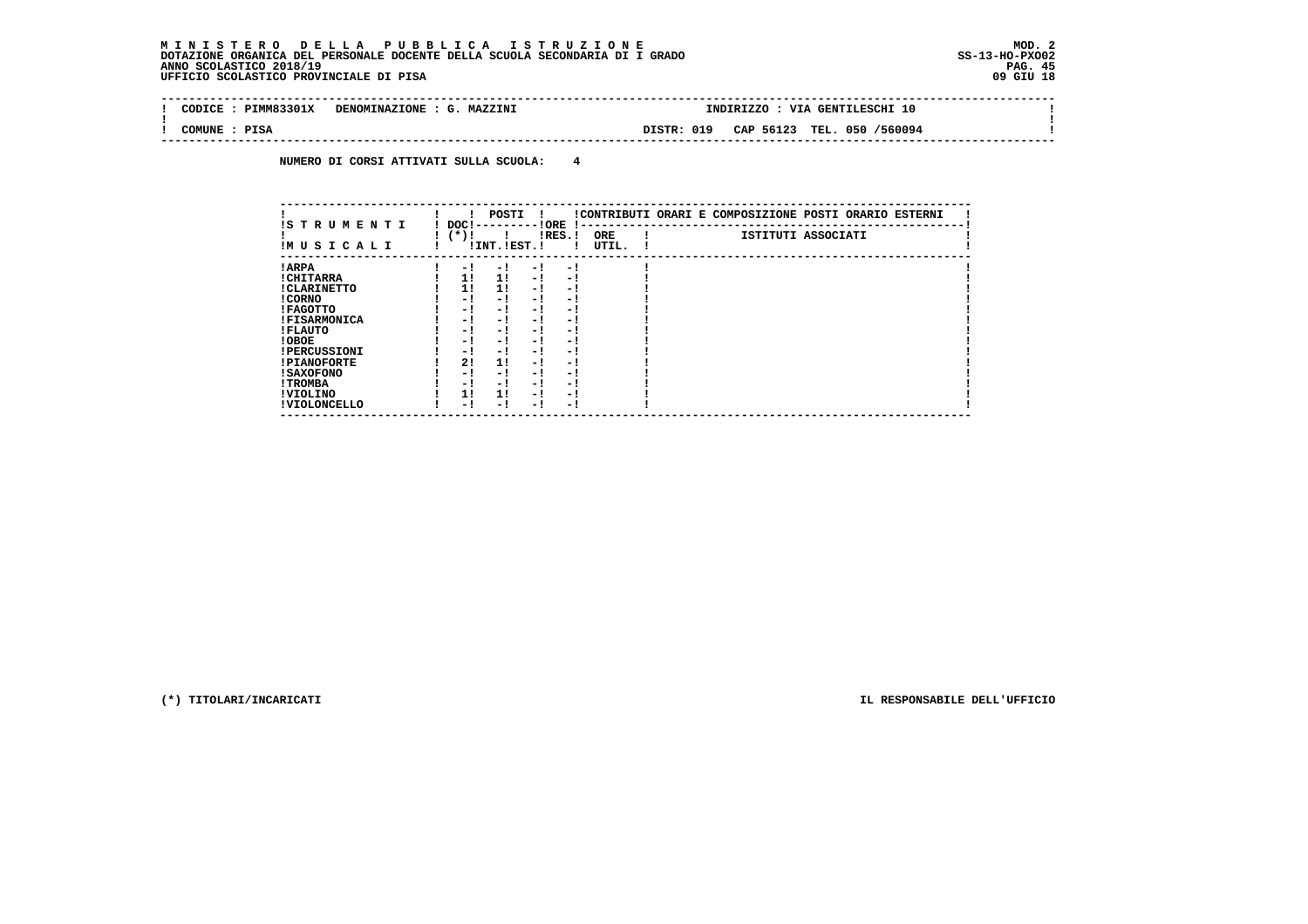| CODTC:   | $\n  TMM8$ | DENOM:<br>" MAZZIN.<br><b>.IONE</b><br>TNAZ.<br>- 6 | <b>VTA</b><br><b>GENTI</b><br>LESCH <sup>-</sup><br>7.7.0         |
|----------|------------|-----------------------------------------------------|-------------------------------------------------------------------|
|          |            |                                                     |                                                                   |
| -------- | ----       |                                                     | ____<br>$\cdots$<br>_____<br>-----<br>$\sim$ $\sim$ $\sim$<br>$-$ |

 **! COMUNE : PISA DISTR: 019 CAP 56123 TEL. 050 /560094 ! --------------------------------------------------------------------------------------------------------------------------------**

 **NUMERO DI CORSI ATTIVATI SULLA SCUOLA: 4**

| IS T R U M E N T I  | DOC!   | POSTI          | ! ORE |           |                     | !CONTRIBUTI ORARI E COMPOSIZIONE POSTI ORARIO ESTERNI |
|---------------------|--------|----------------|-------|-----------|---------------------|-------------------------------------------------------|
| IMUSICALI           | $(*)!$ | ! INT. !EST. ! |       | $lRES.$ ! | <b>ORE</b><br>UTIL. | ISTITUTI ASSOCIATI                                    |
| ! ARPA              |        | - 1<br>$-1$    | - 1   | $-1$      |                     |                                                       |
| ! CHITARRA          |        | 11<br>11       | $-1$  | - 1       |                     |                                                       |
| ! CLARINETTO        | 11     | 11             | $-1$  | - 1       |                     |                                                       |
| ! CORNO             | - !    | - !            | - 1   | - 1       |                     |                                                       |
| ! FAGOTTO           | - 1    | - !            | - 1   | - 1       |                     |                                                       |
| <b>!FISARMONICA</b> | - 1    | - 1            | - 1   | - 1       |                     |                                                       |
| ! FLAUTO            | - !    | - !            | - 1   | - 1       |                     |                                                       |
| ! OBOE              | - 1    | - !            | - !   | - 1       |                     |                                                       |
| <b>!PERCUSSIONI</b> | - 1    | - 1            | - 1   | - 1       |                     |                                                       |
| <b>!PIANOFORTE</b>  | 2!     | 11             | - 1   | - 1       |                     |                                                       |
| ! SAXOFONO          | - 1    | - 1            | - 1   | - 1       |                     |                                                       |
| ! TROMBA            | - 1    | - !            | - 1   | - 1       |                     |                                                       |
| ! VIOLINO           | 1!     | 11             | - 1   | - 1       |                     |                                                       |
| ! VIOLONCELLO       | - 1    | - 1            | - 1   | - 1       |                     |                                                       |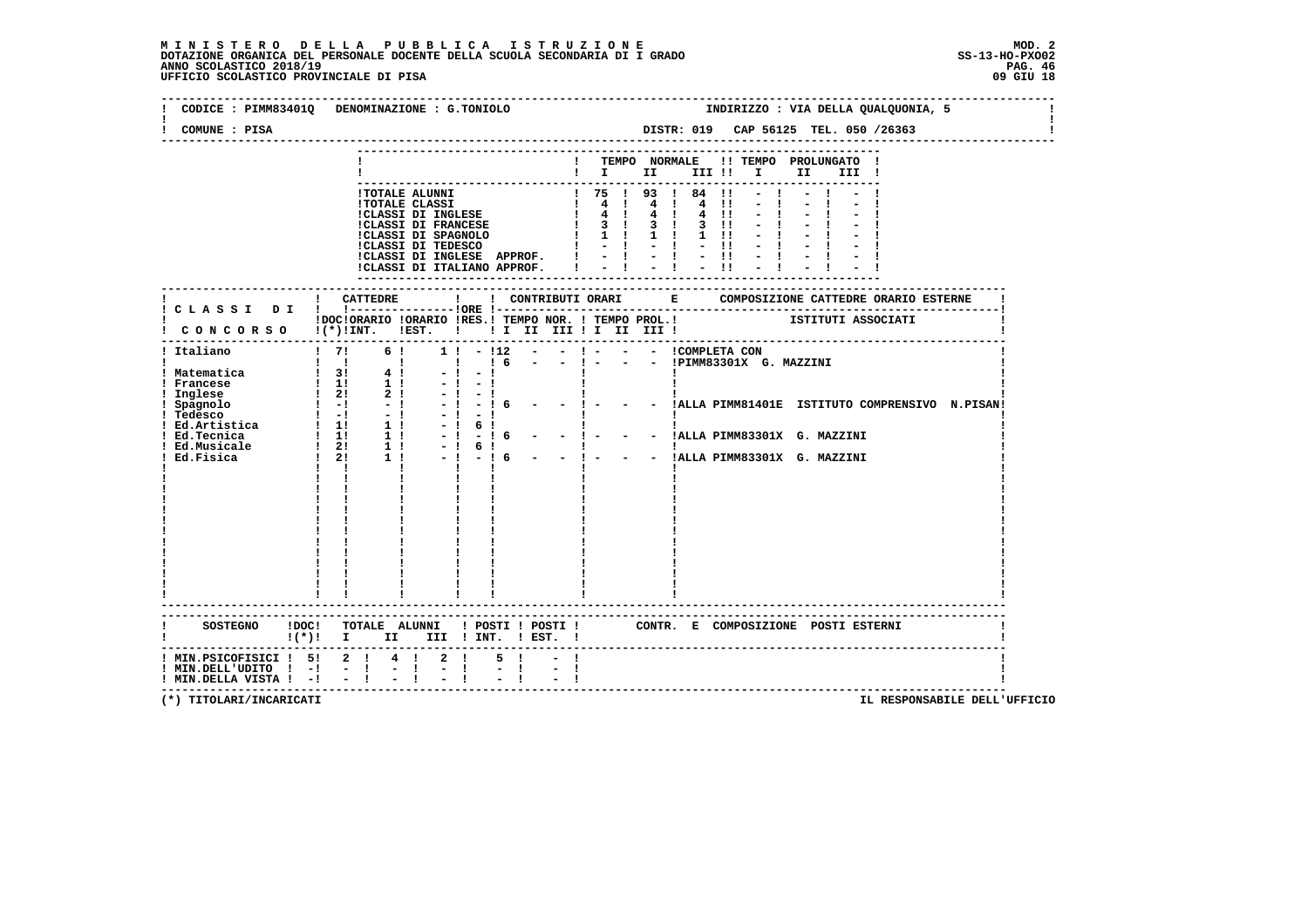| COMUNE : PISA                                                 | CODICE : PIMM83401Q DENOMINAZIONE : G.TONIOLO                                                                                                                                                                                                                                                                                                                | INDIRIZZO : VIA DELLA QUALQUONIA, 5<br>DISTR: 019 CAP 56125 TEL. 050 /26363                                                                                                                                                                                                   |
|---------------------------------------------------------------|--------------------------------------------------------------------------------------------------------------------------------------------------------------------------------------------------------------------------------------------------------------------------------------------------------------------------------------------------------------|-------------------------------------------------------------------------------------------------------------------------------------------------------------------------------------------------------------------------------------------------------------------------------|
|                                                               |                                                                                                                                                                                                                                                                                                                                                              | -----------------<br>! TEMPO NORMALE !! TEMPO PROLUNGATO !<br>$\blacksquare$ $\blacksquare$ $\blacksquare$ $\blacksquare$ $\blacksquare$ $\blacksquare$ $\blacksquare$ $\blacksquare$ $\blacksquare$ $\blacksquare$<br>III !                                                  |
|                                                               | !CLASSI DI INGLESE APPROF. $  \cdot   \cdot   \cdot   \cdot  $ !<br>!CLASSI DI ITALIANO APPROF. $  \cdot   \cdot   \cdot   \cdot  $ !                                                                                                                                                                                                                        | ! TOTALE ALUNNI<br>! TOTALE CLASSI<br>! TOTALE CLASSI<br>! TOTALE CLASSI<br>! 4 ! 4 ! 4 !! - !<br>! CLASSI DI FRANCESE<br>! 4 ! 4 !! 4 !! - !<br>! CLASSI DI FRANCESE<br>! 1 !! 1 !! 1 !! - !<br>! CLASSI DI TEDESCO<br>! - ! - ! - !! - !<br>$-1$                            |
|                                                               |                                                                                                                                                                                                                                                                                                                                                              |                                                                                                                                                                                                                                                                               |
|                                                               | !DOC!ORARIO !ORARIO !RES.! TEMPO NOR. ! TEMPO PROL.!<br>I CONCORSO I(*)!INT. IEST. !! I II III II III III !                                                                                                                                                                                                                                                  | ISTITUTI ASSOCIATI                                                                                                                                                                                                                                                            |
| ! Italiano                                                    | $\frac{1}{2}$<br>6 !<br>! Italiano   7  6 ! 1 ! -<br>! Matematica   1 ! -<br>! Francese   1 1   1   - ! -<br>! Inglese   2 ! 2 ! - ! - ! -<br>! Tedesco   - ! - ! - ! - ! - !<br>! Tedesco   - ! - ! - ! - ! - !<br>! Ed.Artistica   1   1   - ! 6  <br>! Ed.Tecnica<br>$-1 - 1$<br>$-1$<br>- 16<br>6!<br>6!<br>$-1 - 16$<br>$\mathbf{I}$ $\mathbf{I}$<br>п. | $1! - 112 - - 1 - - - 1$ COMPLETA CON<br>! 6 - - ! - - - !PIMM83301X G. MAZZINI<br>$\mathbf{I}$<br>- - !ALLA PIMM81401E ISTITUTO COMPRENSIVO N.PISAN!<br>$\mathbf{I}$<br>$-!$ - $16$ - $-!$ - $-$ - $14$ LLA PIMM83301X G. MAZZINI<br>- - ! - - - !ALLA PIMM83301X G. MAZZINI |
|                                                               |                                                                                                                                                                                                                                                                                                                                                              |                                                                                                                                                                                                                                                                               |
|                                                               | $!(*)!$ I II III ! INT. ! EST. !                                                                                                                                                                                                                                                                                                                             | SOSTEGNO !DOC! TOTALE ALUNNI ! POSTI ! POSTI ! CONTR. E COMPOSIZIONE POSTI ESTERNI                                                                                                                                                                                            |
| ! MIN.DELL'UDITO ! -!<br>$!$ MIN. DELLA VISTA $!$ - $!$ - $!$ | ! MIN.PSICOFISICI ! 5! 2 ! 4 ! 2 !<br>$5 \quad 1 \quad$<br>$-1$<br>$-1$<br>$-1$                                                                                                                                                                                                                                                                              |                                                                                                                                                                                                                                                                               |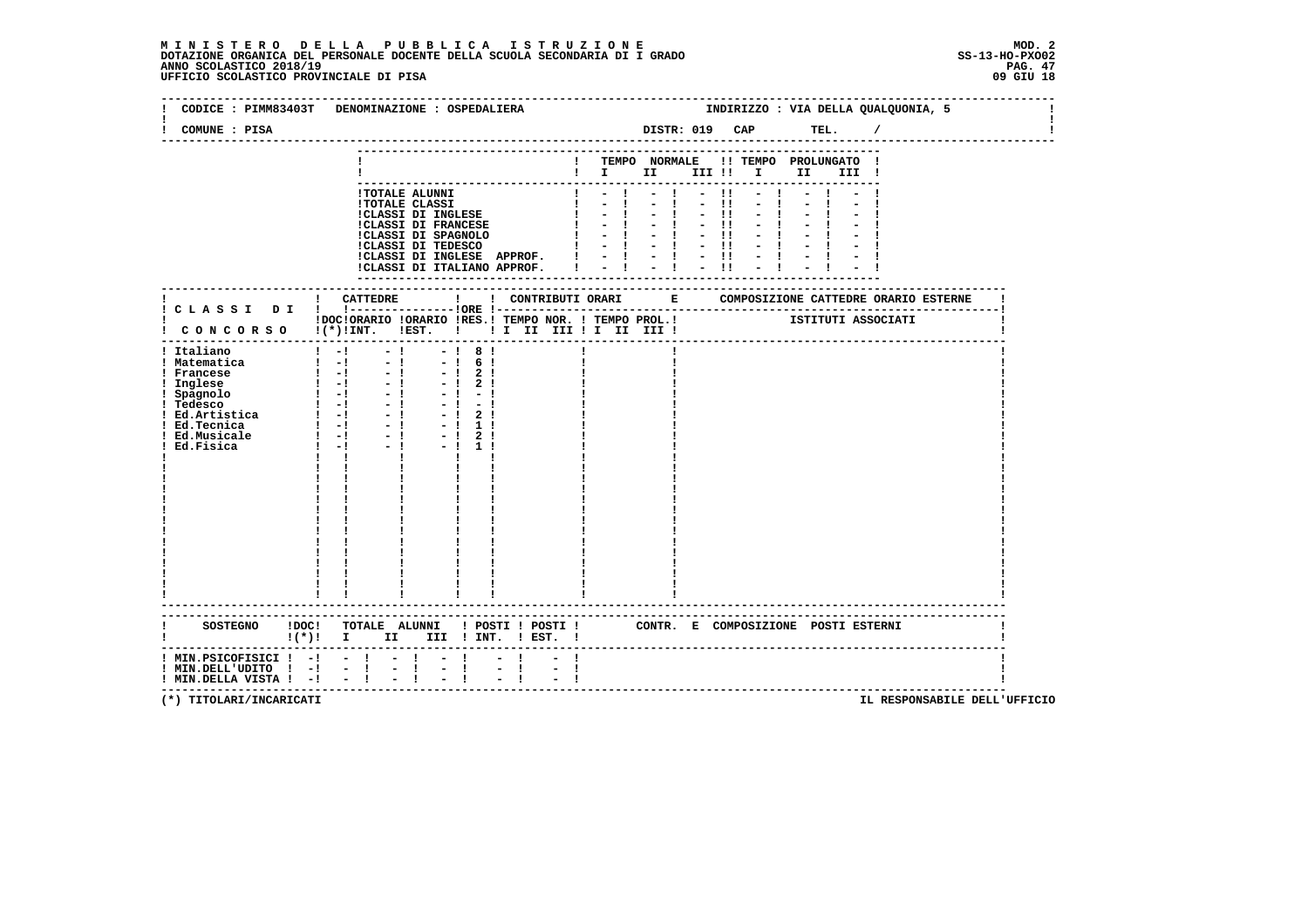|                                                                                                                                                                                                                | CODICE : PIMM83403T DENOMINAZIONE : OSPEDALIERA                                                                                                                                                                                                                | INDIRIZZO : VIA DELLA QUALQUONIA, 5                                                                                                          |
|----------------------------------------------------------------------------------------------------------------------------------------------------------------------------------------------------------------|----------------------------------------------------------------------------------------------------------------------------------------------------------------------------------------------------------------------------------------------------------------|----------------------------------------------------------------------------------------------------------------------------------------------|
| COMUNE : PISA                                                                                                                                                                                                  |                                                                                                                                                                                                                                                                | DISTR: 019 CAP TEL. /                                                                                                                        |
|                                                                                                                                                                                                                |                                                                                                                                                                                                                                                                | TEMPO NORMALE !! TEMPO PROLUNGATO !<br>$\blacksquare$                                                                                        |
|                                                                                                                                                                                                                | <b>!TOTALE ALUNNI</b><br><b>!TOTALE CLASSI</b><br>!CLASSI DI INGLESE<br><b>!CLASSI DI FRANCESE</b><br>!CLASSI DI SPAGNOLO      <br>!CLASSI DI TEDESCO    <br>!CLASSI DI INGLESE APPROF. !<br>!CLASSI DI ITALIANO APPROF. I                                     | $-11$<br>$\frac{1}{1}$<br>$-11$<br>$-11$<br>$\mathbf{I}$<br>$-1$ $-$<br>$-11$<br>$-1$ $-1$<br>$-11$<br>$-1 - 1 - 1$<br>$= 1 + 1 + 1$<br>$-1$ |
|                                                                                                                                                                                                                |                                                                                                                                                                                                                                                                |                                                                                                                                              |
|                                                                                                                                                                                                                | ! CONCORSO !(*)!INT. !EST. ! ! I II III ! I III III !                                                                                                                                                                                                          | !DOC!ORARIO !ORARIO !RES.! TEMPO NOR. ! TEMPO PROL.! [STITUTI ASSOCIATI                                                                      |
| ! Italiano<br>! Matematica<br>! Matematica     - <br>  Francese   - <br>  Inglese   - <br>  Tedesco   - <br>  Tedesco   - <br>  Ed.Artistica   - <br>  Ed.Musicale   - <br>  Ed.Fisica   - <br>  Ed.Fisica   - | $1 - 1$<br>$-1$<br>$-181$<br>$\mathbf{I}$ $\mathbf{I}$ $\mathbf{I}$<br>$-1$<br>$-! 6!$<br>$-1$<br>$-1$ 2 1<br>$-1$<br>$-1$ 2 1<br>$-1$<br>$-1 - 1$<br>$-1$<br>$-1$<br>$-1$<br>$-1$<br>$-1$ 2 1<br>$-1$ 1 1<br>$-1$<br>$-1$<br>$-!2!$<br>$-1$ 1 1<br>$-1$<br>п. |                                                                                                                                              |
|                                                                                                                                                                                                                | $!(*)!$ I II III ! INT. ! EST. !                                                                                                                                                                                                                               | SOSTEGNO !DOC! TOTALE ALUNNI ! POSTI ! POSTI ! CONTR. E COMPOSIZIONE POSTI ESTERNI                                                           |
| $! MIN.PSICOFISICI ! -! -! -!$<br>! MIN.DELLA VISTA ! -!                                                                                                                                                       | $\mathbf{I}$<br>$\frac{1}{2}$<br>$\frac{1}{2}$                                                                                                                                                                                                                 | ------------------------------------                                                                                                         |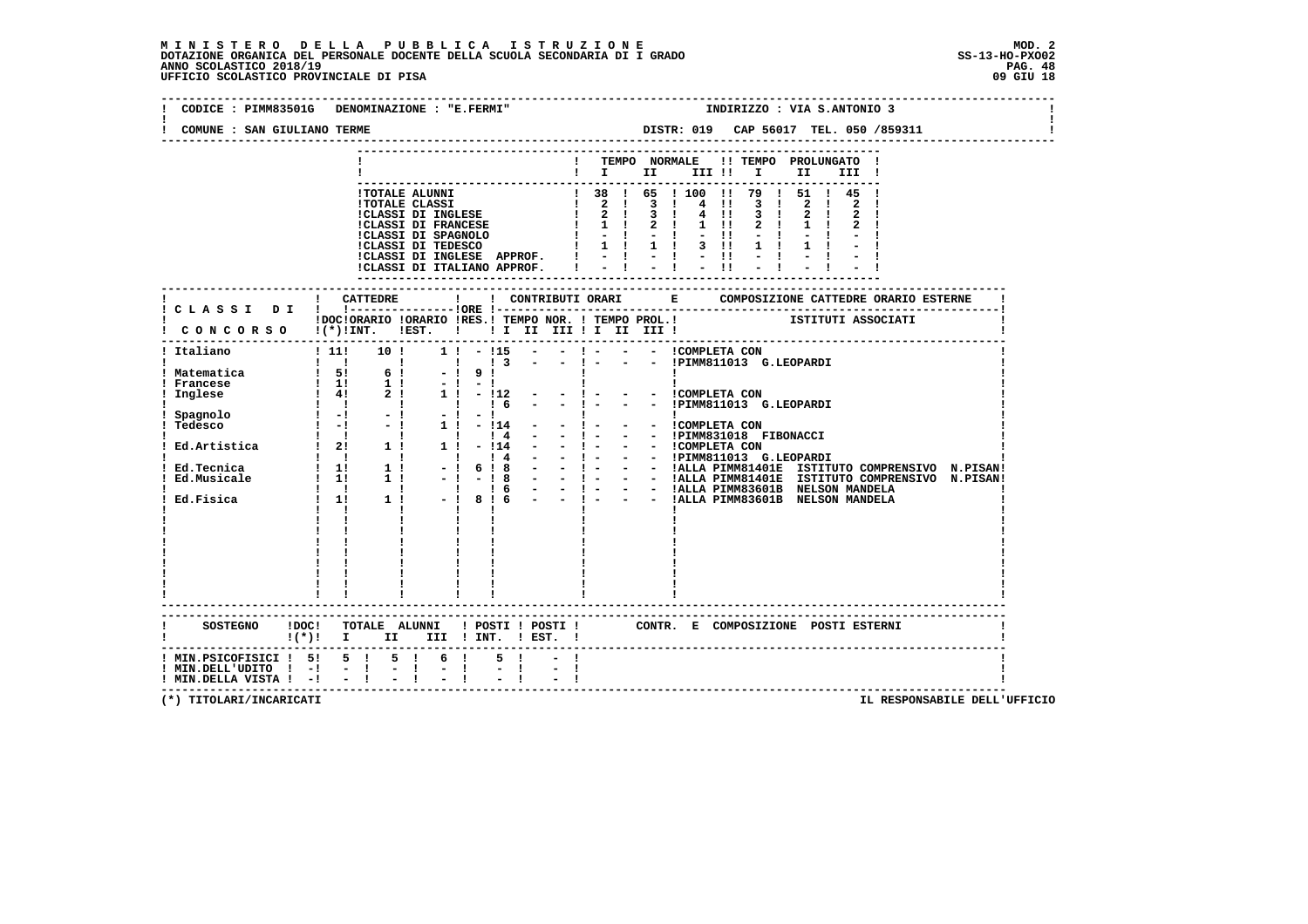# **M I N I S T E R O D E L L A P U B B L I C A I S T R U Z I O N E MOD. 2**DOTAZIONE ORGANICA DEL PERSONALE DOCENTE DELLA SCUOLA SECONDARIA DI I GRADO **SCOLA SS-13-HO-PXOO2**<br>PAG. 48 ANNO SCOLASTICO 2018/19<br>19 UFFICIO SCOLASTICO PROVINCIALE DI PISA

| COMUNE : SAN GIULIANO TERME                                                                                                     |                               |            |                                                                                                                                                                                                                                                                                                                                                               |              |      |                                                         |                                       |  |  |           |  |       |  |  |
|---------------------------------------------------------------------------------------------------------------------------------|-------------------------------|------------|---------------------------------------------------------------------------------------------------------------------------------------------------------------------------------------------------------------------------------------------------------------------------------------------------------------------------------------------------------------|--------------|------|---------------------------------------------------------|---------------------------------------|--|--|-----------|--|-------|--|--|
|                                                                                                                                 |                               |            |                                                                                                                                                                                                                                                                                                                                                               |              |      |                                                         |                                       |  |  |           |  |       |  |  |
|                                                                                                                                 |                               |            |                                                                                                                                                                                                                                                                                                                                                               |              |      | $\frac{1}{1}$ $\frac{1}{1}$ $\frac{1}{1}$ $\frac{1}{1}$ | ! TEMPO NORMALE !! TEMPO PROLUNGATO ! |  |  | III II II |  | III ! |  |  |
|                                                                                                                                 |                               |            |                                                                                                                                                                                                                                                                                                                                                               |              |      |                                                         |                                       |  |  |           |  |       |  |  |
|                                                                                                                                 |                               |            |                                                                                                                                                                                                                                                                                                                                                               |              |      |                                                         |                                       |  |  |           |  |       |  |  |
|                                                                                                                                 |                               |            |                                                                                                                                                                                                                                                                                                                                                               |              |      |                                                         |                                       |  |  |           |  |       |  |  |
|                                                                                                                                 |                               |            |                                                                                                                                                                                                                                                                                                                                                               |              |      |                                                         |                                       |  |  |           |  |       |  |  |
|                                                                                                                                 |                               |            |                                                                                                                                                                                                                                                                                                                                                               |              |      |                                                         |                                       |  |  |           |  |       |  |  |
|                                                                                                                                 |                               |            |                                                                                                                                                                                                                                                                                                                                                               |              |      |                                                         |                                       |  |  |           |  |       |  |  |
|                                                                                                                                 |                               |            | $\begin{tabular}{l cccc} \hline \texttt{ITOTALE ALUNN} & & & 138 & 65 & 100 & 11 & 79 & 1 & 51 & 1 & 45 & 1 \\ \texttt{ITOTALE CLASST} & & 138 & 65 & 100 & 11 & 79 & 1 & 51 & 1 & 45 & 1 \\ \texttt{IOTALE CLASST DI INGLESE} & & 2 & 1 & 3 & 1 & 4 & 11 & 3 & 1 & 2 & 1 & 2 & 1 \\ \texttt{ICLASST DI FRANCESE} & & 1 & 2 & 1 & 3 & 1 & 4 & 11 & 3 & 1 & 2$ |              |      |                                                         |                                       |  |  |           |  |       |  |  |
|                                                                                                                                 |                               | ! CATTEDRE |                                                                                                                                                                                                                                                                                                                                                               | $\mathbf{I}$ |      |                                                         |                                       |  |  |           |  |       |  |  |
|                                                                                                                                 |                               |            |                                                                                                                                                                                                                                                                                                                                                               |              |      |                                                         |                                       |  |  |           |  |       |  |  |
| IDOCIORARIO IORARIO IRES.I TEMPO NOR. I TEMPO PROL.I [1] ISTITUTI ASSOCIATI<br>CONCORSO 1(*)INT. IEST. I II II III II III III I |                               |            |                                                                                                                                                                                                                                                                                                                                                               |              |      |                                                         |                                       |  |  |           |  |       |  |  |
|                                                                                                                                 |                               |            |                                                                                                                                                                                                                                                                                                                                                               |              |      |                                                         |                                       |  |  |           |  |       |  |  |
|                                                                                                                                 |                               |            |                                                                                                                                                                                                                                                                                                                                                               |              |      |                                                         |                                       |  |  |           |  |       |  |  |
|                                                                                                                                 |                               |            |                                                                                                                                                                                                                                                                                                                                                               |              |      |                                                         |                                       |  |  |           |  |       |  |  |
|                                                                                                                                 |                               |            |                                                                                                                                                                                                                                                                                                                                                               |              |      |                                                         |                                       |  |  |           |  |       |  |  |
|                                                                                                                                 |                               |            |                                                                                                                                                                                                                                                                                                                                                               |              |      |                                                         |                                       |  |  |           |  |       |  |  |
|                                                                                                                                 |                               |            |                                                                                                                                                                                                                                                                                                                                                               |              |      |                                                         |                                       |  |  |           |  |       |  |  |
|                                                                                                                                 |                               |            |                                                                                                                                                                                                                                                                                                                                                               |              |      |                                                         |                                       |  |  |           |  |       |  |  |
|                                                                                                                                 |                               |            |                                                                                                                                                                                                                                                                                                                                                               |              |      |                                                         |                                       |  |  |           |  |       |  |  |
|                                                                                                                                 |                               |            |                                                                                                                                                                                                                                                                                                                                                               |              |      |                                                         |                                       |  |  |           |  |       |  |  |
|                                                                                                                                 |                               |            |                                                                                                                                                                                                                                                                                                                                                               |              |      |                                                         |                                       |  |  |           |  |       |  |  |
|                                                                                                                                 |                               |            |                                                                                                                                                                                                                                                                                                                                                               |              |      |                                                         |                                       |  |  |           |  |       |  |  |
|                                                                                                                                 |                               |            |                                                                                                                                                                                                                                                                                                                                                               |              |      |                                                         |                                       |  |  |           |  |       |  |  |
|                                                                                                                                 | $\mathbf{I}$ and $\mathbf{I}$ |            |                                                                                                                                                                                                                                                                                                                                                               |              |      |                                                         |                                       |  |  |           |  |       |  |  |
|                                                                                                                                 |                               |            |                                                                                                                                                                                                                                                                                                                                                               |              |      |                                                         |                                       |  |  |           |  |       |  |  |
|                                                                                                                                 |                               |            |                                                                                                                                                                                                                                                                                                                                                               |              |      |                                                         |                                       |  |  |           |  |       |  |  |
|                                                                                                                                 |                               |            |                                                                                                                                                                                                                                                                                                                                                               |              |      |                                                         |                                       |  |  |           |  |       |  |  |
|                                                                                                                                 |                               |            |                                                                                                                                                                                                                                                                                                                                                               |              |      |                                                         |                                       |  |  |           |  |       |  |  |
|                                                                                                                                 |                               |            |                                                                                                                                                                                                                                                                                                                                                               |              |      |                                                         |                                       |  |  |           |  |       |  |  |
|                                                                                                                                 |                               |            |                                                                                                                                                                                                                                                                                                                                                               |              |      |                                                         |                                       |  |  |           |  |       |  |  |
| $!(*)!$ I II III ! INT. ! EST. !                                                                                                |                               |            |                                                                                                                                                                                                                                                                                                                                                               |              |      |                                                         |                                       |  |  |           |  |       |  |  |
| ! MIN.PSICOFISICI ! 5! 5 ! 5 ! 6 !                                                                                              |                               |            |                                                                                                                                                                                                                                                                                                                                                               |              | $-1$ |                                                         |                                       |  |  |           |  |       |  |  |
| ! MIN.DELL'UDITO ! -! - ! - ! - !<br>! MIN.DELLA VISTA ! -! - ! - ! - !                                                         |                               |            |                                                                                                                                                                                                                                                                                                                                                               |              |      |                                                         |                                       |  |  |           |  |       |  |  |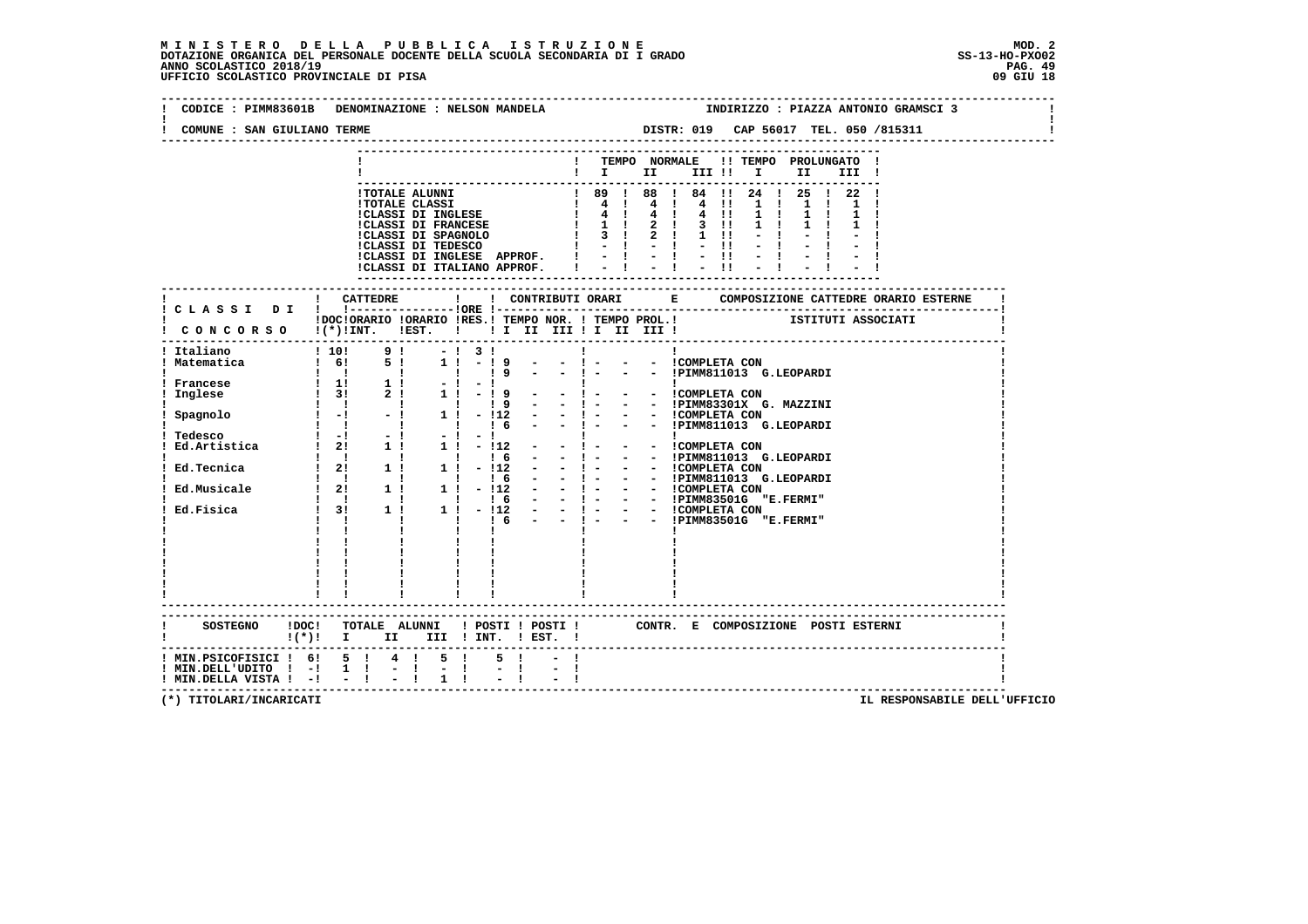| COMUNE : SAN GIULIANO TERME                                                                                                                                                                                              |                                                                           |                                                                                                                                                                                                                                                                                                                                                                                        |                                                                                                                                                    |                                                              |                                                                                                                                                      |                                                  |  |                                                                                                                                                                                                                                                                                                                                                                                                                  |       | DISTR: 019 CAP 56017 TEL. 050 /815311                                                                                                                                                                 |  |  |  |
|--------------------------------------------------------------------------------------------------------------------------------------------------------------------------------------------------------------------------|---------------------------------------------------------------------------|----------------------------------------------------------------------------------------------------------------------------------------------------------------------------------------------------------------------------------------------------------------------------------------------------------------------------------------------------------------------------------------|----------------------------------------------------------------------------------------------------------------------------------------------------|--------------------------------------------------------------|------------------------------------------------------------------------------------------------------------------------------------------------------|--------------------------------------------------|--|------------------------------------------------------------------------------------------------------------------------------------------------------------------------------------------------------------------------------------------------------------------------------------------------------------------------------------------------------------------------------------------------------------------|-------|-------------------------------------------------------------------------------------------------------------------------------------------------------------------------------------------------------|--|--|--|
|                                                                                                                                                                                                                          |                                                                           |                                                                                                                                                                                                                                                                                                                                                                                        |                                                                                                                                                    |                                                              |                                                                                                                                                      |                                                  |  |                                                                                                                                                                                                                                                                                                                                                                                                                  |       | ! TEMPO NORMALE !! TEMPO PROLUNGATO !<br>$\blacksquare$                                                                                                                                               |  |  |  |
|                                                                                                                                                                                                                          |                                                                           | !TOTALE ALUNNI<br><b>!TOTALE CLASSI</b><br>!CLASSI DI INGLESE<br>!CLASSI DI FRANCESE<br>!CLASSI DI INGLESE APPROF.   -   -   -  !<br>!CLASSI DI ITALIANO APPROF.                                                                                                                                                                                                                       |                                                                                                                                                    |                                                              | $\begin{array}{cccccccccccc} 1&89&1&88&1&84&11&25&1&22\\ 1&4&1&4&1&4&11&1&1&1&1&1\\ 1&4&1&4&1&4&11&1&1&1&1&1\\ 1&1&1&2&1&3&11&1&1&1&1\\ \end{array}$ |                                                  |  |                                                                                                                                                                                                                                                                                                                                                                                                                  | $-11$ |                                                                                                                                                                                                       |  |  |  |
|                                                                                                                                                                                                                          |                                                                           |                                                                                                                                                                                                                                                                                                                                                                                        |                                                                                                                                                    |                                                              | -----------------------------                                                                                                                        |                                                  |  |                                                                                                                                                                                                                                                                                                                                                                                                                  |       |                                                                                                                                                                                                       |  |  |  |
| ! CONCORSO !(*)!INT. !EST. !!! II III !I III III !                                                                                                                                                                       |                                                                           |                                                                                                                                                                                                                                                                                                                                                                                        |                                                                                                                                                    |                                                              |                                                                                                                                                      |                                                  |  |                                                                                                                                                                                                                                                                                                                                                                                                                  |       |                                                                                                                                                                                                       |  |  |  |
| Spagnolo<br>Tedesco<br>Ed.Artistica ! 2!<br>! Tedesco<br>Ed. Tecnica      <br>$\begin{array}{ccc} & &   &   &   \ & 2 &   &   \ & 1 &   &   &   \ \end{array}$<br>Ed.Musicale : 2!<br>Ed.Fisica : 1<br>1 1<br>1 1<br>1 1 | $\mathbf{1}$ $\mathbf{1}$<br>$\mathbf{1}$ $\mathbf{-1}$<br>$\blacksquare$ | $\mathbf{I}$<br>$-1$<br>$\sim$ 1.<br>$\blacksquare$<br>$-!$ 1! $-!12$ $-$<br>$\blacksquare$<br>$-1$<br>$1 \quad 1 \quad 1$<br>$\mathbf{I}$<br>$1 \quad 1 \quad 1$<br>$1: 1: 6 - -1 - - - 1$ PIMM811013 G<br>1 : 1 : - 112 - - - - - - - - COMPLETA CON<br>$\begin{array}{ccccccccccc}\n & 1 & & 1 & 1 & 6 & - & - & 1 & - \\ 1 & 1 & & 1 & 1 & - & 112 & - & - & 1 & - \\ \end{array}$ | $-1$ 3 1<br>$1! - 19$<br>$1! - 19$<br><b>Contract Contract Street</b><br>$-1 - 1$<br>$1! - 112$<br><b>Contract Contract Contract</b><br>$1! - 112$ | 19<br>$-1$ and $-1$<br><b>19</b><br>1 <sub>6</sub><br>$1\,6$ | $\alpha$ , and $\alpha$ , and $\alpha$ , and $\alpha$ , and $\alpha$ , and $\alpha$<br>$\sim$ 100 $\mu$<br>$\sim 100$<br>$\sim 100$                  | $\mathbf{I}$<br>$-1 - 1$<br>$-1 - 1$<br>$-1 - 1$ |  | Ι.<br>- - COMPLETA CON<br>- - ICOMPLETA CON<br>$\vdots$ $\vdots$ $\vdots$ $\vdots$ $\vdots$ $\vdots$ $\vdots$ $\vdots$ $\vdots$ $\vdots$ $\vdots$ $\vdots$ $\vdots$ $\vdots$ $\vdots$ $\vdots$ $\vdots$ $\vdots$ $\vdots$ $\vdots$ $\vdots$ $\vdots$ $\vdots$ $\vdots$ $\vdots$ $\vdots$ $\vdots$ $\vdots$ $\vdots$ $\vdots$ $\vdots$ $\vdots$ $\vdots$ $\vdots$ $\vdots$ $\vdots$ $\vdots$<br>- - !COMPLETA CON |       | - - !PIMM83301X G. MAZZINI<br>- ! - - - !COMPLETA CON<br>- ! - - - !PIMM811013 G.LEOPARDI<br>$-$ ! $ -$ !PIMM811013 G.LEOPARDI<br>- ! - - - !PIMM811013 G.LEOPARDI<br>- ! - - - !PIMM83501G "E.FERMI" |  |  |  |
| SOSTEGNO !DOC! TOTALE ALUNNI ! POSTI ! POSTI ! CONTR. E COMPOSIZIONE POSTI ESTERNI                                                                                                                                       |                                                                           | $\mathbf{I}$                                                                                                                                                                                                                                                                                                                                                                           |                                                                                                                                                    | $\frac{1}{1}$ $\frac{1}{6}$ $\frac{1}{1}$<br>$\mathbf{I}$    |                                                                                                                                                      | $-1$ $-1$                                        |  |                                                                                                                                                                                                                                                                                                                                                                                                                  |       | - - !PIMM83501G "E.FERMI"                                                                                                                                                                             |  |  |  |
| $!(*)!$ I II III ! INT. ! EST. !<br>! MIN.PSICOFISICI ! 6! 5 ! 4 ! 5 !<br>! MIN.DELL'UDITO ! -!                                                                                                                          | $1 \quad 1$                                                               | $\frac{1}{2}$ and $\frac{1}{2}$ . In the $\frac{1}{2}$                                                                                                                                                                                                                                                                                                                                 |                                                                                                                                                    | 5 <sub>1</sub>                                               |                                                                                                                                                      |                                                  |  |                                                                                                                                                                                                                                                                                                                                                                                                                  |       |                                                                                                                                                                                                       |  |  |  |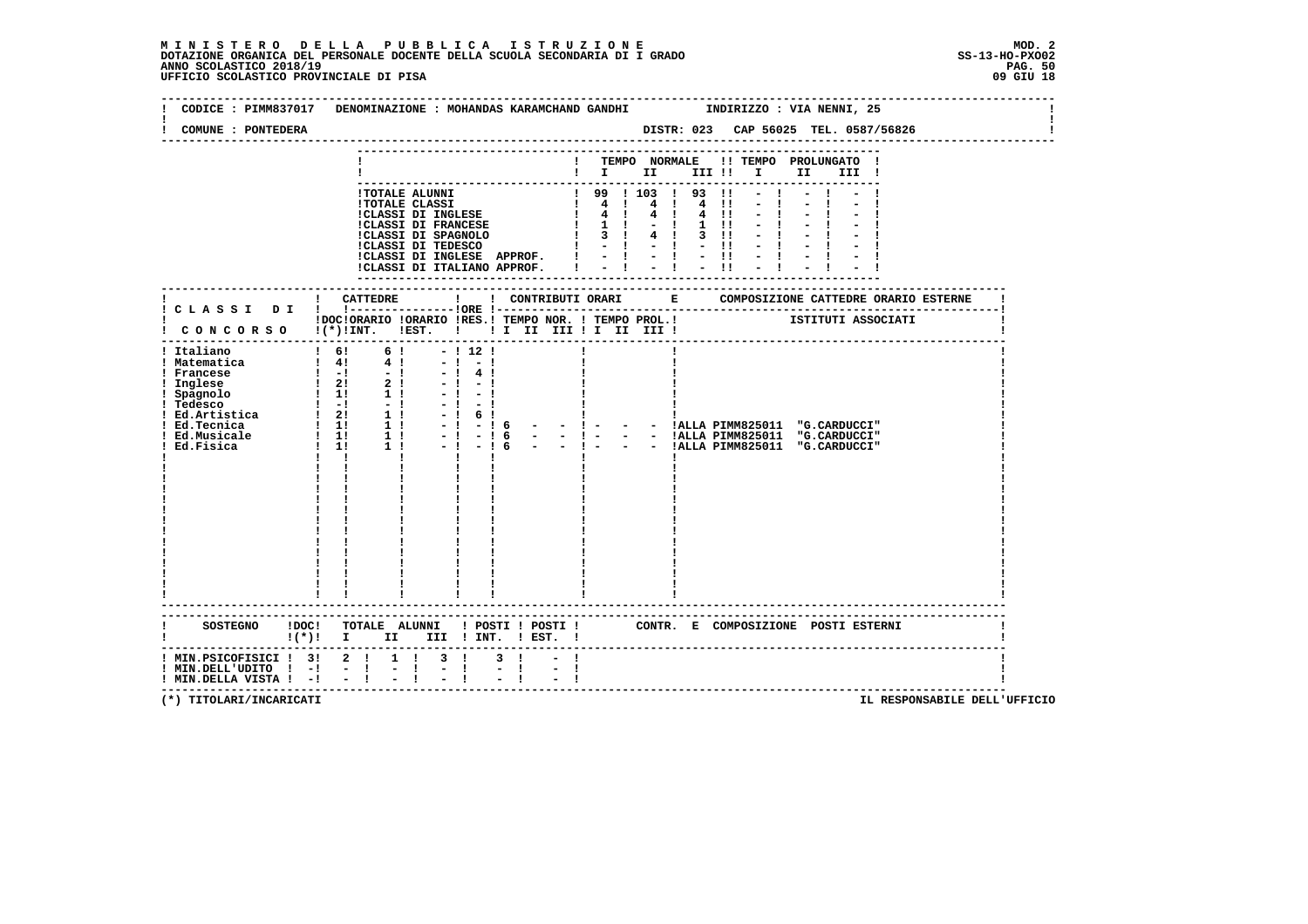| COMUNE : PONTEDERA                                                            | CODICE : PIMM837017 DENOMINAZIONE : MOHANDAS KARAMCHAND GANDHI         INDIRIZZO : VIA NENNI, 25                       |                |                                                                                                                                                       |                                                                                                          |  |  |      |                                                |  |
|-------------------------------------------------------------------------------|------------------------------------------------------------------------------------------------------------------------|----------------|-------------------------------------------------------------------------------------------------------------------------------------------------------|----------------------------------------------------------------------------------------------------------|--|--|------|------------------------------------------------|--|
|                                                                               |                                                                                                                        |                |                                                                                                                                                       | $\blacksquare$ $\blacksquare$ $\blacksquare$ $\blacksquare$ $\blacksquare$ $\blacksquare$ $\blacksquare$ |  |  | II D | ! TEMPO NORMALE !! TEMPO PROLUNGATO !<br>III ! |  |
|                                                                               |                                                                                                                        |                |                                                                                                                                                       |                                                                                                          |  |  |      |                                                |  |
|                                                                               |                                                                                                                        |                |                                                                                                                                                       |                                                                                                          |  |  |      |                                                |  |
| ! CONCORSO !(*)!INT. !EST. ! ! I II III II III III !                          | !DOC!ORARIO !ORARIO !RES.! TEMPO NOR. ! TEMPO PROL.! [3] ISTITUTI ASSOCIATI<br>!(*)!INT. !EST. !! I II III !I II III ! |                |                                                                                                                                                       |                                                                                                          |  |  |      |                                                |  |
|                                                                               | $\mathbf{I}$                                                                                                           | $-!$ $-!$ 6    | - 1 6 - - 1 - - - IALLA PIMM825011 "G.CARDUCCI"<br>- 1 6 - - 1 - - - IALLA PIMM825011 "G.CARDUCCI"<br>- 1 6 - - 1 - - - IALLA PIMM825011 "G.CARDUCCI" |                                                                                                          |  |  |      |                                                |  |
|                                                                               | !(*)! I II III !INT. !EST. !                                                                                           |                |                                                                                                                                                       |                                                                                                          |  |  |      |                                                |  |
| ! MIN.PSICOFISICI ! 3! 2 !<br>! MIN.DELL'UDITO ! -!<br>! MIN.DELLA VISTA ! -! | 1 ! 3 !<br>$\frac{1}{2}$<br>$-1$<br>$-1$                                                                               | 3 <sub>1</sub> |                                                                                                                                                       |                                                                                                          |  |  |      |                                                |  |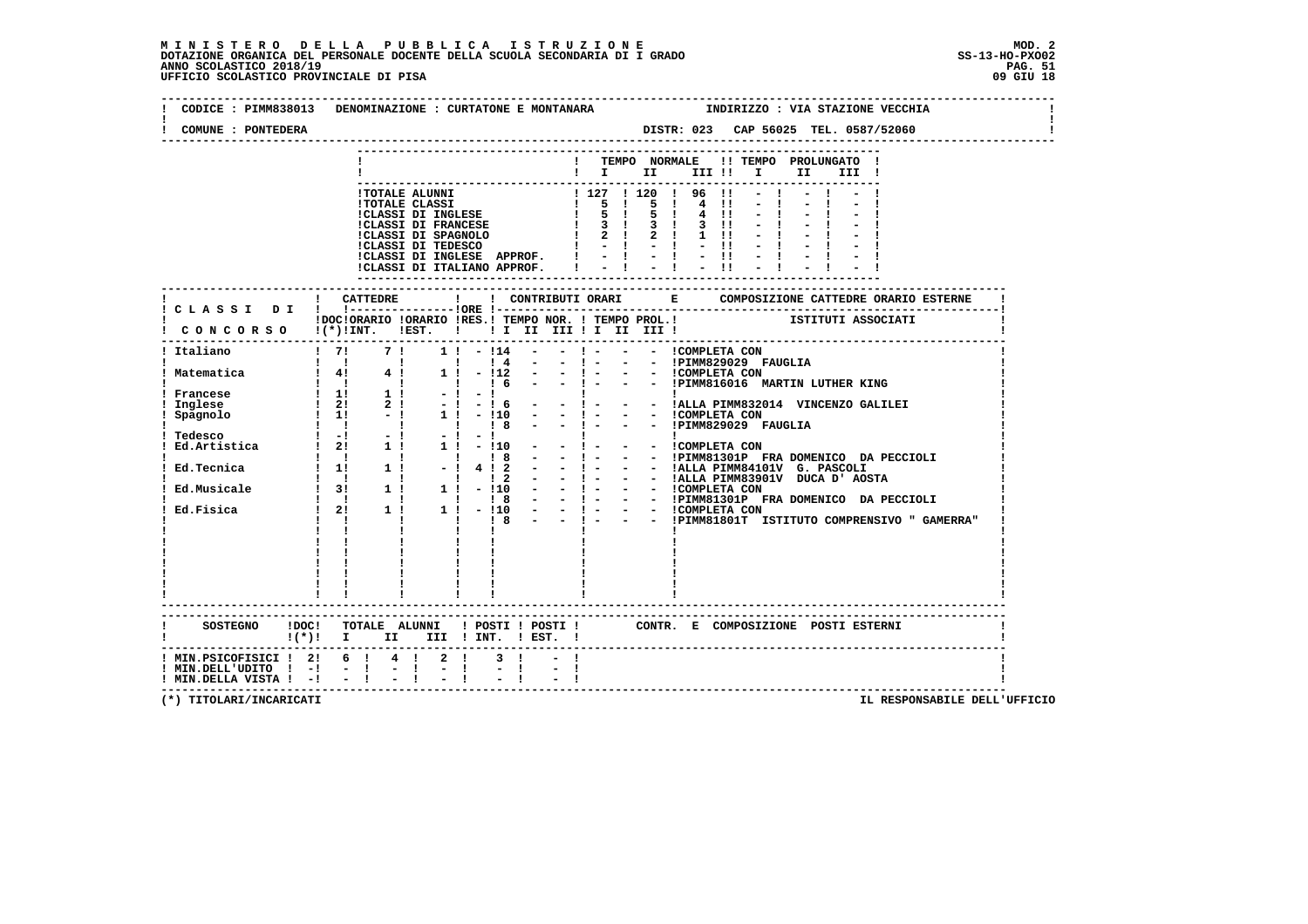# **M I N I S T E R O D E L L A P U B B L I C A I S T R U Z I O N E MOD. 2**DOTAZIONE ORGANICA DEL PERSONALE DOCENTE DELLA SCUOLA SECONDARIA DI I GRADO<br>29ANO SCOLASTICO 2018/19<br>19 UFFICIO SCOLASTICO PROVINCIALE DI PISA

| CODICE : PIMM838013 DENOMINAZIONE : CURTATONE E MONTANARA<br>COMUNE : PONTEDERA                                             |            |                                    |                                                     |             |                                        |                                                             |  |  | INDIRIZZO : VIA STAZIONE VECCHIA      |    |       |  |  |  |
|-----------------------------------------------------------------------------------------------------------------------------|------------|------------------------------------|-----------------------------------------------------|-------------|----------------------------------------|-------------------------------------------------------------|--|--|---------------------------------------|----|-------|--|--|--|
|                                                                                                                             |            |                                    |                                                     |             |                                        |                                                             |  |  |                                       |    |       |  |  |  |
|                                                                                                                             |            |                                    |                                                     |             |                                        |                                                             |  |  | ! TEMPO NORMALE !! TEMPO PROLUNGATO ! |    |       |  |  |  |
|                                                                                                                             |            |                                    |                                                     |             |                                        | $\blacksquare$ $\blacksquare$ $\blacksquare$ $\blacksquare$ |  |  | III !! I                              | II | III ! |  |  |  |
|                                                                                                                             |            |                                    |                                                     |             |                                        |                                                             |  |  |                                       |    |       |  |  |  |
|                                                                                                                             |            |                                    |                                                     |             |                                        |                                                             |  |  |                                       |    |       |  |  |  |
|                                                                                                                             |            |                                    |                                                     |             |                                        |                                                             |  |  |                                       |    |       |  |  |  |
|                                                                                                                             |            |                                    |                                                     |             |                                        |                                                             |  |  |                                       |    |       |  |  |  |
|                                                                                                                             |            |                                    |                                                     |             |                                        |                                                             |  |  |                                       |    |       |  |  |  |
|                                                                                                                             |            |                                    |                                                     |             |                                        |                                                             |  |  |                                       |    |       |  |  |  |
|                                                                                                                             |            |                                    |                                                     |             | -------------------------------------- |                                                             |  |  |                                       |    |       |  |  |  |
|                                                                                                                             | ! CATTEDRE |                                    | $\mathbf{I}$                                        |             |                                        |                                                             |  |  |                                       |    |       |  |  |  |
| ! C L A S S I D I ! !----------------!ORE !---                                                                              |            |                                    |                                                     |             |                                        |                                                             |  |  |                                       |    |       |  |  |  |
| IDOCIORARIO IORARIO IRES.I TEMPO NOR. I TEMPO PROL.I TETITUTI ASSOCIATI<br>CONCORSO I(*)INT. IEST. I II II III II III III I |            |                                    |                                                     |             |                                        |                                                             |  |  |                                       |    |       |  |  |  |
|                                                                                                                             |            |                                    |                                                     |             |                                        |                                                             |  |  |                                       |    |       |  |  |  |
|                                                                                                                             |            |                                    |                                                     |             |                                        |                                                             |  |  |                                       |    |       |  |  |  |
|                                                                                                                             |            |                                    |                                                     |             |                                        |                                                             |  |  |                                       |    |       |  |  |  |
|                                                                                                                             |            |                                    |                                                     |             |                                        |                                                             |  |  |                                       |    |       |  |  |  |
|                                                                                                                             |            |                                    |                                                     |             |                                        |                                                             |  |  |                                       |    |       |  |  |  |
|                                                                                                                             |            |                                    |                                                     |             |                                        |                                                             |  |  |                                       |    |       |  |  |  |
|                                                                                                                             |            |                                    |                                                     |             |                                        |                                                             |  |  |                                       |    |       |  |  |  |
|                                                                                                                             |            |                                    |                                                     |             |                                        |                                                             |  |  |                                       |    |       |  |  |  |
|                                                                                                                             |            |                                    |                                                     |             |                                        |                                                             |  |  |                                       |    |       |  |  |  |
|                                                                                                                             |            |                                    |                                                     |             |                                        |                                                             |  |  |                                       |    |       |  |  |  |
|                                                                                                                             |            |                                    |                                                     |             |                                        |                                                             |  |  |                                       |    |       |  |  |  |
|                                                                                                                             |            |                                    |                                                     |             |                                        |                                                             |  |  |                                       |    |       |  |  |  |
|                                                                                                                             |            |                                    |                                                     |             |                                        |                                                             |  |  |                                       |    |       |  |  |  |
|                                                                                                                             |            |                                    |                                                     |             |                                        |                                                             |  |  |                                       |    |       |  |  |  |
|                                                                                                                             |            |                                    |                                                     |             |                                        |                                                             |  |  |                                       |    |       |  |  |  |
|                                                                                                                             |            |                                    |                                                     |             |                                        |                                                             |  |  |                                       |    |       |  |  |  |
|                                                                                                                             |            |                                    |                                                     |             |                                        |                                                             |  |  |                                       |    |       |  |  |  |
|                                                                                                                             |            |                                    |                                                     |             |                                        |                                                             |  |  |                                       |    |       |  |  |  |
|                                                                                                                             |            | .--------------------------------- |                                                     |             |                                        |                                                             |  |  |                                       |    |       |  |  |  |
|                                                                                                                             |            |                                    |                                                     |             |                                        |                                                             |  |  |                                       |    |       |  |  |  |
| SOSTEGNO !DOC! TOTALE ALUNNI ! POSTI ! POSTI ! CONTR. E COMPOSIZIONE POSTI ESTERNI<br>$(1(*)!$ I II III ! INT. ! EST. !     |            |                                    |                                                     |             |                                        |                                                             |  |  |                                       |    |       |  |  |  |
| ! MIN. PSICOFISICI ! 2! 6 ! 4 ! 2 !                                                                                         |            |                                    |                                                     | $3 \quad 1$ |                                        |                                                             |  |  |                                       |    |       |  |  |  |
| $!$ MIN.DELL'UDITO $!$ -! - !                                                                                               |            | $-1$                               | $\frac{1}{2}$ and $\frac{1}{2}$ . The $\frac{1}{2}$ |             |                                        |                                                             |  |  |                                       |    |       |  |  |  |
| ! MIN.DELLA VISTA ! -! - !                                                                                                  |            |                                    |                                                     |             |                                        |                                                             |  |  |                                       |    |       |  |  |  |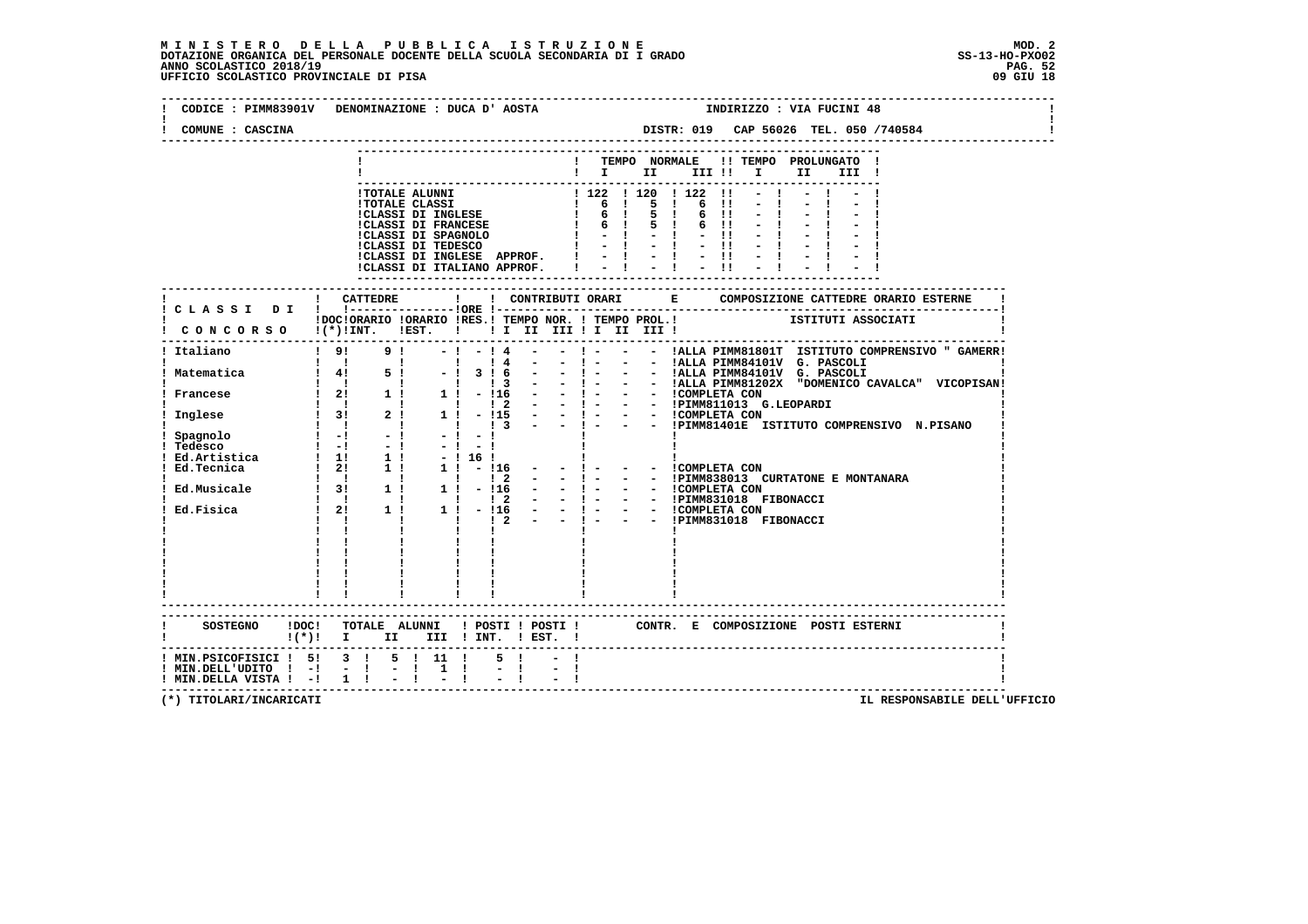# **M I N I S T E R O D E L L A P U B B L I C A I S T R U Z I O N E MOD. 2**DOTAZIONE ORGANICA DEL PERSONALE DOCENTE DELLA SCUOLA SECONDARIA DI I GRADO<br>PAG DO SCOLASTICO 2018/19<br>UFFICIO SCOLASTICO PROVINCIALE DI PISA

| CODICE : PIMM83901V DENOMINAZIONE : DUCA D'AOSTA                                   |  |                                                                                                     |              |                             |                                                                                                                                                       |  |  | INDIRIZZO : VIA FUCINI 48 |  |       |                                                                             |
|------------------------------------------------------------------------------------|--|-----------------------------------------------------------------------------------------------------|--------------|-----------------------------|-------------------------------------------------------------------------------------------------------------------------------------------------------|--|--|---------------------------|--|-------|-----------------------------------------------------------------------------|
| COMUNE : CASCINA                                                                   |  |                                                                                                     |              |                             |                                                                                                                                                       |  |  |                           |  |       |                                                                             |
|                                                                                    |  |                                                                                                     |              |                             | ! TEMPO NORMALE !! TEMPO PROLUNGATO !                                                                                                                 |  |  |                           |  |       |                                                                             |
|                                                                                    |  |                                                                                                     |              |                             | $\blacksquare$ $\blacksquare$ $\blacksquare$ $\blacksquare$ $\blacksquare$ $\blacksquare$ $\blacksquare$ $\blacksquare$ $\blacksquare$ $\blacksquare$ |  |  |                           |  | III ! |                                                                             |
|                                                                                    |  |                                                                                                     |              |                             | ----------------------------                                                                                                                          |  |  |                           |  |       |                                                                             |
|                                                                                    |  |                                                                                                     |              |                             |                                                                                                                                                       |  |  |                           |  |       |                                                                             |
|                                                                                    |  |                                                                                                     |              |                             |                                                                                                                                                       |  |  |                           |  |       |                                                                             |
|                                                                                    |  |                                                                                                     |              |                             |                                                                                                                                                       |  |  |                           |  |       |                                                                             |
|                                                                                    |  |                                                                                                     |              |                             |                                                                                                                                                       |  |  |                           |  |       |                                                                             |
|                                                                                    |  |                                                                                                     |              |                             |                                                                                                                                                       |  |  |                           |  |       |                                                                             |
|                                                                                    |  | ICLASSI DI INGLESE APPROF. $1 - 1 - 1 - 11 - 1$<br>ICLASSI DI ITALIANO APPROF. $1 - 1 - 1 - 11 - 1$ |              |                             |                                                                                                                                                       |  |  |                           |  |       |                                                                             |
|                                                                                    |  |                                                                                                     |              |                             |                                                                                                                                                       |  |  |                           |  |       |                                                                             |
|                                                                                    |  |                                                                                                     |              |                             |                                                                                                                                                       |  |  |                           |  |       |                                                                             |
|                                                                                    |  |                                                                                                     |              |                             |                                                                                                                                                       |  |  |                           |  |       |                                                                             |
|                                                                                    |  | IDOCIORARIO IORARIO IRES.I TEMPO NOR. I TEMPO PROL. I STITUTI ASSOCIATI                             |              |                             |                                                                                                                                                       |  |  |                           |  |       |                                                                             |
| CONCORSO !(*)!INT. !EST. !!!!!!!!!!!!!!!!!                                         |  |                                                                                                     |              |                             |                                                                                                                                                       |  |  |                           |  |       |                                                                             |
| Italiano                                                                           |  |                                                                                                     |              |                             |                                                                                                                                                       |  |  |                           |  |       | ! 9! 9 = 1 - 1 4 - - 1 - - - ALLA PIMM81801T ISTITUTO COMPRENSIVO " GAMERR! |
|                                                                                    |  |                                                                                                     |              |                             |                                                                                                                                                       |  |  |                           |  |       |                                                                             |
|                                                                                    |  |                                                                                                     |              |                             |                                                                                                                                                       |  |  |                           |  |       |                                                                             |
|                                                                                    |  |                                                                                                     |              |                             |                                                                                                                                                       |  |  |                           |  |       |                                                                             |
|                                                                                    |  |                                                                                                     |              |                             |                                                                                                                                                       |  |  |                           |  |       |                                                                             |
|                                                                                    |  |                                                                                                     |              |                             |                                                                                                                                                       |  |  |                           |  |       |                                                                             |
|                                                                                    |  |                                                                                                     |              |                             |                                                                                                                                                       |  |  |                           |  |       |                                                                             |
|                                                                                    |  |                                                                                                     |              |                             |                                                                                                                                                       |  |  |                           |  |       |                                                                             |
|                                                                                    |  |                                                                                                     |              |                             |                                                                                                                                                       |  |  |                           |  |       |                                                                             |
|                                                                                    |  |                                                                                                     |              |                             |                                                                                                                                                       |  |  |                           |  |       |                                                                             |
|                                                                                    |  |                                                                                                     |              |                             |                                                                                                                                                       |  |  |                           |  |       |                                                                             |
|                                                                                    |  |                                                                                                     |              |                             |                                                                                                                                                       |  |  |                           |  |       |                                                                             |
|                                                                                    |  |                                                                                                     |              |                             |                                                                                                                                                       |  |  |                           |  |       |                                                                             |
|                                                                                    |  |                                                                                                     |              |                             |                                                                                                                                                       |  |  |                           |  |       |                                                                             |
|                                                                                    |  |                                                                                                     |              |                             |                                                                                                                                                       |  |  |                           |  |       |                                                                             |
|                                                                                    |  |                                                                                                     | $\mathbf{I}$ |                             |                                                                                                                                                       |  |  |                           |  |       |                                                                             |
|                                                                                    |  |                                                                                                     |              |                             |                                                                                                                                                       |  |  |                           |  |       |                                                                             |
|                                                                                    |  |                                                                                                     |              |                             |                                                                                                                                                       |  |  |                           |  |       |                                                                             |
|                                                                                    |  |                                                                                                     |              |                             |                                                                                                                                                       |  |  |                           |  |       |                                                                             |
|                                                                                    |  |                                                                                                     |              |                             |                                                                                                                                                       |  |  |                           |  |       |                                                                             |
|                                                                                    |  |                                                                                                     |              |                             |                                                                                                                                                       |  |  |                           |  |       |                                                                             |
|                                                                                    |  |                                                                                                     |              |                             |                                                                                                                                                       |  |  |                           |  |       |                                                                             |
| SOSTEGNO !DOC! TOTALE ALUNNI ! POSTI ! POSTI ! CONTR. E COMPOSIZIONE POSTI ESTERNI |  |                                                                                                     |              |                             |                                                                                                                                                       |  |  |                           |  |       |                                                                             |
| !(*)! I II III !INT. !EST. !                                                       |  |                                                                                                     |              |                             |                                                                                                                                                       |  |  |                           |  |       |                                                                             |
| ! MIN.PSICOFISICI ! 5! 3 ! 5 ! 11 !                                                |  |                                                                                                     | $5 \quad 1$  |                             |                                                                                                                                                       |  |  |                           |  |       |                                                                             |
| $!$ MIN.DELL'UDITO $!$ -! - !                                                      |  | $-1\sqrt{1}$ 1                                                                                      |              | $\frac{1}{2}$ $\frac{1}{1}$ |                                                                                                                                                       |  |  |                           |  |       |                                                                             |
| ! MIN.DELLA VISTA ! -! 1 !                                                         |  |                                                                                                     |              |                             |                                                                                                                                                       |  |  |                           |  |       |                                                                             |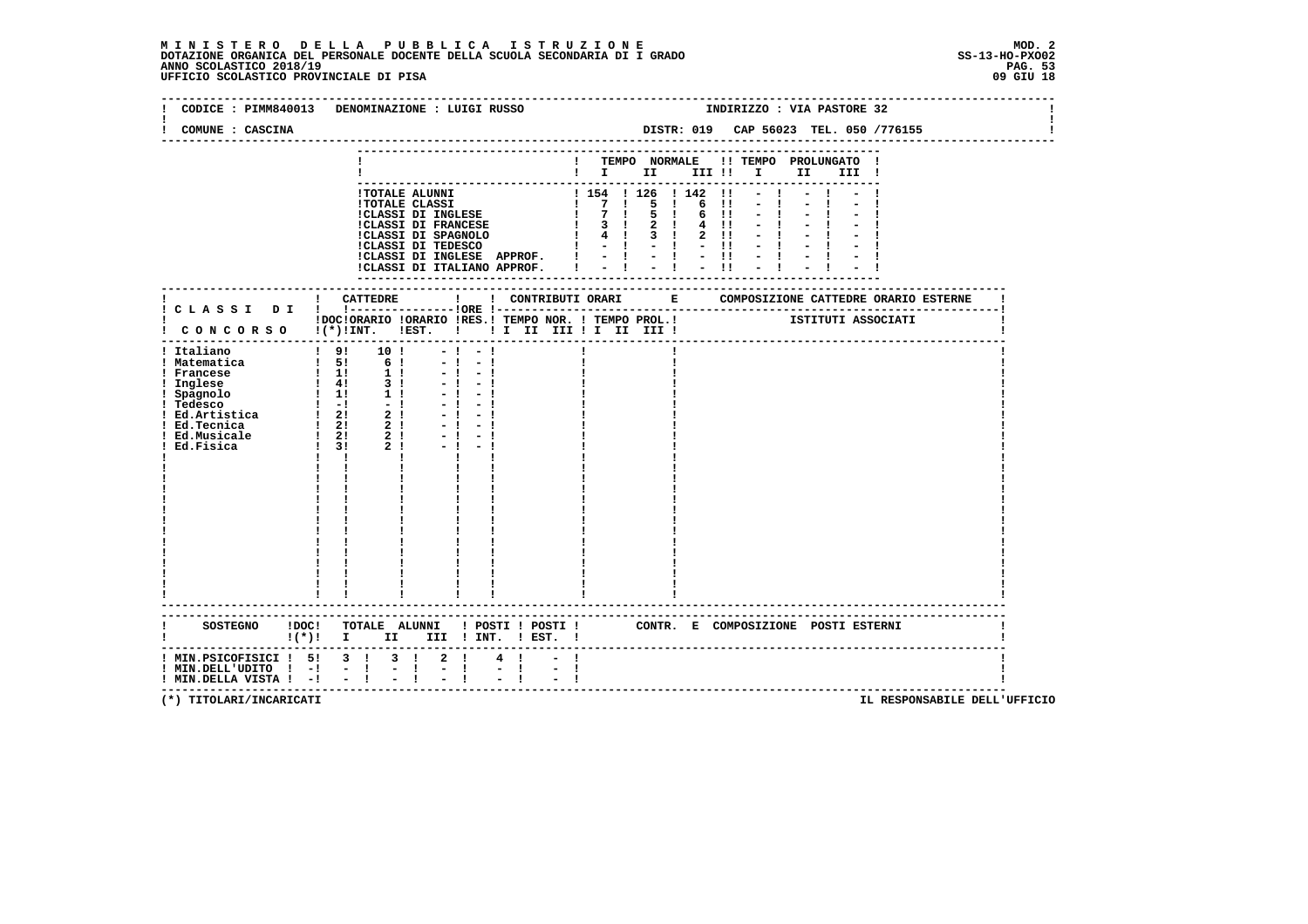# **M I N I S T E R O D E L L A P U B B L I C A I S T R U Z I O N E MOD. 2**DOTAZIONE ORGANICA DEL PERSONALE DOCENTE DELLA SCUOLA SECONDARIA DI I GRADO **SCOLA SS-13-HO-PXOO2**<br>PAG ANNO SCOLASTICO 2018/19<br>19 GIU 18 OFFICIO SCOLASTICO PROVINCIALE DI PISA

|                                                                                       | CODICE : PIMM840013 DENOMINAZIONE : LUIGI RUSSO                                                                                                                                                                                                                                                                               |                                              |                                                         |  |  | INDIRIZZO : VIA PASTORE 32          |                                       |
|---------------------------------------------------------------------------------------|-------------------------------------------------------------------------------------------------------------------------------------------------------------------------------------------------------------------------------------------------------------------------------------------------------------------------------|----------------------------------------------|---------------------------------------------------------|--|--|-------------------------------------|---------------------------------------|
| COMUNE : CASCINA                                                                      |                                                                                                                                                                                                                                                                                                                               |                                              |                                                         |  |  |                                     | DISTR: 019 CAP 56023 TEL. 050 /776155 |
|                                                                                       |                                                                                                                                                                                                                                                                                                                               |                                              | ! TEMPO NORMALE !! TEMPO PROLUNGATO !<br>$\blacksquare$ |  |  |                                     |                                       |
|                                                                                       | !TOTALE ALUNNI<br>!TOTALE CLASSI<br>! 154   126   142    -  <br>!CLASSI DI INGLESE   7   5   6    -  <br>!CLASSI DI FRANCESE   3   2   4    -  <br>!CLASSI DI SPAGNOLO   4   3   2    -  <br>!CLASSI DI TEDESCO   -   -   -    -  <br>!CLASSI DI INGLESE APPROF.   -   -   -  !<br>!CLASSI DI ITALIANO APPROF.   -   -   - !! |                                              |                                                         |  |  |                                     |                                       |
|                                                                                       |                                                                                                                                                                                                                                                                                                                               |                                              |                                                         |  |  |                                     |                                       |
|                                                                                       | $!DOCIORARIO$ $!ORARIO$ $!RES$ $!$ $!RESA$ $!$ $!RESA$ $!$ $!RESA$ $!RESA$ $!RESA$ $!RESA$ $!RESA$ $!RESA$ $!RESA$ $!RESA$ $!RESA$ $!RESA$ $!RESA$ $!RESA$ $!RESA$ $!RESA$ $!RESA$ $!RESA$ $!RESA$ $!RESA$ $!RESA$ $!RESA$ $!RESA$ $!RESA$ $!RESA$ $!RESA$ $!RESA$ $!RESA$ $!RESA$ $!RESA$ $!RESA$ $!RESA$                    |                                              |                                                         |  |  |                                     |                                       |
|                                                                                       | $-1$<br>$-1$<br>$-1$<br>$-1$<br>$-1$<br>$\mathbf{I}$ and $\mathbf{I}$                                                                                                                                                                                                                                                         | $-1 - 1$<br>$-1 - 1$<br>$-1 - 1$<br>$-1 - 1$ |                                                         |  |  |                                     |                                       |
|                                                                                       |                                                                                                                                                                                                                                                                                                                               |                                              |                                                         |  |  | CONTR. E COMPOSIZIONE POSTI_ESTERNI |                                       |
|                                                                                       | $!(*)!$ I II III ! INT. ! EST. !                                                                                                                                                                                                                                                                                              |                                              |                                                         |  |  |                                     |                                       |
| $!$ MIN.PSICOFISICI $!$ 5! 3 ! 3 !<br>! MIN.DELL'UDITO ! -!<br>! MIN.DELLA VISTA ! -! | $-1$<br>$\frac{1}{2}$<br>$\frac{1}{2}$<br>$-1$                                                                                                                                                                                                                                                                                | $2 \quad 1$<br>$4 \quad 1$<br>$-1$           |                                                         |  |  |                                     |                                       |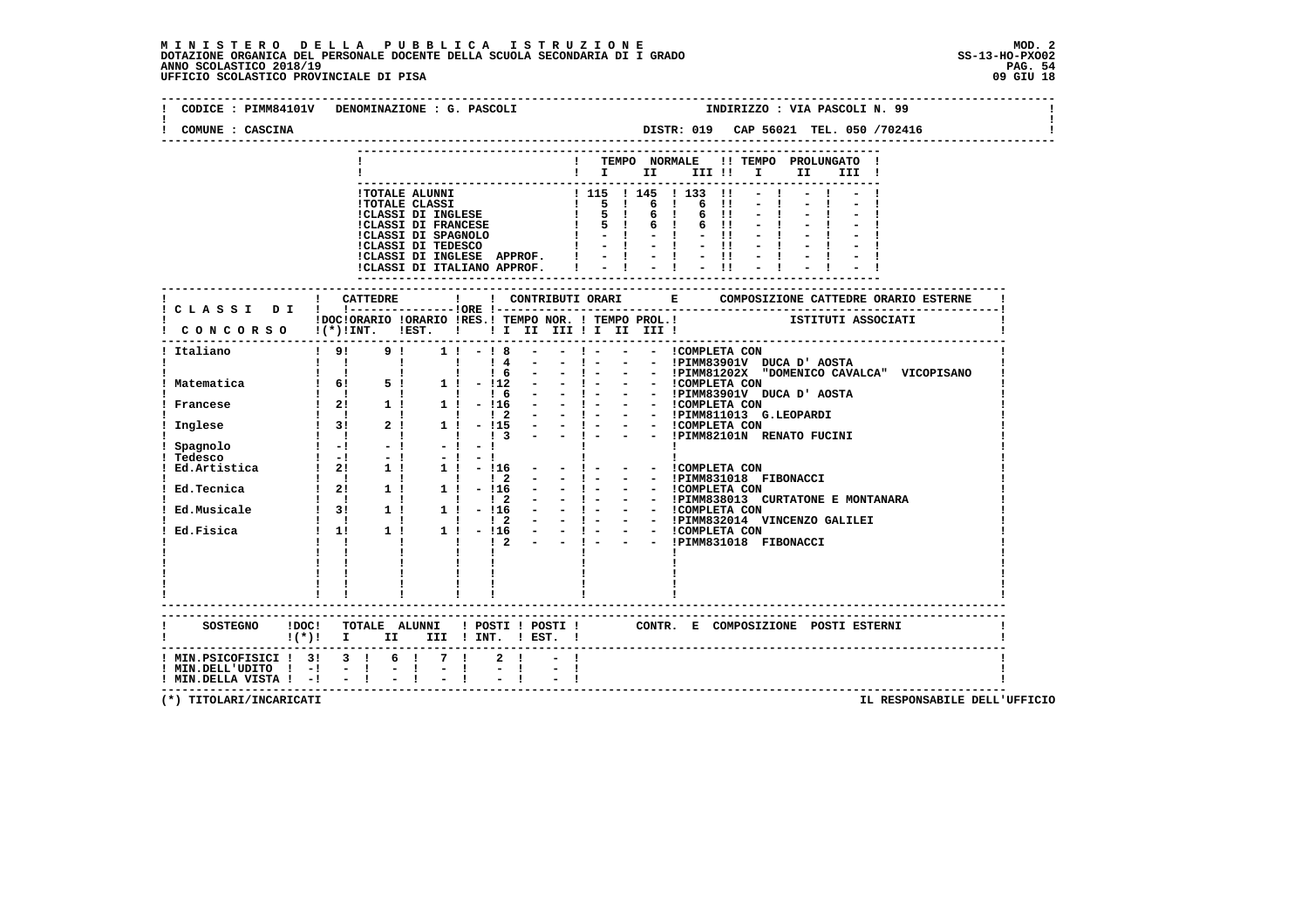# **M I N I S T E R O D E L L A P U B B L I C A I S T R U Z I O N E MOD. 2**DOTAZIONE ORGANICA DEL PERSONALE DOCENTE DELLA SCUOLA SECONDARIA DI I GRADO<br>29A ANNO SCOLASTICO 2018/19<br>19 UFFICIO SCOLASTICO PROVINCIALE DI PISA

| CODICE : PIMM84101V DENOMINAZIONE : G. PASCOLI                                                                                                                                                                                                                                                                                                                                                     |                                                |                             |  |               |  |  |  |                                                                                                                                                                      |  | INDIRIZZO : VIA PASCOLI N. 99         |  |  |
|----------------------------------------------------------------------------------------------------------------------------------------------------------------------------------------------------------------------------------------------------------------------------------------------------------------------------------------------------------------------------------------------------|------------------------------------------------|-----------------------------|--|---------------|--|--|--|----------------------------------------------------------------------------------------------------------------------------------------------------------------------|--|---------------------------------------|--|--|
| COMUNE : CASCINA                                                                                                                                                                                                                                                                                                                                                                                   |                                                |                             |  |               |  |  |  |                                                                                                                                                                      |  |                                       |  |  |
|                                                                                                                                                                                                                                                                                                                                                                                                    |                                                |                             |  |               |  |  |  |                                                                                                                                                                      |  | ! TEMPO NORMALE !! TEMPO PROLUNGATO ! |  |  |
|                                                                                                                                                                                                                                                                                                                                                                                                    |                                                |                             |  |               |  |  |  | $\blacksquare$ $\blacksquare$ $\blacksquare$ $\blacksquare$ $\blacksquare$ $\blacksquare$ $\blacksquare$ $\blacksquare$ $\blacksquare$ $\blacksquare$ $\blacksquare$ |  | III !                                 |  |  |
|                                                                                                                                                                                                                                                                                                                                                                                                    |                                                |                             |  |               |  |  |  |                                                                                                                                                                      |  |                                       |  |  |
|                                                                                                                                                                                                                                                                                                                                                                                                    |                                                |                             |  |               |  |  |  |                                                                                                                                                                      |  |                                       |  |  |
|                                                                                                                                                                                                                                                                                                                                                                                                    |                                                |                             |  |               |  |  |  |                                                                                                                                                                      |  |                                       |  |  |
|                                                                                                                                                                                                                                                                                                                                                                                                    |                                                |                             |  |               |  |  |  |                                                                                                                                                                      |  |                                       |  |  |
|                                                                                                                                                                                                                                                                                                                                                                                                    |                                                |                             |  |               |  |  |  |                                                                                                                                                                      |  |                                       |  |  |
|                                                                                                                                                                                                                                                                                                                                                                                                    |                                                |                             |  |               |  |  |  |                                                                                                                                                                      |  |                                       |  |  |
|                                                                                                                                                                                                                                                                                                                                                                                                    |                                                |                             |  |               |  |  |  |                                                                                                                                                                      |  |                                       |  |  |
|                                                                                                                                                                                                                                                                                                                                                                                                    |                                                |                             |  |               |  |  |  |                                                                                                                                                                      |  |                                       |  |  |
|                                                                                                                                                                                                                                                                                                                                                                                                    |                                                |                             |  |               |  |  |  |                                                                                                                                                                      |  |                                       |  |  |
| IDOCIORARIO IORARIO IRES.I TEMPO NOR. I TEMPO PROL.I TETITUTI ASSOCIATI<br>CONCORSO I(*)IINT. IEST. I II II III II III III I                                                                                                                                                                                                                                                                       |                                                |                             |  |               |  |  |  |                                                                                                                                                                      |  |                                       |  |  |
| $\begin{tabular}{c cccccc} \texttt{Italian} & \texttt{1: 1} & \texttt{1: 1} & \texttt{2: 1} & \texttt{3: 2} & \texttt{1: 1} & \texttt{4: 2} & \texttt{5: 2} & \texttt{5: 2} & \texttt{6: 2} & \texttt{6: 2} & \texttt{7: 2} & \texttt{8: 2} & \texttt{8: 2} & \texttt{9: 2} & \texttt{1: 2} & \texttt{1: 2} & \texttt{1: 2} & \texttt{1: 2} & \texttt{1: 2} & \texttt{1: 2} & \text$<br>! Italiano |                                                |                             |  |               |  |  |  |                                                                                                                                                                      |  |                                       |  |  |
|                                                                                                                                                                                                                                                                                                                                                                                                    |                                                |                             |  |               |  |  |  |                                                                                                                                                                      |  |                                       |  |  |
|                                                                                                                                                                                                                                                                                                                                                                                                    |                                                |                             |  |               |  |  |  |                                                                                                                                                                      |  |                                       |  |  |
|                                                                                                                                                                                                                                                                                                                                                                                                    |                                                |                             |  |               |  |  |  |                                                                                                                                                                      |  |                                       |  |  |
|                                                                                                                                                                                                                                                                                                                                                                                                    |                                                |                             |  |               |  |  |  |                                                                                                                                                                      |  |                                       |  |  |
|                                                                                                                                                                                                                                                                                                                                                                                                    |                                                |                             |  |               |  |  |  |                                                                                                                                                                      |  |                                       |  |  |
|                                                                                                                                                                                                                                                                                                                                                                                                    |                                                |                             |  |               |  |  |  |                                                                                                                                                                      |  |                                       |  |  |
|                                                                                                                                                                                                                                                                                                                                                                                                    |                                                |                             |  |               |  |  |  |                                                                                                                                                                      |  |                                       |  |  |
|                                                                                                                                                                                                                                                                                                                                                                                                    |                                                |                             |  |               |  |  |  |                                                                                                                                                                      |  |                                       |  |  |
|                                                                                                                                                                                                                                                                                                                                                                                                    |                                                |                             |  |               |  |  |  |                                                                                                                                                                      |  |                                       |  |  |
|                                                                                                                                                                                                                                                                                                                                                                                                    |                                                |                             |  |               |  |  |  |                                                                                                                                                                      |  |                                       |  |  |
|                                                                                                                                                                                                                                                                                                                                                                                                    |                                                |                             |  |               |  |  |  |                                                                                                                                                                      |  |                                       |  |  |
|                                                                                                                                                                                                                                                                                                                                                                                                    |                                                |                             |  |               |  |  |  |                                                                                                                                                                      |  |                                       |  |  |
|                                                                                                                                                                                                                                                                                                                                                                                                    |                                                |                             |  |               |  |  |  |                                                                                                                                                                      |  |                                       |  |  |
|                                                                                                                                                                                                                                                                                                                                                                                                    |                                                |                             |  |               |  |  |  |                                                                                                                                                                      |  |                                       |  |  |
|                                                                                                                                                                                                                                                                                                                                                                                                    | $\mathbf{I}$ and $\mathbf{I}$ and $\mathbf{I}$ |                             |  | $1 \t12 - -1$ |  |  |  | - - !PIMM831018 FIBONACCI                                                                                                                                            |  |                                       |  |  |
|                                                                                                                                                                                                                                                                                                                                                                                                    |                                                |                             |  |               |  |  |  |                                                                                                                                                                      |  |                                       |  |  |
|                                                                                                                                                                                                                                                                                                                                                                                                    |                                                |                             |  |               |  |  |  |                                                                                                                                                                      |  |                                       |  |  |
|                                                                                                                                                                                                                                                                                                                                                                                                    |                                                |                             |  |               |  |  |  |                                                                                                                                                                      |  |                                       |  |  |
|                                                                                                                                                                                                                                                                                                                                                                                                    |                                                |                             |  |               |  |  |  |                                                                                                                                                                      |  |                                       |  |  |
| SOSTEGNO !DOC! TOTALE ALUNNI ! POSTI ! POSTI ! CONTR. E COMPOSIZIONE POSTI ESTERNI                                                                                                                                                                                                                                                                                                                 |                                                |                             |  |               |  |  |  |                                                                                                                                                                      |  |                                       |  |  |
| $!(*)!$ I II III ! INT. ! EST. !                                                                                                                                                                                                                                                                                                                                                                   |                                                |                             |  |               |  |  |  |                                                                                                                                                                      |  |                                       |  |  |
| ! MIN.PSICOFISICI ! 3! 3 !<br>$!$ MIN.DELL'UDITO $!$ -! - !                                                                                                                                                                                                                                                                                                                                        |                                                | 6 ! 7 !                     |  |               |  |  |  |                                                                                                                                                                      |  |                                       |  |  |
|                                                                                                                                                                                                                                                                                                                                                                                                    | $!$ MIN.DELLA VISTA $!$ - $!$ - $!$            | $\frac{1}{2}$ $\frac{1}{1}$ |  |               |  |  |  |                                                                                                                                                                      |  |                                       |  |  |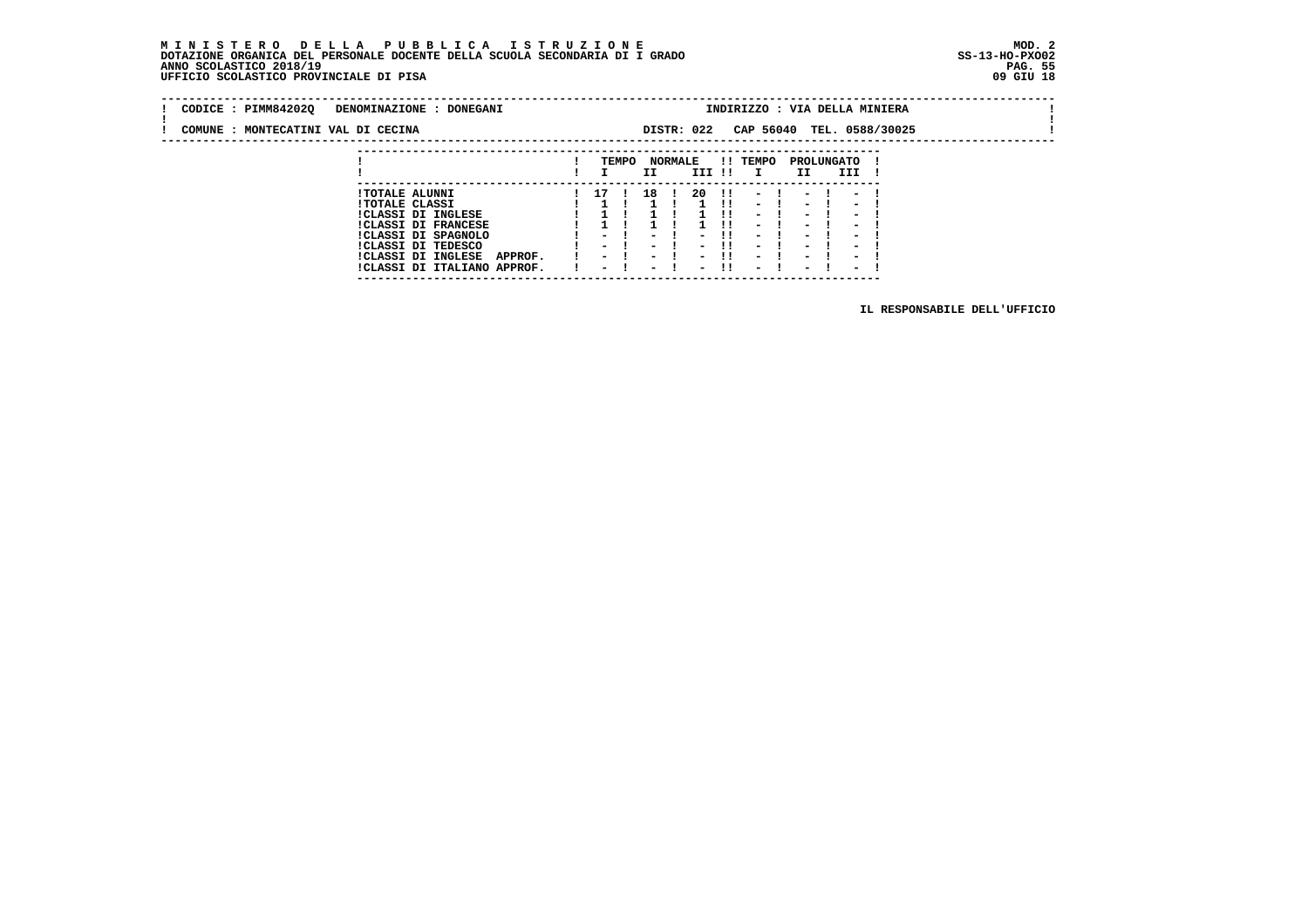#### **M I N I S T E R O D E L L A P U B B L I C A I S T R U Z I O N E MOD. 2 DOTAZIONE ORGANICA DEL PERSONALE DOCENTE DELLA SCUOLA SECONDARIA DI I GRADO ANNO SCOLASTICO 2018/19** UFFICIO SCOLASTICO PROVINCIALE DI PISA

 **---------------------------------------------------------------------------**

| CODICE : PIMM84202Q DENOMINAZIONE : DONEGANI<br>COMUNE : MONTECATINI VAL DI CECINA | INDIRIZZO : VIA DELLA MINIERA<br>CAP 56040 TEL. 0588/30025<br>DISTR: 022                                                                  |
|------------------------------------------------------------------------------------|-------------------------------------------------------------------------------------------------------------------------------------------|
|                                                                                    | !! TEMPO<br>TEMPO<br><b>NORMALE</b><br>PROLUNGATO<br>II<br>III !!<br>$\mathbf{I}$<br>III<br>II.                                           |
| <b>!TOTALE ALUNNI</b><br><b>!TOTALE CLASSI</b><br><b>!CLASSI DI INGLESE</b>        | $20$ $1!$ $ 1$ $ 1$ $ 1$<br>18 !<br>17 !<br>$1 \quad 11$<br>$-1$<br>$-1$<br>$\overline{\phantom{0}}$<br>$\sim$<br>$\sim$ $\sim$<br>$\sim$ |

 **!CLASSI DI INGLESE ! 1 ! 1 ! 1 !! - ! - ! - ! !CLASSI DI FRANCESE ! 1 ! 1 ! 1 !! - ! - ! - ! !CLASSI DI SPAGNOLO ! - ! - ! - !! - ! - ! - ! !CLASSI DI TEDESCO ! - ! - ! - !! - ! - ! - ! !CLASSI DI INGLESE APPROF. ! - ! - ! - !! - ! - ! - ! !CLASSI DI ITALIANO APPROF. ! - ! - ! - !! - ! - ! - !**